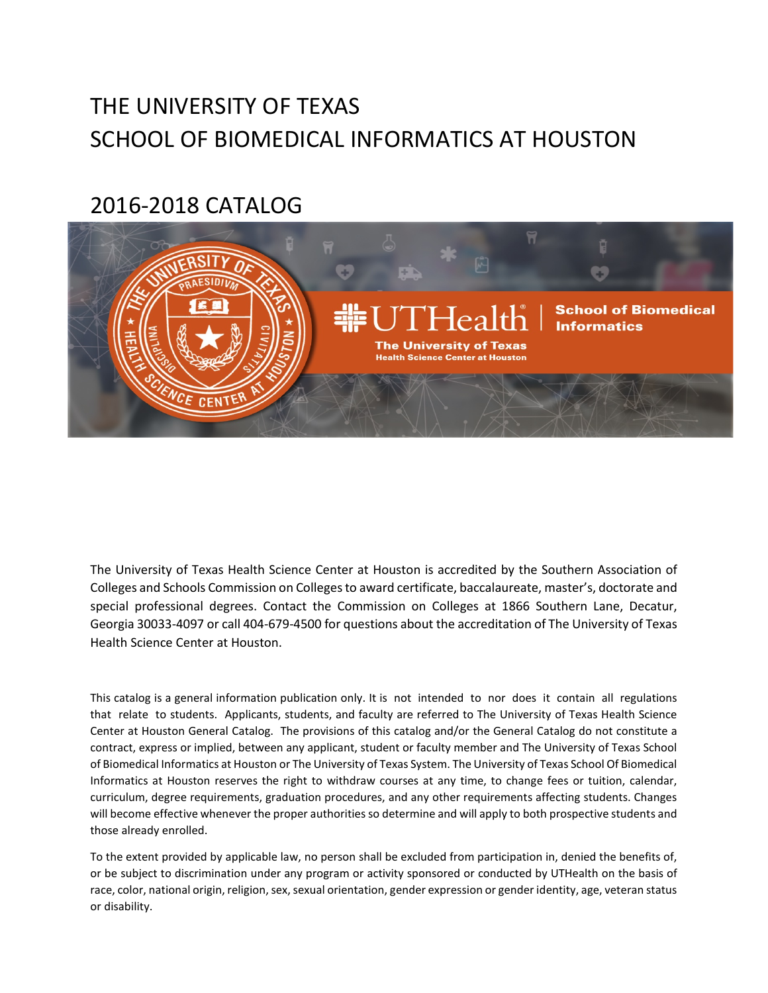# THE UNIVERSITY OF TEXAS SCHOOL OF BIOMEDICAL INFORMATICS AT HOUSTON

# 2016‐2018 CATALOG



The University of Texas Health Science Center at Houston is accredited by the Southern Association of Colleges and Schools Commission on Colleges to award certificate, baccalaureate, master's, doctorate and special professional degrees. Contact the Commission on Colleges at 1866 Southern Lane, Decatur, Georgia 30033‐4097 or call 404‐679‐4500 for questions about the accreditation of The University of Texas Health Science Center at Houston.

This catalog is a general information publication only. It is not intended to nor does it contain all regulations that relate to students. Applicants, students, and faculty are referred to The University of Texas Health Science Center at Houston General Catalog. The provisions of this catalog and/or the General Catalog do not constitute a contract, express or implied, between any applicant, student or faculty member and The University of Texas School of Biomedical Informatics at Houston or The University of Texas System. The University of Texas School Of Biomedical Informatics at Houston reserves the right to withdraw courses at any time, to change fees or tuition, calendar, curriculum, degree requirements, graduation procedures, and any other requirements affecting students. Changes will become effective whenever the proper authorities so determine and will apply to both prospective students and those already enrolled.

To the extent provided by applicable law, no person shall be excluded from participation in, denied the benefits of, or be subject to discrimination under any program or activity sponsored or conducted by UTHealth on the basis of race, color, national origin, religion, sex, sexual orientation, gender expression or gender identity, age, veteran status or disability.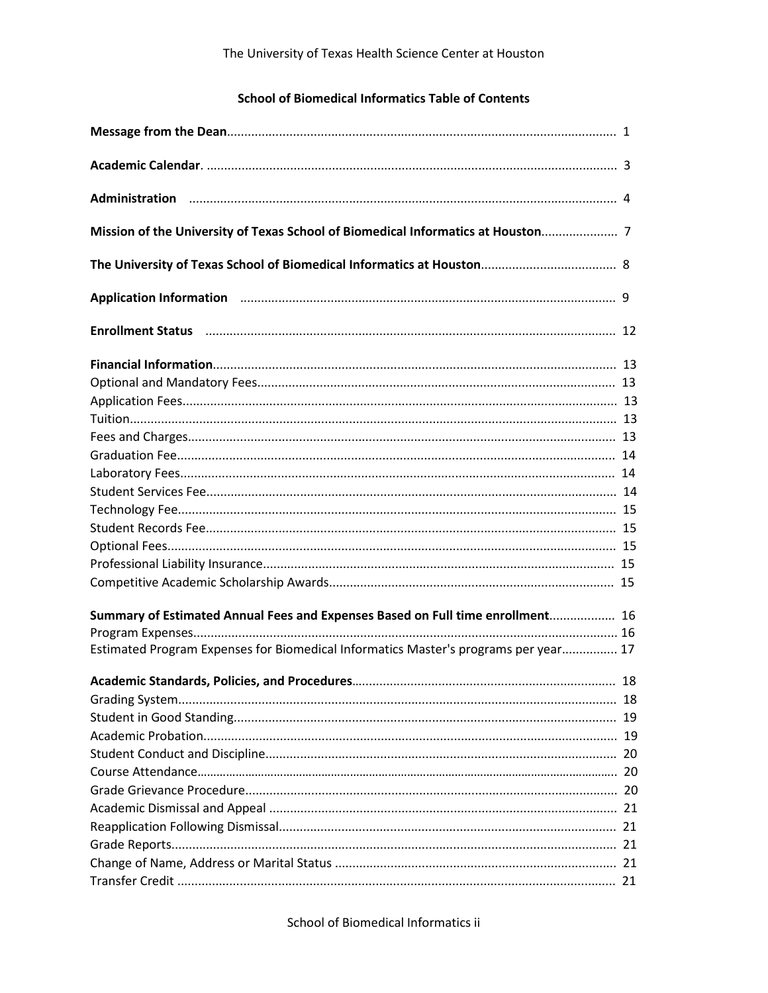## **School of Biomedical Informatics Table of Contents**

| Application Information manufacture and the control of the control of the control of the control of the control of the control of the control of the control of the control of the control of the control of the control of th |    |
|--------------------------------------------------------------------------------------------------------------------------------------------------------------------------------------------------------------------------------|----|
|                                                                                                                                                                                                                                |    |
|                                                                                                                                                                                                                                |    |
|                                                                                                                                                                                                                                |    |
|                                                                                                                                                                                                                                |    |
|                                                                                                                                                                                                                                |    |
|                                                                                                                                                                                                                                |    |
|                                                                                                                                                                                                                                |    |
|                                                                                                                                                                                                                                |    |
|                                                                                                                                                                                                                                |    |
|                                                                                                                                                                                                                                |    |
|                                                                                                                                                                                                                                |    |
|                                                                                                                                                                                                                                |    |
|                                                                                                                                                                                                                                |    |
|                                                                                                                                                                                                                                |    |
| Summary of Estimated Annual Fees and Expenses Based on Full time enrollment 16                                                                                                                                                 |    |
|                                                                                                                                                                                                                                |    |
| Estimated Program Expenses for Biomedical Informatics Master's programs per year 17                                                                                                                                            |    |
|                                                                                                                                                                                                                                | 18 |
|                                                                                                                                                                                                                                |    |
|                                                                                                                                                                                                                                |    |
|                                                                                                                                                                                                                                |    |
|                                                                                                                                                                                                                                |    |
|                                                                                                                                                                                                                                |    |
|                                                                                                                                                                                                                                |    |
|                                                                                                                                                                                                                                |    |
|                                                                                                                                                                                                                                |    |
|                                                                                                                                                                                                                                |    |
|                                                                                                                                                                                                                                |    |
|                                                                                                                                                                                                                                |    |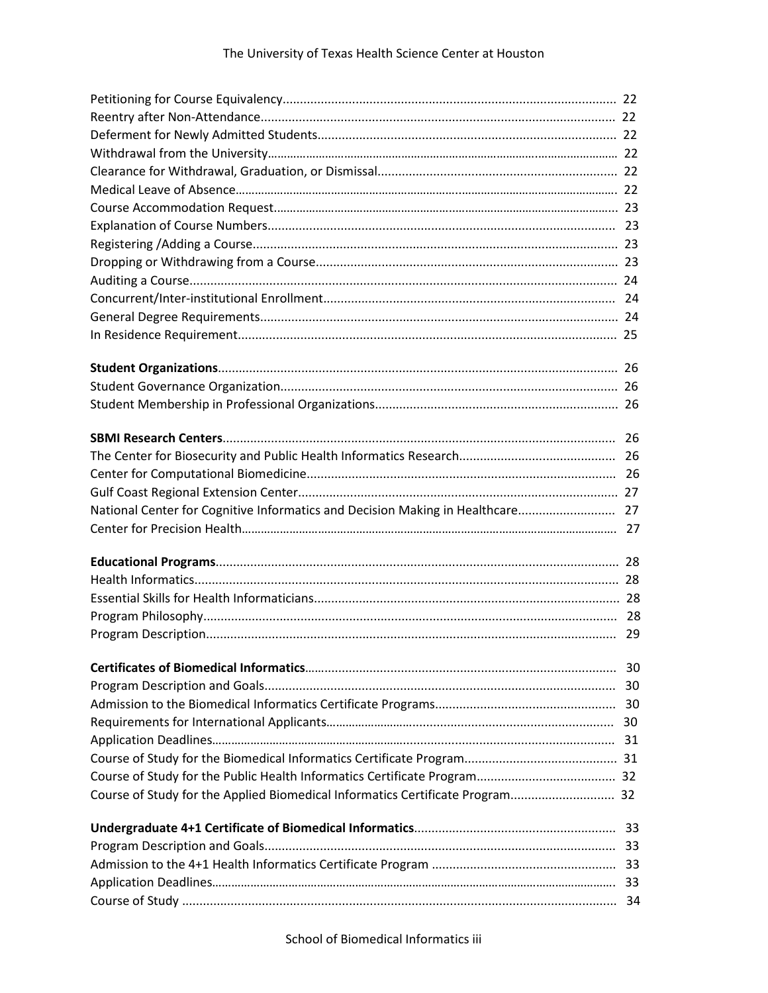## The University of Texas Health Science Center at Houston

| National Center for Cognitive Informatics and Decision Making in Healthcare 27 |  |
|--------------------------------------------------------------------------------|--|
|                                                                                |  |
|                                                                                |  |
|                                                                                |  |
|                                                                                |  |
|                                                                                |  |
|                                                                                |  |
|                                                                                |  |
|                                                                                |  |
|                                                                                |  |
|                                                                                |  |
|                                                                                |  |
|                                                                                |  |
|                                                                                |  |
| Course of Study for the Applied Biomedical Informatics Certificate Program 32  |  |
|                                                                                |  |
|                                                                                |  |
|                                                                                |  |
|                                                                                |  |
|                                                                                |  |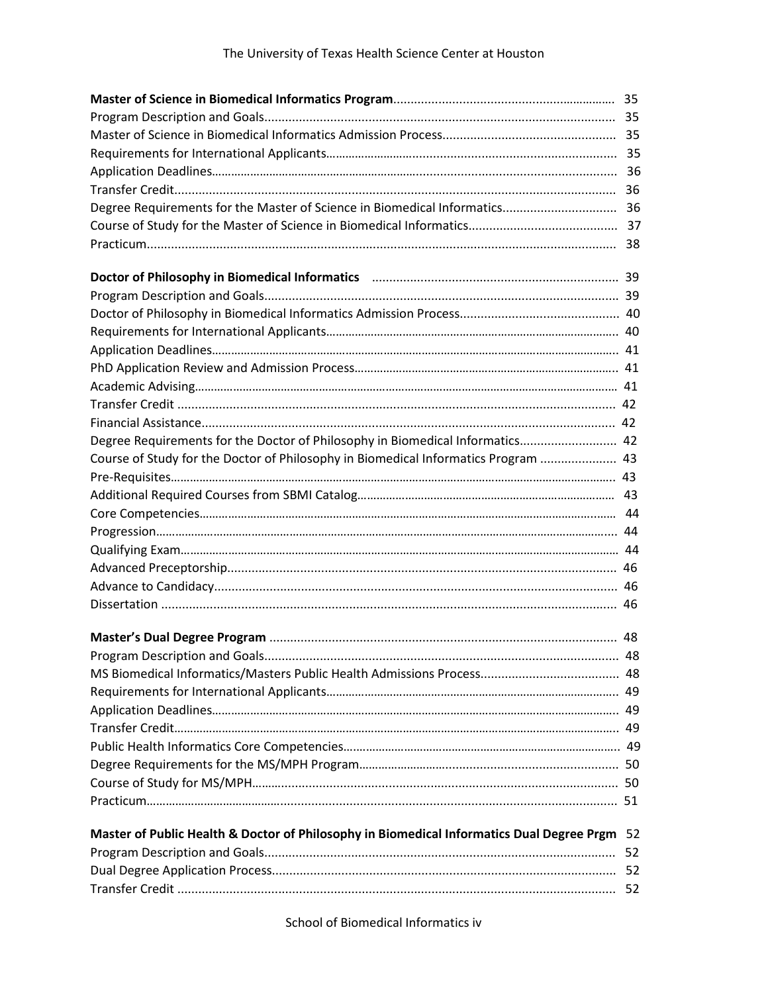| Course of Study for the Doctor of Philosophy in Biomedical Informatics Program  43           |  |  |
|----------------------------------------------------------------------------------------------|--|--|
|                                                                                              |  |  |
|                                                                                              |  |  |
|                                                                                              |  |  |
|                                                                                              |  |  |
|                                                                                              |  |  |
|                                                                                              |  |  |
|                                                                                              |  |  |
|                                                                                              |  |  |
|                                                                                              |  |  |
|                                                                                              |  |  |
|                                                                                              |  |  |
|                                                                                              |  |  |
|                                                                                              |  |  |
|                                                                                              |  |  |
|                                                                                              |  |  |
|                                                                                              |  |  |
|                                                                                              |  |  |
|                                                                                              |  |  |
|                                                                                              |  |  |
|                                                                                              |  |  |
| Master of Public Health & Doctor of Philosophy in Biomedical Informatics Dual Degree Prgm 52 |  |  |
|                                                                                              |  |  |
|                                                                                              |  |  |
|                                                                                              |  |  |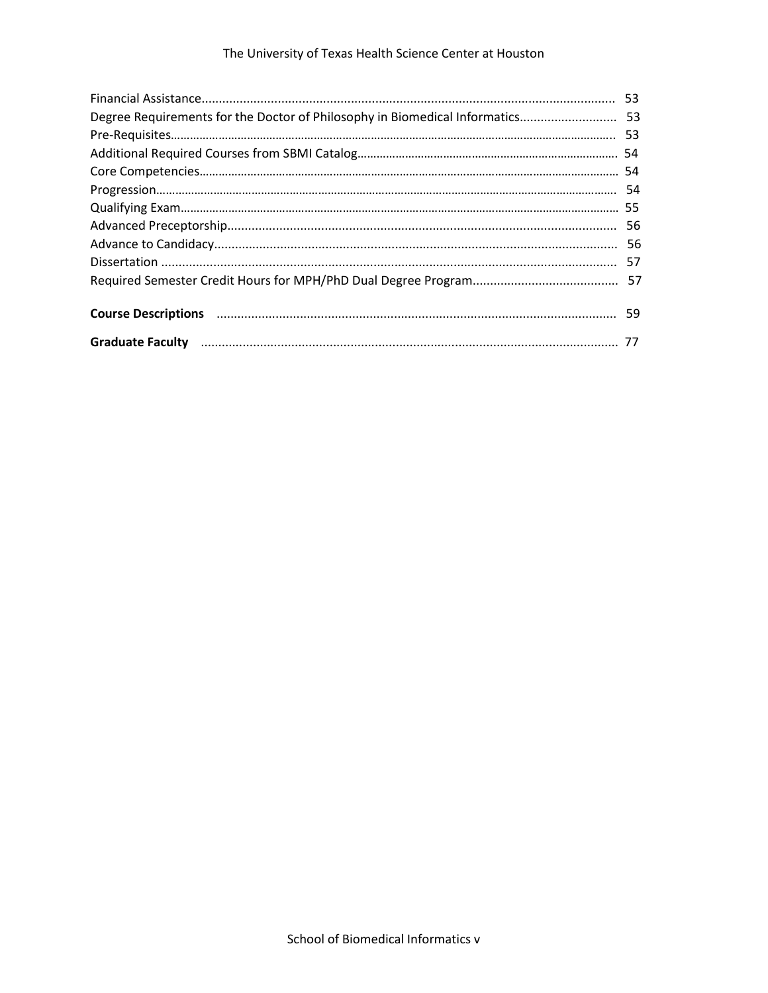## The University of Texas Health Science Center at Houston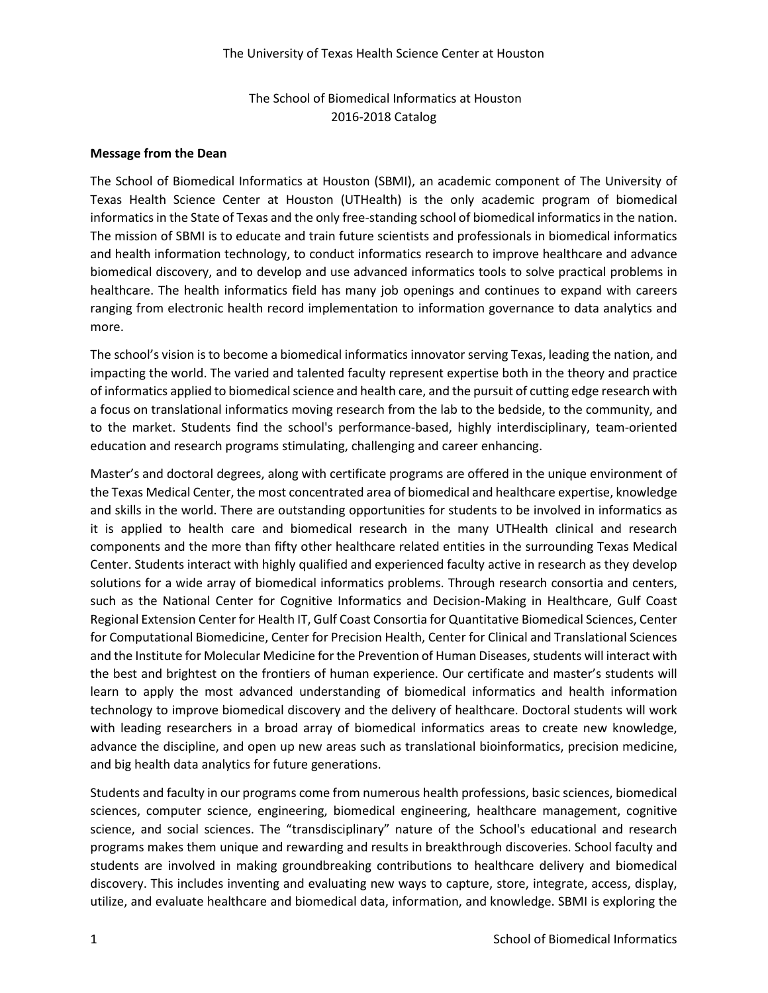## The School of Biomedical Informatics at Houston 2016-2018 Catalog

#### **Message from the Dean**

The School of Biomedical Informatics at Houston (SBMI), an academic component of The University of Texas Health Science Center at Houston (UTHealth) is the only academic program of biomedical informatics in the State of Texas and the only free-standing school of biomedical informatics in the nation. The mission of SBMI is to educate and train future scientists and professionals in biomedical informatics and health information technology, to conduct informatics research to improve healthcare and advance biomedical discovery, and to develop and use advanced informatics tools to solve practical problems in healthcare. The health informatics field has many job openings and continues to expand with careers ranging from electronic health record implementation to information governance to data analytics and more.

The school's vision is to become a biomedical informatics innovator serving Texas, leading the nation, and impacting the world. The varied and talented faculty represent expertise both in the theory and practice of informatics applied to biomedical science and health care, and the pursuit of cutting edge research with a focus on translational informatics moving research from the lab to the bedside, to the community, and to the market. Students find the school's performance-based, highly interdisciplinary, team-oriented education and research programs stimulating, challenging and career enhancing.

Master's and doctoral degrees, along with certificate programs are offered in the unique environment of the Texas Medical Center, the most concentrated area of biomedical and healthcare expertise, knowledge and skills in the world. There are outstanding opportunities for students to be involved in informatics as it is applied to health care and biomedical research in the many UTHealth clinical and research components and the more than fifty other healthcare related entities in the surrounding Texas Medical Center. Students interact with highly qualified and experienced faculty active in research as they develop solutions for a wide array of biomedical informatics problems. Through research consortia and centers, such as the National Center for Cognitive Informatics and Decision-Making in Healthcare, Gulf Coast Regional Extension Center for Health IT, Gulf Coast Consortia for Quantitative Biomedical Sciences, Center for Computational Biomedicine, Center for Precision Health, Center for Clinical and Translational Sciences and the Institute for Molecular Medicine for the Prevention of Human Diseases, students will interact with the best and brightest on the frontiers of human experience. Our certificate and master's students will learn to apply the most advanced understanding of biomedical informatics and health information technology to improve biomedical discovery and the delivery of healthcare. Doctoral students will work with leading researchers in a broad array of biomedical informatics areas to create new knowledge, advance the discipline, and open up new areas such as translational bioinformatics, precision medicine, and big health data analytics for future generations.

Students and faculty in our programs come from numerous health professions, basic sciences, biomedical sciences, computer science, engineering, biomedical engineering, healthcare management, cognitive science, and social sciences. The "transdisciplinary" nature of the School's educational and research programs makes them unique and rewarding and results in breakthrough discoveries. School faculty and students are involved in making groundbreaking contributions to healthcare delivery and biomedical discovery. This includes inventing and evaluating new ways to capture, store, integrate, access, display, utilize, and evaluate healthcare and biomedical data, information, and knowledge. SBMI is exploring the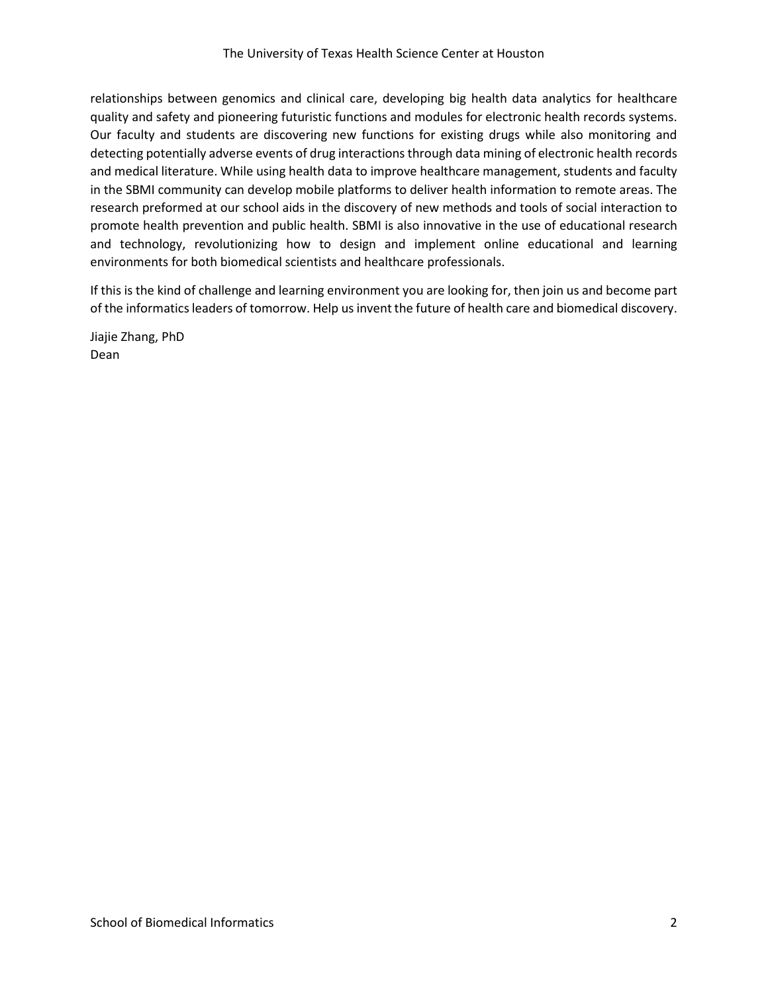relationships between genomics and clinical care, developing big health data analytics for healthcare quality and safety and pioneering futuristic functions and modules for electronic health records systems. Our faculty and students are discovering new functions for existing drugs while also monitoring and detecting potentially adverse events of drug interactions through data mining of electronic health records and medical literature. While using health data to improve healthcare management, students and faculty in the SBMI community can develop mobile platforms to deliver health information to remote areas. The research preformed at our school aids in the discovery of new methods and tools of social interaction to promote health prevention and public health. SBMI is also innovative in the use of educational research and technology, revolutionizing how to design and implement online educational and learning environments for both biomedical scientists and healthcare professionals.

If this is the kind of challenge and learning environment you are looking for, then join us and become part of the informatics leaders of tomorrow. Help us invent the future of health care and biomedical discovery.

Jiajie Zhang, PhD Dean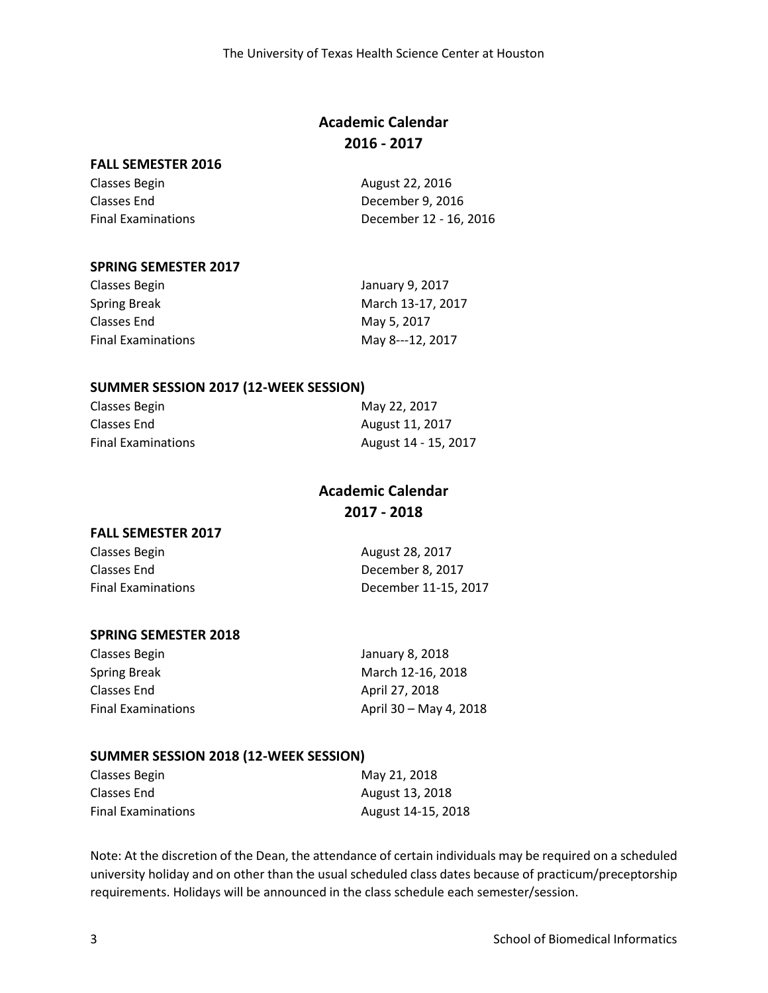## **Academic Calendar 2016 - 2017**

#### **FALL SEMESTER 2016**

| Classes Begin             | August 22, 2016        |
|---------------------------|------------------------|
| Classes End               | December 9, 2016       |
| <b>Final Examinations</b> | December 12 - 16, 2016 |

#### **SPRING SEMESTER 2017**

| January 9, 2017   |
|-------------------|
| March 13-17, 2017 |
| May 5, 2017       |
| May 8---12, 2017  |
|                   |

#### **SUMMER SESSION 2017 (12-WEEK SESSION)**

| Classes Begin             | May 22, 2017         |
|---------------------------|----------------------|
| Classes End               | August 11, 2017      |
| <b>Final Examinations</b> | August 14 - 15, 2017 |

## **Academic Calendar 2017 - 2018**

## **FALL SEMESTER 2017**

| Classes Begin             | August 28, 2017      |
|---------------------------|----------------------|
| Classes End               | December 8, 2017     |
| <b>Final Examinations</b> | December 11-15, 2017 |

## **SPRING SEMESTER 2018**

| Classes Begin             | January 8, 2018        |
|---------------------------|------------------------|
| Spring Break              | March 12-16, 2018      |
| Classes End               | April 27, 2018         |
| <b>Final Examinations</b> | April 30 – May 4, 2018 |

#### **SUMMER SESSION 2018 (12-WEEK SESSION)**

| Classes Begin             | May 21, 2018       |
|---------------------------|--------------------|
| Classes End               | August 13, 2018    |
| <b>Final Examinations</b> | August 14-15, 2018 |

Note: At the discretion of the Dean, the attendance of certain individuals may be required on a scheduled university holiday and on other than the usual scheduled class dates because of practicum/preceptorship requirements. Holidays will be announced in the class schedule each semester/session.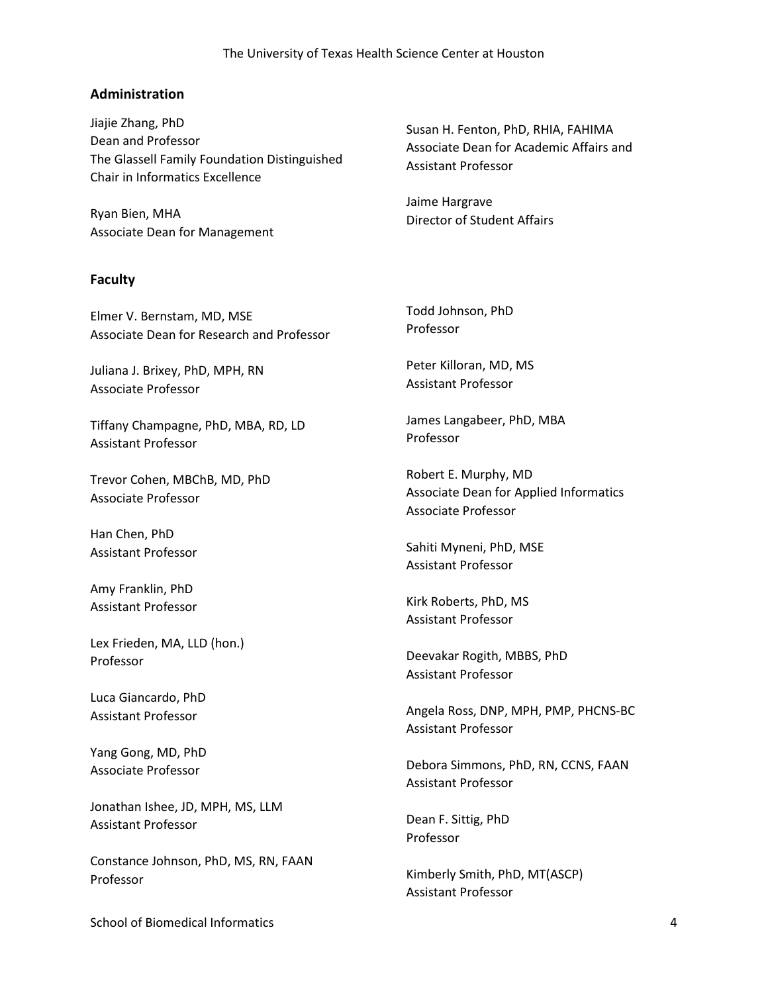#### The University of Texas Health Science Center at Houston

## **Administration**

Jiajie Zhang, PhD Dean and Professor The Glassell Family Foundation Distinguished Chair in Informatics Excellence

Ryan Bien, MHA Associate Dean for Management

#### **Faculty**

Elmer V. Bernstam, MD, MSE Associate Dean for Research and Professor

Juliana J. Brixey, PhD, MPH, RN Associate Professor

Tiffany Champagne, PhD, MBA, RD, LD Assistant Professor

Trevor Cohen, MBChB, MD, PhD Associate Professor

Han Chen, PhD Assistant Professor

Amy Franklin, PhD Assistant Professor

Lex Frieden, MA, LLD (hon.) Professor

Luca Giancardo, PhD Assistant Professor

Yang Gong, MD, PhD Associate Professor

Jonathan Ishee, JD, MPH, MS, LLM Assistant Professor

Constance Johnson, PhD, MS, RN, FAAN Professor

Susan H. Fenton, PhD, RHIA, FAHIMA Associate Dean for Academic Affairs and Assistant Professor

Jaime Hargrave Director of Student Affairs

Todd Johnson, PhD Professor

Peter Killoran, MD, MS Assistant Professor

James Langabeer, PhD, MBA Professor

Robert E. Murphy, MD Associate Dean for Applied Informatics Associate Professor

Sahiti Myneni, PhD, MSE Assistant Professor

Kirk Roberts, PhD, MS Assistant Professor

Deevakar Rogith, MBBS, PhD Assistant Professor

Angela Ross, DNP, MPH, PMP, PHCNS-BC Assistant Professor

Debora Simmons, PhD, RN, CCNS, FAAN Assistant Professor

Dean F. Sittig, PhD Professor

Kimberly Smith, PhD, MT(ASCP) Assistant Professor

School of Biomedical Informatics 4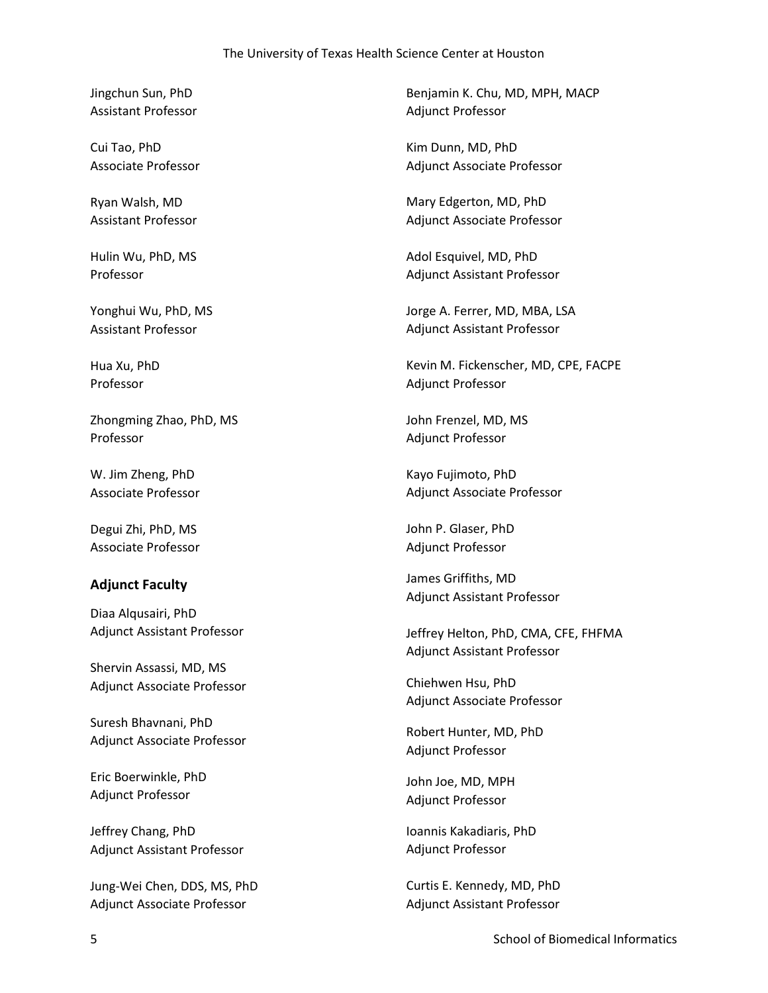#### The University of Texas Health Science Center at Houston

Jingchun Sun, PhD Assistant Professor

Cui Tao, PhD Associate Professor

Ryan Walsh, MD Assistant Professor

Hulin Wu, PhD, MS Professor

Yonghui Wu, PhD, MS Assistant Professor

Hua Xu, PhD Professor

Zhongming Zhao, PhD, MS Professor

W. Jim Zheng, PhD Associate Professor

Degui Zhi, PhD, MS Associate Professor

#### **Adjunct Faculty**

Diaa Alqusairi, PhD Adjunct Assistant Professor

Shervin Assassi, MD, MS Adjunct Associate Professor

Suresh Bhavnani, PhD Adjunct Associate Professor

Eric Boerwinkle, PhD Adjunct Professor

Jeffrey Chang, PhD Adjunct Assistant Professor

Jung-Wei Chen, DDS, MS, PhD Adjunct Associate Professor

Benjamin K. Chu, MD, MPH, MACP Adjunct Professor

Kim Dunn, MD, PhD Adjunct Associate Professor

Mary Edgerton, MD, PhD Adjunct Associate Professor

Adol Esquivel, MD, PhD Adjunct Assistant Professor

Jorge A. Ferrer, MD, MBA, LSA Adjunct Assistant Professor

Kevin M. Fickenscher, MD, CPE, FACPE Adjunct Professor

John Frenzel, MD, MS Adjunct Professor

Kayo Fujimoto, PhD Adjunct Associate Professor

John P. Glaser, PhD Adjunct Professor

James Griffiths, MD Adjunct Assistant Professor

Jeffrey Helton, PhD, CMA, CFE, FHFMA Adjunct Assistant Professor

Chiehwen Hsu, PhD Adjunct Associate Professor

Robert Hunter, MD, PhD Adjunct Professor

John Joe, MD, MPH Adjunct Professor

Ioannis Kakadiaris, PhD Adjunct Professor

Curtis E. Kennedy, MD, PhD Adjunct Assistant Professor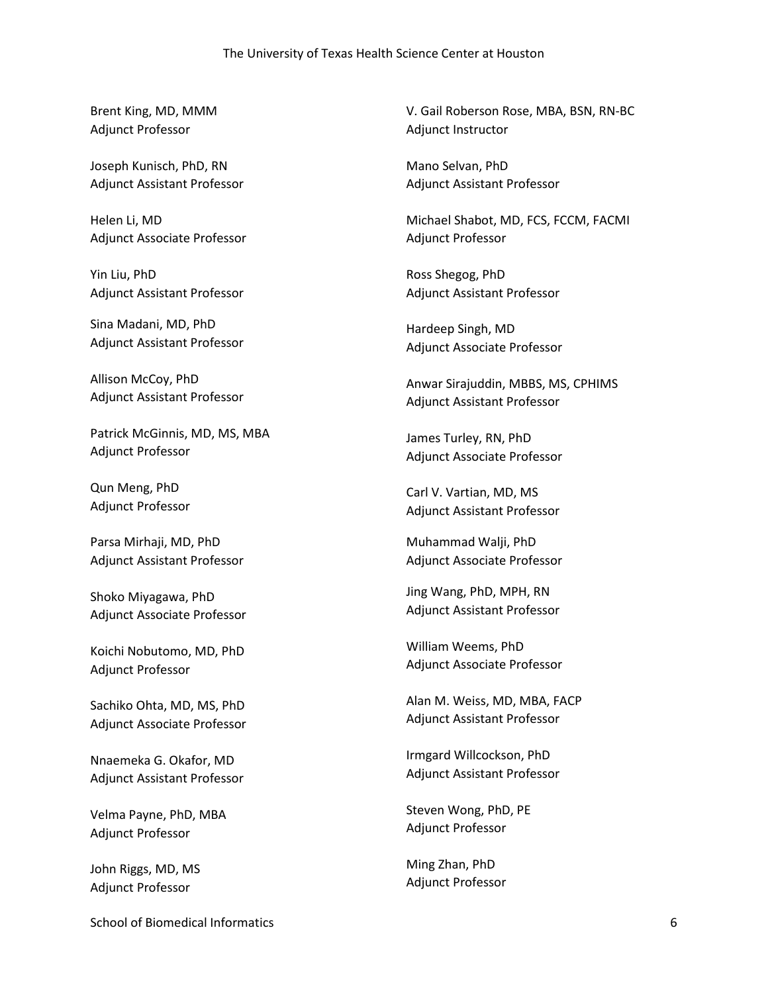Brent King, MD, MMM Adjunct Professor

Joseph Kunisch, PhD, RN Adjunct Assistant Professor

Helen Li, MD Adjunct Associate Professor

Yin Liu, PhD Adjunct Assistant Professor

Sina Madani, MD, PhD Adjunct Assistant Professor

Allison McCoy, PhD Adjunct Assistant Professor

Patrick McGinnis, MD, MS, MBA Adjunct Professor

Qun Meng, PhD Adjunct Professor

Parsa Mirhaji, MD, PhD Adjunct Assistant Professor

Shoko Miyagawa, PhD Adjunct Associate Professor

Koichi Nobutomo, MD, PhD Adjunct Professor

Sachiko Ohta, MD, MS, PhD Adjunct Associate Professor

Nnaemeka G. Okafor, MD Adjunct Assistant Professor

Velma Payne, PhD, MBA Adjunct Professor

John Riggs, MD, MS Adjunct Professor

V. Gail Roberson Rose, MBA, BSN, RN-BC Adjunct Instructor

Mano Selvan, PhD Adjunct Assistant Professor

Michael Shabot, MD, FCS, FCCM, FACMI Adjunct Professor

Ross Shegog, PhD Adjunct Assistant Professor

Hardeep Singh, MD Adjunct Associate Professor

Anwar Sirajuddin, MBBS, MS, CPHIMS Adjunct Assistant Professor

James Turley, RN, PhD Adjunct Associate Professor

Carl V. Vartian, MD, MS Adjunct Assistant Professor

Muhammad Walji, PhD Adjunct Associate Professor

Jing Wang, PhD, MPH, RN Adjunct Assistant Professor

William Weems, PhD Adjunct Associate Professor

Alan M. Weiss, MD, MBA, FACP Adjunct Assistant Professor

Irmgard Willcockson, PhD Adjunct Assistant Professor

Steven Wong, PhD, PE Adjunct Professor

Ming Zhan, PhD Adjunct Professor

School of Biomedical Informatics 6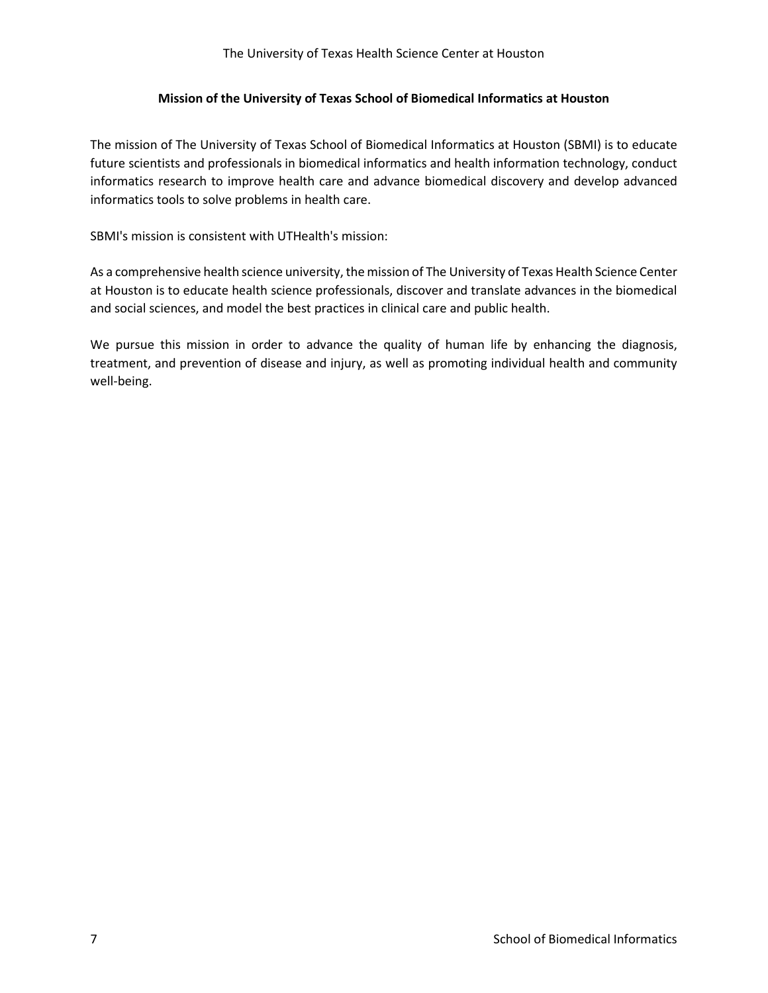#### The University of Texas Health Science Center at Houston

#### **Mission of the University of Texas School of Biomedical Informatics at Houston**

The mission of The University of Texas School of Biomedical Informatics at Houston (SBMI) is to educate future scientists and professionals in biomedical informatics and health information technology, conduct informatics research to improve health care and advance biomedical discovery and develop advanced informatics tools to solve problems in health care.

SBMI's mission is consistent with UTHealth's mission:

As a comprehensive health science university, the mission of The University of Texas Health Science Center at Houston is to educate health science professionals, discover and translate advances in the biomedical and social sciences, and model the best practices in clinical care and public health.

We pursue this mission in order to advance the quality of human life by enhancing the diagnosis, treatment, and prevention of disease and injury, as well as promoting individual health and community well-being.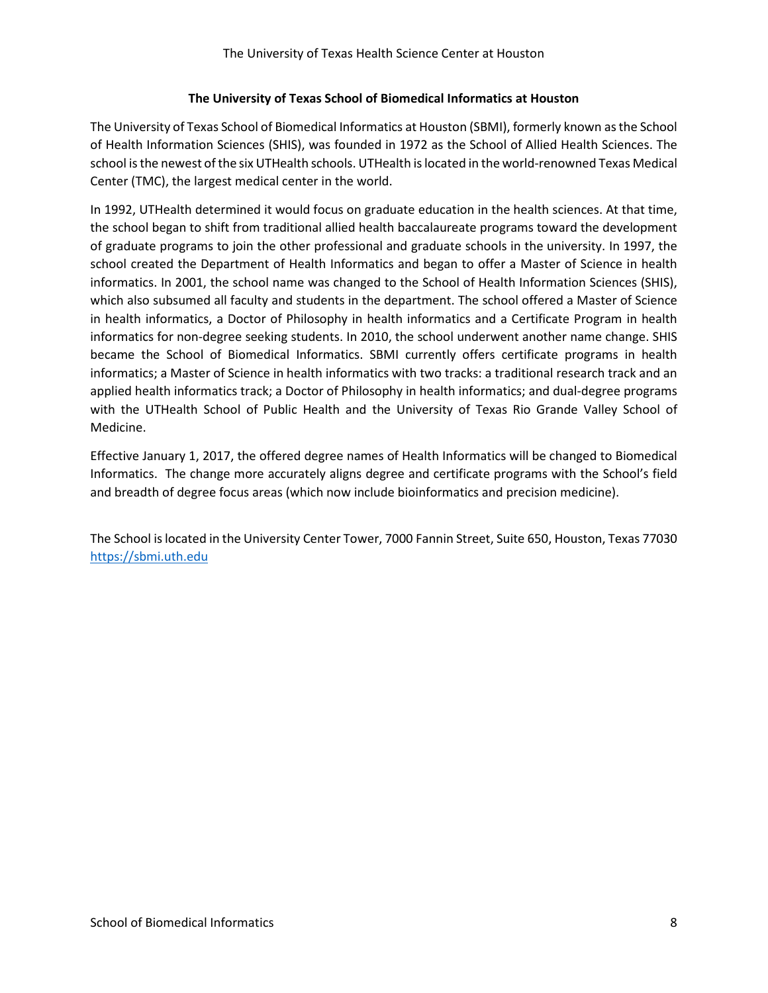## **The University of Texas School of Biomedical Informatics at Houston**

The University of Texas School of Biomedical Informatics at Houston (SBMI), formerly known as the School of Health Information Sciences (SHIS), was founded in 1972 as the School of Allied Health Sciences. The school is the newest of the six UTHealth schools. UTHealth is located in the world-renowned Texas Medical Center (TMC), the largest medical center in the world.

In 1992, UTHealth determined it would focus on graduate education in the health sciences. At that time, the school began to shift from traditional allied health baccalaureate programs toward the development of graduate programs to join the other professional and graduate schools in the university. In 1997, the school created the Department of Health Informatics and began to offer a Master of Science in health informatics. In 2001, the school name was changed to the School of Health Information Sciences (SHIS), which also subsumed all faculty and students in the department. The school offered a Master of Science in health informatics, a Doctor of Philosophy in health informatics and a Certificate Program in health informatics for non-degree seeking students. In 2010, the school underwent another name change. SHIS became the School of Biomedical Informatics. SBMI currently offers certificate programs in health informatics; a Master of Science in health informatics with two tracks: a traditional research track and an applied health informatics track; a Doctor of Philosophy in health informatics; and dual-degree programs with the UTHealth School of Public Health and the University of Texas Rio Grande Valley School of Medicine.

Effective January 1, 2017, the offered degree names of Health Informatics will be changed to Biomedical Informatics. The change more accurately aligns degree and certificate programs with the School's field and breadth of degree focus areas (which now include bioinformatics and precision medicine).

The School is located in the University Center Tower, 7000 Fannin Street, Suite 650, Houston, Texas 77030 [https://sbmi.uth.edu](https://sbmi.uth.edu/)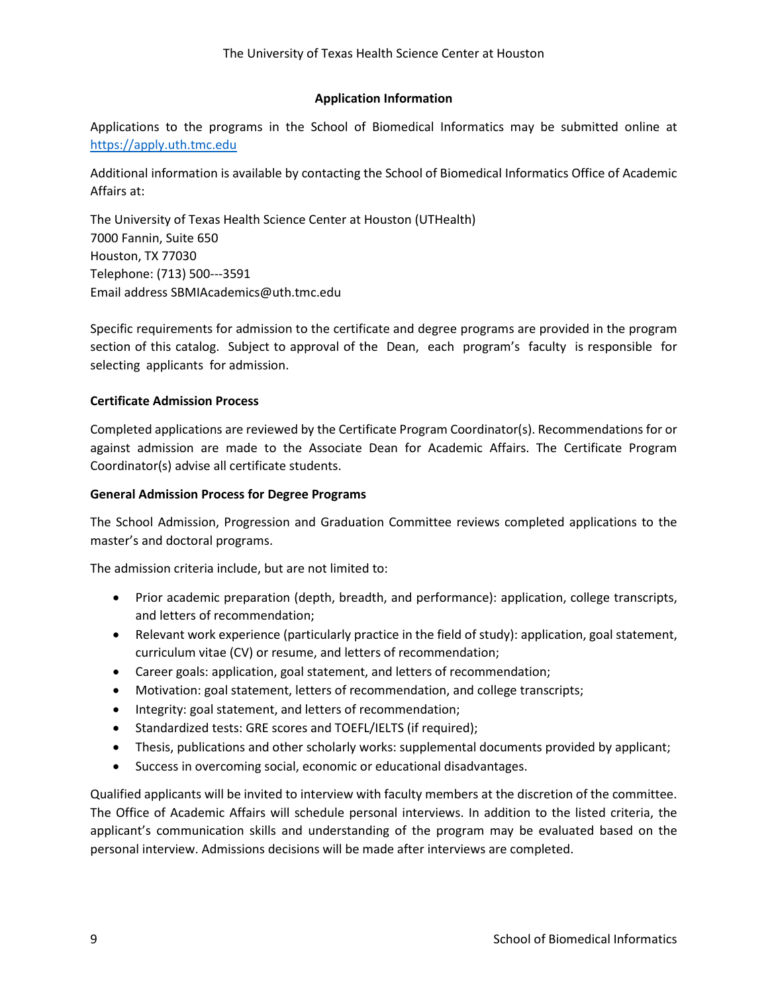## **Application Information**

Applications to the programs in the School of Biomedical Informatics may be submitted online at [https://apply.uth.tmc.edu](https://apply.uth.tmc.edu/)

Additional information is available by contacting the School of Biomedical Informatics Office of Academic Affairs at:

The University of Texas Health Science Center at Houston (UTHealth) 7000 Fannin, Suite 650 Houston, TX 77030 Telephone: (713) 500-‐‐3591 Email address SBMIAcademics@uth.tmc.edu

Specific requirements for admission to the certificate and degree programs are provided in the program section of this catalog. Subject to approval of the Dean, each program's faculty is responsible for selecting applicants for admission.

## **Certificate Admission Process**

Completed applications are reviewed by the Certificate Program Coordinator(s). Recommendations for or against admission are made to the Associate Dean for Academic Affairs. The Certificate Program Coordinator(s) advise all certificate students.

#### **General Admission Process for Degree Programs**

The School Admission, Progression and Graduation Committee reviews completed applications to the master's and doctoral programs.

The admission criteria include, but are not limited to:

- Prior academic preparation (depth, breadth, and performance): application, college transcripts, and letters of recommendation;
- Relevant work experience (particularly practice in the field of study): application, goal statement, curriculum vitae (CV) or resume, and letters of recommendation;
- Career goals: application, goal statement, and letters of recommendation;
- Motivation: goal statement, letters of recommendation, and college transcripts;
- Integrity: goal statement, and letters of recommendation;
- Standardized tests: GRE scores and TOEFL/IELTS (if required);
- Thesis, publications and other scholarly works: supplemental documents provided by applicant;
- Success in overcoming social, economic or educational disadvantages.

Qualified applicants will be invited to interview with faculty members at the discretion of the committee. The Office of Academic Affairs will schedule personal interviews. In addition to the listed criteria, the applicant's communication skills and understanding of the program may be evaluated based on the personal interview. Admissions decisions will be made after interviews are completed.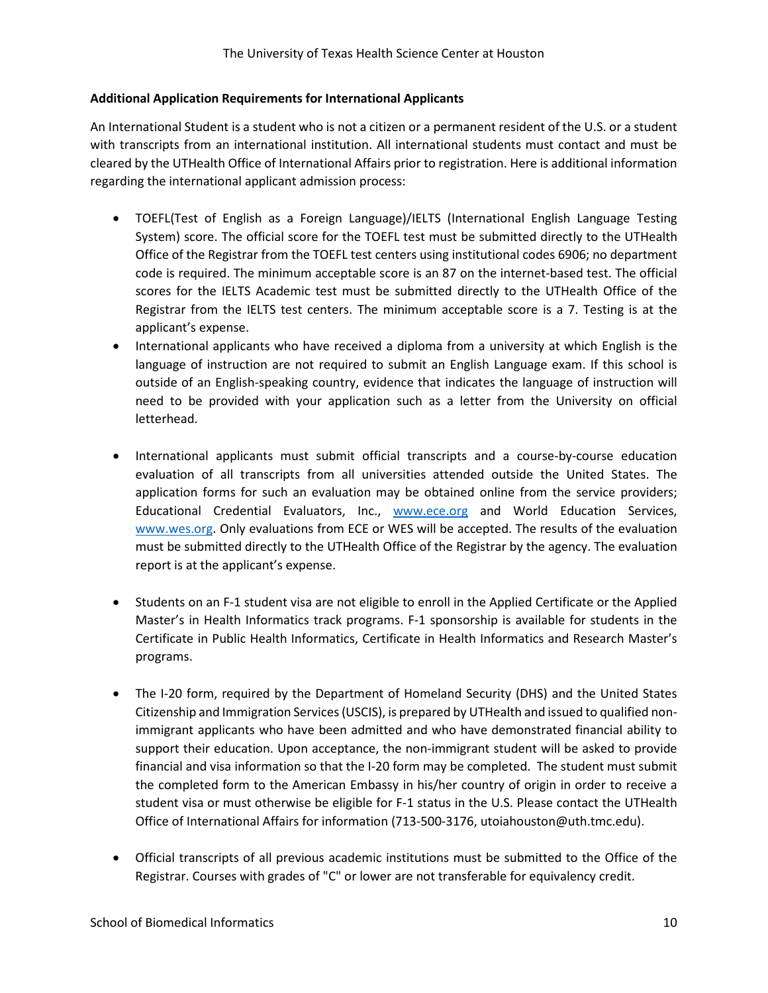## **Additional Application Requirements for International Applicants**

An International Student is a student who is not a citizen or a permanent resident of the U.S. or a student with transcripts from an international institution. All international students must contact and must be cleared by the UTHealth Office of International Affairs prior to registration. Here is additional information regarding the international applicant admission process:

- TOEFL(Test of English as a Foreign Language)/IELTS (International English Language Testing System) score. The official score for the TOEFL test must be submitted directly to the UTHealth Office of the Registrar from the TOEFL test centers using institutional codes 6906; no department code is required. The minimum acceptable score is an 87 on the internet-based test. The official scores for the IELTS Academic test must be submitted directly to the UTHealth Office of the Registrar from the IELTS test centers. The minimum acceptable score is a 7. Testing is at the applicant's expense.
- International applicants who have received a diploma from a university at which English is the language of instruction are not required to submit an English Language exam. If this school is outside of an English-speaking country, evidence that indicates the language of instruction will need to be provided with your application such as a letter from the University on official letterhead.
- International applicants must submit official transcripts and a course‐by‐course education evaluation of all transcripts from all universities attended outside the United States. The application forms for such an evaluation may be obtained online from the service providers; Educational Credential Evaluators, Inc., [www.ece.org](http://www.ece.org/) and World Education Services, [www.wes.org.](http://www.wes.org/) Only evaluations from ECE or WES will be accepted. The results of the evaluation must be submitted directly to the UTHealth Office of the Registrar by the agency. The evaluation report is at the applicant's expense.
- Students on an F-1 student visa are not eligible to enroll in the Applied Certificate or the Applied Master's in Health Informatics track programs. F-1 sponsorship is available for students in the Certificate in Public Health Informatics, Certificate in Health Informatics and Research Master's programs.
- The I-20 form, required by the Department of Homeland Security (DHS) and the United States Citizenship and Immigration Services (USCIS), is prepared by UTHealth and issued to qualified nonimmigrant applicants who have been admitted and who have demonstrated financial ability to support their education. Upon acceptance, the non-immigrant student will be asked to provide financial and visa information so that the I‐20 form may be completed. The student must submit the completed form to the American Embassy in his/her country of origin in order to receive a student visa or must otherwise be eligible for F‐1 status in the U.S. Please contact the UTHealth Office of International Affairs for information (713-500-3176, utoiahouston@uth.tmc.edu).
- Official transcripts of all previous academic institutions must be submitted to the Office of the Registrar. Courses with grades of "C" or lower are not transferable for equivalency credit.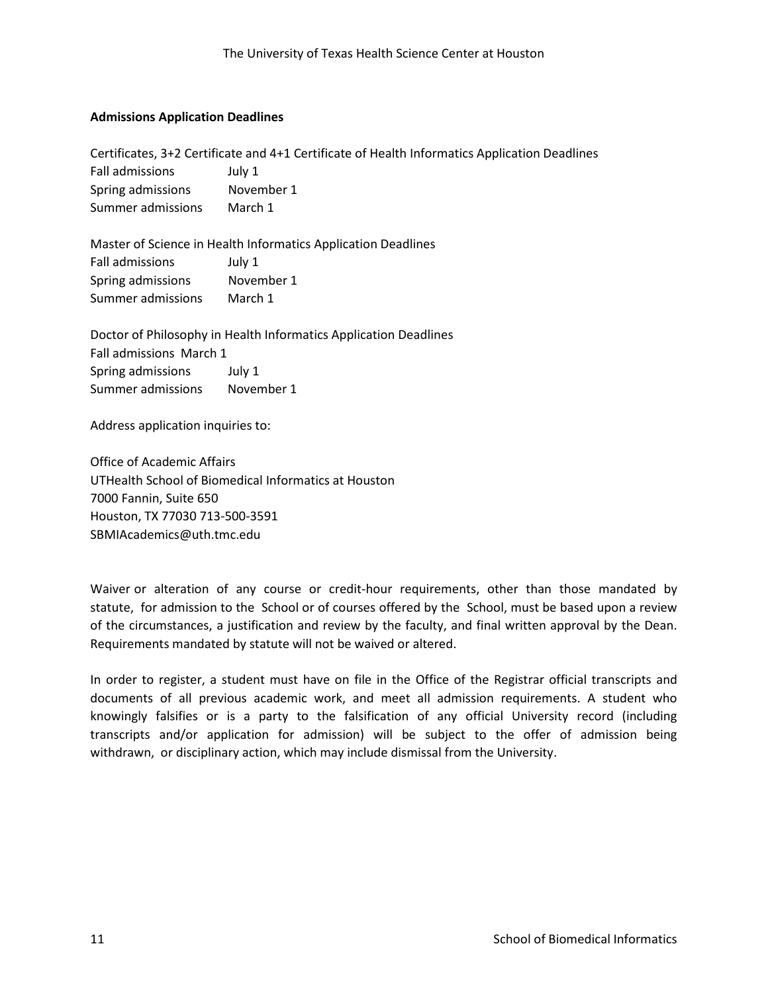#### **Admissions Application Deadlines**

Certificates, 3+2 Certificate and 4+1 Certificate of Health Informatics Application Deadlines Fall admissions July 1 Spring admissions Movember 1 Summer admissions March 1

Master of Science in Health Informatics Application Deadlines Fall admissions July 1 Spring admissions Movember 1 Summer admissions March 1

Doctor of Philosophy in Health Informatics Application Deadlines Fall admissions March 1 Spring admissions July 1 Summer admissions November 1

Address application inquiries to:

Office of Academic Affairs UTHealth School of Biomedical Informatics at Houston 7000 Fannin, Suite 650 Houston, TX 77030 713-500‐3591 SBMIAcademics@uth.tmc.edu

Waiver or alteration of any course or credit-hour requirements, other than those mandated by statute, for admission to the School or of courses offered by the School, must be based upon a review of the circumstances, a justification and review by the faculty, and final written approval by the Dean. Requirements mandated by statute will not be waived or altered.

In order to register, a student must have on file in the Office of the Registrar official transcripts and documents of all previous academic work, and meet all admission requirements. A student who knowingly falsifies or is a party to the falsification of any official University record (including transcripts and/or application for admission) will be subject to the offer of admission being withdrawn, or disciplinary action, which may include dismissal from the University.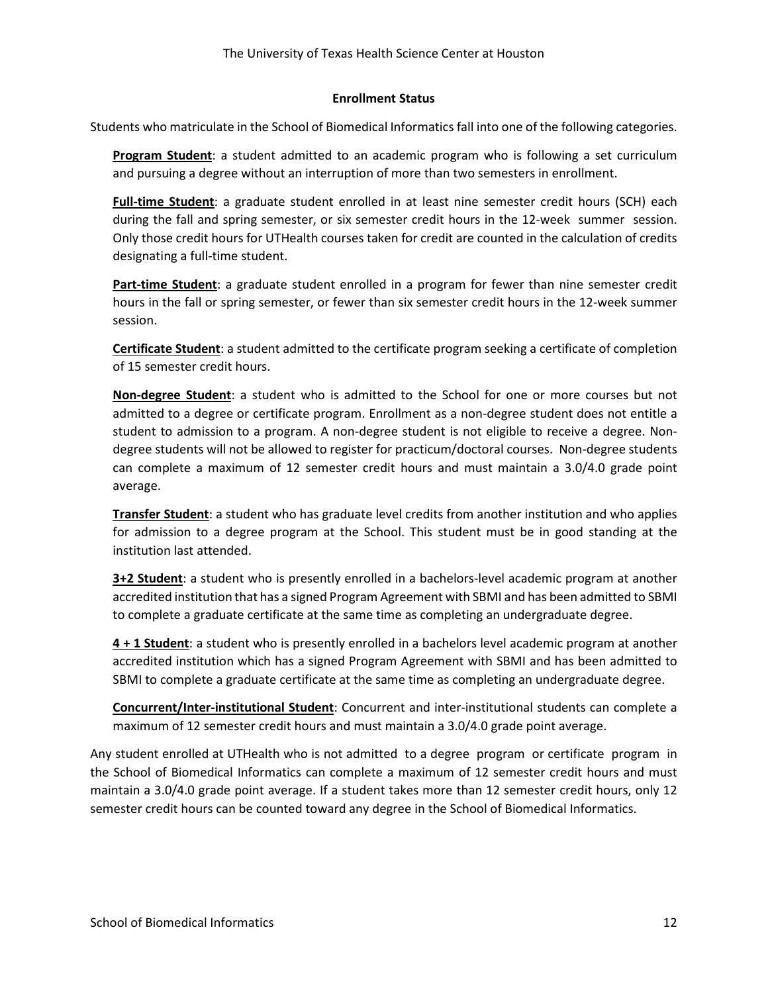#### **Enrollment Status**

Students who matriculate in the School of Biomedical Informatics fall into one of the following categories.

**Program Student**: a student admitted to an academic program who is following a set curriculum and pursuing a degree without an interruption of more than two semesters in enrollment.

**Full-time Student**: a graduate student enrolled in at least nine semester credit hours (SCH) each during the fall and spring semester, or six semester credit hours in the 12-week summer session. Only those credit hours for UTHealth courses taken for credit are counted in the calculation of credits designating a full-time student.

**Part-time Student**: a graduate student enrolled in a program for fewer than nine semester credit hours in the fall or spring semester, or fewer than six semester credit hours in the 12‐week summer session.

**Certificate Student**: a student admitted to the certificate program seeking a certificate of completion of 15 semester credit hours.

**Non-degree Student**: a student who is admitted to the School for one or more courses but not admitted to a degree or certificate program. Enrollment as a non‐degree student does not entitle a student to admission to a program. A non-degree student is not eligible to receive a degree. Nondegree students will not be allowed to register for practicum/doctoral courses. Non‐degree students can complete a maximum of 12 semester credit hours and must maintain a 3.0/4.0 grade point average.

**Transfer Student**: a student who has graduate level credits from another institution and who applies for admission to a degree program at the School. This student must be in good standing at the institution last attended.

**3+2 Student**: a student who is presently enrolled in a bachelors-level academic program at another accredited institution that has a signed Program Agreement with SBMI and has been admitted to SBMI to complete a graduate certificate at the same time as completing an undergraduate degree.

**4 + 1 Student**: a student who is presently enrolled in a bachelors level academic program at another accredited institution which has a signed Program Agreement with SBMI and has been admitted to SBMI to complete a graduate certificate at the same time as completing an undergraduate degree.

**Concurrent/Inter-institutional Student**: Concurrent and inter‐institutional students can complete a maximum of 12 semester credit hours and must maintain a 3.0/4.0 grade point average.

Any student enrolled at UTHealth who is not admitted to a degree program or certificate program in the School of Biomedical Informatics can complete a maximum of 12 semester credit hours and must maintain a 3.0/4.0 grade point average. If a student takes more than 12 semester credit hours, only 12 semester credit hours can be counted toward any degree in the School of Biomedical Informatics.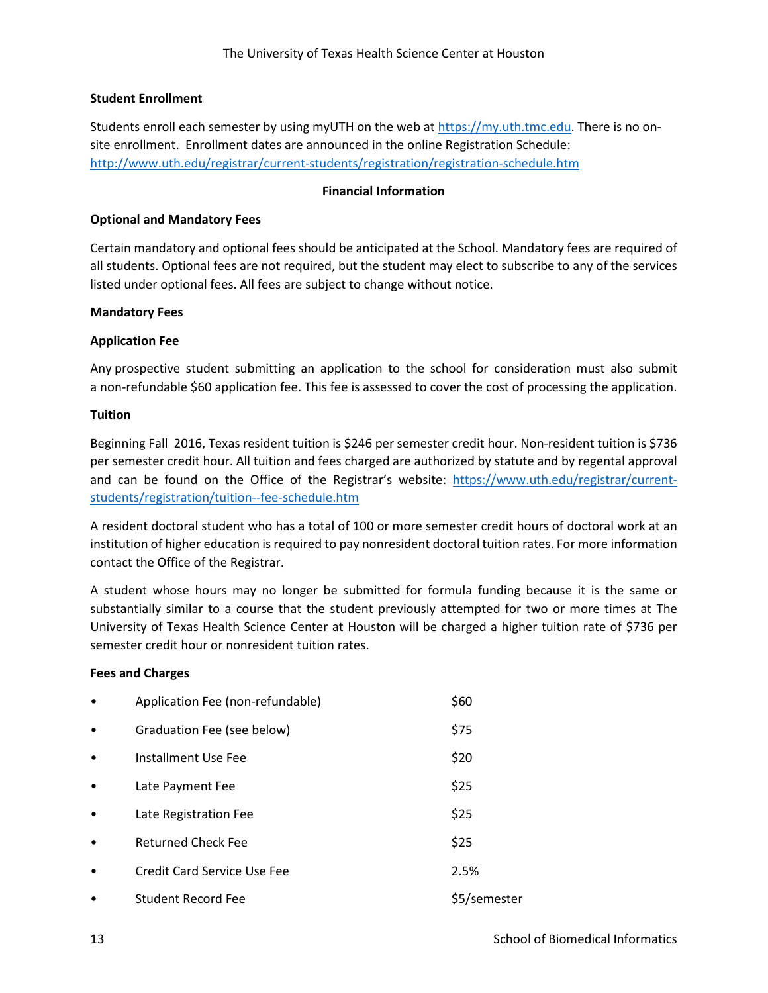#### **Student Enrollment**

Students enroll each semester by using myUTH on the web at [https://my.uth.tmc.edu.](https://my.uth.tmc.edu/) There is no on‐ site enrollment. Enrollment dates are announced in the online Registration Schedule: <http://www.uth.edu/registrar/current-students/registration/registration-schedule.htm>

#### **Financial Information**

#### **Optional and Mandatory Fees**

Certain mandatory and optional fees should be anticipated at the School. Mandatory fees are required of all students. Optional fees are not required, but the student may elect to subscribe to any of the services listed under optional fees. All fees are subject to change without notice.

#### **Mandatory Fees**

#### **Application Fee**

Any prospective student submitting an application to the school for consideration must also submit a non-refundable \$60 application fee. This fee is assessed to cover the cost of processing the application.

#### **Tuition**

Beginning Fall 2016, Texas resident tuition is \$246 per semester credit hour. Non‐resident tuition is \$736 per semester credit hour. All tuition and fees charged are authorized by statute and by regental approval and can be found on the Office of the Registrar's website: [https://www.uth.edu/registrar/current](https://www.uth.edu/registrar/current-students/registration/tuition--fee-schedule.htm)[students/registration/tuition--fee-schedule.htm](https://www.uth.edu/registrar/current-students/registration/tuition--fee-schedule.htm)

A resident doctoral student who has a total of 100 or more semester credit hours of doctoral work at an institution of higher education is required to pay nonresident doctoral tuition rates. For more information contact the Office of the Registrar.

A student whose hours may no longer be submitted for formula funding because it is the same or substantially similar to a course that the student previously attempted for two or more times at The University of Texas Health Science Center at Houston will be charged a higher tuition rate of \$736 per semester credit hour or nonresident tuition rates.

#### **Fees and Charges**

| $\bullet$ | Application Fee (non-refundable) | \$60         |
|-----------|----------------------------------|--------------|
| $\bullet$ | Graduation Fee (see below)       | \$75         |
| $\bullet$ | Installment Use Fee              | \$20         |
| $\bullet$ | Late Payment Fee                 | \$25         |
| $\bullet$ | Late Registration Fee            | \$25         |
| $\bullet$ | <b>Returned Check Fee</b>        | \$25         |
| $\bullet$ | Credit Card Service Use Fee      | 2.5%         |
| ٠         | <b>Student Record Fee</b>        | \$5/semester |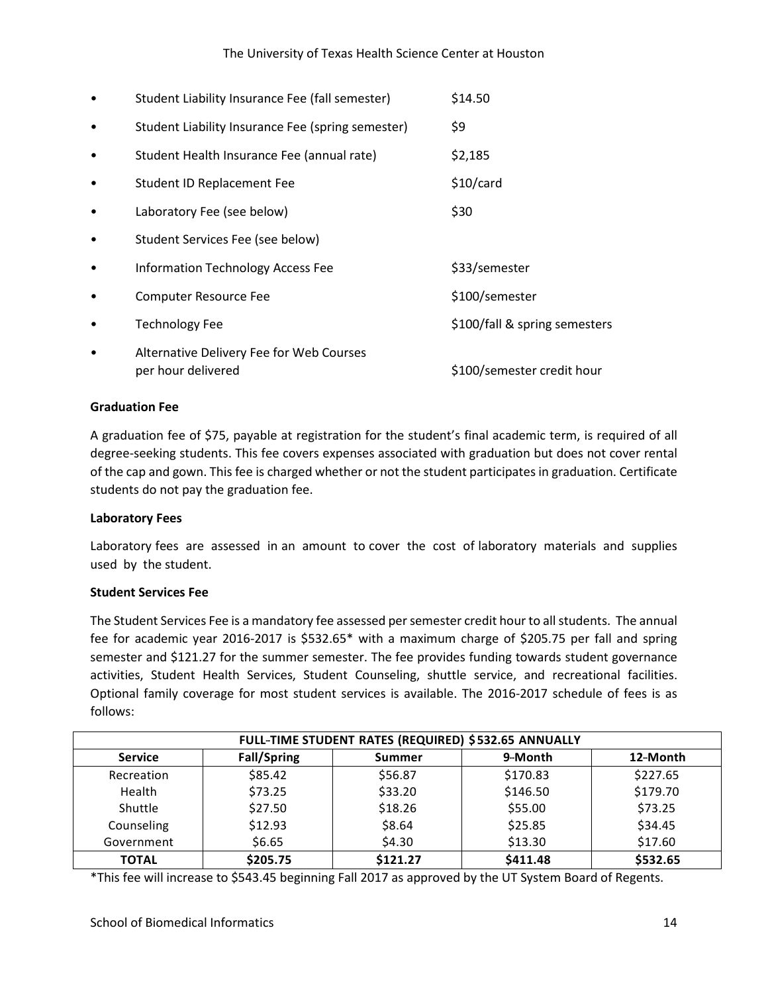#### The University of Texas Health Science Center at Houston

|           | Student Liability Insurance Fee (fall semester)                | \$14.50                       |
|-----------|----------------------------------------------------------------|-------------------------------|
| ٠         | Student Liability Insurance Fee (spring semester)              | \$9                           |
| $\bullet$ | Student Health Insurance Fee (annual rate)                     | \$2,185                       |
|           | Student ID Replacement Fee                                     | \$10/card                     |
| $\bullet$ | Laboratory Fee (see below)                                     | \$30                          |
| ٠         | Student Services Fee (see below)                               |                               |
| ٠         | Information Technology Access Fee                              | \$33/semester                 |
| ٠         | <b>Computer Resource Fee</b>                                   | \$100/semester                |
|           | <b>Technology Fee</b>                                          | \$100/fall & spring semesters |
|           | Alternative Delivery Fee for Web Courses<br>per hour delivered | \$100/semester credit hour    |

#### **Graduation Fee**

A graduation fee of \$75, payable at registration for the student's final academic term, is required of all degree-seeking students. This fee covers expenses associated with graduation but does not cover rental of the cap and gown. This fee is charged whether or not the student participates in graduation. Certificate students do not pay the graduation fee.

#### **Laboratory Fees**

Laboratory fees are assessed in an amount to cover the cost of laboratory materials and supplies used by the student.

#### **Student Services Fee**

The Student Services Fee is a mandatory fee assessed per semester credit hour to all students. The annual fee for academic year 2016-2017 is \$532.65\* with a maximum charge of \$205.75 per fall and spring semester and \$121.27 for the summer semester. The fee provides funding towards student governance activities, Student Health Services, Student Counseling, shuttle service, and recreational facilities. Optional family coverage for most student services is available. The 2016-2017 schedule of fees is as follows:

| FULL-TIME STUDENT RATES (REQUIRED) \$532.65 ANNUALLY |                    |          |          |          |  |
|------------------------------------------------------|--------------------|----------|----------|----------|--|
| <b>Service</b>                                       | <b>Fall/Spring</b> | Summer   | 9-Month  | 12-Month |  |
| Recreation                                           | \$85.42            | \$56.87  | \$170.83 | \$227.65 |  |
| Health                                               | \$73.25            | \$33.20  | \$146.50 | \$179.70 |  |
| Shuttle                                              | \$27.50            | \$18.26  | \$55.00  | \$73.25  |  |
| Counseling                                           | \$12.93            | \$8.64   | \$25.85  | \$34.45  |  |
| Government                                           | \$6.65             | \$4.30   | \$13.30  | \$17.60  |  |
| <b>TOTAL</b>                                         | \$205.75           | \$121.27 | \$411.48 | \$532.65 |  |

\*This fee will increase to \$543.45 beginning Fall 2017 as approved by the UT System Board of Regents.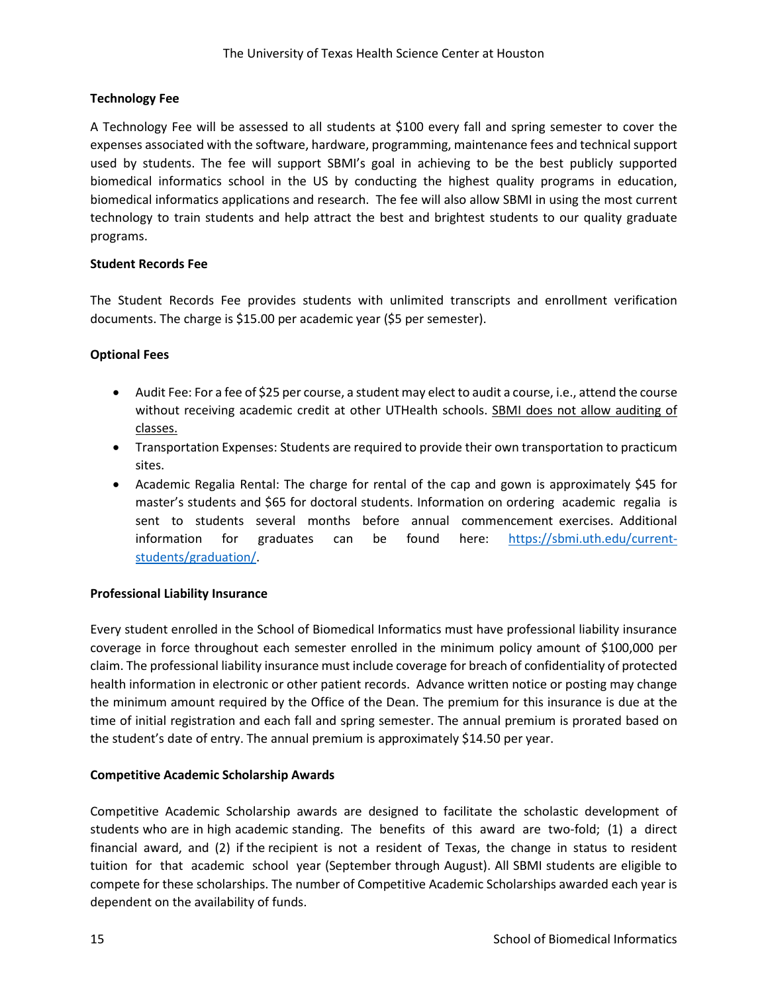## **Technology Fee**

A Technology Fee will be assessed to all students at \$100 every fall and spring semester to cover the expenses associated with the software, hardware, programming, maintenance fees and technical support used by students. The fee will support SBMI's goal in achieving to be the best publicly supported biomedical informatics school in the US by conducting the highest quality programs in education, biomedical informatics applications and research. The fee will also allow SBMI in using the most current technology to train students and help attract the best and brightest students to our quality graduate programs.

#### **Student Records Fee**

The Student Records Fee provides students with unlimited transcripts and enrollment verification documents. The charge is \$15.00 per academic year (\$5 per semester).

## **Optional Fees**

- Audit Fee: For a fee of \$25 per course, a student may elect to audit a course, i.e., attend the course without receiving academic credit at other UTHealth schools. SBMI does not allow auditing of classes.
- Transportation Expenses: Students are required to provide their own transportation to practicum sites.
- Academic Regalia Rental: The charge for rental of the cap and gown is approximately \$45 for master's students and \$65 for doctoral students. Information on ordering academic regalia is sent to students several months before annual commencement exercises. Additional information for graduates can be found here: [https://sbmi.uth.edu/current](https://sbmi.uth.edu/current-students/graduation/)[students/graduation/.](https://sbmi.uth.edu/current-students/graduation/)

#### **Professional Liability Insurance**

Every student enrolled in the School of Biomedical Informatics must have professional liability insurance coverage in force throughout each semester enrolled in the minimum policy amount of \$100,000 per claim. The professional liability insurance must include coverage for breach of confidentiality of protected health information in electronic or other patient records. Advance written notice or posting may change the minimum amount required by the Office of the Dean. The premium for this insurance is due at the time of initial registration and each fall and spring semester. The annual premium is prorated based on the student's date of entry. The annual premium is approximately \$14.50 per year.

#### **Competitive Academic Scholarship Awards**

Competitive Academic Scholarship awards are designed to facilitate the scholastic development of students who are in high academic standing. The benefits of this award are two-fold; (1) a direct financial award, and (2) if the recipient is not a resident of Texas, the change in status to resident tuition for that academic school year (September through August). All SBMI students are eligible to compete for these scholarships. The number of Competitive Academic Scholarships awarded each year is dependent on the availability of funds.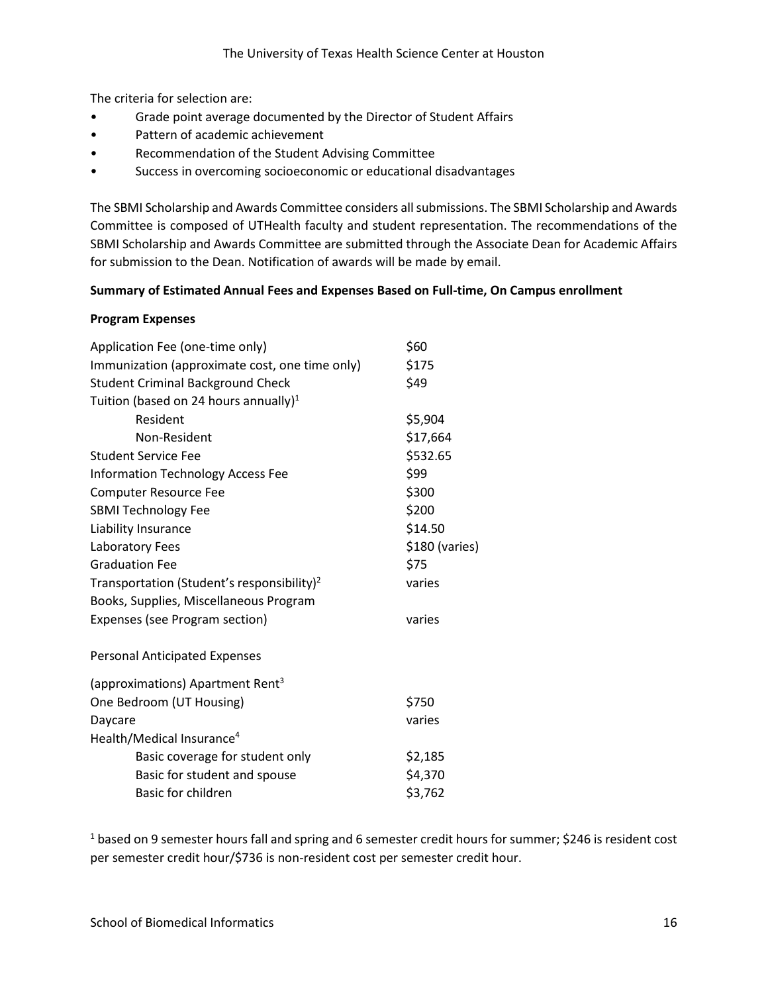The criteria for selection are:

- Grade point average documented by the Director of Student Affairs
- Pattern of academic achievement
- Recommendation of the Student Advising Committee
- Success in overcoming socioeconomic or educational disadvantages

The SBMI Scholarship and Awards Committee considers all submissions. The SBMI Scholarship and Awards Committee is composed of UTHealth faculty and student representation. The recommendations of the SBMI Scholarship and Awards Committee are submitted through the Associate Dean for Academic Affairs for submission to the Dean. Notification of awards will be made by email.

#### **Summary of Estimated Annual Fees and Expenses Based on Full-time, On Campus enrollment**

#### **Program Expenses**

| \$60           |
|----------------|
| \$175          |
| \$49           |
|                |
| \$5,904        |
| \$17,664       |
| \$532.65       |
| \$99           |
| \$300          |
| \$200          |
| \$14.50        |
| \$180 (varies) |
| \$75           |
| varies         |
|                |
| varies         |
|                |
|                |
| \$750          |
| varies         |
|                |
| \$2,185        |
| \$4,370        |
| \$3,762        |
|                |

<sup>1</sup> based on 9 semester hours fall and spring and 6 semester credit hours for summer; \$246 is resident cost per semester credit hour/\$736 is non‐resident cost per semester credit hour.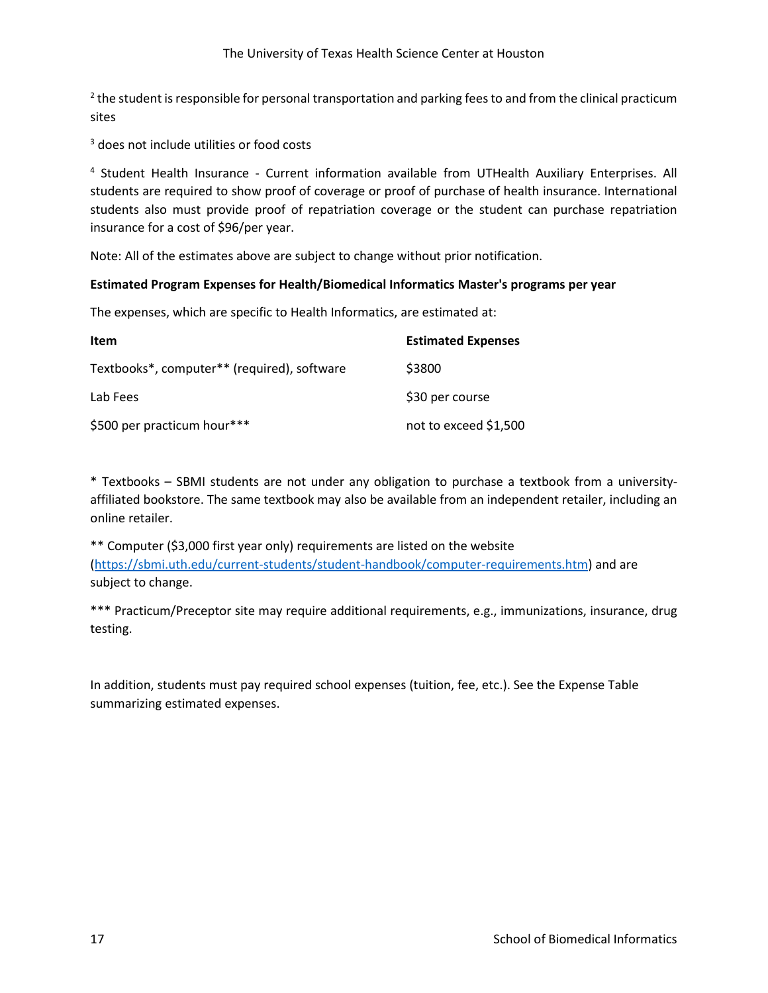$2$  the student is responsible for personal transportation and parking fees to and from the clinical practicum sites

<sup>3</sup> does not include utilities or food costs

<sup>4</sup> Student Health Insurance - Current information available from UTHealth Auxiliary Enterprises. All students are required to show proof of coverage or proof of purchase of health insurance. International students also must provide proof of repatriation coverage or the student can purchase repatriation insurance for a cost of \$96/per year.

Note: All of the estimates above are subject to change without prior notification.

#### **Estimated Program Expenses for Health/Biomedical Informatics Master's programs per year**

The expenses, which are specific to Health Informatics, are estimated at:

| Item                                        | <b>Estimated Expenses</b> |
|---------------------------------------------|---------------------------|
| Textbooks*, computer** (required), software | \$3800                    |
| Lab Fees                                    | \$30 per course           |
| \$500 per practicum hour***                 | not to exceed \$1,500     |

\* Textbooks – SBMI students are not under any obligation to purchase a textbook from a university‐ affiliated bookstore. The same textbook may also be available from an independent retailer, including an online retailer.

\*\* Computer (\$3,000 first year only) requirements are listed on the website [\(https://sbmi.uth.edu/current-students/student-handbook/computer-requirements.htm\)](https://sbmi.uth.edu/current-students/student-handbook/computer-requirements.htm) and are subject to change.

\*\*\* Practicum/Preceptor site may require additional requirements, e.g., immunizations, insurance, drug testing.

In addition, students must pay required school expenses (tuition, fee, etc.). See the Expense Table summarizing estimated expenses.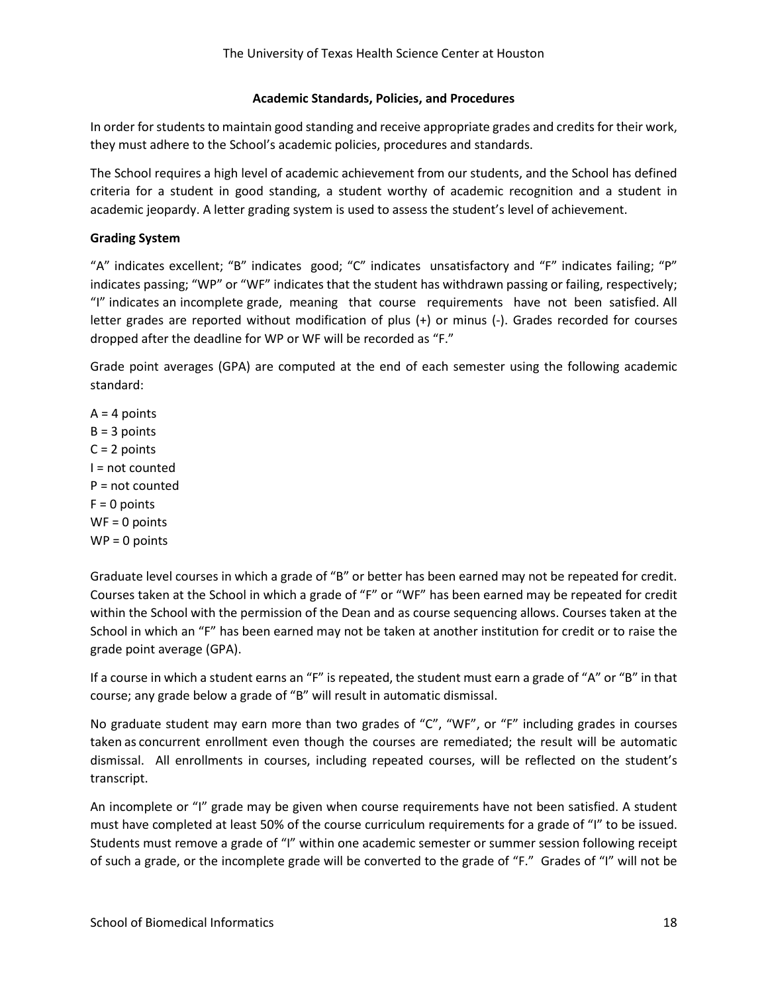#### **Academic Standards, Policies, and Procedures**

In order for students to maintain good standing and receive appropriate grades and credits for their work, they must adhere to the School's academic policies, procedures and standards.

The School requires a high level of academic achievement from our students, and the School has defined criteria for a student in good standing, a student worthy of academic recognition and a student in academic jeopardy. A letter grading system is used to assess the student's level of achievement.

## **Grading System**

"A" indicates excellent; "B" indicates good; "C" indicates unsatisfactory and "F" indicates failing; "P" indicates passing; "WP" or "WF" indicates that the student has withdrawn passing or failing, respectively; "I" indicates an incomplete grade, meaning that course requirements have not been satisfied. All letter grades are reported without modification of plus (+) or minus (-). Grades recorded for courses dropped after the deadline for WP or WF will be recorded as "F."

Grade point averages (GPA) are computed at the end of each semester using the following academic standard:

 $A = 4$  points  $B = 3$  points  $C = 2$  points I = not counted P = not counted  $F = 0$  points WF = 0 points  $WP = 0$  points

Graduate level courses in which a grade of "B" or better has been earned may not be repeated for credit. Courses taken at the School in which a grade of "F" or "WF" has been earned may be repeated for credit within the School with the permission of the Dean and as course sequencing allows. Courses taken at the School in which an "F" has been earned may not be taken at another institution for credit or to raise the grade point average (GPA).

If a course in which a student earns an "F" is repeated, the student must earn a grade of "A" or "B" in that course; any grade below a grade of "B" will result in automatic dismissal.

No graduate student may earn more than two grades of "C", "WF", or "F" including grades in courses taken as concurrent enrollment even though the courses are remediated; the result will be automatic dismissal. All enrollments in courses, including repeated courses, will be reflected on the student's transcript.

An incomplete or "I" grade may be given when course requirements have not been satisfied. A student must have completed at least 50% of the course curriculum requirements for a grade of "I" to be issued. Students must remove a grade of "I" within one academic semester or summer session following receipt of such a grade, or the incomplete grade will be converted to the grade of "F." Grades of "I" will not be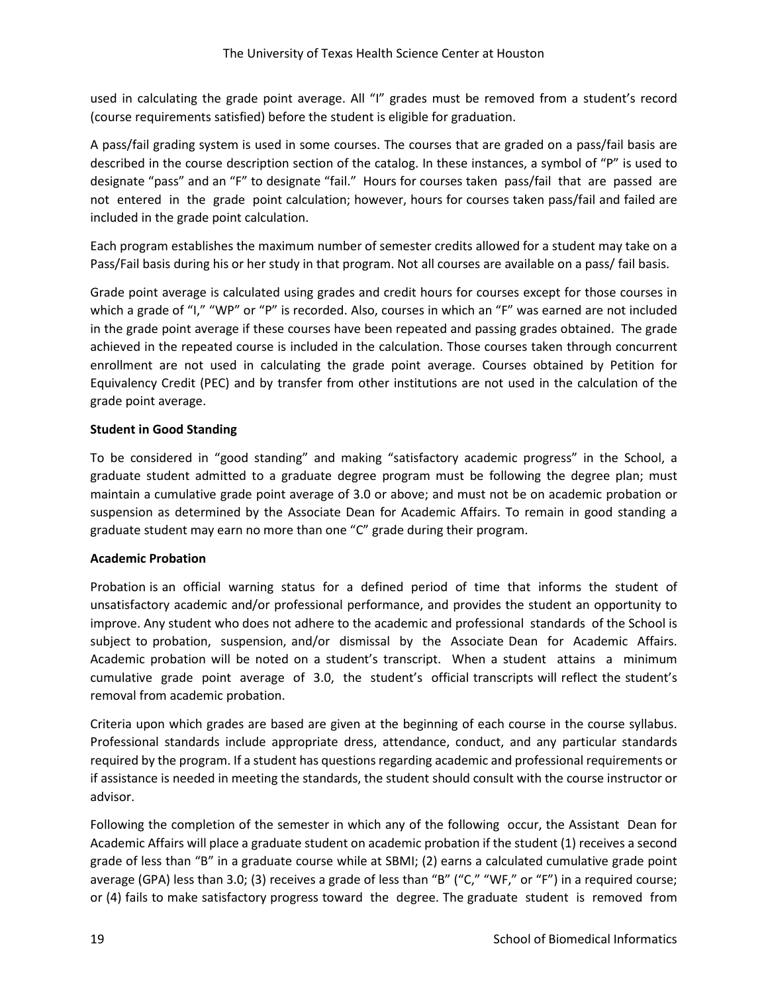used in calculating the grade point average. All "I" grades must be removed from a student's record (course requirements satisfied) before the student is eligible for graduation.

A pass/fail grading system is used in some courses. The courses that are graded on a pass/fail basis are described in the course description section of the catalog. In these instances, a symbol of "P" is used to designate "pass" and an "F" to designate "fail." Hours for courses taken pass/fail that are passed are not entered in the grade point calculation; however, hours for courses taken pass/fail and failed are included in the grade point calculation.

Each program establishes the maximum number of semester credits allowed for a student may take on a Pass/Fail basis during his or her study in that program. Not all courses are available on a pass/ fail basis.

Grade point average is calculated using grades and credit hours for courses except for those courses in which a grade of "I," "WP" or "P" is recorded. Also, courses in which an "F" was earned are not included in the grade point average if these courses have been repeated and passing grades obtained. The grade achieved in the repeated course is included in the calculation. Those courses taken through concurrent enrollment are not used in calculating the grade point average. Courses obtained by Petition for Equivalency Credit (PEC) and by transfer from other institutions are not used in the calculation of the grade point average.

## **Student in Good Standing**

To be considered in "good standing" and making "satisfactory academic progress" in the School, a graduate student admitted to a graduate degree program must be following the degree plan; must maintain a cumulative grade point average of 3.0 or above; and must not be on academic probation or suspension as determined by the Associate Dean for Academic Affairs. To remain in good standing a graduate student may earn no more than one "C" grade during their program.

## **Academic Probation**

Probation is an official warning status for a defined period of time that informs the student of unsatisfactory academic and/or professional performance, and provides the student an opportunity to improve. Any student who does not adhere to the academic and professional standards of the School is subject to probation, suspension, and/or dismissal by the Associate Dean for Academic Affairs. Academic probation will be noted on a student's transcript. When a student attains a minimum cumulative grade point average of 3.0, the student's official transcripts will reflect the student's removal from academic probation.

Criteria upon which grades are based are given at the beginning of each course in the course syllabus. Professional standards include appropriate dress, attendance, conduct, and any particular standards required by the program. If a student has questions regarding academic and professional requirements or if assistance is needed in meeting the standards, the student should consult with the course instructor or advisor.

Following the completion of the semester in which any of the following occur, the Assistant Dean for Academic Affairs will place a graduate student on academic probation if the student (1) receives a second grade of less than "B" in a graduate course while at SBMI; (2) earns a calculated cumulative grade point average (GPA) less than 3.0; (3) receives a grade of less than "B" ("C," "WF," or "F") in a required course; or (4) fails to make satisfactory progress toward the degree. The graduate student is removed from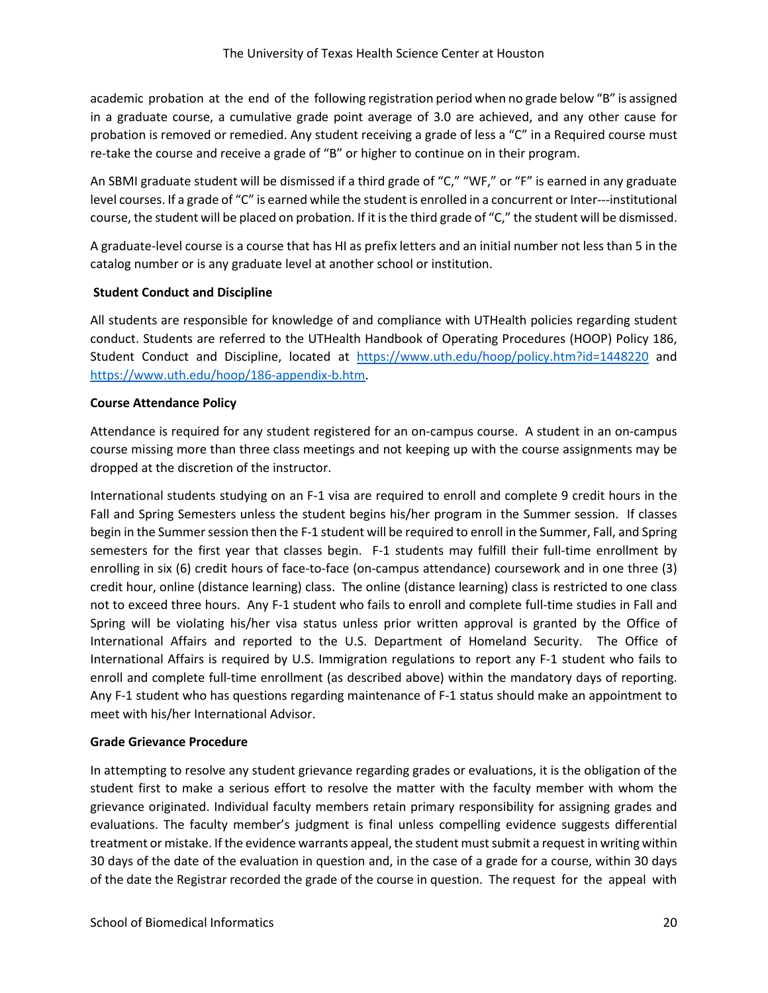academic probation at the end of the following registration period when no grade below "B" is assigned in a graduate course, a cumulative grade point average of 3.0 are achieved, and any other cause for probation is removed or remedied. Any student receiving a grade of less a "C" in a Required course must re-take the course and receive a grade of "B" or higher to continue on in their program.

An SBMI graduate student will be dismissed if a third grade of "C," "WF," or "F" is earned in any graduate level courses. If a grade of "C" is earned while the student is enrolled in a concurrent or Inter-‐‐institutional course, the student will be placed on probation. If it is the third grade of "C," the student will be dismissed.

A graduate‐level course is a course that has HI as prefix letters and an initial number not less than 5 in the catalog number or is any graduate level at another school or institution.

## **Student Conduct and Discipline**

All students are responsible for knowledge of and compliance with UTHealth policies regarding student conduct. Students are referred to the UTHealth Handbook of Operating Procedures (HOOP) Policy 186, Student Conduct and Discipline, located at <https://www.uth.edu/hoop/policy.htm?id=1448220> and [https://www.uth.edu/hoop/186-appendix-b.htm.](https://www.uth.edu/hoop/186-appendix-b.htm)

#### **Course Attendance Policy**

Attendance is required for any student registered for an on-campus course. A student in an on-campus course missing more than three class meetings and not keeping up with the course assignments may be dropped at the discretion of the instructor.

International students studying on an F-1 visa are required to enroll and complete 9 credit hours in the Fall and Spring Semesters unless the student begins his/her program in the Summer session. If classes begin in the Summer session then the F-1 student will be required to enroll in the Summer, Fall, and Spring semesters for the first year that classes begin. F-1 students may fulfill their full-time enrollment by enrolling in six (6) credit hours of face-to-face (on-campus attendance) coursework and in one three (3) credit hour, online (distance learning) class. The online (distance learning) class is restricted to one class not to exceed three hours. Any F-1 student who fails to enroll and complete full-time studies in Fall and Spring will be violating his/her visa status unless prior written approval is granted by the Office of International Affairs and reported to the U.S. Department of Homeland Security. The Office of International Affairs is required by U.S. Immigration regulations to report any F-1 student who fails to enroll and complete full-time enrollment (as described above) within the mandatory days of reporting. Any F-1 student who has questions regarding maintenance of F-1 status should make an appointment to meet with his/her International Advisor.

#### **Grade Grievance Procedure**

In attempting to resolve any student grievance regarding grades or evaluations, it is the obligation of the student first to make a serious effort to resolve the matter with the faculty member with whom the grievance originated. Individual faculty members retain primary responsibility for assigning grades and evaluations. The faculty member's judgment is final unless compelling evidence suggests differential treatment or mistake. If the evidence warrants appeal, the student must submit a request in writing within 30 days of the date of the evaluation in question and, in the case of a grade for a course, within 30 days of the date the Registrar recorded the grade of the course in question. The request for the appeal with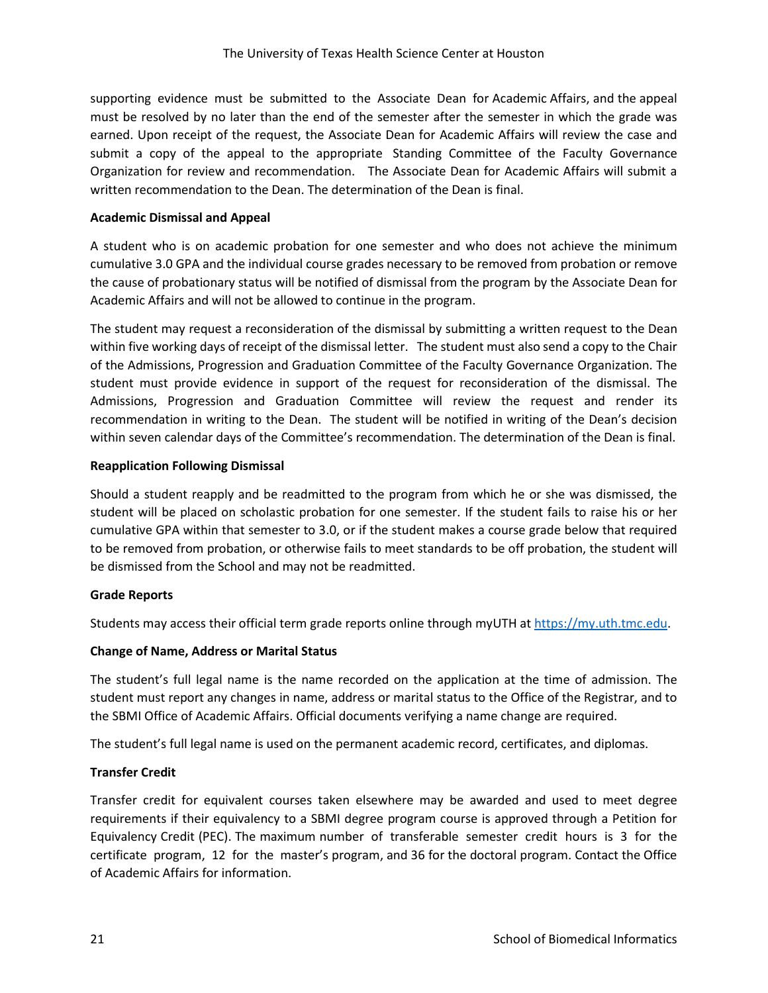supporting evidence must be submitted to the Associate Dean for Academic Affairs, and the appeal must be resolved by no later than the end of the semester after the semester in which the grade was earned. Upon receipt of the request, the Associate Dean for Academic Affairs will review the case and submit a copy of the appeal to the appropriate Standing Committee of the Faculty Governance Organization for review and recommendation. The Associate Dean for Academic Affairs will submit a written recommendation to the Dean. The determination of the Dean is final.

#### **Academic Dismissal and Appeal**

A student who is on academic probation for one semester and who does not achieve the minimum cumulative 3.0 GPA and the individual course grades necessary to be removed from probation or remove the cause of probationary status will be notified of dismissal from the program by the Associate Dean for Academic Affairs and will not be allowed to continue in the program.

The student may request a reconsideration of the dismissal by submitting a written request to the Dean within five working days of receipt of the dismissal letter. The student must also send a copy to the Chair of the Admissions, Progression and Graduation Committee of the Faculty Governance Organization. The student must provide evidence in support of the request for reconsideration of the dismissal. The Admissions, Progression and Graduation Committee will review the request and render its recommendation in writing to the Dean. The student will be notified in writing of the Dean's decision within seven calendar days of the Committee's recommendation. The determination of the Dean is final.

#### **Reapplication Following Dismissal**

Should a student reapply and be readmitted to the program from which he or she was dismissed, the student will be placed on scholastic probation for one semester. If the student fails to raise his or her cumulative GPA within that semester to 3.0, or if the student makes a course grade below that required to be removed from probation, or otherwise fails to meet standards to be off probation, the student will be dismissed from the School and may not be readmitted.

#### **Grade Reports**

Students may access their official term grade reports online through myUTH at [https://my.uth.tmc.edu.](https://my.uth.tmc.edu/)

#### **Change of Name, Address or Marital Status**

The student's full legal name is the name recorded on the application at the time of admission. The student must report any changes in name, address or marital status to the Office of the Registrar, and to the SBMI Office of Academic Affairs. Official documents verifying a name change are required.

The student's full legal name is used on the permanent academic record, certificates, and diplomas.

## **Transfer Credit**

Transfer credit for equivalent courses taken elsewhere may be awarded and used to meet degree requirements if their equivalency to a SBMI degree program course is approved through a Petition for Equivalency Credit (PEC). The maximum number of transferable semester credit hours is 3 for the certificate program, 12 for the master's program, and 36 for the doctoral program. Contact the Office of Academic Affairs for information.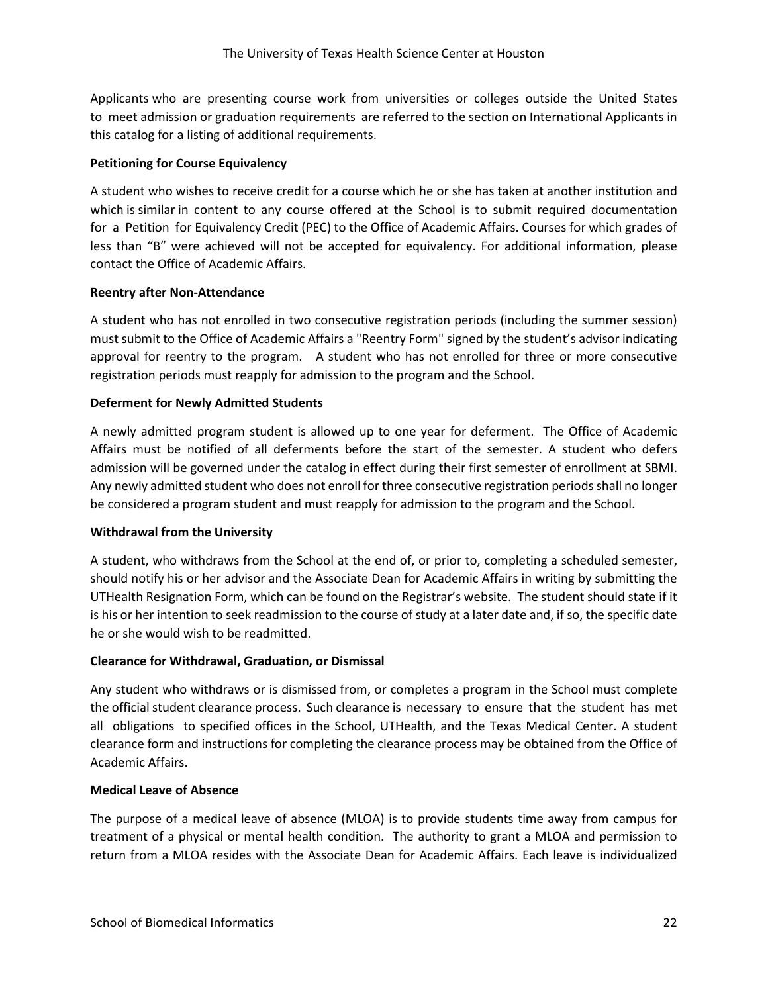Applicants who are presenting course work from universities or colleges outside the United States to meet admission or graduation requirements are referred to the section on International Applicants in this catalog for a listing of additional requirements.

## **Petitioning for Course Equivalency**

A student who wishes to receive credit for a course which he or she has taken at another institution and which is similar in content to any course offered at the School is to submit required documentation for a Petition for Equivalency Credit (PEC) to the Office of Academic Affairs. Courses for which grades of less than "B" were achieved will not be accepted for equivalency. For additional information, please contact the Office of Academic Affairs.

## **Reentry after Non-Attendance**

A student who has not enrolled in two consecutive registration periods (including the summer session) must submit to the Office of Academic Affairs a "Reentry Form" signed by the student's advisor indicating approval for reentry to the program. A student who has not enrolled for three or more consecutive registration periods must reapply for admission to the program and the School.

## **Deferment for Newly Admitted Students**

A newly admitted program student is allowed up to one year for deferment. The Office of Academic Affairs must be notified of all deferments before the start of the semester. A student who defers admission will be governed under the catalog in effect during their first semester of enrollment at SBMI. Any newly admitted student who does not enroll for three consecutive registration periods shall no longer be considered a program student and must reapply for admission to the program and the School.

#### **Withdrawal from the University**

A student, who withdraws from the School at the end of, or prior to, completing a scheduled semester, should notify his or her advisor and the Associate Dean for Academic Affairs in writing by submitting the UTHealth Resignation Form, which can be found on the Registrar's website. The student should state if it is his or her intention to seek readmission to the course of study at a later date and, if so, the specific date he or she would wish to be readmitted.

#### **Clearance for Withdrawal, Graduation, or Dismissal**

Any student who withdraws or is dismissed from, or completes a program in the School must complete the official student clearance process. Such clearance is necessary to ensure that the student has met all obligations to specified offices in the School, UTHealth, and the Texas Medical Center. A student clearance form and instructions for completing the clearance process may be obtained from the Office of Academic Affairs.

#### **Medical Leave of Absence**

The purpose of a medical leave of absence (MLOA) is to provide students time away from campus for treatment of a physical or mental health condition. The authority to grant a MLOA and permission to return from a MLOA resides with the Associate Dean for Academic Affairs. Each leave is individualized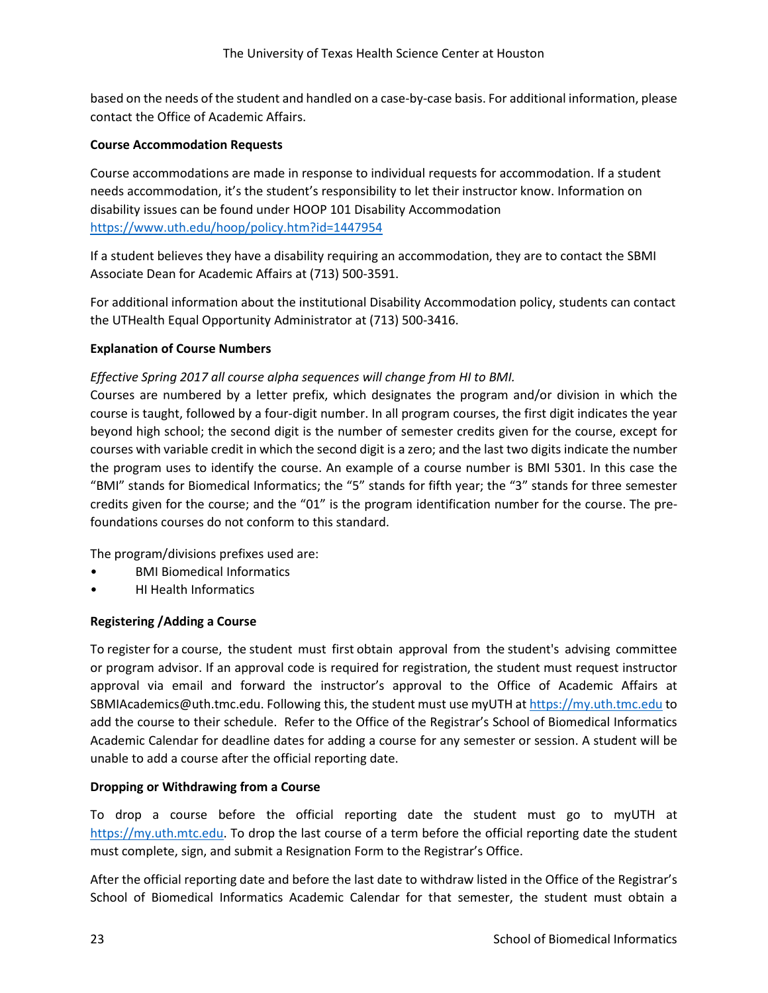based on the needs of the student and handled on a case-by-case basis. For additional information, please contact the Office of Academic Affairs.

## **Course Accommodation Requests**

Course accommodations are made in response to individual requests for accommodation. If a student needs accommodation, it's the student's responsibility to let their instructor know. Information on disability issues can be found under HOOP 101 Disability Accommodation <https://www.uth.edu/hoop/policy.htm?id=1447954>

If a student believes they have a disability requiring an accommodation, they are to contact the SBMI Associate Dean for Academic Affairs at (713) 500-3591.

For additional information about the institutional Disability Accommodation policy, students can contact the UTHealth Equal Opportunity Administrator at (713) 500-3416.

## **Explanation of Course Numbers**

## *Effective Spring 2017 all course alpha sequences will change from HI to BMI.*

Courses are numbered by a letter prefix, which designates the program and/or division in which the course is taught, followed by a four‐digit number. In all program courses, the first digit indicates the year beyond high school; the second digit is the number of semester credits given for the course, except for courses with variable credit in which the second digit is a zero; and the last two digits indicate the number the program uses to identify the course. An example of a course number is BMI 5301. In this case the "BMI" stands for Biomedical Informatics; the "5" stands for fifth year; the "3" stands for three semester credits given for the course; and the "01" is the program identification number for the course. The pre‐ foundations courses do not conform to this standard.

The program/divisions prefixes used are:

- BMI Biomedical Informatics
- HI Health Informatics

#### **Registering /Adding a Course**

To register for a course, the student must first obtain approval from the student's advising committee or program advisor. If an approval code is required for registration, the student must request instructor approval via email and forward the instructor's approval to the Office of Academic Affairs at SBMIAcademics@uth.tmc.edu. Following this, the student must use myUTH a[t https://my.uth.tmc.edu](https://my.uth.tmc.edu/) to add the course to their schedule. Refer to the Office of the Registrar's School of Biomedical Informatics Academic Calendar for deadline dates for adding a course for any semester or session. A student will be unable to add a course after the official reporting date.

#### **Dropping or Withdrawing from a Course**

To drop a course before the official reporting date the student must go to myUTH at [https://my.uth.mtc.edu.](https://my.uth.mtc.edu/) To drop the last course of a term before the official reporting date the student must complete, sign, and submit a Resignation Form to the Registrar's Office.

After the official reporting date and before the last date to withdraw listed in the Office of the Registrar's School of Biomedical Informatics Academic Calendar for that semester, the student must obtain a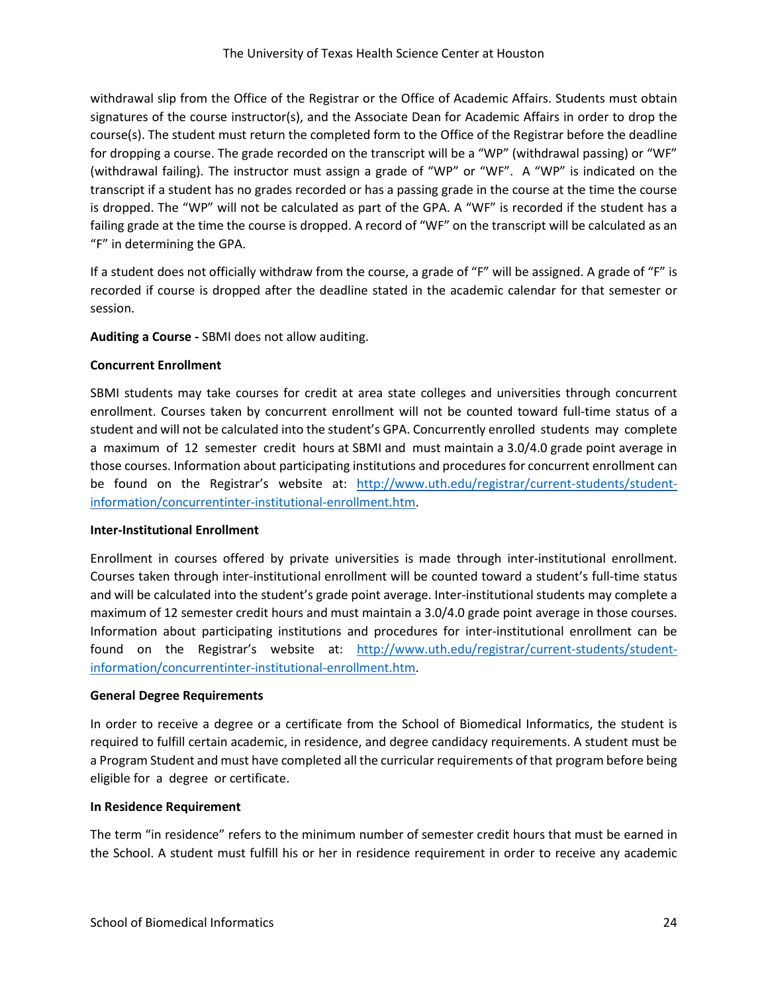withdrawal slip from the Office of the Registrar or the Office of Academic Affairs. Students must obtain signatures of the course instructor(s), and the Associate Dean for Academic Affairs in order to drop the course(s). The student must return the completed form to the Office of the Registrar before the deadline for dropping a course. The grade recorded on the transcript will be a "WP" (withdrawal passing) or "WF" (withdrawal failing). The instructor must assign a grade of "WP" or "WF". A "WP" is indicated on the transcript if a student has no grades recorded or has a passing grade in the course at the time the course is dropped. The "WP" will not be calculated as part of the GPA. A "WF" is recorded if the student has a failing grade at the time the course is dropped. A record of "WF" on the transcript will be calculated as an "F" in determining the GPA.

If a student does not officially withdraw from the course, a grade of "F" will be assigned. A grade of "F" is recorded if course is dropped after the deadline stated in the academic calendar for that semester or session.

**Auditing a Course -** SBMI does not allow auditing.

## **Concurrent Enrollment**

SBMI students may take courses for credit at area state colleges and universities through concurrent enrollment. Courses taken by concurrent enrollment will not be counted toward full-time status of a student and will not be calculated into the student's GPA. Concurrently enrolled students may complete a maximum of 12 semester credit hours at SBMI and must maintain a 3.0/4.0 grade point average in those courses. Information about participating institutions and procedures for concurrent enrollment can be found on the Registrar's website at: [http://www.uth.edu/registrar/current-students/student](http://www.uth.edu/registrar/current-students/student-information/concurrentinter-institutional-enrollment.htm)[information/concurrentinter-institutional-enrollment.htm.](http://www.uth.edu/registrar/current-students/student-information/concurrentinter-institutional-enrollment.htm)

#### **Inter-Institutional Enrollment**

Enrollment in courses offered by private universities is made through inter-institutional enrollment. Courses taken through inter‐institutional enrollment will be counted toward a student's full‐time status and will be calculated into the student's grade point average. Inter-institutional students may complete a maximum of 12 semester credit hours and must maintain a 3.0/4.0 grade point average in those courses. Information about participating institutions and procedures for inter-institutional enrollment can be found on the Registrar's website at: [http://www.uth.edu/registrar/current-students/student](http://www.uth.edu/registrar/current-students/student-information/concurrentinter-institutional-enrollment.htm)[information/concurrentinter-institutional-enrollment.htm.](http://www.uth.edu/registrar/current-students/student-information/concurrentinter-institutional-enrollment.htm)

#### **General Degree Requirements**

In order to receive a degree or a certificate from the School of Biomedical Informatics, the student is required to fulfill certain academic, in residence, and degree candidacy requirements. A student must be a Program Student and must have completed all the curricular requirements of that program before being eligible for a degree or certificate.

#### **In Residence Requirement**

The term "in residence" refers to the minimum number of semester credit hours that must be earned in the School. A student must fulfill his or her in residence requirement in order to receive any academic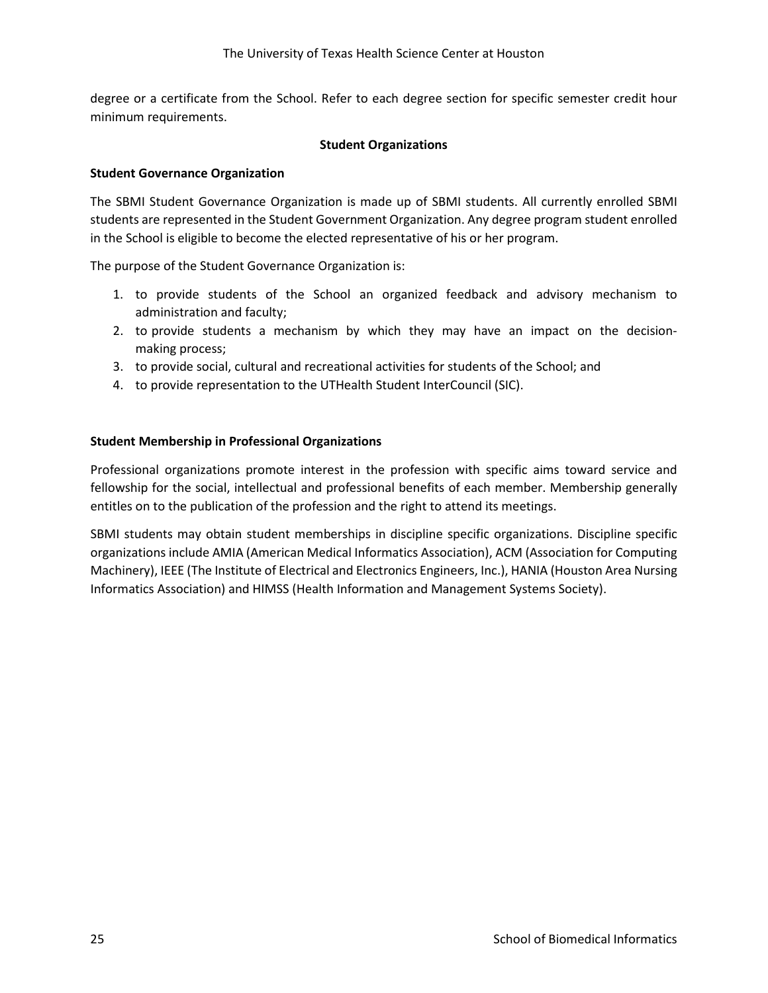degree or a certificate from the School. Refer to each degree section for specific semester credit hour minimum requirements.

#### **Student Organizations**

#### **Student Governance Organization**

The SBMI Student Governance Organization is made up of SBMI students. All currently enrolled SBMI students are represented in the Student Government Organization. Any degree program student enrolled in the School is eligible to become the elected representative of his or her program.

The purpose of the Student Governance Organization is:

- 1. to provide students of the School an organized feedback and advisory mechanism to administration and faculty;
- 2. to provide students a mechanism by which they may have an impact on the decisionmaking process;
- 3. to provide social, cultural and recreational activities for students of the School; and
- 4. to provide representation to the UTHealth Student InterCouncil (SIC).

#### **Student Membership in Professional Organizations**

Professional organizations promote interest in the profession with specific aims toward service and fellowship for the social, intellectual and professional benefits of each member. Membership generally entitles on to the publication of the profession and the right to attend its meetings.

SBMI students may obtain student memberships in discipline specific organizations. Discipline specific organizations include AMIA (American Medical Informatics Association), ACM (Association for Computing Machinery), IEEE (The Institute of Electrical and Electronics Engineers, Inc.), HANIA (Houston Area Nursing Informatics Association) and HIMSS (Health Information and Management Systems Society).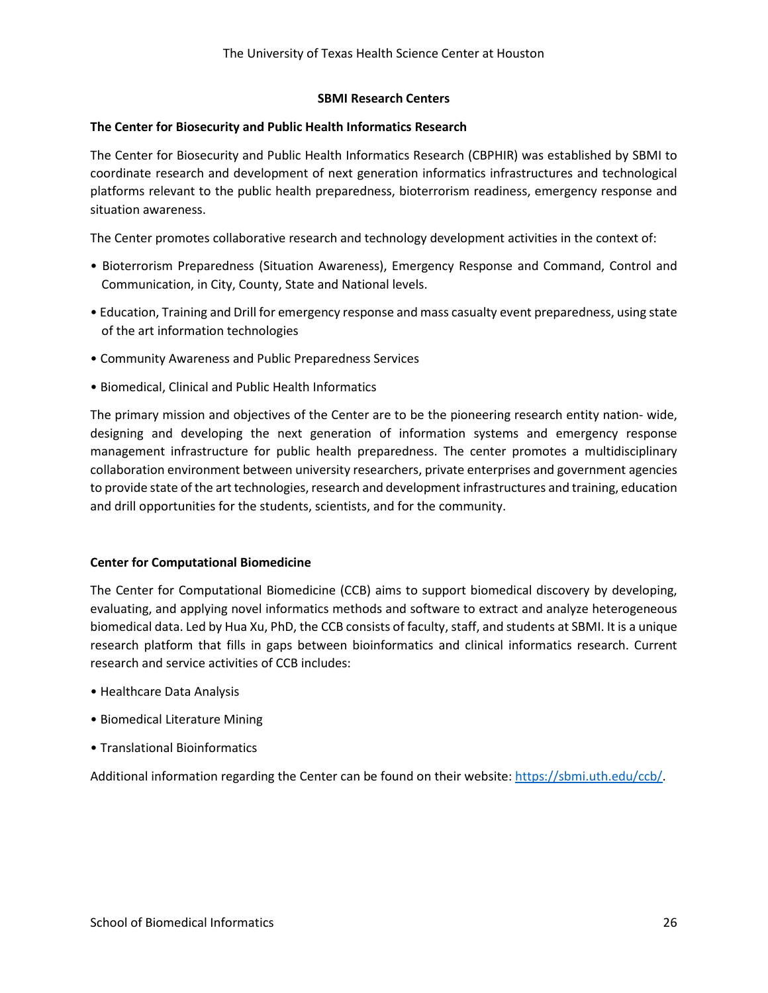#### **SBMI Research Centers**

#### **The Center for Biosecurity and Public Health Informatics Research**

The Center for Biosecurity and Public Health Informatics Research (CBPHIR) was established by SBMI to coordinate research and development of next generation informatics infrastructures and technological platforms relevant to the public health preparedness, bioterrorism readiness, emergency response and situation awareness.

The Center promotes collaborative research and technology development activities in the context of:

- Bioterrorism Preparedness (Situation Awareness), Emergency Response and Command, Control and Communication, in City, County, State and National levels.
- Education, Training and Drill for emergency response and mass casualty event preparedness, using state of the art information technologies
- Community Awareness and Public Preparedness Services
- Biomedical, Clinical and Public Health Informatics

The primary mission and objectives of the Center are to be the pioneering research entity nation- wide, designing and developing the next generation of information systems and emergency response management infrastructure for public health preparedness. The center promotes a multidisciplinary collaboration environment between university researchers, private enterprises and government agencies to provide state of the art technologies, research and development infrastructures and training, education and drill opportunities for the students, scientists, and for the community.

#### **Center for Computational Biomedicine**

The Center for Computational Biomedicine (CCB) aims to support biomedical discovery by developing, evaluating, and applying novel informatics methods and software to extract and analyze heterogeneous biomedical data. Led by Hua Xu, PhD, the CCB consists of faculty, staff, and students at SBMI. It is a unique research platform that fills in gaps between bioinformatics and clinical informatics research. Current research and service activities of CCB includes:

- Healthcare Data Analysis
- Biomedical Literature Mining
- Translational Bioinformatics

Additional information regarding the Center can be found on their website: [https://sbmi.uth.edu/ccb/.](https://sbmi.uth.edu/ccb/)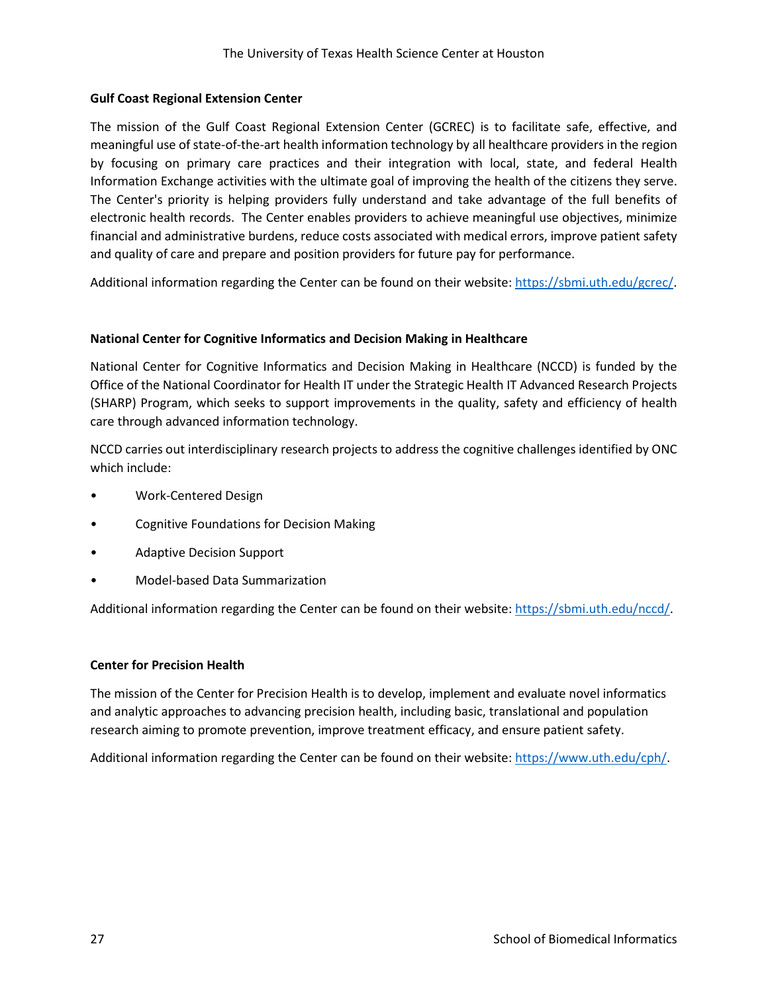## **Gulf Coast Regional Extension Center**

The mission of the Gulf Coast Regional Extension Center (GCREC) is to facilitate safe, effective, and meaningful use of state-of-the-art health information technology by all healthcare providers in the region by focusing on primary care practices and their integration with local, state, and federal Health Information Exchange activities with the ultimate goal of improving the health of the citizens they serve. The Center's priority is helping providers fully understand and take advantage of the full benefits of electronic health records. The Center enables providers to achieve meaningful use objectives, minimize financial and administrative burdens, reduce costs associated with medical errors, improve patient safety and quality of care and prepare and position providers for future pay for performance.

Additional information regarding the Center can be found on their website: [https://sbmi.uth.edu/gcrec/.](https://sbmi.uth.edu/gcrec/)

## **National Center for Cognitive Informatics and Decision Making in Healthcare**

National Center for Cognitive Informatics and Decision Making in Healthcare (NCCD) is funded by the Office of the National Coordinator for Health IT under the Strategic Health IT Advanced Research Projects (SHARP) Program, which seeks to support improvements in the quality, safety and efficiency of health care through advanced information technology.

NCCD carries out interdisciplinary research projects to address the cognitive challenges identified by ONC which include:

- Work-Centered Design
- Cognitive Foundations for Decision Making
- Adaptive Decision Support
- Model-based Data Summarization

Additional information regarding the Center can be found on their website: [https://sbmi.uth.edu/nccd/.](https://sbmi.uth.edu/nccd/)

## **Center for Precision Health**

The mission of the Center for Precision Health is to develop, implement and evaluate novel informatics and analytic approaches to advancing precision health, including basic, translational and population research aiming to promote prevention, improve treatment efficacy, and ensure patient safety.

Additional information regarding the Center can be found on their website: [https://www.uth.edu/cph/.](https://www.uth.edu/cph/)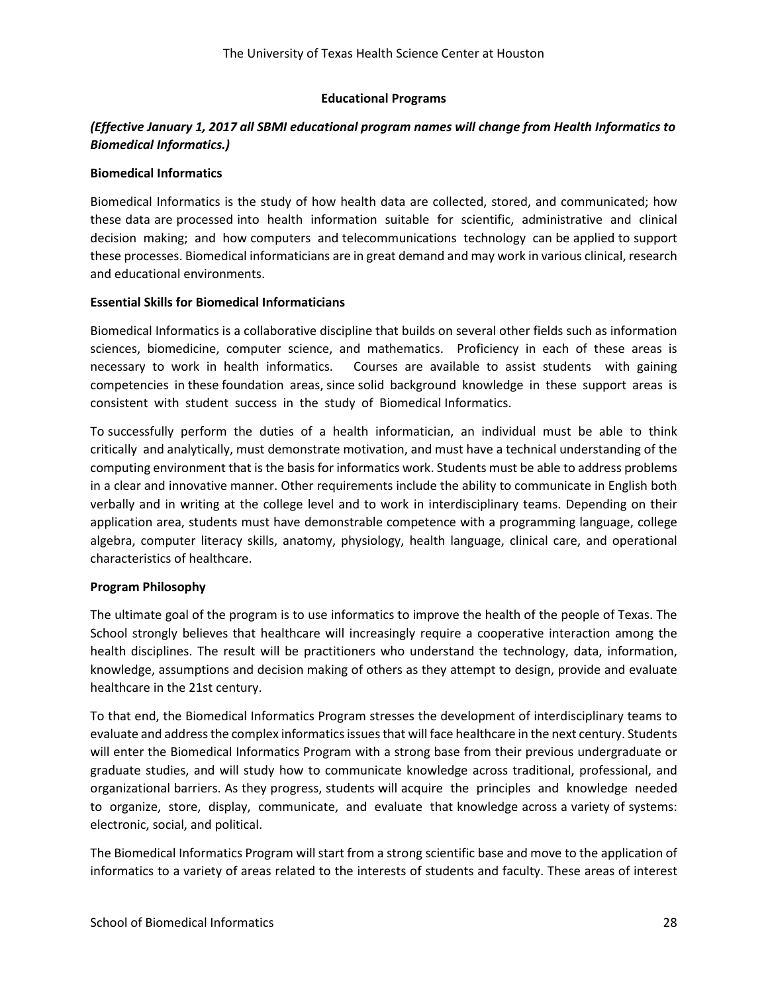## **Educational Programs**

## *(Effective January 1, 2017 all SBMI educational program names will change from Health Informatics to Biomedical Informatics.)*

#### **Biomedical Informatics**

Biomedical Informatics is the study of how health data are collected, stored, and communicated; how these data are processed into health information suitable for scientific, administrative and clinical decision making; and how computers and telecommunications technology can be applied to support these processes. Biomedical informaticians are in great demand and may work in various clinical, research and educational environments.

## **Essential Skills for Biomedical Informaticians**

Biomedical Informatics is a collaborative discipline that builds on several other fields such as information sciences, biomedicine, computer science, and mathematics. Proficiency in each of these areas is necessary to work in health informatics. Courses are available to assist students with gaining competencies in these foundation areas, since solid background knowledge in these support areas is consistent with student success in the study of Biomedical Informatics.

To successfully perform the duties of a health informatician, an individual must be able to think critically and analytically, must demonstrate motivation, and must have a technical understanding of the computing environment that is the basis for informatics work. Students must be able to address problems in a clear and innovative manner. Other requirements include the ability to communicate in English both verbally and in writing at the college level and to work in interdisciplinary teams. Depending on their application area, students must have demonstrable competence with a programming language, college algebra, computer literacy skills, anatomy, physiology, health language, clinical care, and operational characteristics of healthcare.

## **Program Philosophy**

The ultimate goal of the program is to use informatics to improve the health of the people of Texas. The School strongly believes that healthcare will increasingly require a cooperative interaction among the health disciplines. The result will be practitioners who understand the technology, data, information, knowledge, assumptions and decision making of others as they attempt to design, provide and evaluate healthcare in the 21st century.

To that end, the Biomedical Informatics Program stresses the development of interdisciplinary teams to evaluate and address the complex informatics issues that will face healthcare in the next century. Students will enter the Biomedical Informatics Program with a strong base from their previous undergraduate or graduate studies, and will study how to communicate knowledge across traditional, professional, and organizational barriers. As they progress, students will acquire the principles and knowledge needed to organize, store, display, communicate, and evaluate that knowledge across a variety of systems: electronic, social, and political.

The Biomedical Informatics Program will start from a strong scientific base and move to the application of informatics to a variety of areas related to the interests of students and faculty. These areas of interest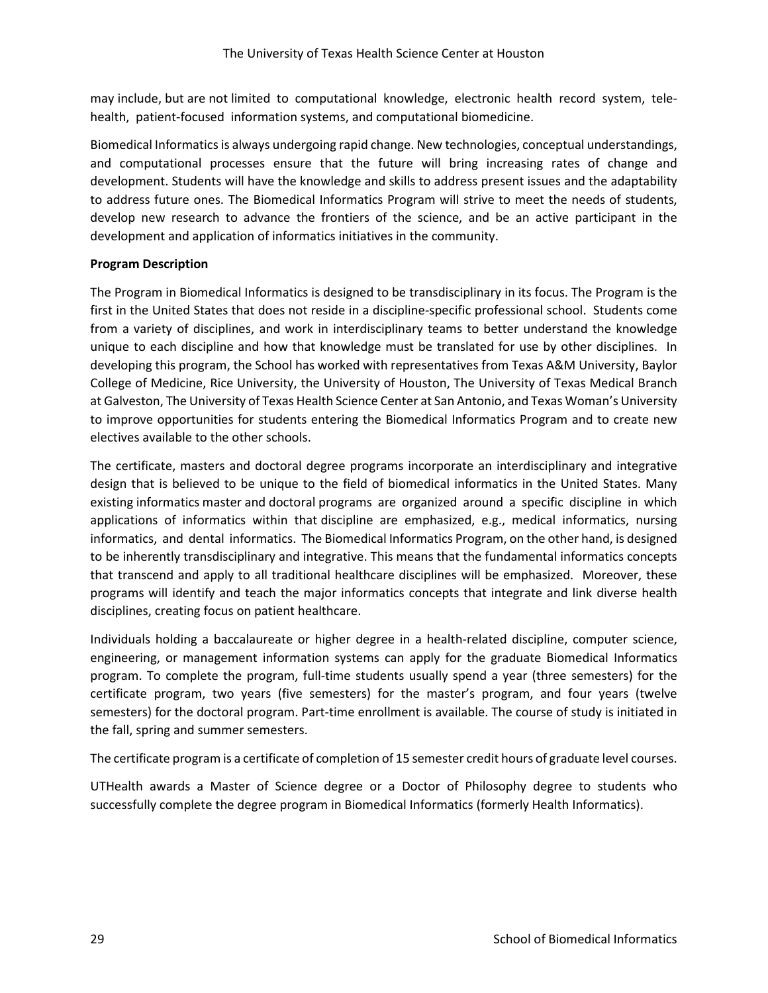may include, but are not limited to computational knowledge, electronic health record system, telehealth, patient-focused information systems, and computational biomedicine.

Biomedical Informatics is always undergoing rapid change. New technologies, conceptual understandings, and computational processes ensure that the future will bring increasing rates of change and development. Students will have the knowledge and skills to address present issues and the adaptability to address future ones. The Biomedical Informatics Program will strive to meet the needs of students, develop new research to advance the frontiers of the science, and be an active participant in the development and application of informatics initiatives in the community.

## **Program Description**

The Program in Biomedical Informatics is designed to be transdisciplinary in its focus. The Program is the first in the United States that does not reside in a discipline‐specific professional school. Students come from a variety of disciplines, and work in interdisciplinary teams to better understand the knowledge unique to each discipline and how that knowledge must be translated for use by other disciplines. In developing this program, the School has worked with representatives from Texas A&M University, Baylor College of Medicine, Rice University, the University of Houston, The University of Texas Medical Branch at Galveston, The University of Texas Health Science Center at San Antonio, and Texas Woman's University to improve opportunities for students entering the Biomedical Informatics Program and to create new electives available to the other schools.

The certificate, masters and doctoral degree programs incorporate an interdisciplinary and integrative design that is believed to be unique to the field of biomedical informatics in the United States. Many existing informatics master and doctoral programs are organized around a specific discipline in which applications of informatics within that discipline are emphasized, e.g., medical informatics, nursing informatics, and dental informatics. The Biomedical Informatics Program, on the other hand, is designed to be inherently transdisciplinary and integrative. This means that the fundamental informatics concepts that transcend and apply to all traditional healthcare disciplines will be emphasized. Moreover, these programs will identify and teach the major informatics concepts that integrate and link diverse health disciplines, creating focus on patient healthcare.

Individuals holding a baccalaureate or higher degree in a health-related discipline, computer science, engineering, or management information systems can apply for the graduate Biomedical Informatics program. To complete the program, full-time students usually spend a year (three semesters) for the certificate program, two years (five semesters) for the master's program, and four years (twelve semesters) for the doctoral program. Part-time enrollment is available. The course of study is initiated in the fall, spring and summer semesters.

The certificate program is a certificate of completion of 15 semester credit hours of graduate level courses.

UTHealth awards a Master of Science degree or a Doctor of Philosophy degree to students who successfully complete the degree program in Biomedical Informatics (formerly Health Informatics).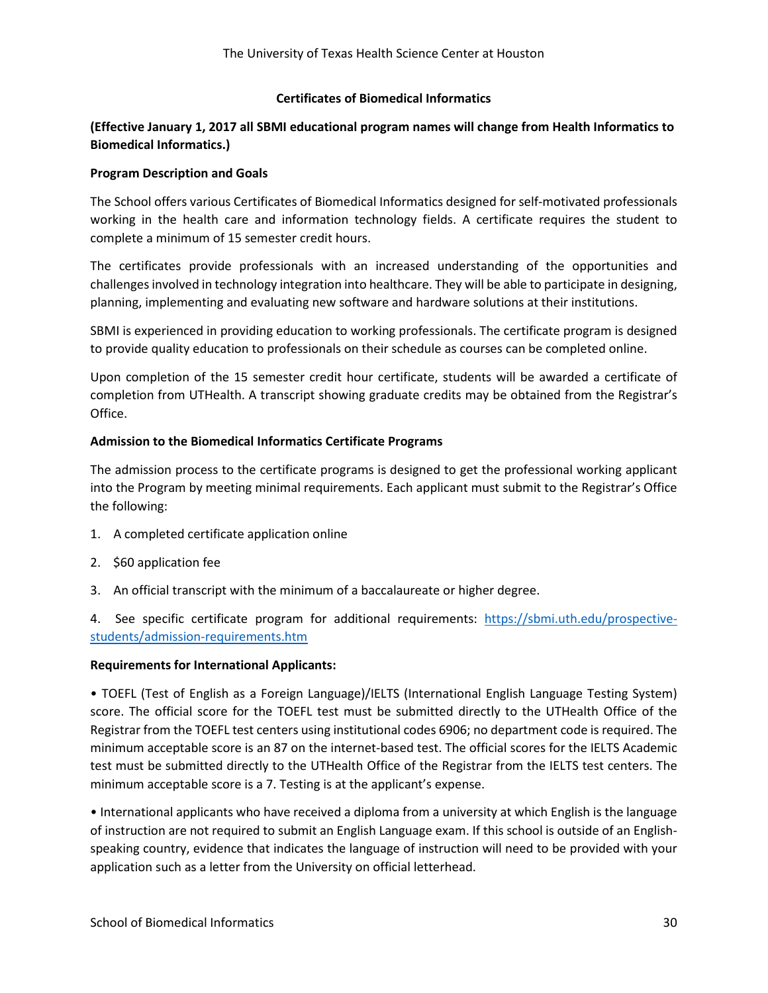#### **Certificates of Biomedical Informatics**

## **(Effective January 1, 2017 all SBMI educational program names will change from Health Informatics to Biomedical Informatics.)**

#### **Program Description and Goals**

The School offers various Certificates of Biomedical Informatics designed for self-motivated professionals working in the health care and information technology fields. A certificate requires the student to complete a minimum of 15 semester credit hours.

The certificates provide professionals with an increased understanding of the opportunities and challenges involved in technology integration into healthcare. They will be able to participate in designing, planning, implementing and evaluating new software and hardware solutions at their institutions.

SBMI is experienced in providing education to working professionals. The certificate program is designed to provide quality education to professionals on their schedule as courses can be completed online.

Upon completion of the 15 semester credit hour certificate, students will be awarded a certificate of completion from UTHealth. A transcript showing graduate credits may be obtained from the Registrar's Office.

## **Admission to the Biomedical Informatics Certificate Programs**

The admission process to the certificate programs is designed to get the professional working applicant into the Program by meeting minimal requirements. Each applicant must submit to the Registrar's Office the following:

- 1. A completed certificate application online
- 2. \$60 application fee
- 3. An official transcript with the minimum of a baccalaureate or higher degree.

4. See specific certificate program for additional requirements: [https://sbmi.uth.edu/prospective](https://sbmi.uth.edu/prospective-%20%20students/admission-requirements.htm)[students/admission-requirements.htm](https://sbmi.uth.edu/prospective-%20%20students/admission-requirements.htm)

#### **Requirements for International Applicants:**

• TOEFL (Test of English as a Foreign Language)/IELTS (International English Language Testing System) score. The official score for the TOEFL test must be submitted directly to the UTHealth Office of the Registrar from the TOEFL test centers using institutional codes 6906; no department code is required. The minimum acceptable score is an 87 on the internet-based test. The official scores for the IELTS Academic test must be submitted directly to the UTHealth Office of the Registrar from the IELTS test centers. The minimum acceptable score is a 7. Testing is at the applicant's expense.

• International applicants who have received a diploma from a university at which English is the language of instruction are not required to submit an English Language exam. If this school is outside of an Englishspeaking country, evidence that indicates the language of instruction will need to be provided with your application such as a letter from the University on official letterhead.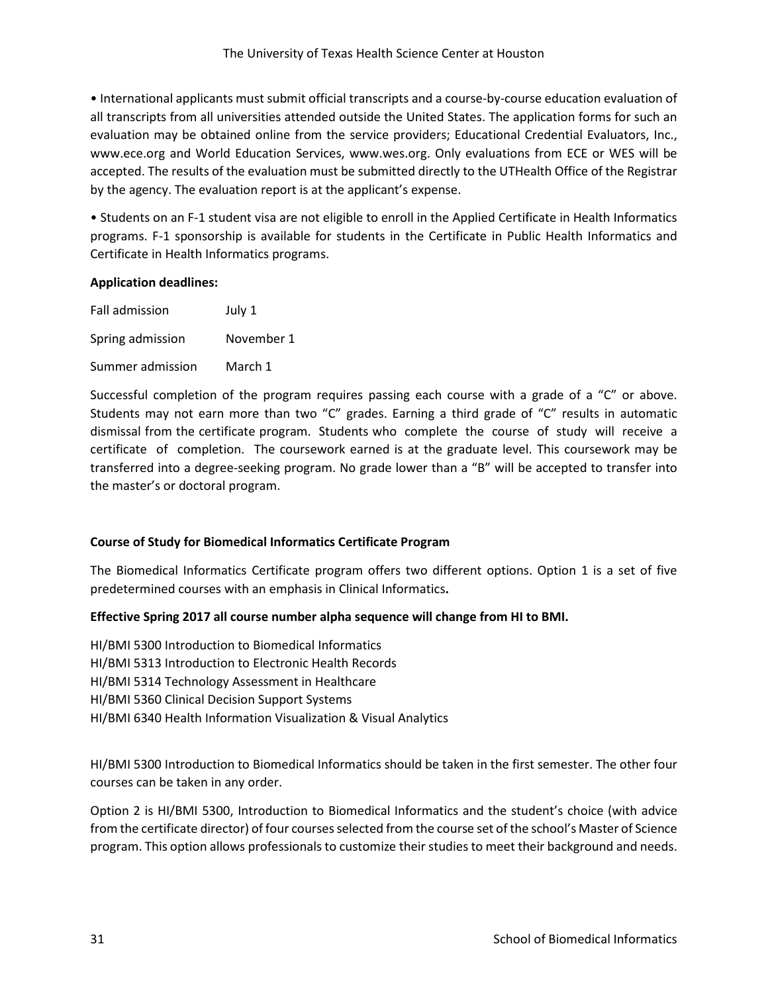• International applicants must submit official transcripts and a course-by-course education evaluation of all transcripts from all universities attended outside the United States. The application forms for such an evaluation may be obtained online from the service providers; Educational Credential Evaluators, Inc., www.ece.org and World Education Services, www.wes.org. Only evaluations from ECE or WES will be accepted. The results of the evaluation must be submitted directly to the UTHealth Office of the Registrar by the agency. The evaluation report is at the applicant's expense.

• Students on an F-1 student visa are not eligible to enroll in the Applied Certificate in Health Informatics programs. F-1 sponsorship is available for students in the Certificate in Public Health Informatics and Certificate in Health Informatics programs.

#### **Application deadlines:**

| Fall admission   | July 1     |
|------------------|------------|
| Spring admission | November 1 |
| Summer admission | March 1    |

Successful completion of the program requires passing each course with a grade of a "C" or above. Students may not earn more than two "C" grades. Earning a third grade of "C" results in automatic dismissal from the certificate program. Students who complete the course of study will receive a certificate of completion. The coursework earned is at the graduate level. This coursework may be transferred into a degree-seeking program. No grade lower than a "B" will be accepted to transfer into the master's or doctoral program.

## **Course of Study for Biomedical Informatics Certificate Program**

The Biomedical Informatics Certificate program offers two different options. Option 1 is a set of five predetermined courses with an emphasis in Clinical Informatics**.**

## **Effective Spring 2017 all course number alpha sequence will change from HI to BMI.**

HI/BMI 5300 Introduction to Biomedical Informatics HI/BMI 5313 Introduction to Electronic Health Records HI/BMI 5314 Technology Assessment in Healthcare HI/BMI 5360 Clinical Decision Support Systems HI/BMI 6340 Health Information Visualization & Visual Analytics

HI/BMI 5300 Introduction to Biomedical Informatics should be taken in the first semester. The other four courses can be taken in any order.

Option 2 is HI/BMI 5300, Introduction to Biomedical Informatics and the student's choice (with advice from the certificate director) of four courses selected from the course set of the school's Master of Science program. This option allows professionals to customize their studies to meet their background and needs.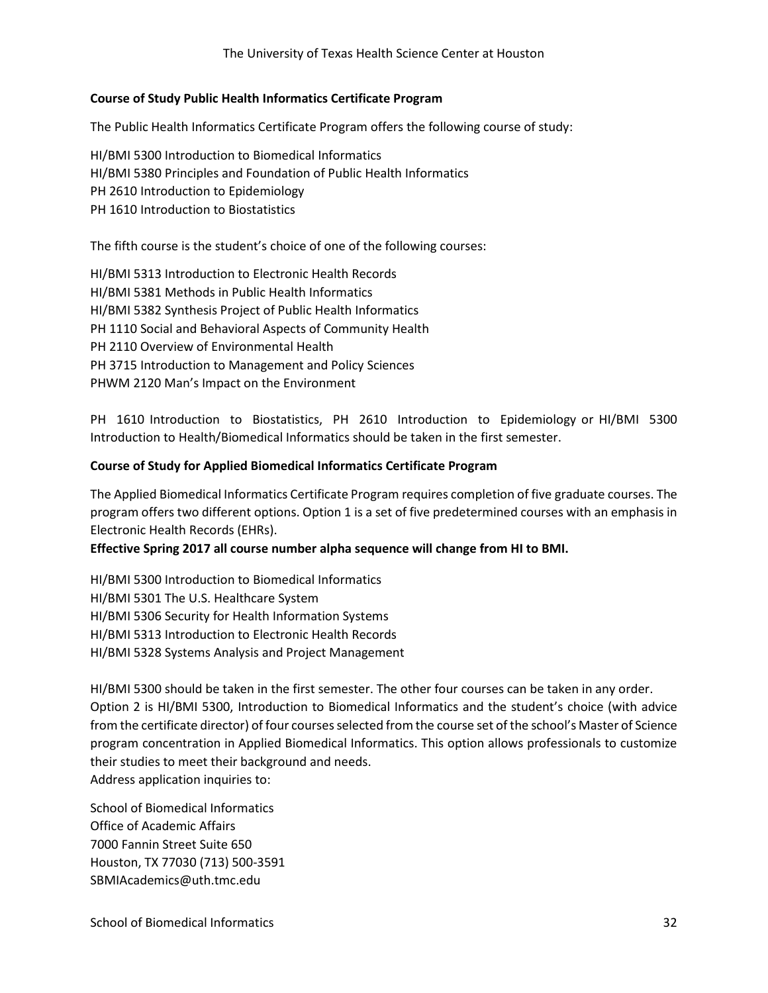#### **Course of Study Public Health Informatics Certificate Program**

The Public Health Informatics Certificate Program offers the following course of study:

HI/BMI 5300 Introduction to Biomedical Informatics HI/BMI 5380 Principles and Foundation of Public Health Informatics PH 2610 Introduction to Epidemiology PH 1610 Introduction to Biostatistics

The fifth course is the student's choice of one of the following courses:

HI/BMI 5313 Introduction to Electronic Health Records HI/BMI 5381 Methods in Public Health Informatics HI/BMI 5382 Synthesis Project of Public Health Informatics PH 1110 Social and Behavioral Aspects of Community Health PH 2110 Overview of Environmental Health PH 3715 Introduction to Management and Policy Sciences PHWM 2120 Man's Impact on the Environment

PH 1610 Introduction to Biostatistics, PH 2610 Introduction to Epidemiology or HI/BMI 5300 Introduction to Health/Biomedical Informatics should be taken in the first semester.

#### **Course of Study for Applied Biomedical Informatics Certificate Program**

The Applied Biomedical Informatics Certificate Program requires completion of five graduate courses. The program offers two different options. Option 1 is a set of five predetermined courses with an emphasis in Electronic Health Records (EHRs).

**Effective Spring 2017 all course number alpha sequence will change from HI to BMI.**

HI/BMI 5300 Introduction to Biomedical Informatics HI/BMI 5301 The U.S. Healthcare System HI/BMI 5306 Security for Health Information Systems HI/BMI 5313 Introduction to Electronic Health Records HI/BMI 5328 Systems Analysis and Project Management

HI/BMI 5300 should be taken in the first semester. The other four courses can be taken in any order. Option 2 is HI/BMI 5300, Introduction to Biomedical Informatics and the student's choice (with advice from the certificate director) of four courses selected from the course set of the school's Master of Science program concentration in Applied Biomedical Informatics. This option allows professionals to customize their studies to meet their background and needs. Address application inquiries to:

School of Biomedical Informatics Office of Academic Affairs 7000 Fannin Street Suite 650 Houston, TX 77030 (713) 500‐3591 SBMIAcademics@uth.tmc.edu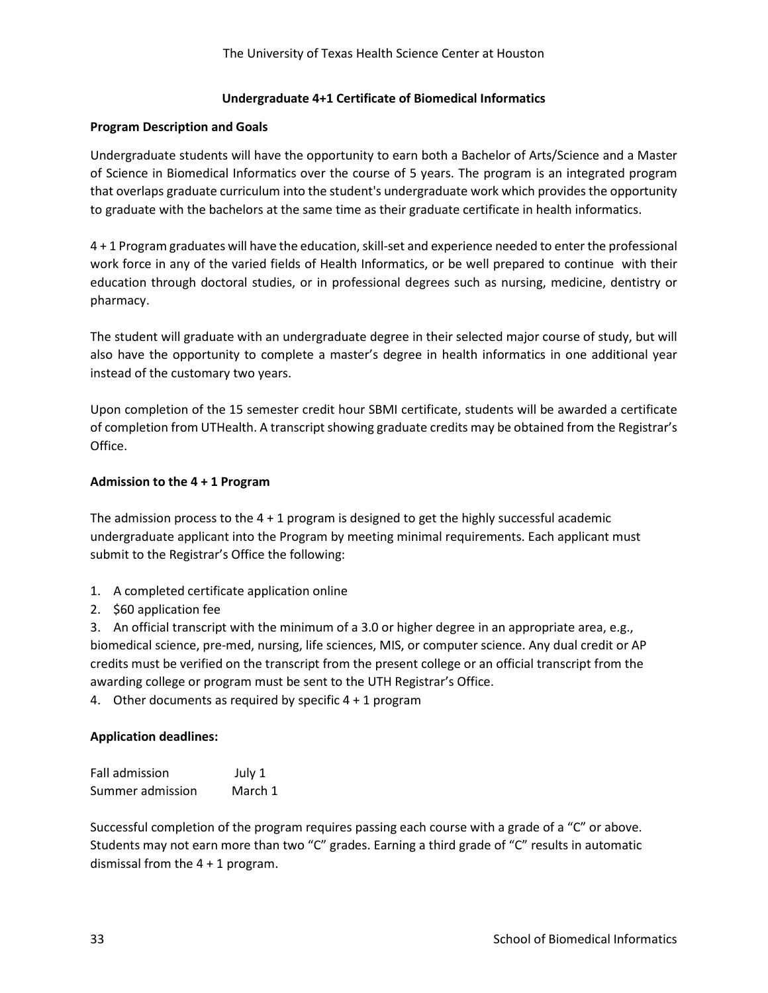## **Undergraduate 4+1 Certificate of Biomedical Informatics**

#### **Program Description and Goals**

Undergraduate students will have the opportunity to earn both a Bachelor of Arts/Science and a Master of Science in Biomedical Informatics over the course of 5 years. The program is an integrated program that overlaps graduate curriculum into the student's undergraduate work which provides the opportunity to graduate with the bachelors at the same time as their graduate certificate in health informatics.

4 + 1 Program graduates will have the education, skill-set and experience needed to enter the professional work force in any of the varied fields of Health Informatics, or be well prepared to continue with their education through doctoral studies, or in professional degrees such as nursing, medicine, dentistry or pharmacy.

The student will graduate with an undergraduate degree in their selected major course of study, but will also have the opportunity to complete a master's degree in health informatics in one additional year instead of the customary two years.

Upon completion of the 15 semester credit hour SBMI certificate, students will be awarded a certificate of completion from UTHealth. A transcript showing graduate credits may be obtained from the Registrar's Office.

#### **Admission to the 4 + 1 Program**

The admission process to the  $4 + 1$  program is designed to get the highly successful academic undergraduate applicant into the Program by meeting minimal requirements. Each applicant must submit to the Registrar's Office the following:

- 1. A completed certificate application online
- 2. \$60 application fee

3. An official transcript with the minimum of a 3.0 or higher degree in an appropriate area, e.g., biomedical science, pre-med, nursing, life sciences, MIS, or computer science. Any dual credit or AP credits must be verified on the transcript from the present college or an official transcript from the awarding college or program must be sent to the UTH Registrar's Office.

4. Other documents as required by specific 4 + 1 program

#### **Application deadlines:**

| <b>Fall admission</b> | July 1  |
|-----------------------|---------|
| Summer admission      | March 1 |

Successful completion of the program requires passing each course with a grade of a "C" or above. Students may not earn more than two "C" grades. Earning a third grade of "C" results in automatic dismissal from the  $4 + 1$  program.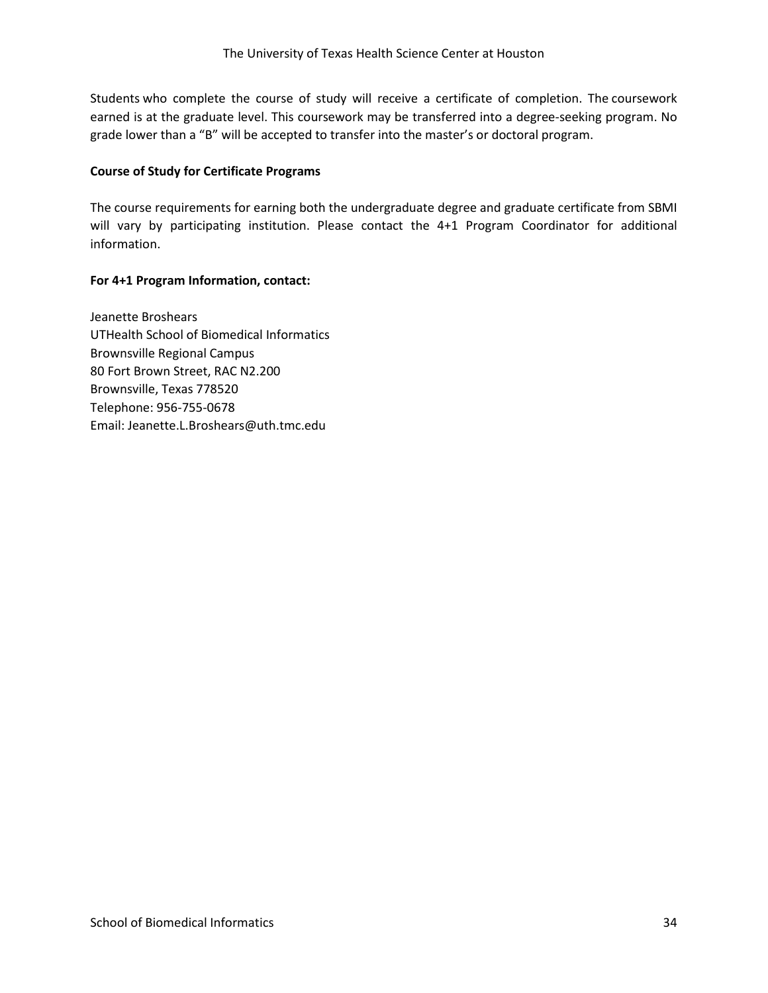Students who complete the course of study will receive a certificate of completion. The coursework earned is at the graduate level. This coursework may be transferred into a degree-seeking program. No grade lower than a "B" will be accepted to transfer into the master's or doctoral program.

# **Course of Study for Certificate Programs**

The course requirements for earning both the undergraduate degree and graduate certificate from SBMI will vary by participating institution. Please contact the 4+1 Program Coordinator for additional information.

# **For 4+1 Program Information, contact:**

Jeanette Broshears UTHealth School of Biomedical Informatics Brownsville Regional Campus 80 Fort Brown Street, RAC N2.200 Brownsville, Texas 778520 Telephone: 956-755-0678 Email: Jeanette.L.Broshears@uth.tmc.edu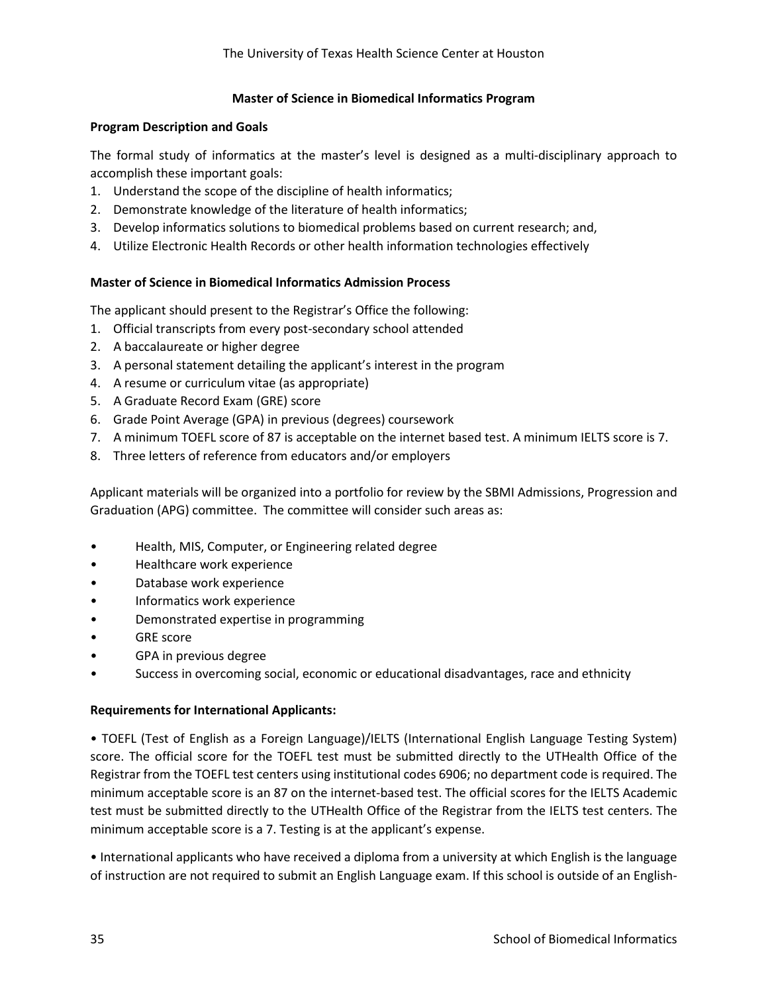## **Master of Science in Biomedical Informatics Program**

## **Program Description and Goals**

The formal study of informatics at the master's level is designed as a multi‐disciplinary approach to accomplish these important goals:

- 1. Understand the scope of the discipline of health informatics;
- 2. Demonstrate knowledge of the literature of health informatics;
- 3. Develop informatics solutions to biomedical problems based on current research; and,
- 4. Utilize Electronic Health Records or other health information technologies effectively

# **Master of Science in Biomedical Informatics Admission Process**

The applicant should present to the Registrar's Office the following:

- 1. Official transcripts from every post-secondary school attended
- 2. A baccalaureate or higher degree
- 3. A personal statement detailing the applicant's interest in the program
- 4. A resume or curriculum vitae (as appropriate)
- 5. A Graduate Record Exam (GRE) score
- 6. Grade Point Average (GPA) in previous (degrees) coursework
- 7. A minimum TOEFL score of 87 is acceptable on the internet based test. A minimum IELTS score is 7.
- 8. Three letters of reference from educators and/or employers

Applicant materials will be organized into a portfolio for review by the SBMI Admissions, Progression and Graduation (APG) committee. The committee will consider such areas as:

- Health, MIS, Computer, or Engineering related degree
- Healthcare work experience
- Database work experience
- Informatics work experience
- Demonstrated expertise in programming
- GRE score
- GPA in previous degree
- Success in overcoming social, economic or educational disadvantages, race and ethnicity

#### **Requirements for International Applicants:**

• TOEFL (Test of English as a Foreign Language)/IELTS (International English Language Testing System) score. The official score for the TOEFL test must be submitted directly to the UTHealth Office of the Registrar from the TOEFL test centers using institutional codes 6906; no department code is required. The minimum acceptable score is an 87 on the internet-based test. The official scores for the IELTS Academic test must be submitted directly to the UTHealth Office of the Registrar from the IELTS test centers. The minimum acceptable score is a 7. Testing is at the applicant's expense.

• International applicants who have received a diploma from a university at which English is the language of instruction are not required to submit an English Language exam. If this school is outside of an English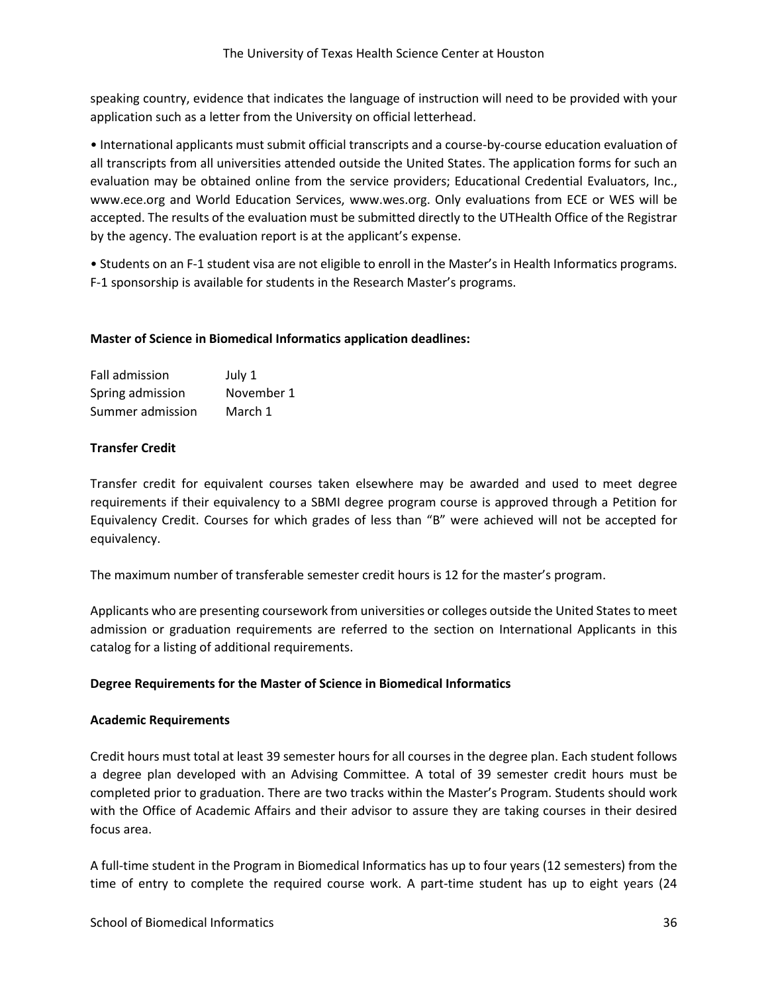speaking country, evidence that indicates the language of instruction will need to be provided with your application such as a letter from the University on official letterhead.

• International applicants must submit official transcripts and a course‐by-course education evaluation of all transcripts from all universities attended outside the United States. The application forms for such an evaluation may be obtained online from the service providers; Educational Credential Evaluators, Inc., www.ece.org and World Education Services, www.wes.org. Only evaluations from ECE or WES will be accepted. The results of the evaluation must be submitted directly to the UTHealth Office of the Registrar by the agency. The evaluation report is at the applicant's expense.

• Students on an F-1 student visa are not eligible to enroll in the Master's in Health Informatics programs. F-1 sponsorship is available for students in the Research Master's programs.

#### **Master of Science in Biomedical Informatics application deadlines:**

| <b>Fall admission</b> | July 1     |
|-----------------------|------------|
| Spring admission      | November 1 |
| Summer admission      | March 1    |

# **Transfer Credit**

Transfer credit for equivalent courses taken elsewhere may be awarded and used to meet degree requirements if their equivalency to a SBMI degree program course is approved through a Petition for Equivalency Credit. Courses for which grades of less than "B" were achieved will not be accepted for equivalency.

The maximum number of transferable semester credit hours is 12 for the master's program.

Applicants who are presenting coursework from universities or colleges outside the United States to meet admission or graduation requirements are referred to the section on International Applicants in this catalog for a listing of additional requirements.

#### **Degree Requirements for the Master of Science in Biomedical Informatics**

#### **Academic Requirements**

Credit hours must total at least 39 semester hours for all courses in the degree plan. Each student follows a degree plan developed with an Advising Committee. A total of 39 semester credit hours must be completed prior to graduation. There are two tracks within the Master's Program. Students should work with the Office of Academic Affairs and their advisor to assure they are taking courses in their desired focus area.

A full‐time student in the Program in Biomedical Informatics has up to four years (12 semesters) from the time of entry to complete the required course work. A part-time student has up to eight years (24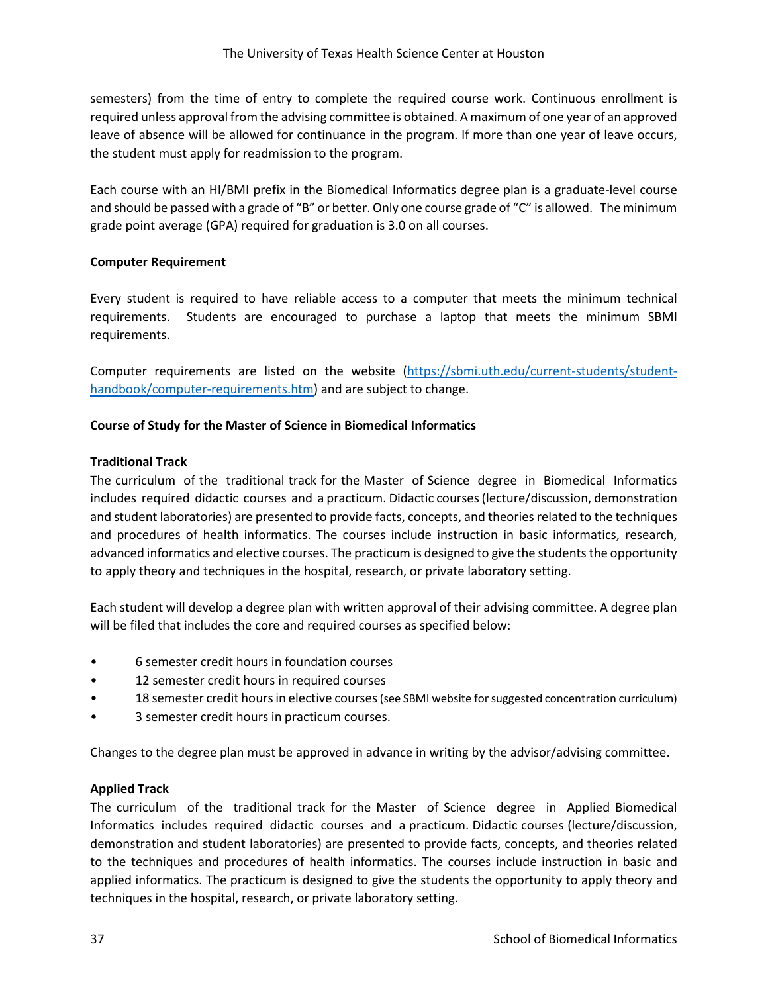semesters) from the time of entry to complete the required course work. Continuous enrollment is required unless approval from the advising committee is obtained. A maximum of one year of an approved leave of absence will be allowed for continuance in the program. If more than one year of leave occurs, the student must apply for readmission to the program.

Each course with an HI/BMI prefix in the Biomedical Informatics degree plan is a graduate-level course and should be passed with a grade of "B" or better. Only one course grade of "C" is allowed. The minimum grade point average (GPA) required for graduation is 3.0 on all courses.

# **Computer Requirement**

Every student is required to have reliable access to a computer that meets the minimum technical requirements. Students are encouraged to purchase a laptop that meets the minimum SBMI requirements.

Computer requirements are listed on the website [\(https://sbmi.uth.edu/current-students/student](https://sbmi.uth.edu/current-students/student-handbook/computer-requirements.htm)[handbook/computer-requirements.htm\)](https://sbmi.uth.edu/current-students/student-handbook/computer-requirements.htm) and are subject to change.

# **Course of Study for the Master of Science in Biomedical Informatics**

# **Traditional Track**

The curriculum of the traditional track for the Master of Science degree in Biomedical Informatics includes required didactic courses and a practicum. Didactic courses (lecture/discussion, demonstration and student laboratories) are presented to provide facts, concepts, and theories related to the techniques and procedures of health informatics. The courses include instruction in basic informatics, research, advanced informatics and elective courses. The practicum is designed to give the students the opportunity to apply theory and techniques in the hospital, research, or private laboratory setting.

Each student will develop a degree plan with written approval of their advising committee. A degree plan will be filed that includes the core and required courses as specified below:

- 6 semester credit hours in foundation courses
- 12 semester credit hours in required courses
- 18 semester credit hours in elective courses (see SBMI website for suggested concentration curriculum)
- 3 semester credit hours in practicum courses.

Changes to the degree plan must be approved in advance in writing by the advisor/advising committee.

#### **Applied Track**

The curriculum of the traditional track for the Master of Science degree in Applied Biomedical Informatics includes required didactic courses and a practicum. Didactic courses (lecture/discussion, demonstration and student laboratories) are presented to provide facts, concepts, and theories related to the techniques and procedures of health informatics. The courses include instruction in basic and applied informatics. The practicum is designed to give the students the opportunity to apply theory and techniques in the hospital, research, or private laboratory setting.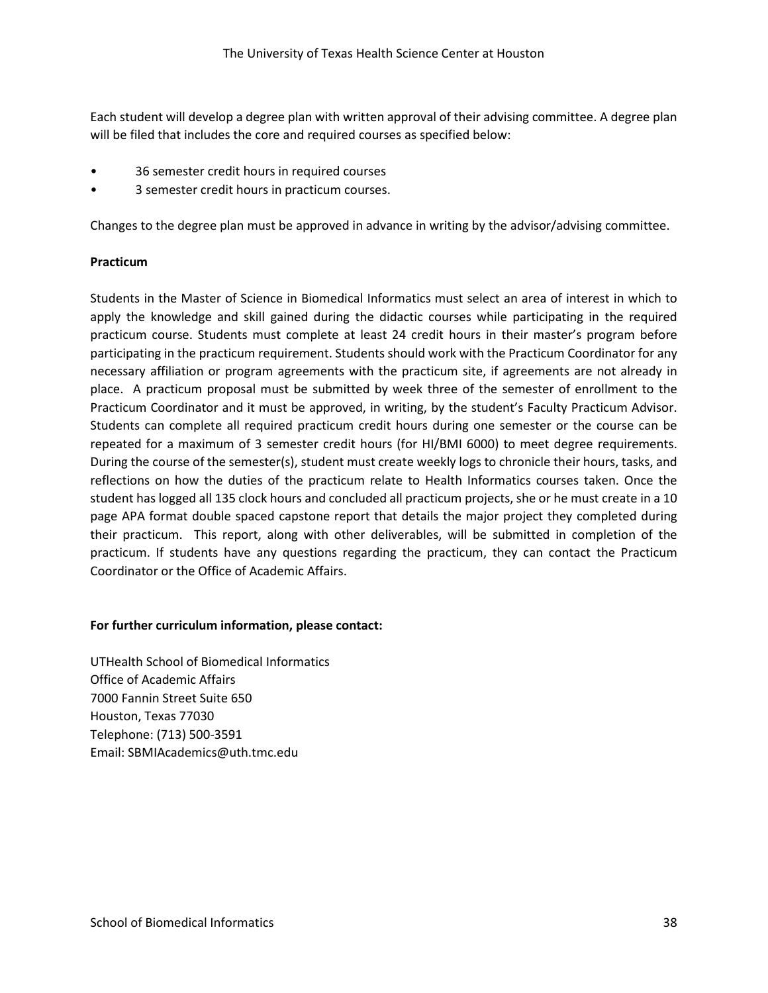Each student will develop a degree plan with written approval of their advising committee. A degree plan will be filed that includes the core and required courses as specified below:

- 36 semester credit hours in required courses
- 3 semester credit hours in practicum courses.

Changes to the degree plan must be approved in advance in writing by the advisor/advising committee.

#### **Practicum**

Students in the Master of Science in Biomedical Informatics must select an area of interest in which to apply the knowledge and skill gained during the didactic courses while participating in the required practicum course. Students must complete at least 24 credit hours in their master's program before participating in the practicum requirement. Students should work with the Practicum Coordinator for any necessary affiliation or program agreements with the practicum site, if agreements are not already in place. A practicum proposal must be submitted by week three of the semester of enrollment to the Practicum Coordinator and it must be approved, in writing, by the student's Faculty Practicum Advisor. Students can complete all required practicum credit hours during one semester or the course can be repeated for a maximum of 3 semester credit hours (for HI/BMI 6000) to meet degree requirements. During the course of the semester(s), student must create weekly logs to chronicle their hours, tasks, and reflections on how the duties of the practicum relate to Health Informatics courses taken. Once the student has logged all 135 clock hours and concluded all practicum projects, she or he must create in a 10 page APA format double spaced capstone report that details the major project they completed during their practicum. This report, along with other deliverables, will be submitted in completion of the practicum. If students have any questions regarding the practicum, they can contact the Practicum Coordinator or the Office of Academic Affairs.

#### **For further curriculum information, please contact:**

UTHealth School of Biomedical Informatics Office of Academic Affairs 7000 Fannin Street Suite 650 Houston, Texas 77030 Telephone: (713) 500‐3591 Email: SBMIAcademics@uth.tmc.edu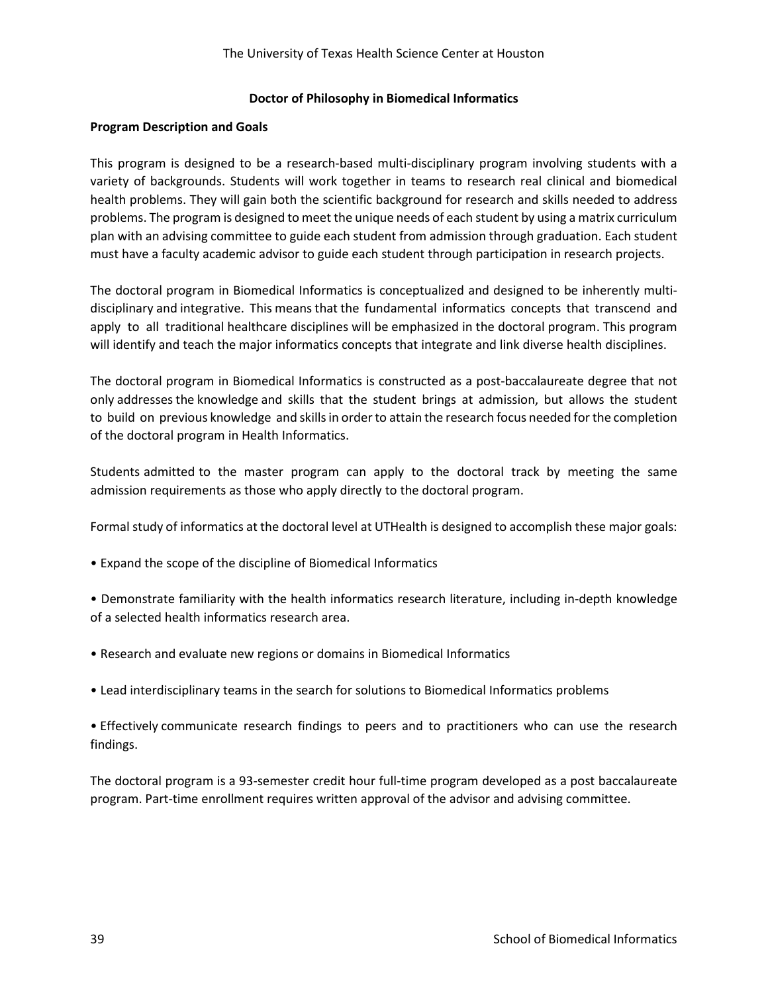#### **Doctor of Philosophy in Biomedical Informatics**

## **Program Description and Goals**

This program is designed to be a research-based multi‐disciplinary program involving students with a variety of backgrounds. Students will work together in teams to research real clinical and biomedical health problems. They will gain both the scientific background for research and skills needed to address problems. The program is designed to meet the unique needs of each student by using a matrix curriculum plan with an advising committee to guide each student from admission through graduation. Each student must have a faculty academic advisor to guide each student through participation in research projects.

The doctoral program in Biomedical Informatics is conceptualized and designed to be inherently multi‐ disciplinary and integrative. This means that the fundamental informatics concepts that transcend and apply to all traditional healthcare disciplines will be emphasized in the doctoral program. This program will identify and teach the major informatics concepts that integrate and link diverse health disciplines.

The doctoral program in Biomedical Informatics is constructed as a post‐baccalaureate degree that not only addresses the knowledge and skills that the student brings at admission, but allows the student to build on previous knowledge and skills in order to attain the research focus needed for the completion of the doctoral program in Health Informatics.

Students admitted to the master program can apply to the doctoral track by meeting the same admission requirements as those who apply directly to the doctoral program.

Formal study of informatics at the doctoral level at UTHealth is designed to accomplish these major goals:

- Expand the scope of the discipline of Biomedical Informatics
- Demonstrate familiarity with the health informatics research literature, including in-depth knowledge of a selected health informatics research area.
- Research and evaluate new regions or domains in Biomedical Informatics
- Lead interdisciplinary teams in the search for solutions to Biomedical Informatics problems

• Effectively communicate research findings to peers and to practitioners who can use the research findings.

The doctoral program is a 93‐semester credit hour full‐time program developed as a post baccalaureate program. Part-time enrollment requires written approval of the advisor and advising committee.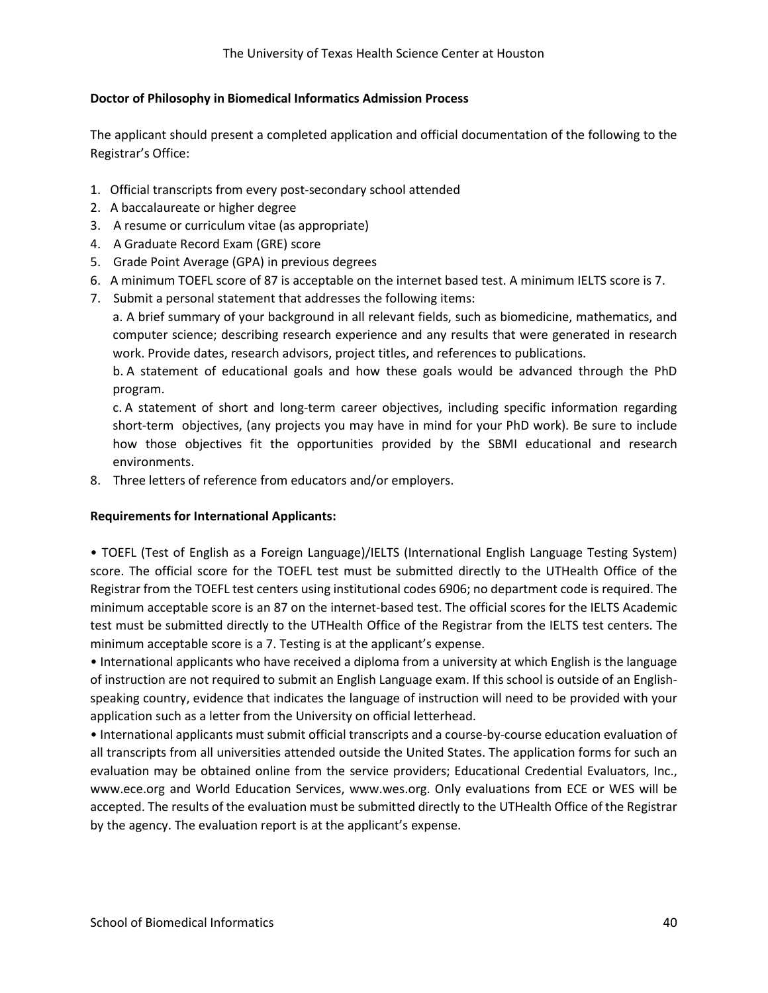# **Doctor of Philosophy in Biomedical Informatics Admission Process**

The applicant should present a completed application and official documentation of the following to the Registrar's Office:

- 1. Official transcripts from every post‐secondary school attended
- 2. A baccalaureate or higher degree
- 3. A resume or curriculum vitae (as appropriate)
- 4. A Graduate Record Exam (GRE) score
- 5. Grade Point Average (GPA) in previous degrees
- 6. A minimum TOEFL score of 87 is acceptable on the internet based test. A minimum IELTS score is 7.
- 7. Submit a personal statement that addresses the following items:

a. A brief summary of your background in all relevant fields, such as biomedicine, mathematics, and computer science; describing research experience and any results that were generated in research work. Provide dates, research advisors, project titles, and references to publications.

b. A statement of educational goals and how these goals would be advanced through the PhD program.

c. A statement of short and long‐term career objectives, including specific information regarding short-term objectives, (any projects you may have in mind for your PhD work). Be sure to include how those objectives fit the opportunities provided by the SBMI educational and research environments.

8. Three letters of reference from educators and/or employers.

#### **Requirements for International Applicants:**

• TOEFL (Test of English as a Foreign Language)/IELTS (International English Language Testing System) score. The official score for the TOEFL test must be submitted directly to the UTHealth Office of the Registrar from the TOEFL test centers using institutional codes 6906; no department code is required. The minimum acceptable score is an 87 on the internet-based test. The official scores for the IELTS Academic test must be submitted directly to the UTHealth Office of the Registrar from the IELTS test centers. The minimum acceptable score is a 7. Testing is at the applicant's expense.

• International applicants who have received a diploma from a university at which English is the language of instruction are not required to submit an English Language exam. If this school is outside of an Englishspeaking country, evidence that indicates the language of instruction will need to be provided with your application such as a letter from the University on official letterhead.

• International applicants must submit official transcripts and a course-by-course education evaluation of all transcripts from all universities attended outside the United States. The application forms for such an evaluation may be obtained online from the service providers; Educational Credential Evaluators, Inc., www.ece.org and World Education Services, www.wes.org. Only evaluations from ECE or WES will be accepted. The results of the evaluation must be submitted directly to the UTHealth Office of the Registrar by the agency. The evaluation report is at the applicant's expense.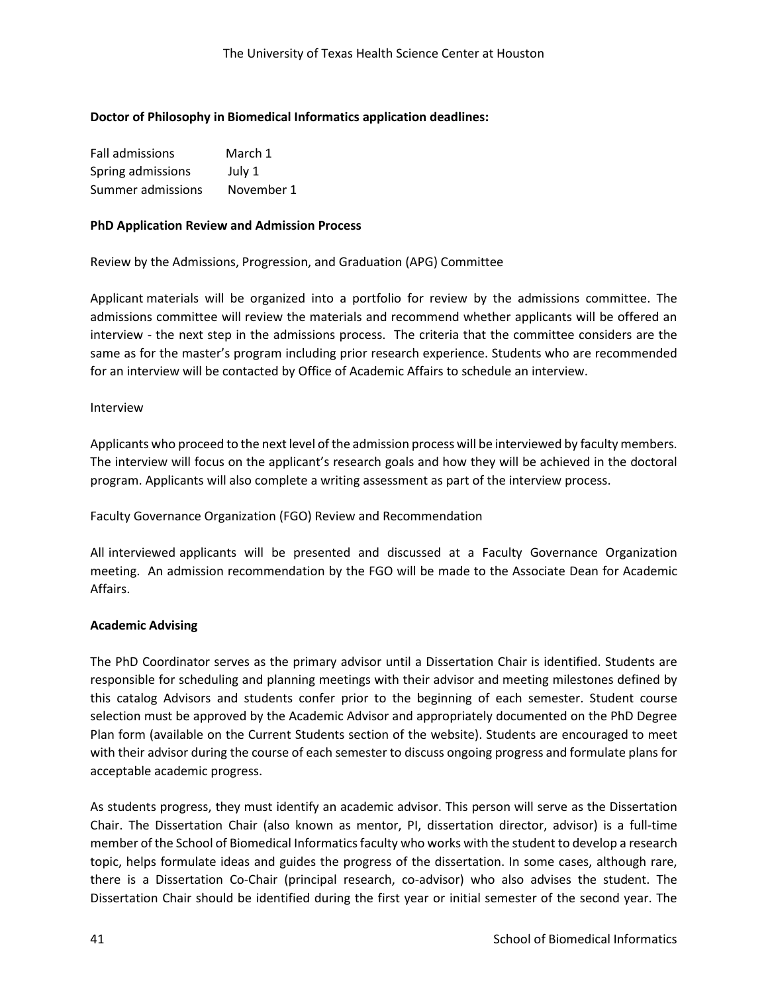# **Doctor of Philosophy in Biomedical Informatics application deadlines:**

| Fall admissions   | March 1    |
|-------------------|------------|
| Spring admissions | July 1     |
| Summer admissions | November 1 |

#### **PhD Application Review and Admission Process**

Review by the Admissions, Progression, and Graduation (APG) Committee

Applicant materials will be organized into a portfolio for review by the admissions committee. The admissions committee will review the materials and recommend whether applicants will be offered an interview - the next step in the admissions process. The criteria that the committee considers are the same as for the master's program including prior research experience. Students who are recommended for an interview will be contacted by Office of Academic Affairs to schedule an interview.

#### Interview

Applicants who proceed to the next level of the admission process will be interviewed by faculty members. The interview will focus on the applicant's research goals and how they will be achieved in the doctoral program. Applicants will also complete a writing assessment as part of the interview process.

Faculty Governance Organization (FGO) Review and Recommendation

All interviewed applicants will be presented and discussed at a Faculty Governance Organization meeting. An admission recommendation by the FGO will be made to the Associate Dean for Academic Affairs.

#### **Academic Advising**

The PhD Coordinator serves as the primary advisor until a Dissertation Chair is identified. Students are responsible for scheduling and planning meetings with their advisor and meeting milestones defined by this catalog Advisors and students confer prior to the beginning of each semester. Student course selection must be approved by the Academic Advisor and appropriately documented on the PhD Degree Plan form (available on the Current Students section of the website). Students are encouraged to meet with their advisor during the course of each semester to discuss ongoing progress and formulate plans for acceptable academic progress.

As students progress, they must identify an academic advisor. This person will serve as the Dissertation Chair. The Dissertation Chair (also known as mentor, PI, dissertation director, advisor) is a full-time member of the School of Biomedical Informatics faculty who works with the student to develop a research topic, helps formulate ideas and guides the progress of the dissertation. In some cases, although rare, there is a Dissertation Co‐Chair (principal research, co‐advisor) who also advises the student. The Dissertation Chair should be identified during the first year or initial semester of the second year. The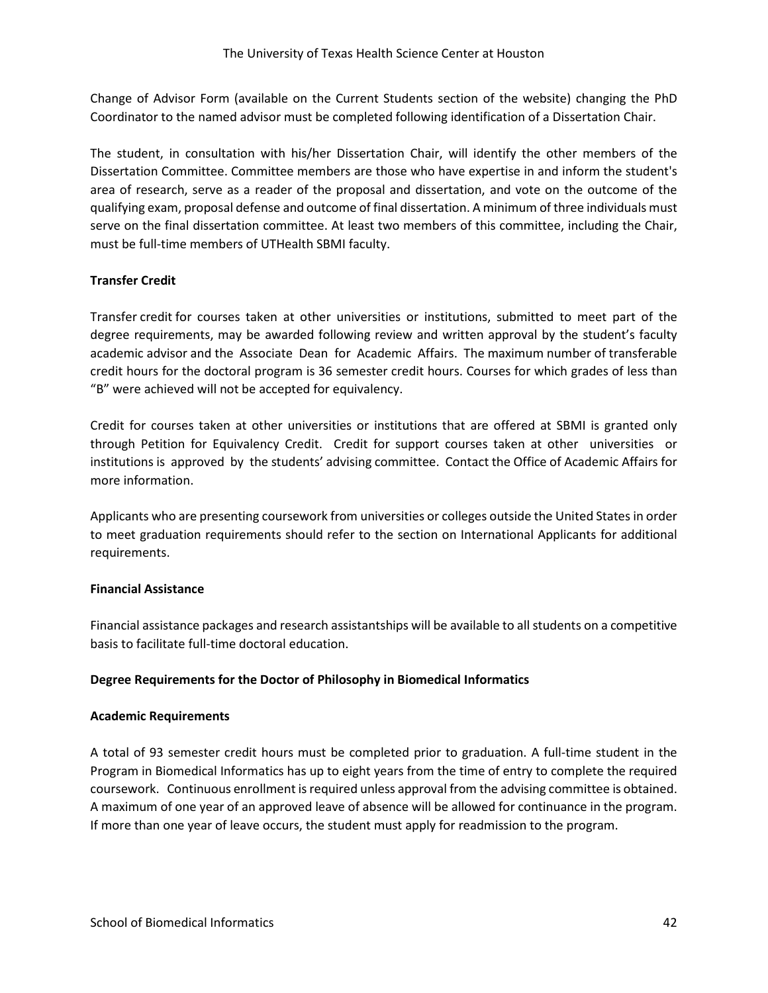Change of Advisor Form (available on the Current Students section of the website) changing the PhD Coordinator to the named advisor must be completed following identification of a Dissertation Chair.

The student, in consultation with his/her Dissertation Chair, will identify the other members of the Dissertation Committee. Committee members are those who have expertise in and inform the student's area of research, serve as a reader of the proposal and dissertation, and vote on the outcome of the qualifying exam, proposal defense and outcome of final dissertation. A minimum of three individuals must serve on the final dissertation committee. At least two members of this committee, including the Chair, must be full-time members of UTHealth SBMI faculty.

# **Transfer Credit**

Transfer credit for courses taken at other universities or institutions, submitted to meet part of the degree requirements, may be awarded following review and written approval by the student's faculty academic advisor and the Associate Dean for Academic Affairs. The maximum number of transferable credit hours for the doctoral program is 36 semester credit hours. Courses for which grades of less than "B" were achieved will not be accepted for equivalency.

Credit for courses taken at other universities or institutions that are offered at SBMI is granted only through Petition for Equivalency Credit. Credit for support courses taken at other universities or institutions is approved by the students' advising committee. Contact the Office of Academic Affairs for more information.

Applicants who are presenting coursework from universities or colleges outside the United States in order to meet graduation requirements should refer to the section on International Applicants for additional requirements.

#### **Financial Assistance**

Financial assistance packages and research assistantships will be available to all students on a competitive basis to facilitate full-time doctoral education.

#### **Degree Requirements for the Doctor of Philosophy in Biomedical Informatics**

#### **Academic Requirements**

A total of 93 semester credit hours must be completed prior to graduation. A full‐time student in the Program in Biomedical Informatics has up to eight years from the time of entry to complete the required coursework. Continuous enrollment is required unless approval from the advising committee is obtained. A maximum of one year of an approved leave of absence will be allowed for continuance in the program. If more than one year of leave occurs, the student must apply for readmission to the program.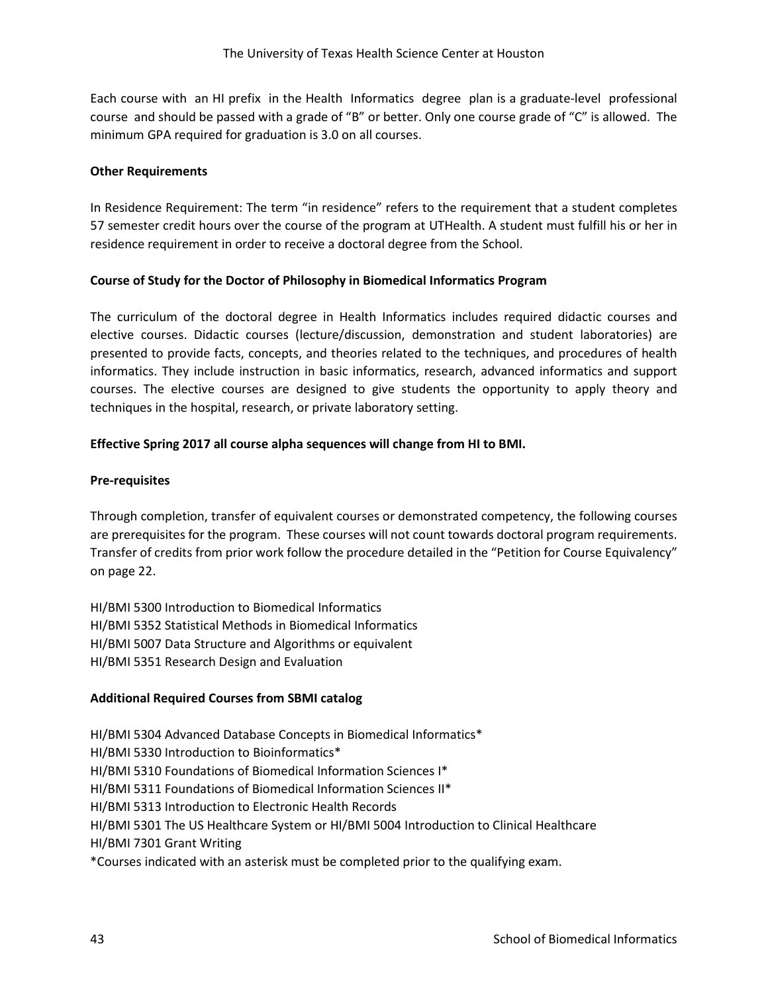Each course with an HI prefix in the Health Informatics degree plan is a graduate‐level professional course and should be passed with a grade of "B" or better. Only one course grade of "C" is allowed. The minimum GPA required for graduation is 3.0 on all courses.

## **Other Requirements**

In Residence Requirement: The term "in residence" refers to the requirement that a student completes 57 semester credit hours over the course of the program at UTHealth. A student must fulfill his or her in residence requirement in order to receive a doctoral degree from the School.

# **Course of Study for the Doctor of Philosophy in Biomedical Informatics Program**

The curriculum of the doctoral degree in Health Informatics includes required didactic courses and elective courses. Didactic courses (lecture/discussion, demonstration and student laboratories) are presented to provide facts, concepts, and theories related to the techniques, and procedures of health informatics. They include instruction in basic informatics, research, advanced informatics and support courses. The elective courses are designed to give students the opportunity to apply theory and techniques in the hospital, research, or private laboratory setting.

# **Effective Spring 2017 all course alpha sequences will change from HI to BMI.**

# **Pre-requisites**

Through completion, transfer of equivalent courses or demonstrated competency, the following courses are prerequisites for the program. These courses will not count towards doctoral program requirements. Transfer of credits from prior work follow the procedure detailed in the "Petition for Course Equivalency" on page 22.

HI/BMI 5300 Introduction to Biomedical Informatics HI/BMI 5352 Statistical Methods in Biomedical Informatics HI/BMI 5007 Data Structure and Algorithms or equivalent HI/BMI 5351 Research Design and Evaluation

#### **Additional Required Courses from SBMI catalog**

HI/BMI 5304 Advanced Database Concepts in Biomedical Informatics\* HI/BMI 5330 Introduction to Bioinformatics\* HI/BMI 5310 Foundations of Biomedical Information Sciences I\* HI/BMI 5311 Foundations of Biomedical Information Sciences II\* HI/BMI 5313 Introduction to Electronic Health Records HI/BMI 5301 The US Healthcare System or HI/BMI 5004 Introduction to Clinical Healthcare HI/BMI 7301 Grant Writing \*Courses indicated with an asterisk must be completed prior to the qualifying exam.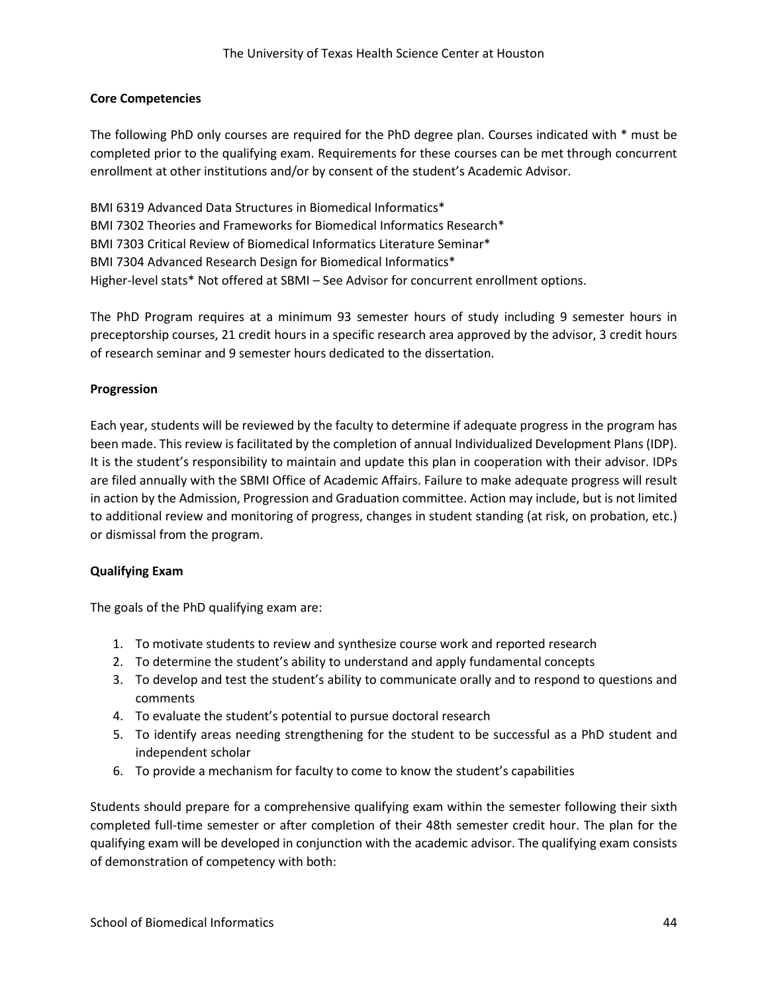### **Core Competencies**

The following PhD only courses are required for the PhD degree plan. Courses indicated with \* must be completed prior to the qualifying exam. Requirements for these courses can be met through concurrent enrollment at other institutions and/or by consent of the student's Academic Advisor.

BMI 6319 Advanced Data Structures in Biomedical Informatics\* BMI 7302 Theories and Frameworks for Biomedical Informatics Research\* BMI 7303 Critical Review of Biomedical Informatics Literature Seminar\* BMI 7304 Advanced Research Design for Biomedical Informatics\* Higher-level stats\* Not offered at SBMI – See Advisor for concurrent enrollment options.

The PhD Program requires at a minimum 93 semester hours of study including 9 semester hours in preceptorship courses, 21 credit hours in a specific research area approved by the advisor, 3 credit hours of research seminar and 9 semester hours dedicated to the dissertation.

#### **Progression**

Each year, students will be reviewed by the faculty to determine if adequate progress in the program has been made. This review is facilitated by the completion of annual Individualized Development Plans (IDP). It is the student's responsibility to maintain and update this plan in cooperation with their advisor. IDPs are filed annually with the SBMI Office of Academic Affairs. Failure to make adequate progress will result in action by the Admission, Progression and Graduation committee. Action may include, but is not limited to additional review and monitoring of progress, changes in student standing (at risk, on probation, etc.) or dismissal from the program.

#### **Qualifying Exam**

The goals of the PhD qualifying exam are:

- 1. To motivate students to review and synthesize course work and reported research
- 2. To determine the student's ability to understand and apply fundamental concepts
- 3. To develop and test the student's ability to communicate orally and to respond to questions and comments
- 4. To evaluate the student's potential to pursue doctoral research
- 5. To identify areas needing strengthening for the student to be successful as a PhD student and independent scholar
- 6. To provide a mechanism for faculty to come to know the student's capabilities

Students should prepare for a comprehensive qualifying exam within the semester following their sixth completed full-time semester or after completion of their 48th semester credit hour. The plan for the qualifying exam will be developed in conjunction with the academic advisor. The qualifying exam consists of demonstration of competency with both: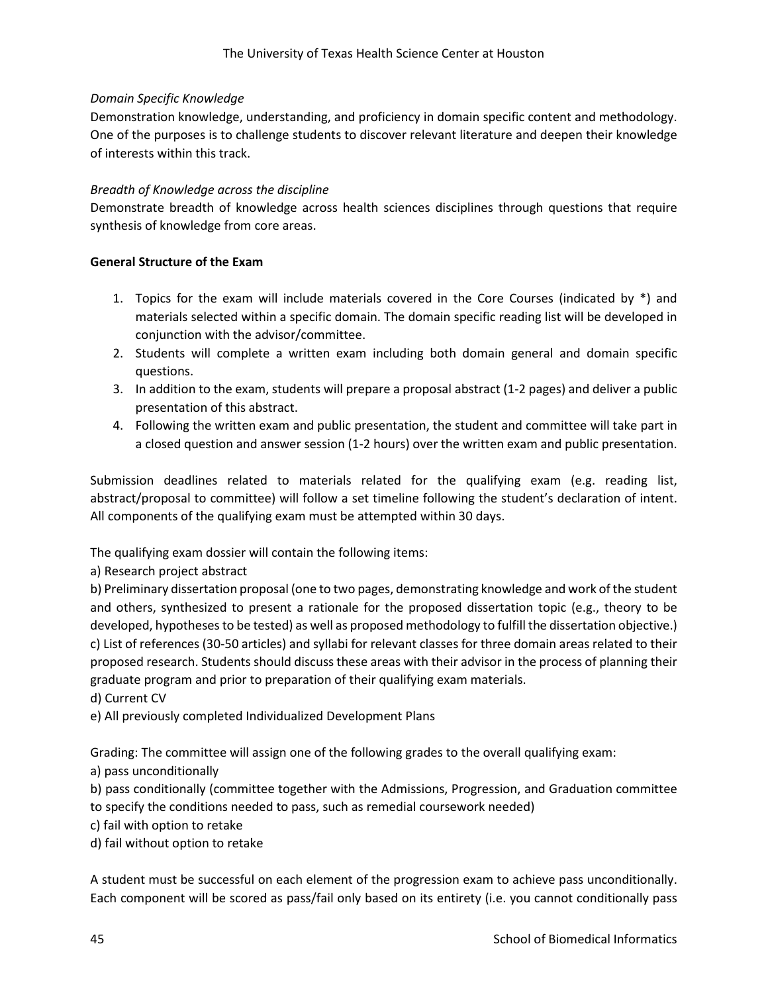## *Domain Specific Knowledge*

Demonstration knowledge, understanding, and proficiency in domain specific content and methodology. One of the purposes is to challenge students to discover relevant literature and deepen their knowledge of interests within this track.

## *Breadth of Knowledge across the discipline*

Demonstrate breadth of knowledge across health sciences disciplines through questions that require synthesis of knowledge from core areas.

# **General Structure of the Exam**

- 1. Topics for the exam will include materials covered in the Core Courses (indicated by \*) and materials selected within a specific domain. The domain specific reading list will be developed in conjunction with the advisor/committee.
- 2. Students will complete a written exam including both domain general and domain specific questions.
- 3. In addition to the exam, students will prepare a proposal abstract (1-2 pages) and deliver a public presentation of this abstract.
- 4. Following the written exam and public presentation, the student and committee will take part in a closed question and answer session (1-2 hours) over the written exam and public presentation.

Submission deadlines related to materials related for the qualifying exam (e.g. reading list, abstract/proposal to committee) will follow a set timeline following the student's declaration of intent. All components of the qualifying exam must be attempted within 30 days.

The qualifying exam dossier will contain the following items:

a) Research project abstract

b) Preliminary dissertation proposal (one to two pages, demonstrating knowledge and work of the student and others, synthesized to present a rationale for the proposed dissertation topic (e.g., theory to be developed, hypotheses to be tested) as well as proposed methodology to fulfill the dissertation objective.) c) List of references (30-50 articles) and syllabi for relevant classes for three domain areas related to their proposed research. Students should discuss these areas with their advisor in the process of planning their graduate program and prior to preparation of their qualifying exam materials.

d) Current CV

e) All previously completed Individualized Development Plans

Grading: The committee will assign one of the following grades to the overall qualifying exam:

a) pass unconditionally

b) pass conditionally (committee together with the Admissions, Progression, and Graduation committee to specify the conditions needed to pass, such as remedial coursework needed)

c) fail with option to retake

d) fail without option to retake

A student must be successful on each element of the progression exam to achieve pass unconditionally. Each component will be scored as pass/fail only based on its entirety (i.e. you cannot conditionally pass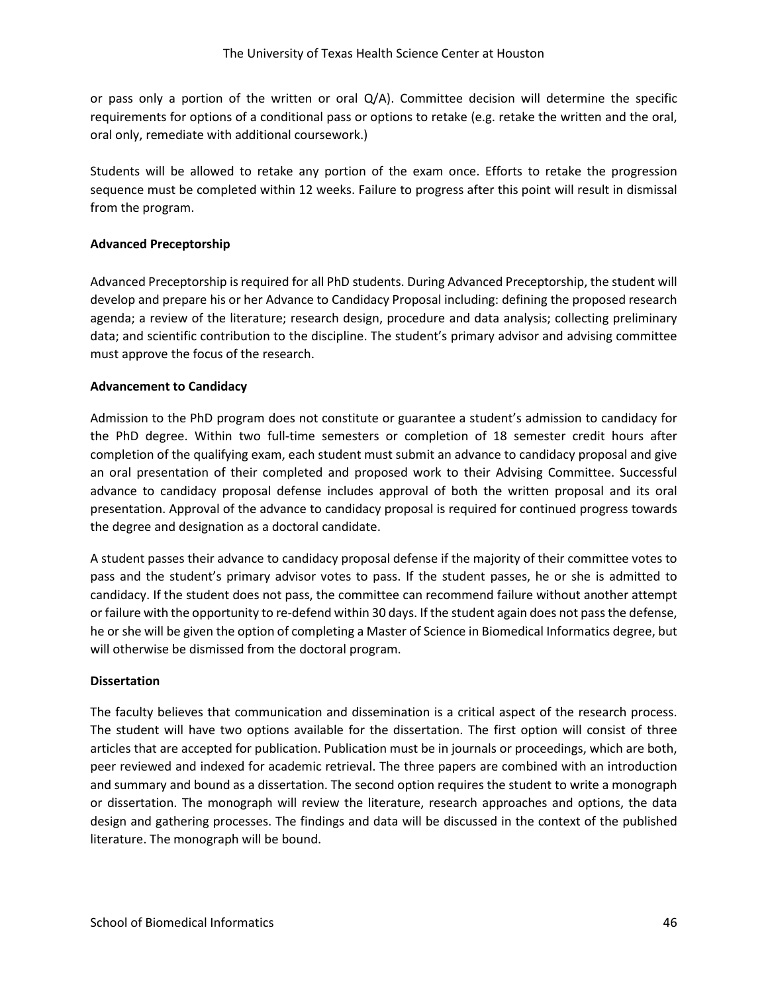or pass only a portion of the written or oral Q/A). Committee decision will determine the specific requirements for options of a conditional pass or options to retake (e.g. retake the written and the oral, oral only, remediate with additional coursework.)

Students will be allowed to retake any portion of the exam once. Efforts to retake the progression sequence must be completed within 12 weeks. Failure to progress after this point will result in dismissal from the program.

# **Advanced Preceptorship**

Advanced Preceptorship is required for all PhD students. During Advanced Preceptorship, the student will develop and prepare his or her Advance to Candidacy Proposal including: defining the proposed research agenda; a review of the literature; research design, procedure and data analysis; collecting preliminary data; and scientific contribution to the discipline. The student's primary advisor and advising committee must approve the focus of the research.

# **Advancement to Candidacy**

Admission to the PhD program does not constitute or guarantee a student's admission to candidacy for the PhD degree. Within two full-time semesters or completion of 18 semester credit hours after completion of the qualifying exam, each student must submit an advance to candidacy proposal and give an oral presentation of their completed and proposed work to their Advising Committee. Successful advance to candidacy proposal defense includes approval of both the written proposal and its oral presentation. Approval of the advance to candidacy proposal is required for continued progress towards the degree and designation as a doctoral candidate.

A student passes their advance to candidacy proposal defense if the majority of their committee votes to pass and the student's primary advisor votes to pass. If the student passes, he or she is admitted to candidacy. If the student does not pass, the committee can recommend failure without another attempt or failure with the opportunity to re‐defend within 30 days. If the student again does not passthe defense, he or she will be given the option of completing a Master of Science in Biomedical Informatics degree, but will otherwise be dismissed from the doctoral program.

#### **Dissertation**

The faculty believes that communication and dissemination is a critical aspect of the research process. The student will have two options available for the dissertation. The first option will consist of three articles that are accepted for publication. Publication must be in journals or proceedings, which are both, peer reviewed and indexed for academic retrieval. The three papers are combined with an introduction and summary and bound as a dissertation. The second option requires the student to write a monograph or dissertation. The monograph will review the literature, research approaches and options, the data design and gathering processes. The findings and data will be discussed in the context of the published literature. The monograph will be bound.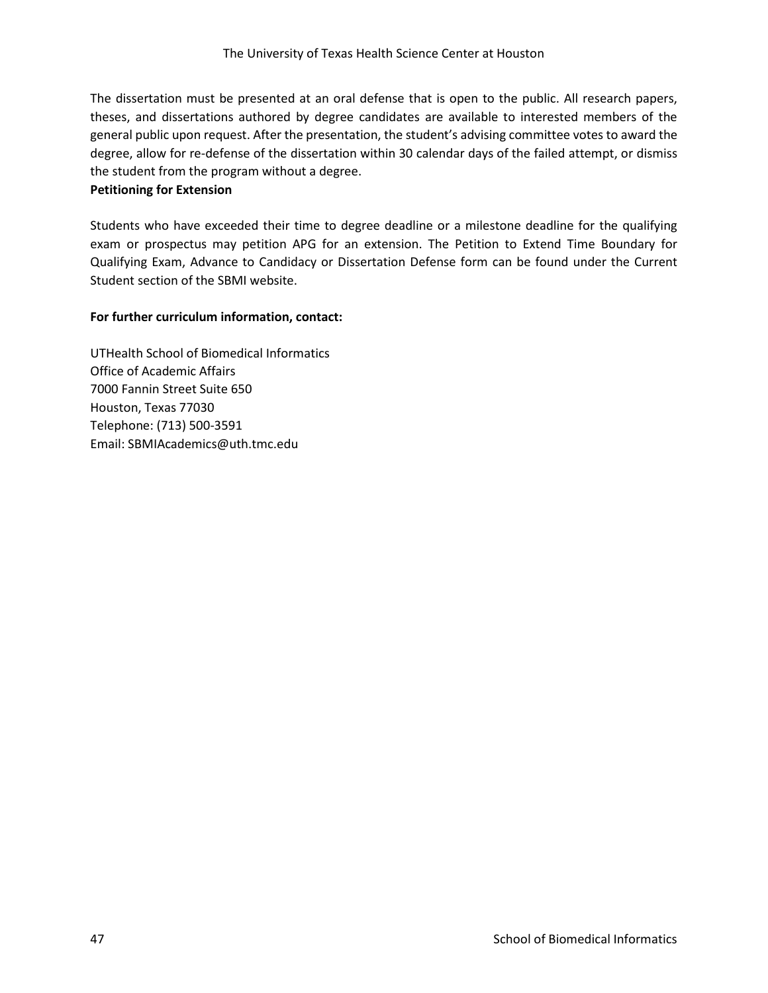The dissertation must be presented at an oral defense that is open to the public. All research papers, theses, and dissertations authored by degree candidates are available to interested members of the general public upon request. After the presentation, the student's advising committee votes to award the degree, allow for re-defense of the dissertation within 30 calendar days of the failed attempt, or dismiss the student from the program without a degree.

## **Petitioning for Extension**

Students who have exceeded their time to degree deadline or a milestone deadline for the qualifying exam or prospectus may petition APG for an extension. The Petition to Extend Time Boundary for Qualifying Exam, Advance to Candidacy or Dissertation Defense form can be found under the Current Student section of the SBMI website.

# **For further curriculum information, contact:**

UTHealth School of Biomedical Informatics Office of Academic Affairs 7000 Fannin Street Suite 650 Houston, Texas 77030 Telephone: (713) 500‐3591 Email: SBMIAcademics@uth.tmc.edu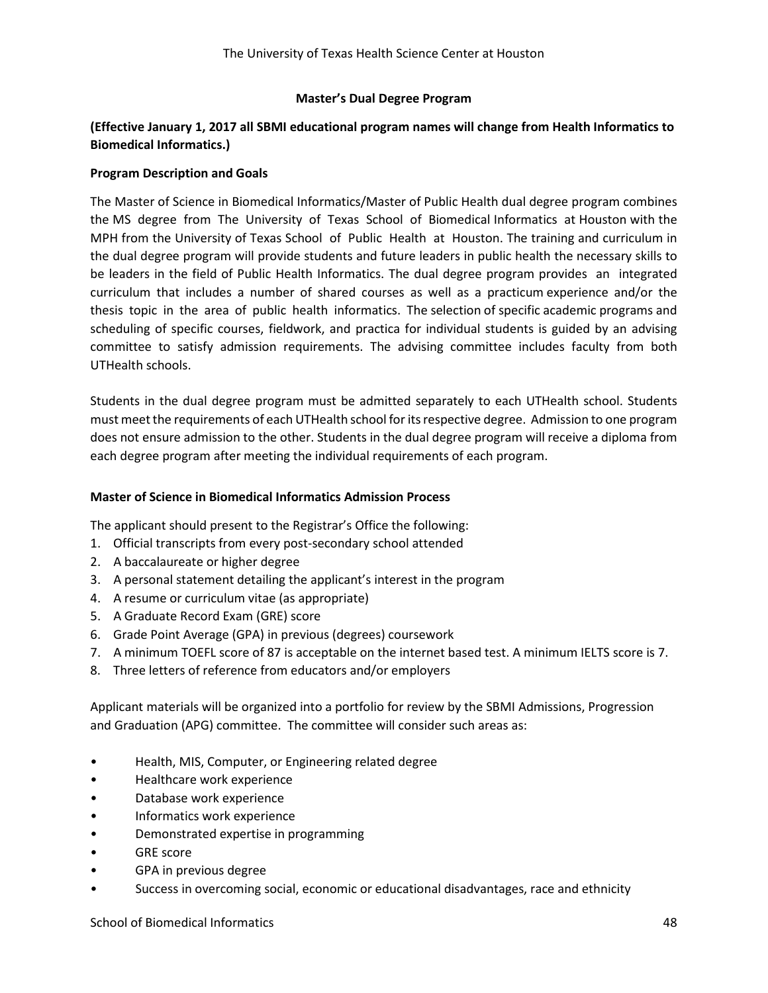## **Master's Dual Degree Program**

# **(Effective January 1, 2017 all SBMI educational program names will change from Health Informatics to Biomedical Informatics.)**

#### **Program Description and Goals**

The Master of Science in Biomedical Informatics/Master of Public Health dual degree program combines the MS degree from The University of Texas School of Biomedical Informatics at Houston with the MPH from the University of Texas School of Public Health at Houston. The training and curriculum in the dual degree program will provide students and future leaders in public health the necessary skills to be leaders in the field of Public Health Informatics. The dual degree program provides an integrated curriculum that includes a number of shared courses as well as a practicum experience and/or the thesis topic in the area of public health informatics. The selection of specific academic programs and scheduling of specific courses, fieldwork, and practica for individual students is guided by an advising committee to satisfy admission requirements. The advising committee includes faculty from both UTHealth schools.

Students in the dual degree program must be admitted separately to each UTHealth school. Students must meet the requirements of each UTHealth school for its respective degree. Admission to one program does not ensure admission to the other. Students in the dual degree program will receive a diploma from each degree program after meeting the individual requirements of each program.

#### **Master of Science in Biomedical Informatics Admission Process**

The applicant should present to the Registrar's Office the following:

- 1. Official transcripts from every post-secondary school attended
- 2. A baccalaureate or higher degree
- 3. A personal statement detailing the applicant's interest in the program
- 4. A resume or curriculum vitae (as appropriate)
- 5. A Graduate Record Exam (GRE) score
- 6. Grade Point Average (GPA) in previous (degrees) coursework
- 7. A minimum TOEFL score of 87 is acceptable on the internet based test. A minimum IELTS score is 7.
- 8. Three letters of reference from educators and/or employers

Applicant materials will be organized into a portfolio for review by the SBMI Admissions, Progression and Graduation (APG) committee. The committee will consider such areas as:

- Health, MIS, Computer, or Engineering related degree
- Healthcare work experience
- Database work experience
- Informatics work experience
- Demonstrated expertise in programming
- GRE score
- GPA in previous degree
- Success in overcoming social, economic or educational disadvantages, race and ethnicity

School of Biomedical Informatics 48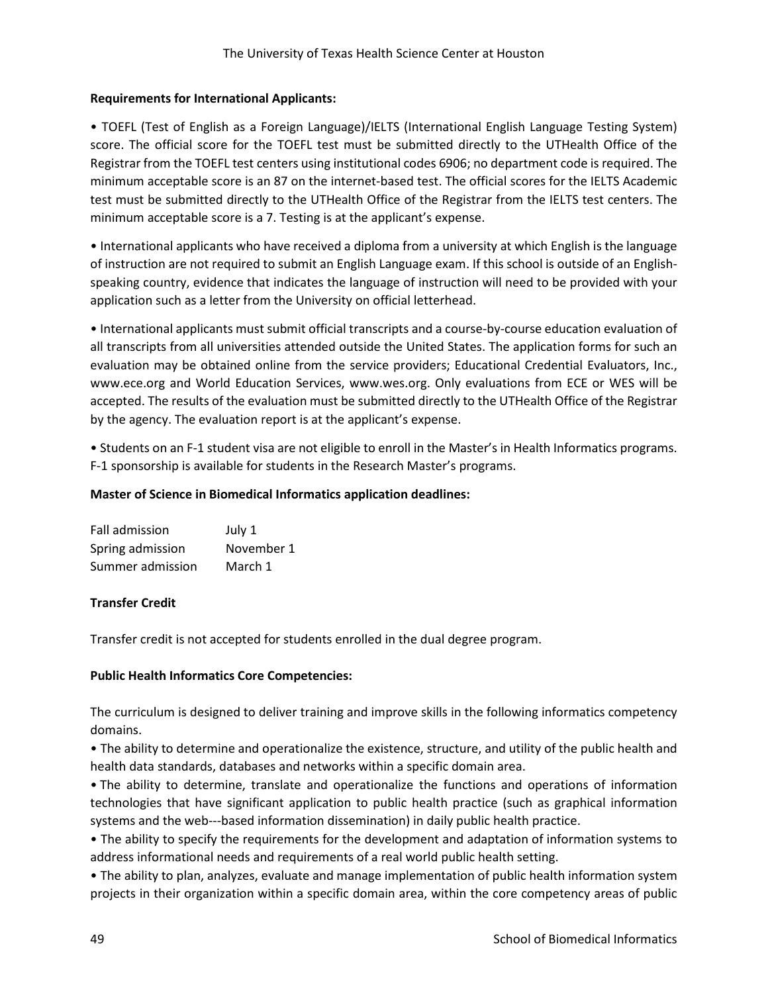# **Requirements for International Applicants:**

• TOEFL (Test of English as a Foreign Language)/IELTS (International English Language Testing System) score. The official score for the TOEFL test must be submitted directly to the UTHealth Office of the Registrar from the TOEFL test centers using institutional codes 6906; no department code is required. The minimum acceptable score is an 87 on the internet-based test. The official scores for the IELTS Academic test must be submitted directly to the UTHealth Office of the Registrar from the IELTS test centers. The minimum acceptable score is a 7. Testing is at the applicant's expense.

• International applicants who have received a diploma from a university at which English is the language of instruction are not required to submit an English Language exam. If this school is outside of an Englishspeaking country, evidence that indicates the language of instruction will need to be provided with your application such as a letter from the University on official letterhead.

• International applicants must submit official transcripts and a course-by-course education evaluation of all transcripts from all universities attended outside the United States. The application forms for such an evaluation may be obtained online from the service providers; Educational Credential Evaluators, Inc., www.ece.org and World Education Services, www.wes.org. Only evaluations from ECE or WES will be accepted. The results of the evaluation must be submitted directly to the UTHealth Office of the Registrar by the agency. The evaluation report is at the applicant's expense.

• Students on an F-1 student visa are not eligible to enroll in the Master's in Health Informatics programs. F-1 sponsorship is available for students in the Research Master's programs.

# **Master of Science in Biomedical Informatics application deadlines:**

| Fall admission   | July 1     |
|------------------|------------|
| Spring admission | November 1 |
| Summer admission | March 1    |

# **Transfer Credit**

Transfer credit is not accepted for students enrolled in the dual degree program.

# **Public Health Informatics Core Competencies:**

The curriculum is designed to deliver training and improve skills in the following informatics competency domains.

• The ability to determine and operationalize the existence, structure, and utility of the public health and health data standards, databases and networks within a specific domain area.

• The ability to determine, translate and operationalize the functions and operations of information technologies that have significant application to public health practice (such as graphical information systems and the web---based information dissemination) in daily public health practice.

• The ability to specify the requirements for the development and adaptation of information systems to address informational needs and requirements of a real world public health setting.

• The ability to plan, analyzes, evaluate and manage implementation of public health information system projects in their organization within a specific domain area, within the core competency areas of public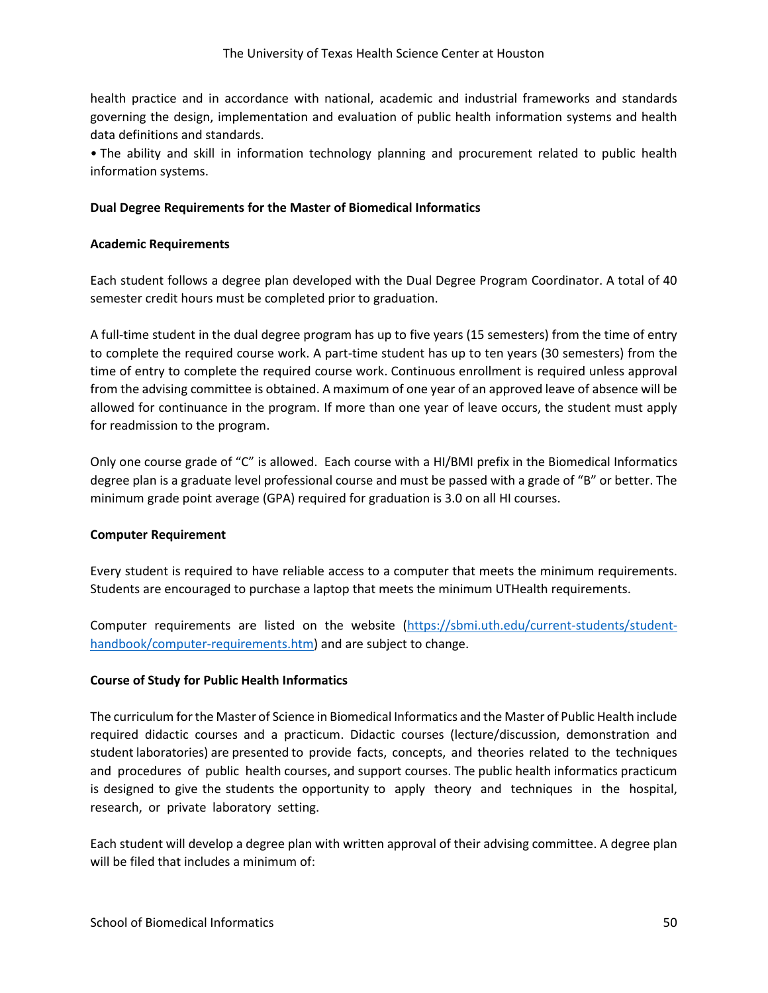health practice and in accordance with national, academic and industrial frameworks and standards governing the design, implementation and evaluation of public health information systems and health data definitions and standards.

• The ability and skill in information technology planning and procurement related to public health information systems.

# **Dual Degree Requirements for the Master of Biomedical Informatics**

## **Academic Requirements**

Each student follows a degree plan developed with the Dual Degree Program Coordinator. A total of 40 semester credit hours must be completed prior to graduation.

A full-time student in the dual degree program has up to five years (15 semesters) from the time of entry to complete the required course work. A part‐time student has up to ten years (30 semesters) from the time of entry to complete the required course work. Continuous enrollment is required unless approval from the advising committee is obtained. A maximum of one year of an approved leave of absence will be allowed for continuance in the program. If more than one year of leave occurs, the student must apply for readmission to the program.

Only one course grade of "C" is allowed. Each course with a HI/BMI prefix in the Biomedical Informatics degree plan is a graduate level professional course and must be passed with a grade of "B" or better. The minimum grade point average (GPA) required for graduation is 3.0 on all HI courses.

#### **Computer Requirement**

Every student is required to have reliable access to a computer that meets the minimum requirements. Students are encouraged to purchase a laptop that meets the minimum UTHealth requirements.

Computer requirements are listed on the website [\(https://sbmi.uth.edu/current-students/student](https://sbmi.uth.edu/current-students/student-handbook/computer-requirements.htm)[handbook/computer-requirements.htm\)](https://sbmi.uth.edu/current-students/student-handbook/computer-requirements.htm) and are subject to change.

#### **Course of Study for Public Health Informatics**

The curriculum for the Master of Science in Biomedical Informatics and the Master of Public Health include required didactic courses and a practicum. Didactic courses (lecture/discussion, demonstration and student laboratories) are presented to provide facts, concepts, and theories related to the techniques and procedures of public health courses, and support courses. The public health informatics practicum is designed to give the students the opportunity to apply theory and techniques in the hospital, research, or private laboratory setting.

Each student will develop a degree plan with written approval of their advising committee. A degree plan will be filed that includes a minimum of: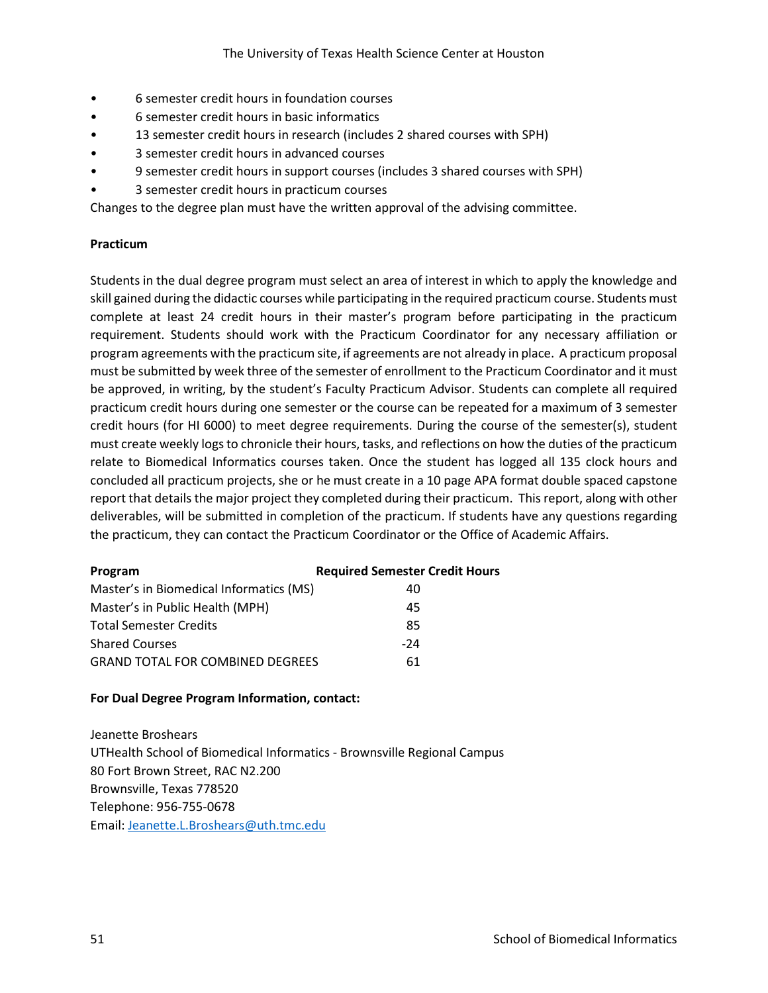- 6 semester credit hours in foundation courses
- 6 semester credit hours in basic informatics
- 13 semester credit hours in research (includes 2 shared courses with SPH)
- 3 semester credit hours in advanced courses
- 9 semester credit hours in support courses (includes 3 shared courses with SPH)
- 3 semester credit hours in practicum courses

Changes to the degree plan must have the written approval of the advising committee.

### **Practicum**

Students in the dual degree program must select an area of interest in which to apply the knowledge and skill gained during the didactic courses while participating in the required practicum course. Students must complete at least 24 credit hours in their master's program before participating in the practicum requirement. Students should work with the Practicum Coordinator for any necessary affiliation or program agreements with the practicum site, if agreements are not already in place. A practicum proposal must be submitted by week three of the semester of enrollment to the Practicum Coordinator and it must be approved, in writing, by the student's Faculty Practicum Advisor. Students can complete all required practicum credit hours during one semester or the course can be repeated for a maximum of 3 semester credit hours (for HI 6000) to meet degree requirements. During the course of the semester(s), student must create weekly logs to chronicle their hours, tasks, and reflections on how the duties of the practicum relate to Biomedical Informatics courses taken. Once the student has logged all 135 clock hours and concluded all practicum projects, she or he must create in a 10 page APA format double spaced capstone report that details the major project they completed during their practicum. This report, along with other deliverables, will be submitted in completion of the practicum. If students have any questions regarding the practicum, they can contact the Practicum Coordinator or the Office of Academic Affairs.

| Program                                 | <b>Required Semester Credit Hours</b> |
|-----------------------------------------|---------------------------------------|
| Master's in Biomedical Informatics (MS) | 40                                    |
| Master's in Public Health (MPH)         | 45                                    |
| <b>Total Semester Credits</b>           | 85                                    |
| <b>Shared Courses</b>                   | $-24$                                 |
| <b>GRAND TOTAL FOR COMBINED DEGREES</b> | 61                                    |

#### **For Dual Degree Program Information, contact:**

Jeanette Broshears UTHealth School of Biomedical Informatics - Brownsville Regional Campus 80 Fort Brown Street, RAC N2.200 Brownsville, Texas 778520 Telephone: 956-755-0678 Email: [Jeanette.L.Broshears@uth.tmc.edu](mailto:Jeanette.L.Broshears@uth.tmc.edu)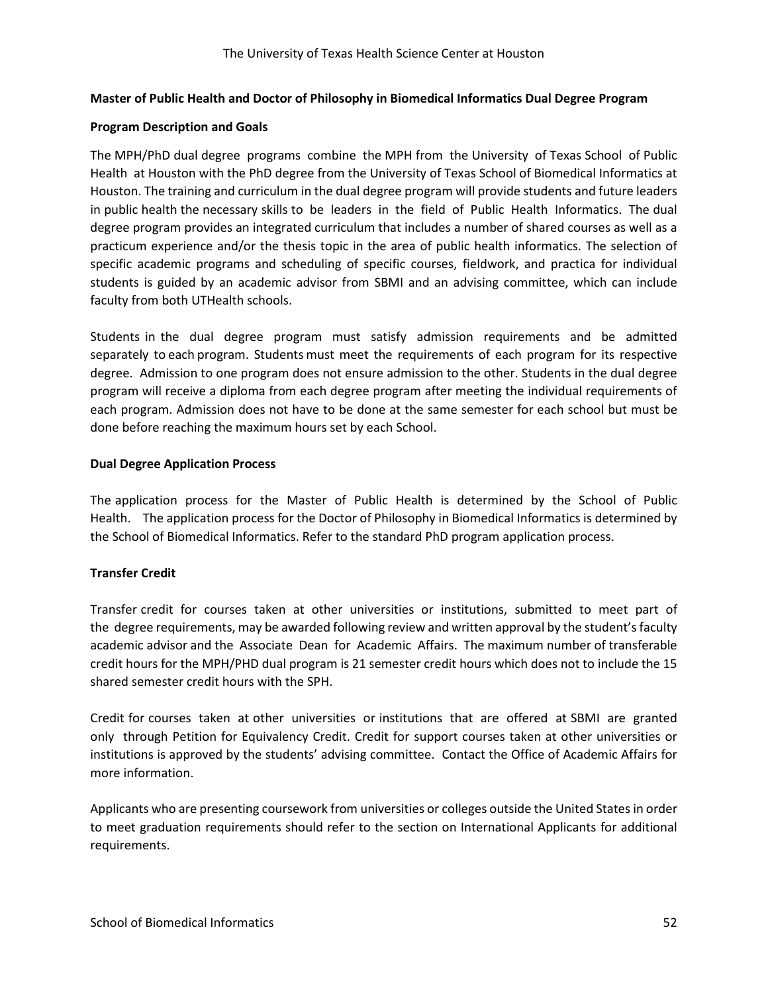### **Master of Public Health and Doctor of Philosophy in Biomedical Informatics Dual Degree Program**

#### **Program Description and Goals**

The MPH/PhD dual degree programs combine the MPH from the University of Texas School of Public Health at Houston with the PhD degree from the University of Texas School of Biomedical Informatics at Houston. The training and curriculum in the dual degree program will provide students and future leaders in public health the necessary skills to be leaders in the field of Public Health Informatics. The dual degree program provides an integrated curriculum that includes a number of shared courses as well as a practicum experience and/or the thesis topic in the area of public health informatics. The selection of specific academic programs and scheduling of specific courses, fieldwork, and practica for individual students is guided by an academic advisor from SBMI and an advising committee, which can include faculty from both UTHealth schools.

Students in the dual degree program must satisfy admission requirements and be admitted separately to each program. Students must meet the requirements of each program for its respective degree. Admission to one program does not ensure admission to the other. Students in the dual degree program will receive a diploma from each degree program after meeting the individual requirements of each program. Admission does not have to be done at the same semester for each school but must be done before reaching the maximum hours set by each School.

#### **Dual Degree Application Process**

The application process for the Master of Public Health is determined by the School of Public Health. The application process for the Doctor of Philosophy in Biomedical Informatics is determined by the School of Biomedical Informatics. Refer to the standard PhD program application process.

# **Transfer Credit**

Transfer credit for courses taken at other universities or institutions, submitted to meet part of the degree requirements, may be awarded following review and written approval by the student's faculty academic advisor and the Associate Dean for Academic Affairs. The maximum number of transferable credit hours for the MPH/PHD dual program is 21 semester credit hours which does not to include the 15 shared semester credit hours with the SPH.

Credit for courses taken at other universities or institutions that are offered at SBMI are granted only through Petition for Equivalency Credit. Credit for support courses taken at other universities or institutions is approved by the students' advising committee. Contact the Office of Academic Affairs for more information.

Applicants who are presenting coursework from universities or colleges outside the United States in order to meet graduation requirements should refer to the section on International Applicants for additional requirements.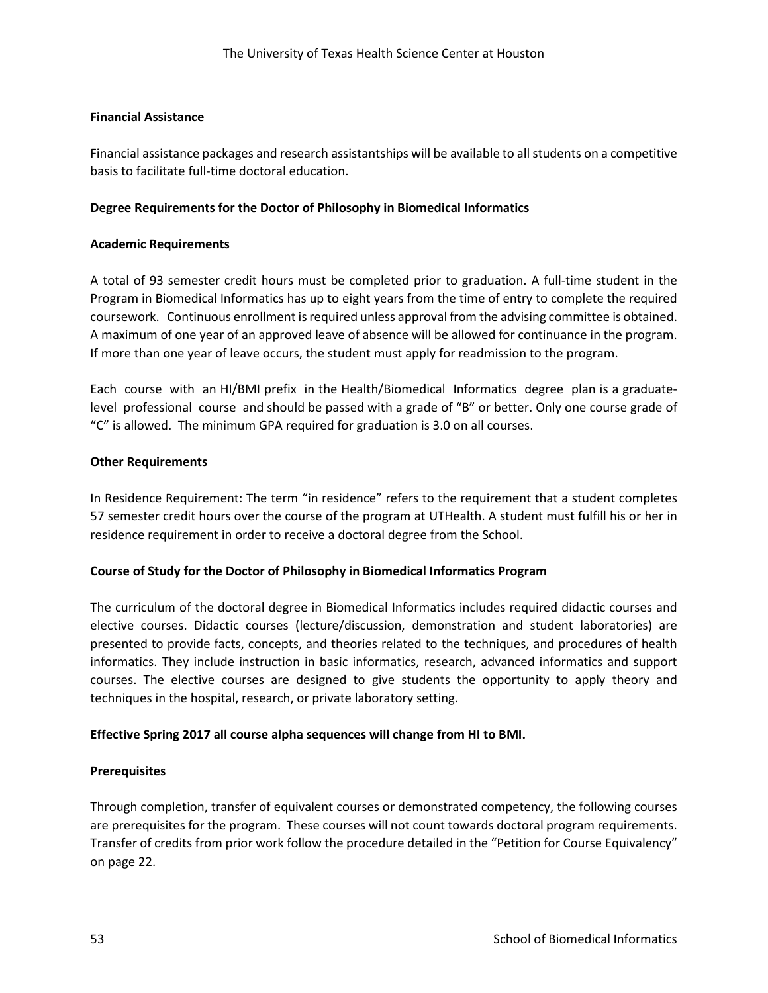# **Financial Assistance**

Financial assistance packages and research assistantships will be available to all students on a competitive basis to facilitate full-time doctoral education.

## **Degree Requirements for the Doctor of Philosophy in Biomedical Informatics**

## **Academic Requirements**

A total of 93 semester credit hours must be completed prior to graduation. A full-time student in the Program in Biomedical Informatics has up to eight years from the time of entry to complete the required coursework. Continuous enrollment is required unless approval from the advising committee is obtained. A maximum of one year of an approved leave of absence will be allowed for continuance in the program. If more than one year of leave occurs, the student must apply for readmission to the program.

Each course with an HI/BMI prefix in the Health/Biomedical Informatics degree plan is a graduatelevel professional course and should be passed with a grade of "B" or better. Only one course grade of "C" is allowed. The minimum GPA required for graduation is 3.0 on all courses.

#### **Other Requirements**

In Residence Requirement: The term "in residence" refers to the requirement that a student completes 57 semester credit hours over the course of the program at UTHealth. A student must fulfill his or her in residence requirement in order to receive a doctoral degree from the School.

#### **Course of Study for the Doctor of Philosophy in Biomedical Informatics Program**

The curriculum of the doctoral degree in Biomedical Informatics includes required didactic courses and elective courses. Didactic courses (lecture/discussion, demonstration and student laboratories) are presented to provide facts, concepts, and theories related to the techniques, and procedures of health informatics. They include instruction in basic informatics, research, advanced informatics and support courses. The elective courses are designed to give students the opportunity to apply theory and techniques in the hospital, research, or private laboratory setting.

# **Effective Spring 2017 all course alpha sequences will change from HI to BMI.**

#### **Prerequisites**

Through completion, transfer of equivalent courses or demonstrated competency, the following courses are prerequisites for the program. These courses will not count towards doctoral program requirements. Transfer of credits from prior work follow the procedure detailed in the "Petition for Course Equivalency" on page 22.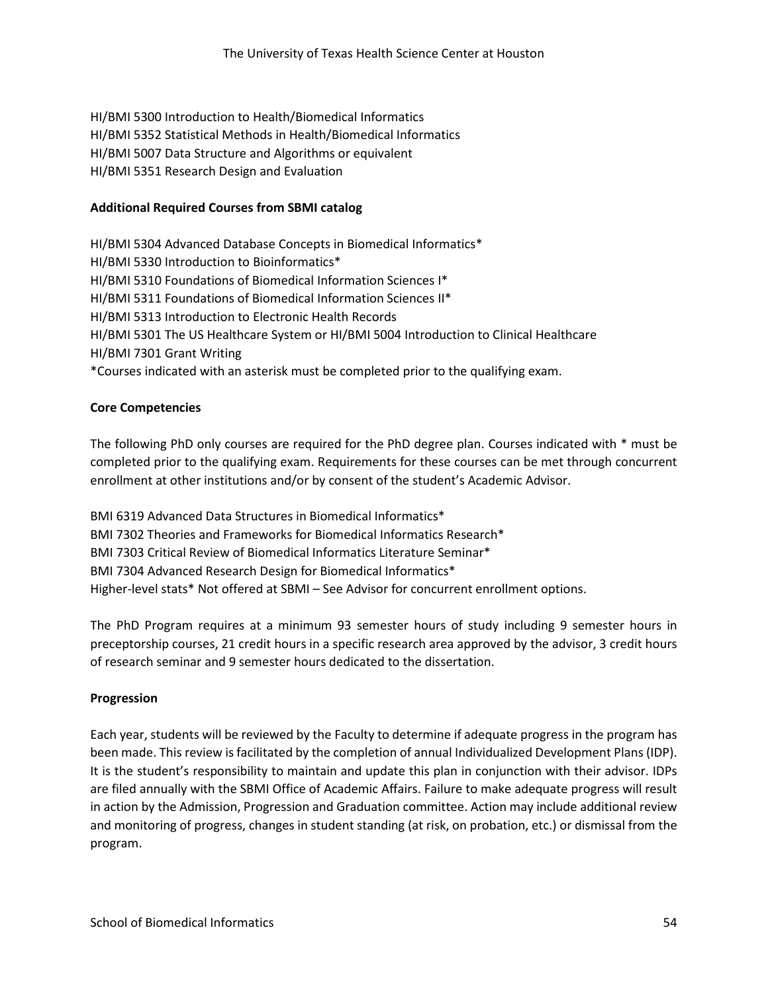HI/BMI 5300 Introduction to Health/Biomedical Informatics HI/BMI 5352 Statistical Methods in Health/Biomedical Informatics HI/BMI 5007 Data Structure and Algorithms or equivalent HI/BMI 5351 Research Design and Evaluation

## **Additional Required Courses from SBMI catalog**

HI/BMI 5304 Advanced Database Concepts in Biomedical Informatics\* HI/BMI 5330 Introduction to Bioinformatics\* HI/BMI 5310 Foundations of Biomedical Information Sciences I\* HI/BMI 5311 Foundations of Biomedical Information Sciences II\* HI/BMI 5313 Introduction to Electronic Health Records HI/BMI 5301 The US Healthcare System or HI/BMI 5004 Introduction to Clinical Healthcare HI/BMI 7301 Grant Writing \*Courses indicated with an asterisk must be completed prior to the qualifying exam.

# **Core Competencies**

The following PhD only courses are required for the PhD degree plan. Courses indicated with \* must be completed prior to the qualifying exam. Requirements for these courses can be met through concurrent enrollment at other institutions and/or by consent of the student's Academic Advisor.

BMI 6319 Advanced Data Structures in Biomedical Informatics\* BMI 7302 Theories and Frameworks for Biomedical Informatics Research\* BMI 7303 Critical Review of Biomedical Informatics Literature Seminar\* BMI 7304 Advanced Research Design for Biomedical Informatics\* Higher-level stats\* Not offered at SBMI – See Advisor for concurrent enrollment options.

The PhD Program requires at a minimum 93 semester hours of study including 9 semester hours in preceptorship courses, 21 credit hours in a specific research area approved by the advisor, 3 credit hours of research seminar and 9 semester hours dedicated to the dissertation.

#### **Progression**

Each year, students will be reviewed by the Faculty to determine if adequate progress in the program has been made. This review is facilitated by the completion of annual Individualized Development Plans (IDP). It is the student's responsibility to maintain and update this plan in conjunction with their advisor. IDPs are filed annually with the SBMI Office of Academic Affairs. Failure to make adequate progress will result in action by the Admission, Progression and Graduation committee. Action may include additional review and monitoring of progress, changes in student standing (at risk, on probation, etc.) or dismissal from the program.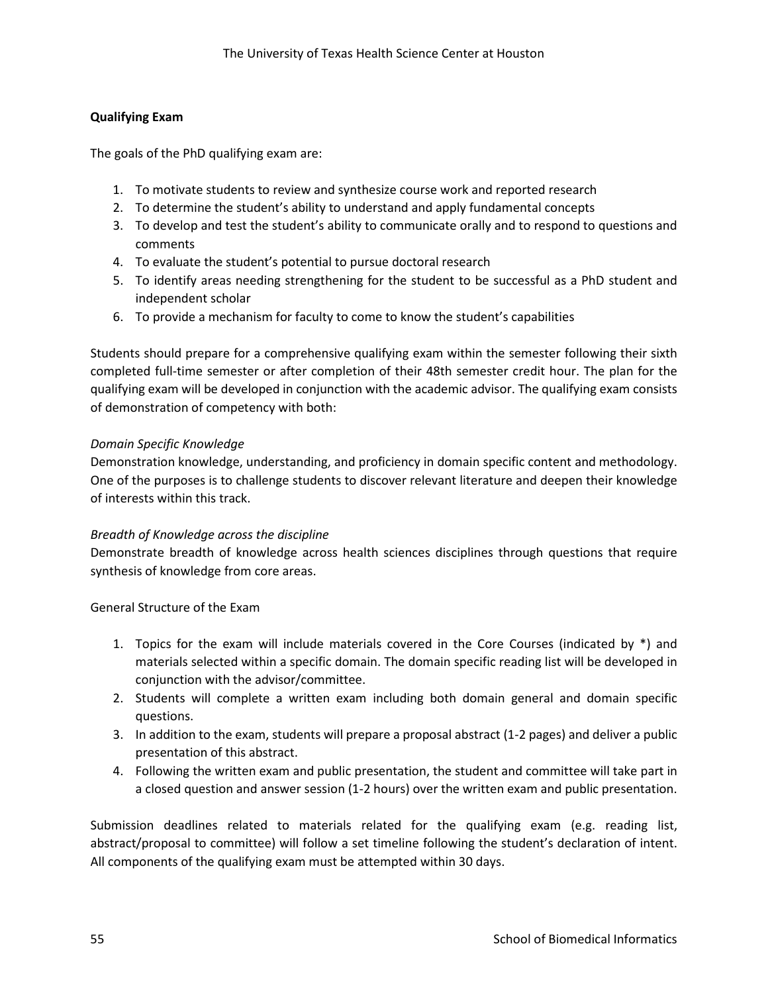# **Qualifying Exam**

The goals of the PhD qualifying exam are:

- 1. To motivate students to review and synthesize course work and reported research
- 2. To determine the student's ability to understand and apply fundamental concepts
- 3. To develop and test the student's ability to communicate orally and to respond to questions and comments
- 4. To evaluate the student's potential to pursue doctoral research
- 5. To identify areas needing strengthening for the student to be successful as a PhD student and independent scholar
- 6. To provide a mechanism for faculty to come to know the student's capabilities

Students should prepare for a comprehensive qualifying exam within the semester following their sixth completed full-time semester or after completion of their 48th semester credit hour. The plan for the qualifying exam will be developed in conjunction with the academic advisor. The qualifying exam consists of demonstration of competency with both:

# *Domain Specific Knowledge*

Demonstration knowledge, understanding, and proficiency in domain specific content and methodology. One of the purposes is to challenge students to discover relevant literature and deepen their knowledge of interests within this track.

#### *Breadth of Knowledge across the discipline*

Demonstrate breadth of knowledge across health sciences disciplines through questions that require synthesis of knowledge from core areas.

General Structure of the Exam

- 1. Topics for the exam will include materials covered in the Core Courses (indicated by \*) and materials selected within a specific domain. The domain specific reading list will be developed in conjunction with the advisor/committee.
- 2. Students will complete a written exam including both domain general and domain specific questions.
- 3. In addition to the exam, students will prepare a proposal abstract (1-2 pages) and deliver a public presentation of this abstract.
- 4. Following the written exam and public presentation, the student and committee will take part in a closed question and answer session (1-2 hours) over the written exam and public presentation.

Submission deadlines related to materials related for the qualifying exam (e.g. reading list, abstract/proposal to committee) will follow a set timeline following the student's declaration of intent. All components of the qualifying exam must be attempted within 30 days.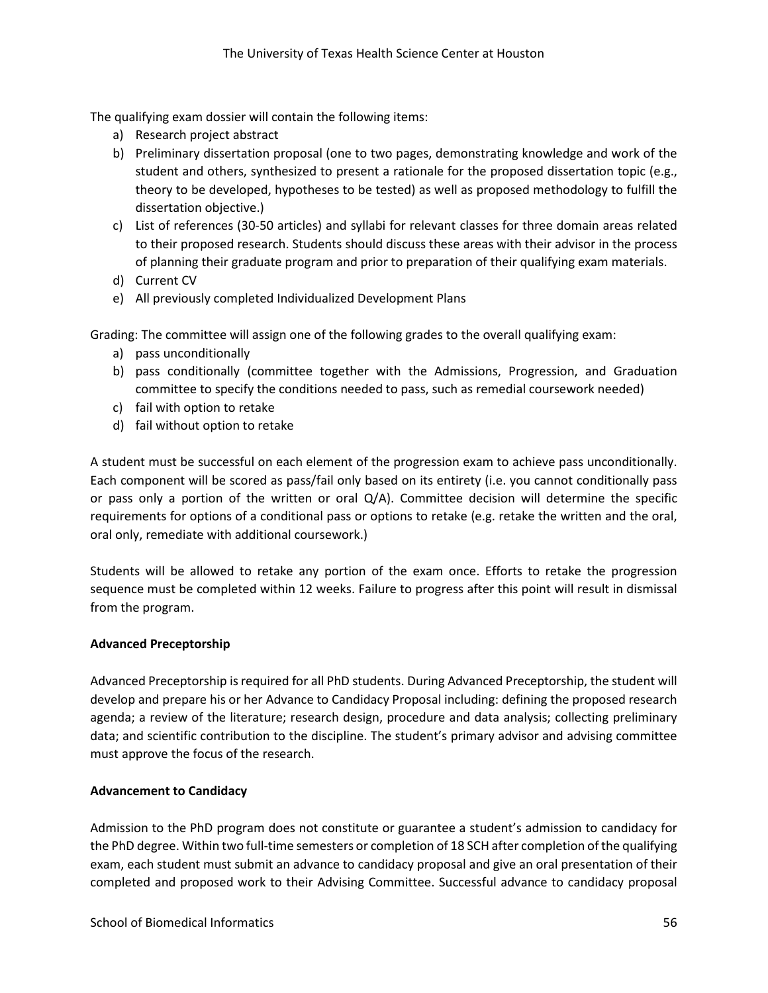The qualifying exam dossier will contain the following items:

- a) Research project abstract
- b) Preliminary dissertation proposal (one to two pages, demonstrating knowledge and work of the student and others, synthesized to present a rationale for the proposed dissertation topic (e.g., theory to be developed, hypotheses to be tested) as well as proposed methodology to fulfill the dissertation objective.)
- c) List of references (30-50 articles) and syllabi for relevant classes for three domain areas related to their proposed research. Students should discuss these areas with their advisor in the process of planning their graduate program and prior to preparation of their qualifying exam materials.
- d) Current CV
- e) All previously completed Individualized Development Plans

Grading: The committee will assign one of the following grades to the overall qualifying exam:

- a) pass unconditionally
- b) pass conditionally (committee together with the Admissions, Progression, and Graduation committee to specify the conditions needed to pass, such as remedial coursework needed)
- c) fail with option to retake
- d) fail without option to retake

A student must be successful on each element of the progression exam to achieve pass unconditionally. Each component will be scored as pass/fail only based on its entirety (i.e. you cannot conditionally pass or pass only a portion of the written or oral Q/A). Committee decision will determine the specific requirements for options of a conditional pass or options to retake (e.g. retake the written and the oral, oral only, remediate with additional coursework.)

Students will be allowed to retake any portion of the exam once. Efforts to retake the progression sequence must be completed within 12 weeks. Failure to progress after this point will result in dismissal from the program.

#### **Advanced Preceptorship**

Advanced Preceptorship is required for all PhD students. During Advanced Preceptorship, the student will develop and prepare his or her Advance to Candidacy Proposal including: defining the proposed research agenda; a review of the literature; research design, procedure and data analysis; collecting preliminary data; and scientific contribution to the discipline. The student's primary advisor and advising committee must approve the focus of the research.

#### **Advancement to Candidacy**

Admission to the PhD program does not constitute or guarantee a student's admission to candidacy for the PhD degree. Within two full-time semesters or completion of 18 SCH after completion of the qualifying exam, each student must submit an advance to candidacy proposal and give an oral presentation of their completed and proposed work to their Advising Committee. Successful advance to candidacy proposal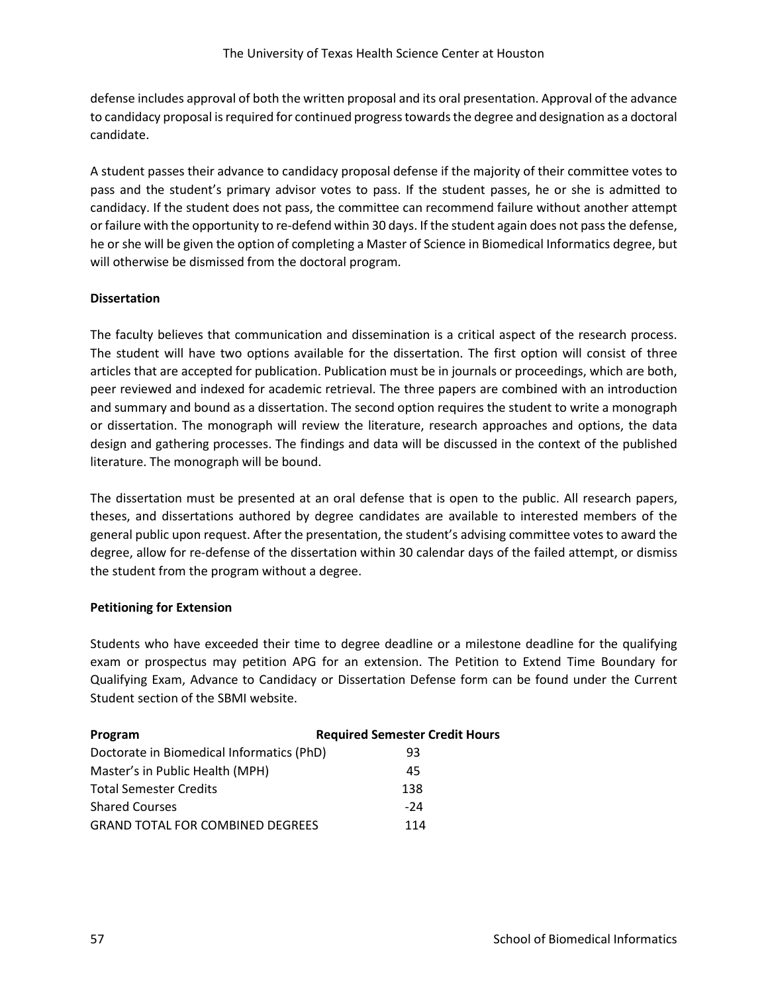defense includes approval of both the written proposal and its oral presentation. Approval of the advance to candidacy proposal is required for continued progress towards the degree and designation as a doctoral candidate.

A student passes their advance to candidacy proposal defense if the majority of their committee votes to pass and the student's primary advisor votes to pass. If the student passes, he or she is admitted to candidacy. If the student does not pass, the committee can recommend failure without another attempt or failure with the opportunity to re-defend within 30 days. If the student again does not pass the defense, he or she will be given the option of completing a Master of Science in Biomedical Informatics degree, but will otherwise be dismissed from the doctoral program.

# **Dissertation**

The faculty believes that communication and dissemination is a critical aspect of the research process. The student will have two options available for the dissertation. The first option will consist of three articles that are accepted for publication. Publication must be in journals or proceedings, which are both, peer reviewed and indexed for academic retrieval. The three papers are combined with an introduction and summary and bound as a dissertation. The second option requires the student to write a monograph or dissertation. The monograph will review the literature, research approaches and options, the data design and gathering processes. The findings and data will be discussed in the context of the published literature. The monograph will be bound.

The dissertation must be presented at an oral defense that is open to the public. All research papers, theses, and dissertations authored by degree candidates are available to interested members of the general public upon request. After the presentation, the student's advising committee votes to award the degree, allow for re-defense of the dissertation within 30 calendar days of the failed attempt, or dismiss the student from the program without a degree.

# **Petitioning for Extension**

Students who have exceeded their time to degree deadline or a milestone deadline for the qualifying exam or prospectus may petition APG for an extension. The Petition to Extend Time Boundary for Qualifying Exam, Advance to Candidacy or Dissertation Defense form can be found under the Current Student section of the SBMI website.

| Program                                   | <b>Required Semester Credit Hours</b> |
|-------------------------------------------|---------------------------------------|
| Doctorate in Biomedical Informatics (PhD) | 93                                    |
| Master's in Public Health (MPH)           | 45                                    |
| <b>Total Semester Credits</b>             | 138                                   |
| <b>Shared Courses</b>                     | $-24$                                 |
| <b>GRAND TOTAL FOR COMBINED DEGREES</b>   | 114                                   |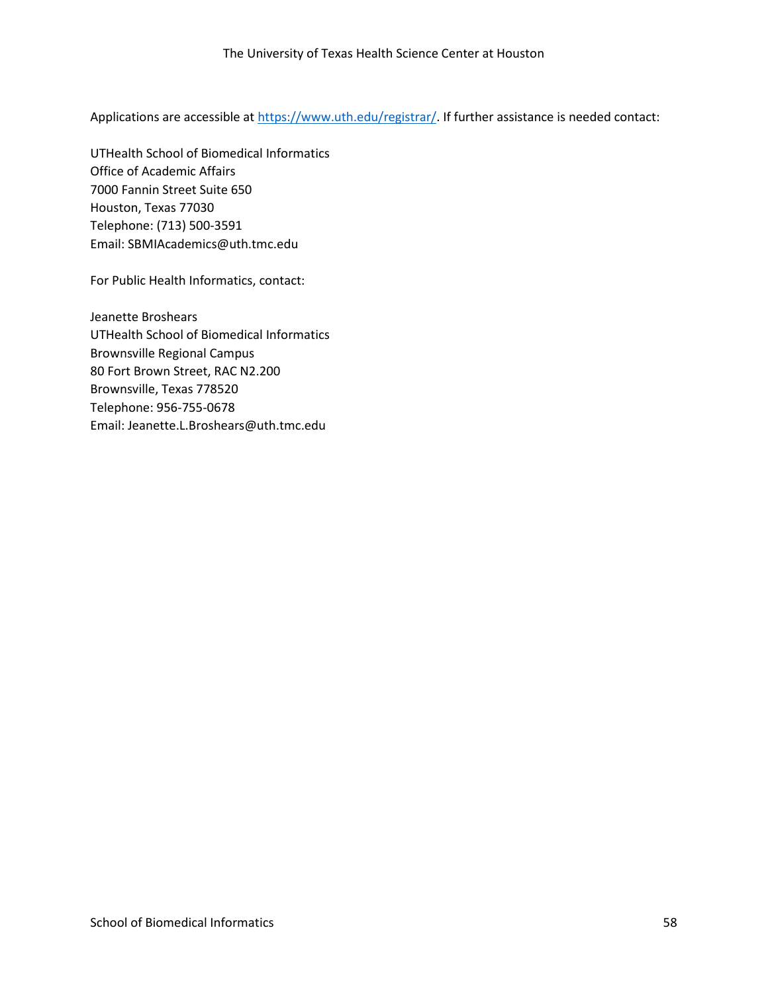Applications are accessible a[t https://www.uth.edu/registrar/.](https://www.uth.edu/registrar/) If further assistance is needed contact:

UTHealth School of Biomedical Informatics Office of Academic Affairs 7000 Fannin Street Suite 650 Houston, Texas 77030 Telephone: (713) 500-3591 Email: SBMIAcademics@uth.tmc.edu

For Public Health Informatics, contact:

Jeanette Broshears UTHealth School of Biomedical Informatics Brownsville Regional Campus 80 Fort Brown Street, RAC N2.200 Brownsville, Texas 778520 Telephone: 956-755-0678 Email: Jeanette.L.Broshears@uth.tmc.edu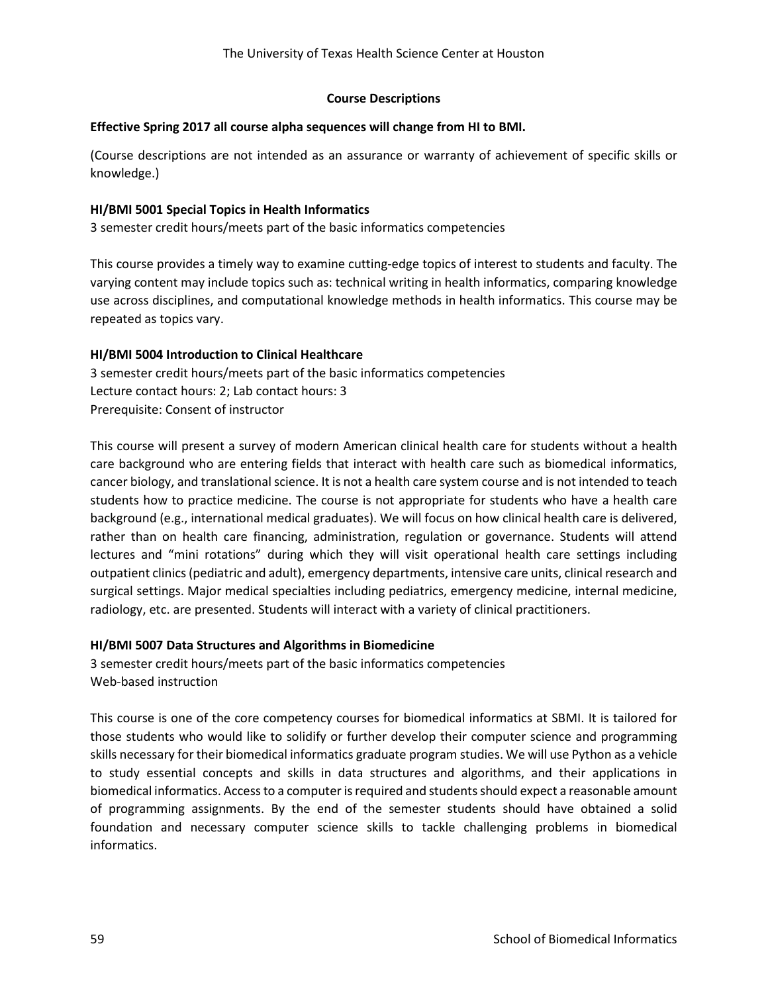## **Course Descriptions**

## **Effective Spring 2017 all course alpha sequences will change from HI to BMI.**

(Course descriptions are not intended as an assurance or warranty of achievement of specific skills or knowledge.)

# **HI/BMI 5001 Special Topics in Health Informatics**

3 semester credit hours/meets part of the basic informatics competencies

This course provides a timely way to examine cutting-edge topics of interest to students and faculty. The varying content may include topics such as: technical writing in health informatics, comparing knowledge use across disciplines, and computational knowledge methods in health informatics. This course may be repeated as topics vary.

# **HI/BMI 5004 Introduction to Clinical Healthcare**

3 semester credit hours/meets part of the basic informatics competencies Lecture contact hours: 2; Lab contact hours: 3 Prerequisite: Consent of instructor

This course will present a survey of modern American clinical health care for students without a health care background who are entering fields that interact with health care such as biomedical informatics, cancer biology, and translational science. It is not a health care system course and is not intended to teach students how to practice medicine. The course is not appropriate for students who have a health care background (e.g., international medical graduates). We will focus on how clinical health care is delivered, rather than on health care financing, administration, regulation or governance. Students will attend lectures and "mini rotations" during which they will visit operational health care settings including outpatient clinics (pediatric and adult), emergency departments, intensive care units, clinical research and surgical settings. Major medical specialties including pediatrics, emergency medicine, internal medicine, radiology, etc. are presented. Students will interact with a variety of clinical practitioners.

#### **HI/BMI 5007 Data Structures and Algorithms in Biomedicine**

3 semester credit hours/meets part of the basic informatics competencies Web-based instruction

This course is one of the core competency courses for biomedical informatics at SBMI. It is tailored for those students who would like to solidify or further develop their computer science and programming skills necessary for their biomedical informatics graduate program studies. We will use Python as a vehicle to study essential concepts and skills in data structures and algorithms, and their applications in biomedical informatics. Access to a computer is required and students should expect a reasonable amount of programming assignments. By the end of the semester students should have obtained a solid foundation and necessary computer science skills to tackle challenging problems in biomedical informatics.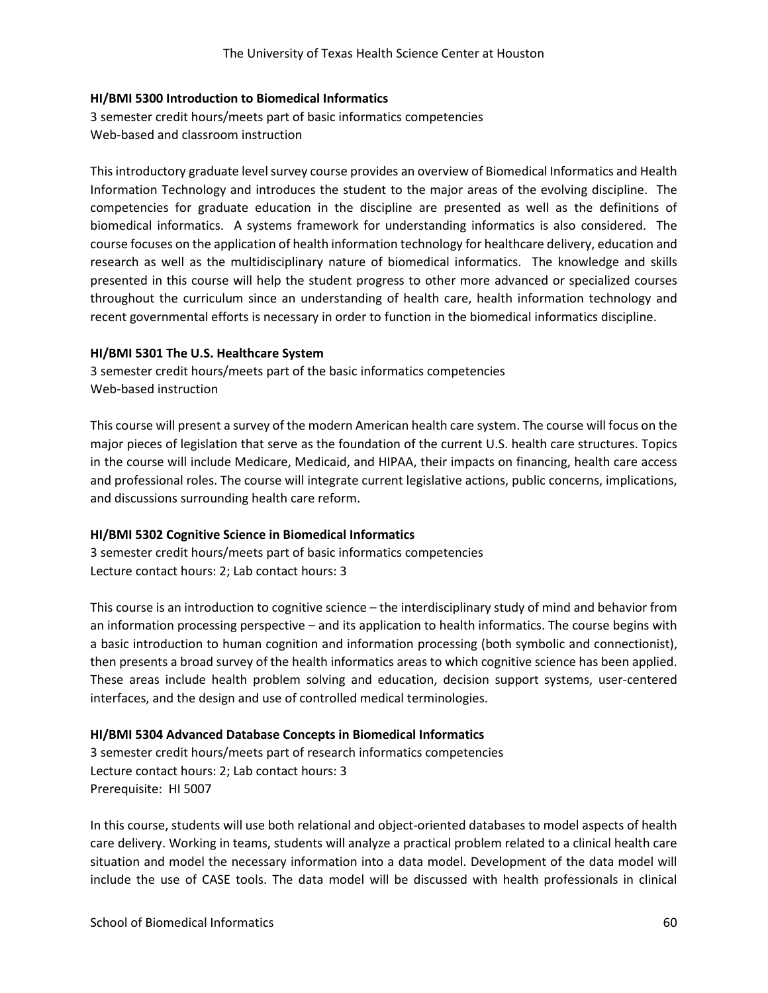#### **HI/BMI 5300 Introduction to Biomedical Informatics**

3 semester credit hours/meets part of basic informatics competencies Web-based and classroom instruction

This introductory graduate level survey course provides an overview of Biomedical Informatics and Health Information Technology and introduces the student to the major areas of the evolving discipline. The competencies for graduate education in the discipline are presented as well as the definitions of biomedical informatics. A systems framework for understanding informatics is also considered. The course focuses on the application of health information technology for healthcare delivery, education and research as well as the multidisciplinary nature of biomedical informatics. The knowledge and skills presented in this course will help the student progress to other more advanced or specialized courses throughout the curriculum since an understanding of health care, health information technology and recent governmental efforts is necessary in order to function in the biomedical informatics discipline.

#### **HI/BMI 5301 The U.S. Healthcare System**

3 semester credit hours/meets part of the basic informatics competencies Web-based instruction

This course will present a survey of the modern American health care system. The course will focus on the major pieces of legislation that serve as the foundation of the current U.S. health care structures. Topics in the course will include Medicare, Medicaid, and HIPAA, their impacts on financing, health care access and professional roles. The course will integrate current legislative actions, public concerns, implications, and discussions surrounding health care reform.

#### **HI/BMI 5302 Cognitive Science in Biomedical Informatics**

3 semester credit hours/meets part of basic informatics competencies Lecture contact hours: 2; Lab contact hours: 3

This course is an introduction to cognitive science – the interdisciplinary study of mind and behavior from an information processing perspective – and its application to health informatics. The course begins with a basic introduction to human cognition and information processing (both symbolic and connectionist), then presents a broad survey of the health informatics areas to which cognitive science has been applied. These areas include health problem solving and education, decision support systems, user-centered interfaces, and the design and use of controlled medical terminologies.

#### **HI/BMI 5304 Advanced Database Concepts in Biomedical Informatics**

3 semester credit hours/meets part of research informatics competencies Lecture contact hours: 2; Lab contact hours: 3 Prerequisite: HI 5007

In this course, students will use both relational and object-oriented databases to model aspects of health care delivery. Working in teams, students will analyze a practical problem related to a clinical health care situation and model the necessary information into a data model. Development of the data model will include the use of CASE tools. The data model will be discussed with health professionals in clinical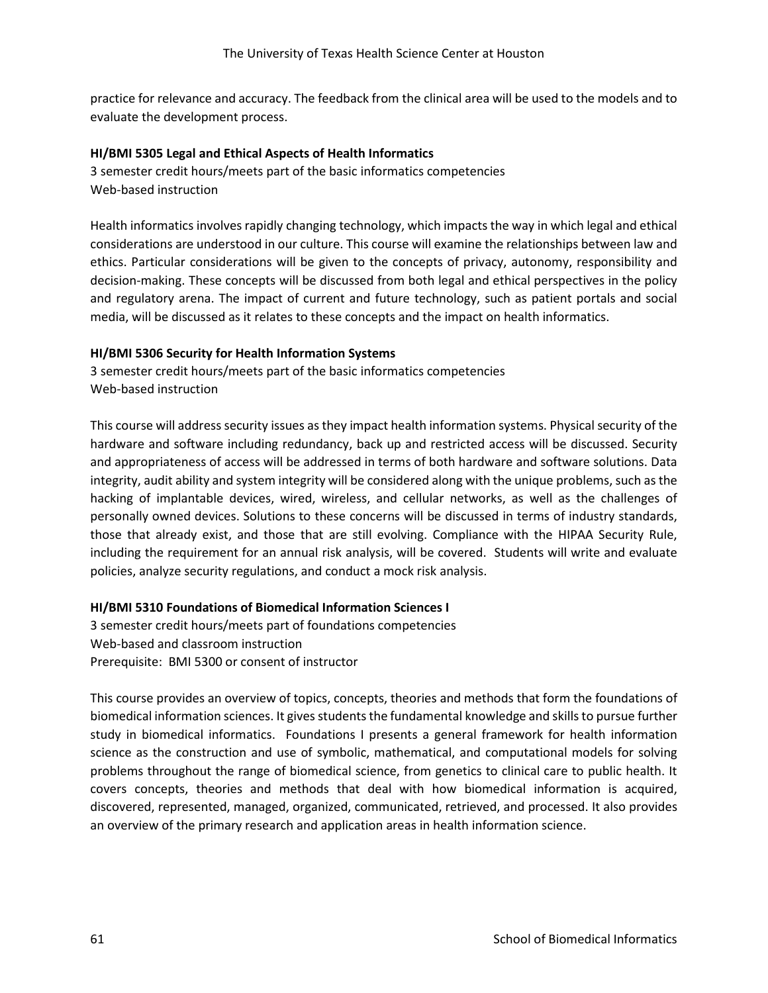practice for relevance and accuracy. The feedback from the clinical area will be used to the models and to evaluate the development process.

#### **HI/BMI 5305 Legal and Ethical Aspects of Health Informatics**

3 semester credit hours/meets part of the basic informatics competencies Web-based instruction

Health informatics involves rapidly changing technology, which impacts the way in which legal and ethical considerations are understood in our culture. This course will examine the relationships between law and ethics. Particular considerations will be given to the concepts of privacy, autonomy, responsibility and decision-making. These concepts will be discussed from both legal and ethical perspectives in the policy and regulatory arena. The impact of current and future technology, such as patient portals and social media, will be discussed as it relates to these concepts and the impact on health informatics.

#### **HI/BMI 5306 Security for Health Information Systems**

3 semester credit hours/meets part of the basic informatics competencies Web-based instruction

This course will address security issues as they impact health information systems. Physical security of the hardware and software including redundancy, back up and restricted access will be discussed. Security and appropriateness of access will be addressed in terms of both hardware and software solutions. Data integrity, audit ability and system integrity will be considered along with the unique problems, such as the hacking of implantable devices, wired, wireless, and cellular networks, as well as the challenges of personally owned devices. Solutions to these concerns will be discussed in terms of industry standards, those that already exist, and those that are still evolving. Compliance with the HIPAA Security Rule, including the requirement for an annual risk analysis, will be covered. Students will write and evaluate policies, analyze security regulations, and conduct a mock risk analysis.

#### **HI/BMI 5310 Foundations of Biomedical Information Sciences I**

3 semester credit hours/meets part of foundations competencies Web-based and classroom instruction Prerequisite: BMI 5300 or consent of instructor

This course provides an overview of topics, concepts, theories and methods that form the foundations of biomedical information sciences. It gives students the fundamental knowledge and skills to pursue further study in biomedical informatics. Foundations I presents a general framework for health information science as the construction and use of symbolic, mathematical, and computational models for solving problems throughout the range of biomedical science, from genetics to clinical care to public health. It covers concepts, theories and methods that deal with how biomedical information is acquired, discovered, represented, managed, organized, communicated, retrieved, and processed. It also provides an overview of the primary research and application areas in health information science.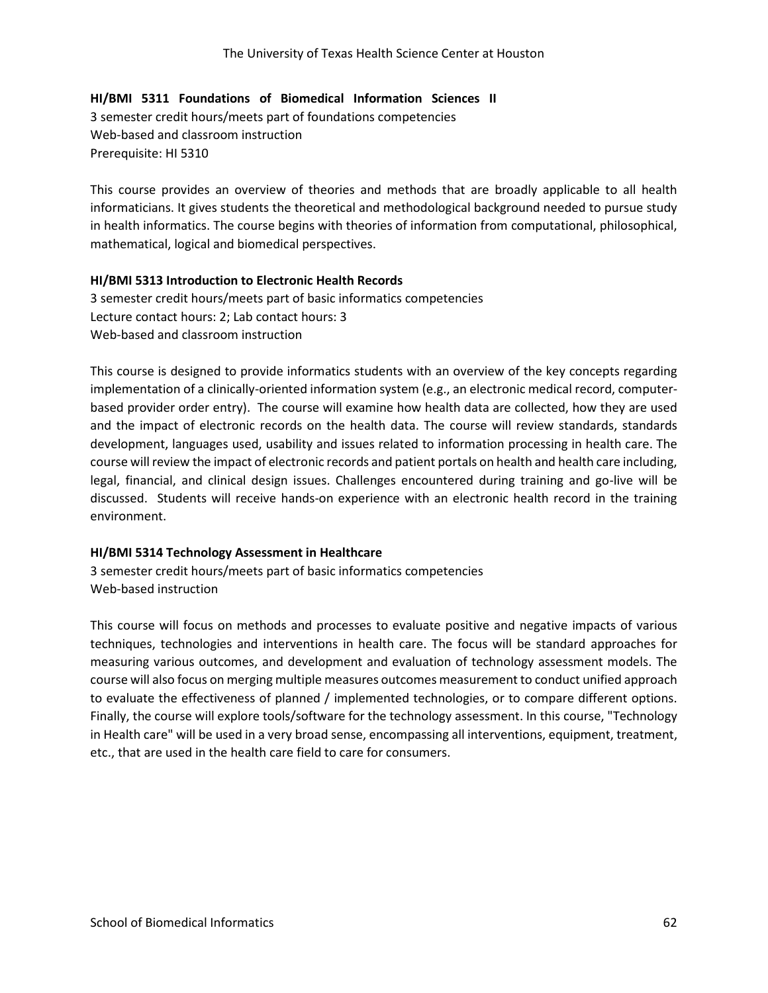#### **HI/BMI 5311 Foundations of Biomedical Information Sciences II**

3 semester credit hours/meets part of foundations competencies Web-based and classroom instruction Prerequisite: HI 5310

This course provides an overview of theories and methods that are broadly applicable to all health informaticians. It gives students the theoretical and methodological background needed to pursue study in health informatics. The course begins with theories of information from computational, philosophical, mathematical, logical and biomedical perspectives.

#### **HI/BMI 5313 Introduction to Electronic Health Records**

3 semester credit hours/meets part of basic informatics competencies Lecture contact hours: 2; Lab contact hours: 3 Web-based and classroom instruction

This course is designed to provide informatics students with an overview of the key concepts regarding implementation of a clinically-oriented information system (e.g., an electronic medical record, computerbased provider order entry). The course will examine how health data are collected, how they are used and the impact of electronic records on the health data. The course will review standards, standards development, languages used, usability and issues related to information processing in health care. The course will review the impact of electronic records and patient portals on health and health care including, legal, financial, and clinical design issues. Challenges encountered during training and go-live will be discussed. Students will receive hands-on experience with an electronic health record in the training environment.

#### **HI/BMI 5314 Technology Assessment in Healthcare**

3 semester credit hours/meets part of basic informatics competencies Web-based instruction

This course will focus on methods and processes to evaluate positive and negative impacts of various techniques, technologies and interventions in health care. The focus will be standard approaches for measuring various outcomes, and development and evaluation of technology assessment models. The course will also focus on merging multiple measures outcomes measurement to conduct unified approach to evaluate the effectiveness of planned / implemented technologies, or to compare different options. Finally, the course will explore tools/software for the technology assessment. In this course, "Technology in Health care" will be used in a very broad sense, encompassing all interventions, equipment, treatment, etc., that are used in the health care field to care for consumers.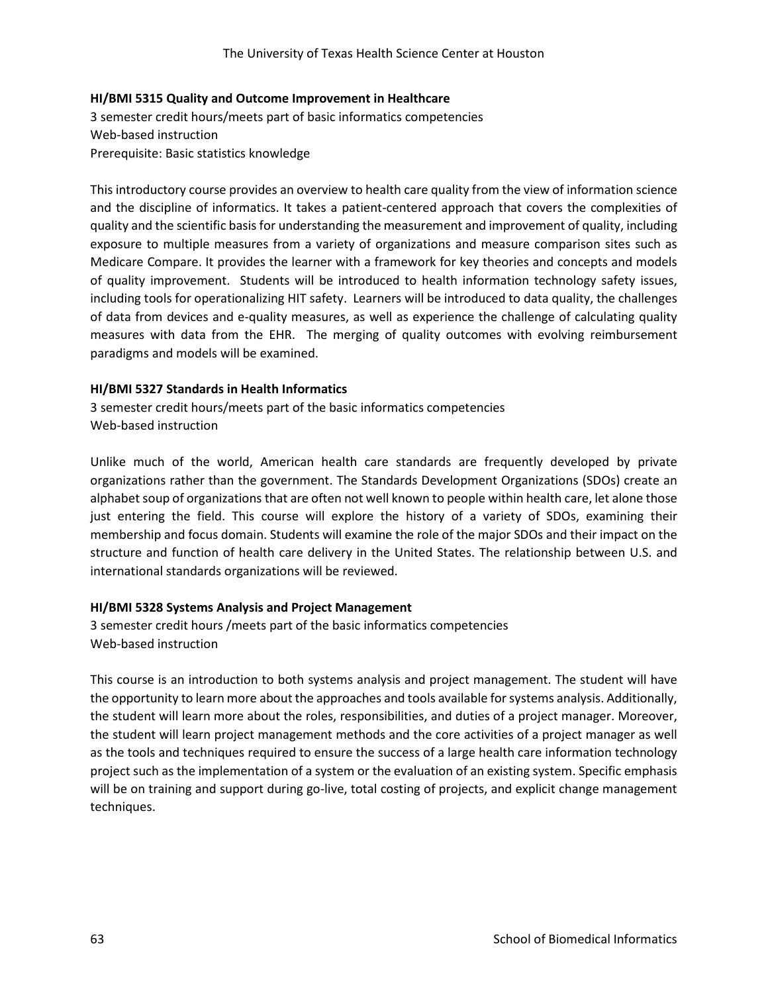# **HI/BMI 5315 Quality and Outcome Improvement in Healthcare**

3 semester credit hours/meets part of basic informatics competencies Web-based instruction Prerequisite: Basic statistics knowledge

This introductory course provides an overview to health care quality from the view of information science and the discipline of informatics. It takes a patient-centered approach that covers the complexities of quality and the scientific basis for understanding the measurement and improvement of quality, including exposure to multiple measures from a variety of organizations and measure comparison sites such as Medicare Compare. It provides the learner with a framework for key theories and concepts and models of quality improvement. Students will be introduced to health information technology safety issues, including tools for operationalizing HIT safety. Learners will be introduced to data quality, the challenges of data from devices and e-quality measures, as well as experience the challenge of calculating quality measures with data from the EHR. The merging of quality outcomes with evolving reimbursement paradigms and models will be examined.

# **HI/BMI 5327 Standards in Health Informatics**

3 semester credit hours/meets part of the basic informatics competencies Web-based instruction

Unlike much of the world, American health care standards are frequently developed by private organizations rather than the government. The Standards Development Organizations (SDOs) create an alphabet soup of organizations that are often not well known to people within health care, let alone those just entering the field. This course will explore the history of a variety of SDOs, examining their membership and focus domain. Students will examine the role of the major SDOs and their impact on the structure and function of health care delivery in the United States. The relationship between U.S. and international standards organizations will be reviewed.

# **HI/BMI 5328 Systems Analysis and Project Management**

3 semester credit hours /meets part of the basic informatics competencies Web-based instruction

This course is an introduction to both systems analysis and project management. The student will have the opportunity to learn more about the approaches and tools available for systems analysis. Additionally, the student will learn more about the roles, responsibilities, and duties of a project manager. Moreover, the student will learn project management methods and the core activities of a project manager as well as the tools and techniques required to ensure the success of a large health care information technology project such as the implementation of a system or the evaluation of an existing system. Specific emphasis will be on training and support during go-live, total costing of projects, and explicit change management techniques.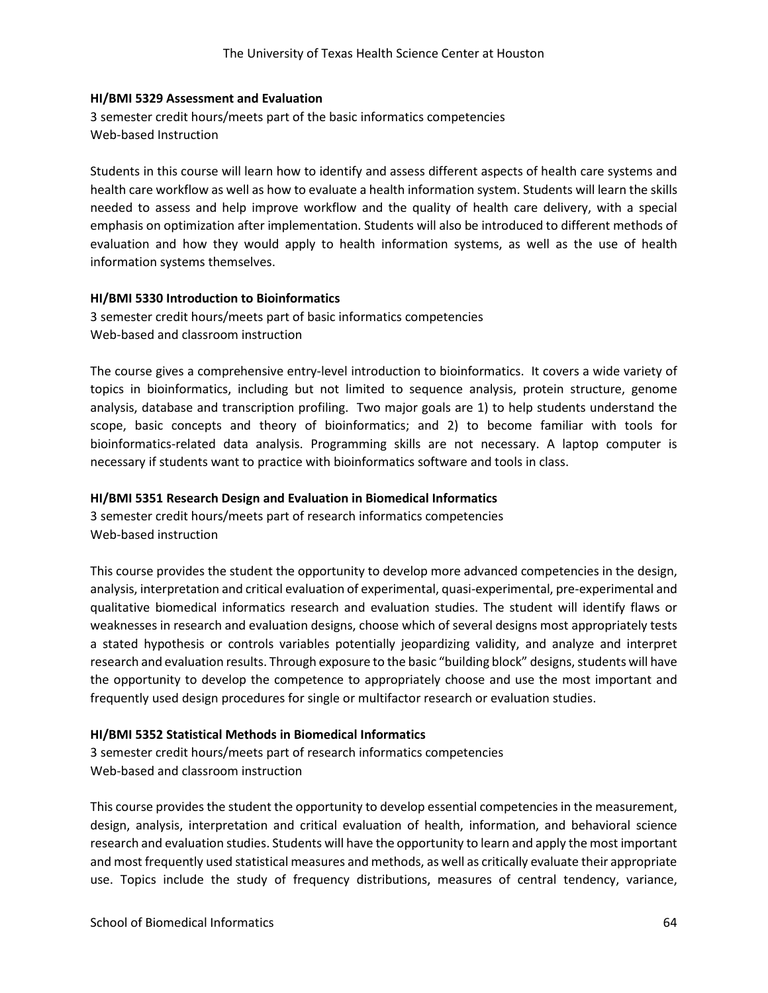#### **HI/BMI 5329 Assessment and Evaluation**

3 semester credit hours/meets part of the basic informatics competencies Web-based Instruction

Students in this course will learn how to identify and assess different aspects of health care systems and health care workflow as well as how to evaluate a health information system. Students will learn the skills needed to assess and help improve workflow and the quality of health care delivery, with a special emphasis on optimization after implementation. Students will also be introduced to different methods of evaluation and how they would apply to health information systems, as well as the use of health information systems themselves.

#### **HI/BMI 5330 Introduction to Bioinformatics**

3 semester credit hours/meets part of basic informatics competencies Web-based and classroom instruction

The course gives a comprehensive entry-level introduction to bioinformatics. It covers a wide variety of topics in bioinformatics, including but not limited to sequence analysis, protein structure, genome analysis, database and transcription profiling. Two major goals are 1) to help students understand the scope, basic concepts and theory of bioinformatics; and 2) to become familiar with tools for bioinformatics-related data analysis. Programming skills are not necessary. A laptop computer is necessary if students want to practice with bioinformatics software and tools in class.

#### **HI/BMI 5351 Research Design and Evaluation in Biomedical Informatics**

3 semester credit hours/meets part of research informatics competencies Web-based instruction

This course provides the student the opportunity to develop more advanced competencies in the design, analysis, interpretation and critical evaluation of experimental, quasi-experimental, pre-experimental and qualitative biomedical informatics research and evaluation studies. The student will identify flaws or weaknesses in research and evaluation designs, choose which of several designs most appropriately tests a stated hypothesis or controls variables potentially jeopardizing validity, and analyze and interpret research and evaluation results. Through exposure to the basic "building block" designs, students will have the opportunity to develop the competence to appropriately choose and use the most important and frequently used design procedures for single or multifactor research or evaluation studies.

#### **HI/BMI 5352 Statistical Methods in Biomedical Informatics**

3 semester credit hours/meets part of research informatics competencies Web-based and classroom instruction

This course provides the student the opportunity to develop essential competencies in the measurement, design, analysis, interpretation and critical evaluation of health, information, and behavioral science research and evaluation studies. Students will have the opportunity to learn and apply the most important and most frequently used statistical measures and methods, as well as critically evaluate their appropriate use. Topics include the study of frequency distributions, measures of central tendency, variance,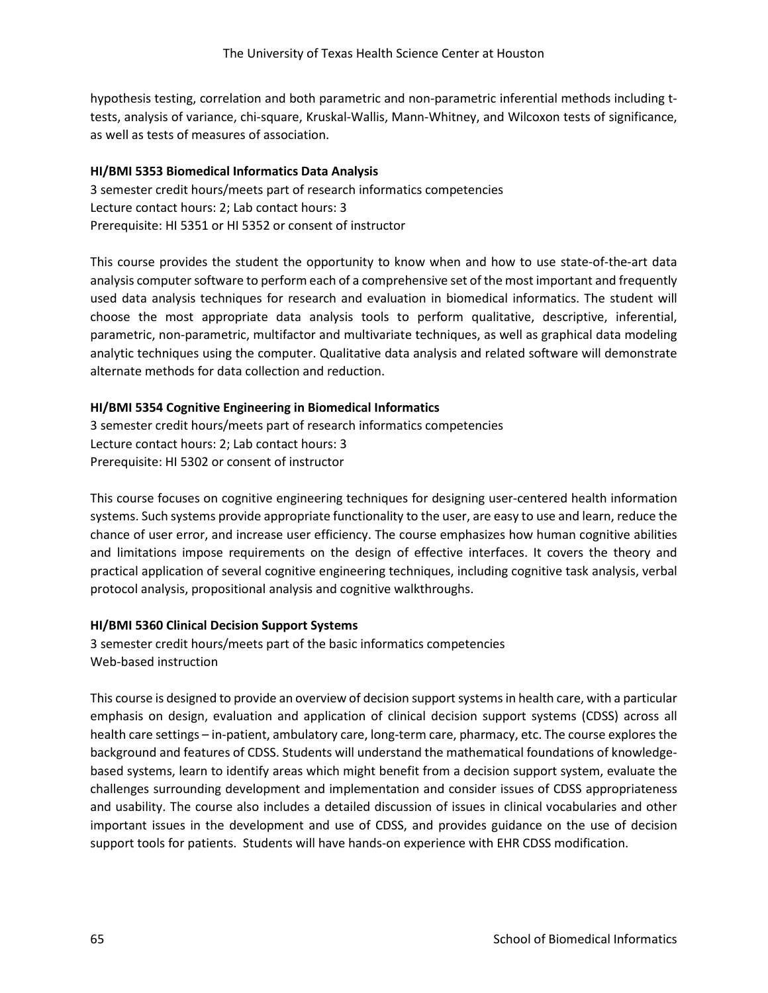hypothesis testing, correlation and both parametric and non-parametric inferential methods including ttests, analysis of variance, chi-square, Kruskal-Wallis, Mann-Whitney, and Wilcoxon tests of significance, as well as tests of measures of association.

## **HI/BMI 5353 Biomedical Informatics Data Analysis**

3 semester credit hours/meets part of research informatics competencies Lecture contact hours: 2; Lab contact hours: 3 Prerequisite: HI 5351 or HI 5352 or consent of instructor

This course provides the student the opportunity to know when and how to use state-of-the-art data analysis computer software to perform each of a comprehensive set of the most important and frequently used data analysis techniques for research and evaluation in biomedical informatics. The student will choose the most appropriate data analysis tools to perform qualitative, descriptive, inferential, parametric, non-parametric, multifactor and multivariate techniques, as well as graphical data modeling analytic techniques using the computer. Qualitative data analysis and related software will demonstrate alternate methods for data collection and reduction.

# **HI/BMI 5354 Cognitive Engineering in Biomedical Informatics**

3 semester credit hours/meets part of research informatics competencies Lecture contact hours: 2; Lab contact hours: 3 Prerequisite: HI 5302 or consent of instructor

This course focuses on cognitive engineering techniques for designing user-centered health information systems. Such systems provide appropriate functionality to the user, are easy to use and learn, reduce the chance of user error, and increase user efficiency. The course emphasizes how human cognitive abilities and limitations impose requirements on the design of effective interfaces. It covers the theory and practical application of several cognitive engineering techniques, including cognitive task analysis, verbal protocol analysis, propositional analysis and cognitive walkthroughs.

# **HI/BMI 5360 Clinical Decision Support Systems**

3 semester credit hours/meets part of the basic informatics competencies Web-based instruction

This course is designed to provide an overview of decision support systems in health care, with a particular emphasis on design, evaluation and application of clinical decision support systems (CDSS) across all health care settings – in-patient, ambulatory care, long-term care, pharmacy, etc. The course explores the background and features of CDSS. Students will understand the mathematical foundations of knowledgebased systems, learn to identify areas which might benefit from a decision support system, evaluate the challenges surrounding development and implementation and consider issues of CDSS appropriateness and usability. The course also includes a detailed discussion of issues in clinical vocabularies and other important issues in the development and use of CDSS, and provides guidance on the use of decision support tools for patients. Students will have hands-on experience with EHR CDSS modification.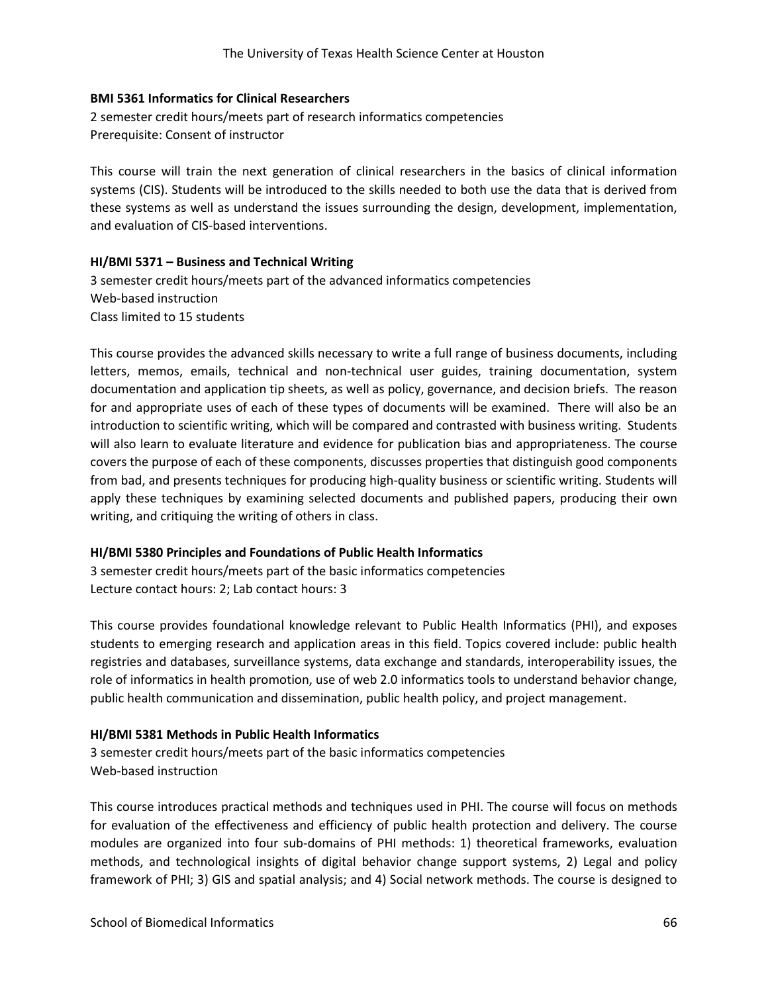#### **BMI 5361 Informatics for Clinical Researchers**

2 semester credit hours/meets part of research informatics competencies Prerequisite: Consent of instructor

This course will train the next generation of clinical researchers in the basics of clinical information systems (CIS). Students will be introduced to the skills needed to both use the data that is derived from these systems as well as understand the issues surrounding the design, development, implementation, and evaluation of CIS-based interventions.

#### **HI/BMI 5371 – Business and Technical Writing**

3 semester credit hours/meets part of the advanced informatics competencies Web-based instruction Class limited to 15 students

This course provides the advanced skills necessary to write a full range of business documents, including letters, memos, emails, technical and non-technical user guides, training documentation, system documentation and application tip sheets, as well as policy, governance, and decision briefs. The reason for and appropriate uses of each of these types of documents will be examined. There will also be an introduction to scientific writing, which will be compared and contrasted with business writing. Students will also learn to evaluate literature and evidence for publication bias and appropriateness. The course covers the purpose of each of these components, discusses properties that distinguish good components from bad, and presents techniques for producing high-quality business or scientific writing. Students will apply these techniques by examining selected documents and published papers, producing their own writing, and critiquing the writing of others in class.

#### **HI/BMI 5380 Principles and Foundations of Public Health Informatics**

3 semester credit hours/meets part of the basic informatics competencies Lecture contact hours: 2; Lab contact hours: 3

This course provides foundational knowledge relevant to Public Health Informatics (PHI), and exposes students to emerging research and application areas in this field. Topics covered include: public health registries and databases, surveillance systems, data exchange and standards, interoperability issues, the role of informatics in health promotion, use of web 2.0 informatics tools to understand behavior change, public health communication and dissemination, public health policy, and project management.

#### **HI/BMI 5381 Methods in Public Health Informatics**

3 semester credit hours/meets part of the basic informatics competencies Web-based instruction

This course introduces practical methods and techniques used in PHI. The course will focus on methods for evaluation of the effectiveness and efficiency of public health protection and delivery. The course modules are organized into four sub-domains of PHI methods: 1) theoretical frameworks, evaluation methods, and technological insights of digital behavior change support systems, 2) Legal and policy framework of PHI; 3) GIS and spatial analysis; and 4) Social network methods. The course is designed to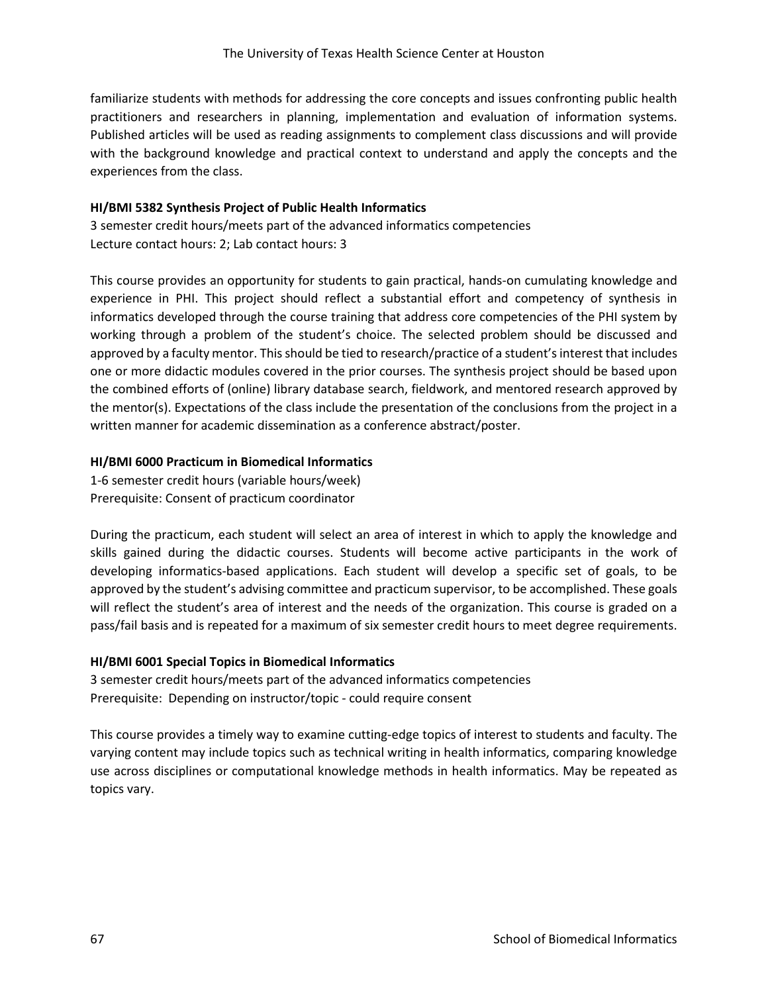familiarize students with methods for addressing the core concepts and issues confronting public health practitioners and researchers in planning, implementation and evaluation of information systems. Published articles will be used as reading assignments to complement class discussions and will provide with the background knowledge and practical context to understand and apply the concepts and the experiences from the class.

#### **HI/BMI 5382 Synthesis Project of Public Health Informatics**

3 semester credit hours/meets part of the advanced informatics competencies Lecture contact hours: 2; Lab contact hours: 3

This course provides an opportunity for students to gain practical, hands-on cumulating knowledge and experience in PHI. This project should reflect a substantial effort and competency of synthesis in informatics developed through the course training that address core competencies of the PHI system by working through a problem of the student's choice. The selected problem should be discussed and approved by a faculty mentor. This should be tied to research/practice of a student's interest that includes one or more didactic modules covered in the prior courses. The synthesis project should be based upon the combined efforts of (online) library database search, fieldwork, and mentored research approved by the mentor(s). Expectations of the class include the presentation of the conclusions from the project in a written manner for academic dissemination as a conference abstract/poster.

#### **HI/BMI 6000 Practicum in Biomedical Informatics**

1-6 semester credit hours (variable hours/week) Prerequisite: Consent of practicum coordinator

During the practicum, each student will select an area of interest in which to apply the knowledge and skills gained during the didactic courses. Students will become active participants in the work of developing informatics-based applications. Each student will develop a specific set of goals, to be approved by the student's advising committee and practicum supervisor, to be accomplished. These goals will reflect the student's area of interest and the needs of the organization. This course is graded on a pass/fail basis and is repeated for a maximum of six semester credit hours to meet degree requirements.

#### **HI/BMI 6001 Special Topics in Biomedical Informatics**

3 semester credit hours/meets part of the advanced informatics competencies Prerequisite: Depending on instructor/topic - could require consent

This course provides a timely way to examine cutting-edge topics of interest to students and faculty. The varying content may include topics such as technical writing in health informatics, comparing knowledge use across disciplines or computational knowledge methods in health informatics. May be repeated as topics vary.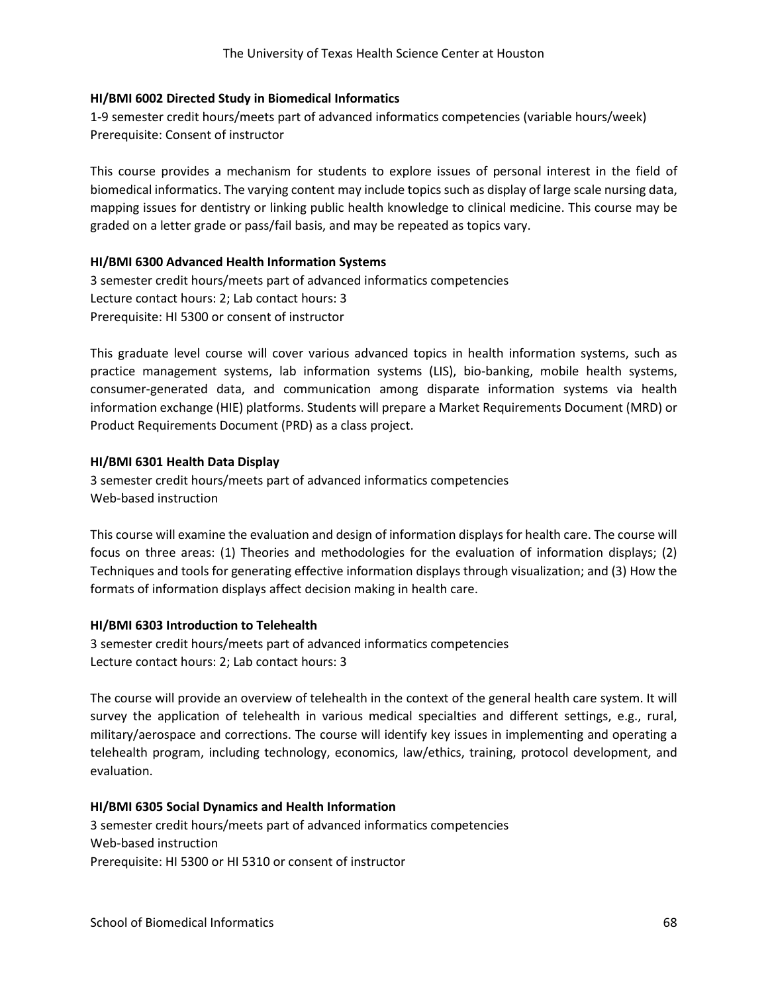### **HI/BMI 6002 Directed Study in Biomedical Informatics**

1-9 semester credit hours/meets part of advanced informatics competencies (variable hours/week) Prerequisite: Consent of instructor

This course provides a mechanism for students to explore issues of personal interest in the field of biomedical informatics. The varying content may include topics such as display of large scale nursing data, mapping issues for dentistry or linking public health knowledge to clinical medicine. This course may be graded on a letter grade or pass/fail basis, and may be repeated as topics vary.

### **HI/BMI 6300 Advanced Health Information Systems**

3 semester credit hours/meets part of advanced informatics competencies Lecture contact hours: 2; Lab contact hours: 3 Prerequisite: HI 5300 or consent of instructor

This graduate level course will cover various advanced topics in health information systems, such as practice management systems, lab information systems (LIS), bio-banking, mobile health systems, consumer-generated data, and communication among disparate information systems via health information exchange (HIE) platforms. Students will prepare a Market Requirements Document (MRD) or Product Requirements Document (PRD) as a class project.

### **HI/BMI 6301 Health Data Display**

3 semester credit hours/meets part of advanced informatics competencies Web-based instruction

This course will examine the evaluation and design of information displays for health care. The course will focus on three areas: (1) Theories and methodologies for the evaluation of information displays; (2) Techniques and tools for generating effective information displays through visualization; and (3) How the formats of information displays affect decision making in health care.

### **HI/BMI 6303 Introduction to Telehealth**

3 semester credit hours/meets part of advanced informatics competencies Lecture contact hours: 2; Lab contact hours: 3

The course will provide an overview of telehealth in the context of the general health care system. It will survey the application of telehealth in various medical specialties and different settings, e.g., rural, military/aerospace and corrections. The course will identify key issues in implementing and operating a telehealth program, including technology, economics, law/ethics, training, protocol development, and evaluation.

### **HI/BMI 6305 Social Dynamics and Health Information**

3 semester credit hours/meets part of advanced informatics competencies Web-based instruction Prerequisite: HI 5300 or HI 5310 or consent of instructor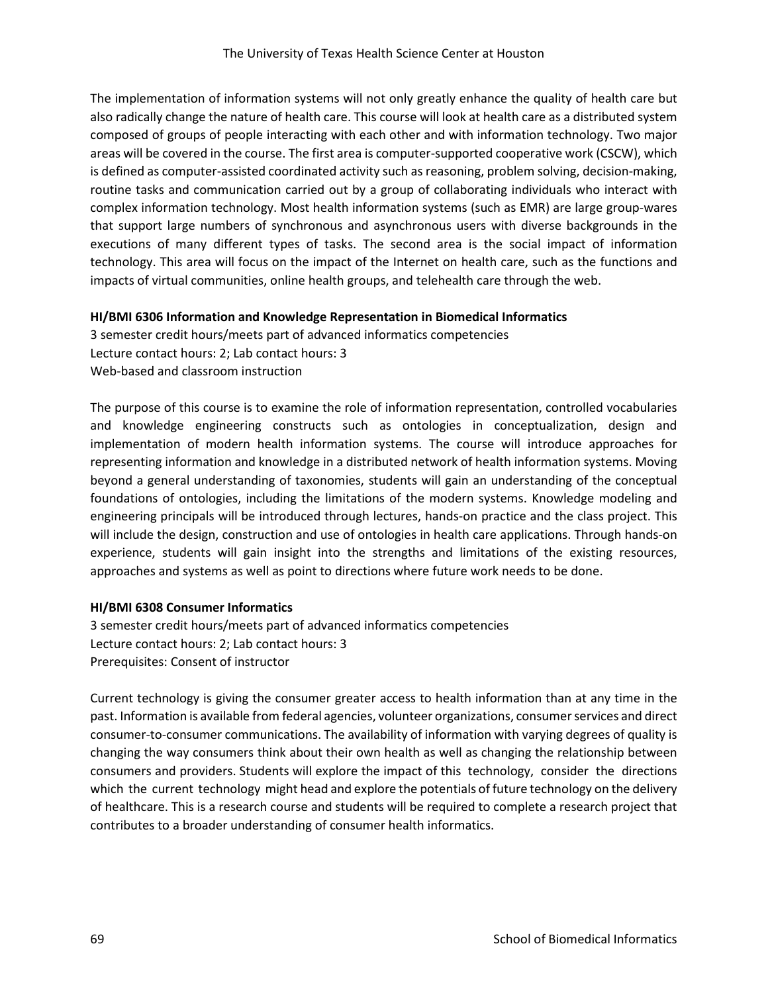The implementation of information systems will not only greatly enhance the quality of health care but also radically change the nature of health care. This course will look at health care as a distributed system composed of groups of people interacting with each other and with information technology. Two major areas will be covered in the course. The first area is computer-supported cooperative work (CSCW), which is defined as computer‐assisted coordinated activity such as reasoning, problem solving, decision-making, routine tasks and communication carried out by a group of collaborating individuals who interact with complex information technology. Most health information systems (such as EMR) are large group-wares that support large numbers of synchronous and asynchronous users with diverse backgrounds in the executions of many different types of tasks. The second area is the social impact of information technology. This area will focus on the impact of the Internet on health care, such as the functions and impacts of virtual communities, online health groups, and telehealth care through the web.

### **HI/BMI 6306 Information and Knowledge Representation in Biomedical Informatics**

3 semester credit hours/meets part of advanced informatics competencies Lecture contact hours: 2; Lab contact hours: 3 Web-based and classroom instruction

The purpose of this course is to examine the role of information representation, controlled vocabularies and knowledge engineering constructs such as ontologies in conceptualization, design and implementation of modern health information systems. The course will introduce approaches for representing information and knowledge in a distributed network of health information systems. Moving beyond a general understanding of taxonomies, students will gain an understanding of the conceptual foundations of ontologies, including the limitations of the modern systems. Knowledge modeling and engineering principals will be introduced through lectures, hands-on practice and the class project. This will include the design, construction and use of ontologies in health care applications. Through hands-on experience, students will gain insight into the strengths and limitations of the existing resources, approaches and systems as well as point to directions where future work needs to be done.

### **HI/BMI 6308 Consumer Informatics**

3 semester credit hours/meets part of advanced informatics competencies Lecture contact hours: 2; Lab contact hours: 3 Prerequisites: Consent of instructor

Current technology is giving the consumer greater access to health information than at any time in the past. Information is available from federal agencies, volunteer organizations, consumer services and direct consumer‐to‐consumer communications. The availability of information with varying degrees of quality is changing the way consumers think about their own health as well as changing the relationship between consumers and providers. Students will explore the impact of this technology, consider the directions which the current technology might head and explore the potentials of future technology on the delivery of healthcare. This is a research course and students will be required to complete a research project that contributes to a broader understanding of consumer health informatics.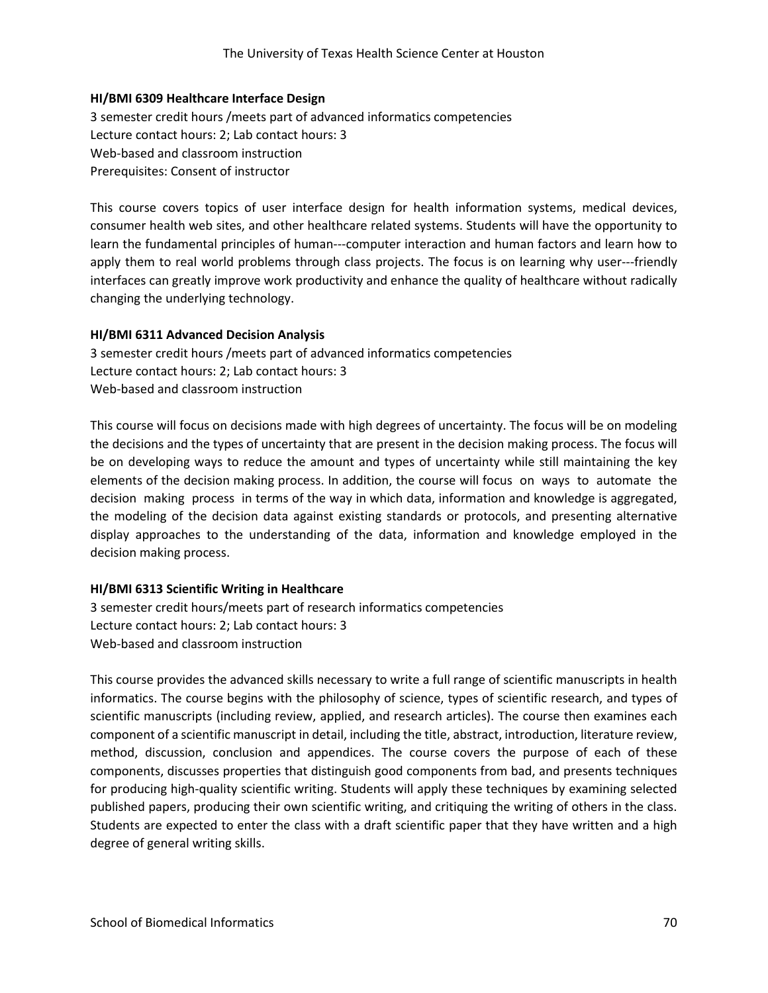### **HI/BMI 6309 Healthcare Interface Design**

3 semester credit hours /meets part of advanced informatics competencies Lecture contact hours: 2; Lab contact hours: 3 Web-based and classroom instruction Prerequisites: Consent of instructor

This course covers topics of user interface design for health information systems, medical devices, consumer health web sites, and other healthcare related systems. Students will have the opportunity to learn the fundamental principles of human-‐‐computer interaction and human factors and learn how to apply them to real world problems through class projects. The focus is on learning why user---friendly interfaces can greatly improve work productivity and enhance the quality of healthcare without radically changing the underlying technology.

#### **HI/BMI 6311 Advanced Decision Analysis**

3 semester credit hours /meets part of advanced informatics competencies Lecture contact hours: 2; Lab contact hours: 3 Web-based and classroom instruction

This course will focus on decisions made with high degrees of uncertainty. The focus will be on modeling the decisions and the types of uncertainty that are present in the decision making process. The focus will be on developing ways to reduce the amount and types of uncertainty while still maintaining the key elements of the decision making process. In addition, the course will focus on ways to automate the decision making process in terms of the way in which data, information and knowledge is aggregated, the modeling of the decision data against existing standards or protocols, and presenting alternative display approaches to the understanding of the data, information and knowledge employed in the decision making process.

### **HI/BMI 6313 Scientific Writing in Healthcare**

3 semester credit hours/meets part of research informatics competencies Lecture contact hours: 2; Lab contact hours: 3 Web-based and classroom instruction

This course provides the advanced skills necessary to write a full range of scientific manuscripts in health informatics. The course begins with the philosophy of science, types of scientific research, and types of scientific manuscripts (including review, applied, and research articles). The course then examines each component of a scientific manuscript in detail, including the title, abstract, introduction, literature review, method, discussion, conclusion and appendices. The course covers the purpose of each of these components, discusses properties that distinguish good components from bad, and presents techniques for producing high-quality scientific writing. Students will apply these techniques by examining selected published papers, producing their own scientific writing, and critiquing the writing of others in the class. Students are expected to enter the class with a draft scientific paper that they have written and a high degree of general writing skills.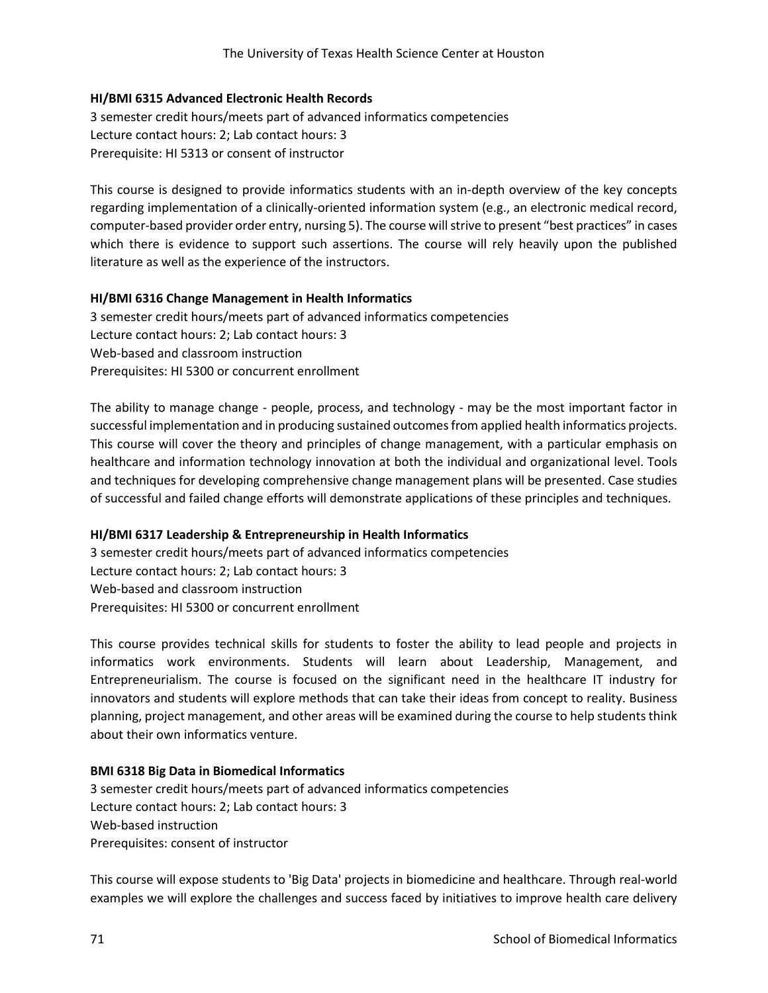### **HI/BMI 6315 Advanced Electronic Health Records**

3 semester credit hours/meets part of advanced informatics competencies Lecture contact hours: 2; Lab contact hours: 3 Prerequisite: HI 5313 or consent of instructor

This course is designed to provide informatics students with an in-depth overview of the key concepts regarding implementation of a clinically-oriented information system (e.g., an electronic medical record, computer-based provider order entry, nursing 5). The course will strive to present "best practices" in cases which there is evidence to support such assertions. The course will rely heavily upon the published literature as well as the experience of the instructors.

### **HI/BMI 6316 Change Management in Health Informatics**

3 semester credit hours/meets part of advanced informatics competencies Lecture contact hours: 2; Lab contact hours: 3 Web-based and classroom instruction Prerequisites: HI 5300 or concurrent enrollment

The ability to manage change - people, process, and technology - may be the most important factor in successful implementation and in producing sustained outcomes from applied health informatics projects. This course will cover the theory and principles of change management, with a particular emphasis on healthcare and information technology innovation at both the individual and organizational level. Tools and techniques for developing comprehensive change management plans will be presented. Case studies of successful and failed change efforts will demonstrate applications of these principles and techniques.

## **HI/BMI 6317 Leadership & Entrepreneurship in Health Informatics**

3 semester credit hours/meets part of advanced informatics competencies Lecture contact hours: 2; Lab contact hours: 3 Web-based and classroom instruction Prerequisites: HI 5300 or concurrent enrollment

This course provides technical skills for students to foster the ability to lead people and projects in informatics work environments. Students will learn about Leadership, Management, and Entrepreneurialism. The course is focused on the significant need in the healthcare IT industry for innovators and students will explore methods that can take their ideas from concept to reality. Business planning, project management, and other areas will be examined during the course to help students think about their own informatics venture.

### **BMI 6318 Big Data in Biomedical Informatics**

3 semester credit hours/meets part of advanced informatics competencies Lecture contact hours: 2; Lab contact hours: 3 Web-based instruction Prerequisites: consent of instructor

This course will expose students to 'Big Data' projects in biomedicine and healthcare. Through real-world examples we will explore the challenges and success faced by initiatives to improve health care delivery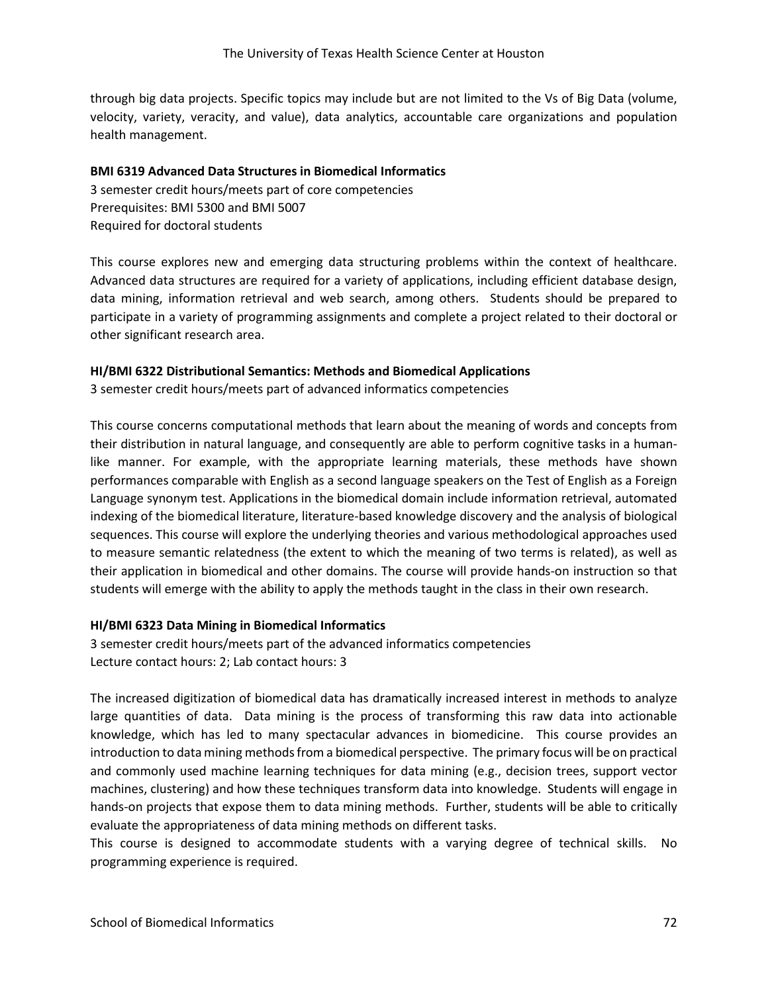through big data projects. Specific topics may include but are not limited to the Vs of Big Data (volume, velocity, variety, veracity, and value), data analytics, accountable care organizations and population health management.

### **BMI 6319 Advanced Data Structures in Biomedical Informatics**

3 semester credit hours/meets part of core competencies Prerequisites: BMI 5300 and BMI 5007 Required for doctoral students

This course explores new and emerging data structuring problems within the context of healthcare. Advanced data structures are required for a variety of applications, including efficient database design, data mining, information retrieval and web search, among others. Students should be prepared to participate in a variety of programming assignments and complete a project related to their doctoral or other significant research area.

### **HI/BMI 6322 Distributional Semantics: Methods and Biomedical Applications**

3 semester credit hours/meets part of advanced informatics competencies

This course concerns computational methods that learn about the meaning of words and concepts from their distribution in natural language, and consequently are able to perform cognitive tasks in a humanlike manner. For example, with the appropriate learning materials, these methods have shown performances comparable with English as a second language speakers on the Test of English as a Foreign Language synonym test. Applications in the biomedical domain include information retrieval, automated indexing of the biomedical literature, literature-based knowledge discovery and the analysis of biological sequences. This course will explore the underlying theories and various methodological approaches used to measure semantic relatedness (the extent to which the meaning of two terms is related), as well as their application in biomedical and other domains. The course will provide hands-on instruction so that students will emerge with the ability to apply the methods taught in the class in their own research.

### **HI/BMI 6323 Data Mining in Biomedical Informatics**

3 semester credit hours/meets part of the advanced informatics competencies Lecture contact hours: 2; Lab contact hours: 3

The increased digitization of biomedical data has dramatically increased interest in methods to analyze large quantities of data. Data mining is the process of transforming this raw data into actionable knowledge, which has led to many spectacular advances in biomedicine. This course provides an introduction to data mining methods from a biomedical perspective. The primary focus will be on practical and commonly used machine learning techniques for data mining (e.g., decision trees, support vector machines, clustering) and how these techniques transform data into knowledge. Students will engage in hands-on projects that expose them to data mining methods. Further, students will be able to critically evaluate the appropriateness of data mining methods on different tasks.

This course is designed to accommodate students with a varying degree of technical skills. No programming experience is required.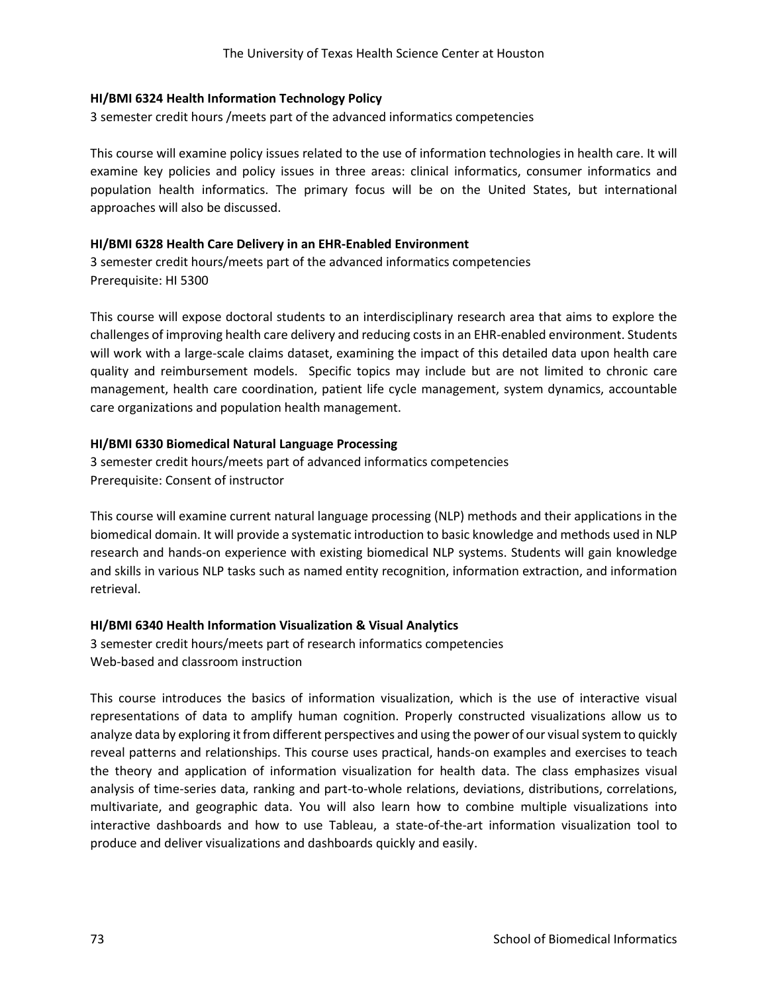### **HI/BMI 6324 Health Information Technology Policy**

3 semester credit hours /meets part of the advanced informatics competencies

This course will examine policy issues related to the use of information technologies in health care. It will examine key policies and policy issues in three areas: clinical informatics, consumer informatics and population health informatics. The primary focus will be on the United States, but international approaches will also be discussed.

### **HI/BMI 6328 Health Care Delivery in an EHR-Enabled Environment**

3 semester credit hours/meets part of the advanced informatics competencies Prerequisite: HI 5300

This course will expose doctoral students to an interdisciplinary research area that aims to explore the challenges of improving health care delivery and reducing costs in an EHR-enabled environment. Students will work with a large-scale claims dataset, examining the impact of this detailed data upon health care quality and reimbursement models. Specific topics may include but are not limited to chronic care management, health care coordination, patient life cycle management, system dynamics, accountable care organizations and population health management.

### **HI/BMI 6330 Biomedical Natural Language Processing**

3 semester credit hours/meets part of advanced informatics competencies Prerequisite: Consent of instructor

This course will examine current natural language processing (NLP) methods and their applications in the biomedical domain. It will provide a systematic introduction to basic knowledge and methods used in NLP research and hands-on experience with existing biomedical NLP systems. Students will gain knowledge and skills in various NLP tasks such as named entity recognition, information extraction, and information retrieval.

### **HI/BMI 6340 Health Information Visualization & Visual Analytics**

3 semester credit hours/meets part of research informatics competencies Web-based and classroom instruction

This course introduces the basics of information visualization, which is the use of interactive visual representations of data to amplify human cognition. Properly constructed visualizations allow us to analyze data by exploring it from different perspectives and using the power of our visual system to quickly reveal patterns and relationships. This course uses practical, hands-on examples and exercises to teach the theory and application of information visualization for health data. The class emphasizes visual analysis of time-series data, ranking and part-to-whole relations, deviations, distributions, correlations, multivariate, and geographic data. You will also learn how to combine multiple visualizations into interactive dashboards and how to use Tableau, a state-of-the-art information visualization tool to produce and deliver visualizations and dashboards quickly and easily.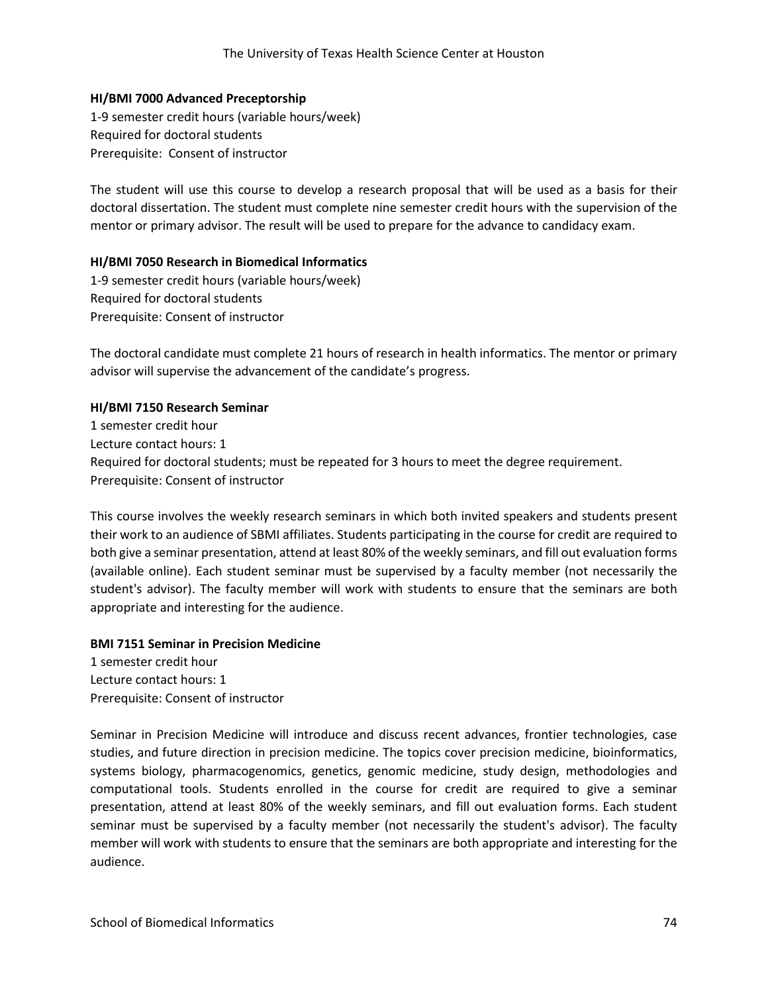#### **HI/BMI 7000 Advanced Preceptorship**

1-9 semester credit hours (variable hours/week) Required for doctoral students Prerequisite: Consent of instructor

The student will use this course to develop a research proposal that will be used as a basis for their doctoral dissertation. The student must complete nine semester credit hours with the supervision of the mentor or primary advisor. The result will be used to prepare for the advance to candidacy exam.

#### **HI/BMI 7050 Research in Biomedical Informatics**

1-9 semester credit hours (variable hours/week) Required for doctoral students Prerequisite: Consent of instructor

The doctoral candidate must complete 21 hours of research in health informatics. The mentor or primary advisor will supervise the advancement of the candidate's progress.

#### **HI/BMI 7150 Research Seminar**

1 semester credit hour Lecture contact hours: 1 Required for doctoral students; must be repeated for 3 hours to meet the degree requirement. Prerequisite: Consent of instructor

This course involves the weekly research seminars in which both invited speakers and students present their work to an audience of SBMI affiliates. Students participating in the course for credit are required to both give a seminar presentation, attend at least 80% of the weekly seminars, and fill out evaluation forms (available online). Each student seminar must be supervised by a faculty member (not necessarily the student's advisor). The faculty member will work with students to ensure that the seminars are both appropriate and interesting for the audience.

#### **BMI 7151 Seminar in Precision Medicine**

1 semester credit hour Lecture contact hours: 1 Prerequisite: Consent of instructor

Seminar in Precision Medicine will introduce and discuss recent advances, frontier technologies, case studies, and future direction in precision medicine. The topics cover precision medicine, bioinformatics, systems biology, pharmacogenomics, genetics, genomic medicine, study design, methodologies and computational tools. Students enrolled in the course for credit are required to give a seminar presentation, attend at least 80% of the weekly seminars, and fill out evaluation forms. Each student seminar must be supervised by a faculty member (not necessarily the student's advisor). The faculty member will work with students to ensure that the seminars are both appropriate and interesting for the audience.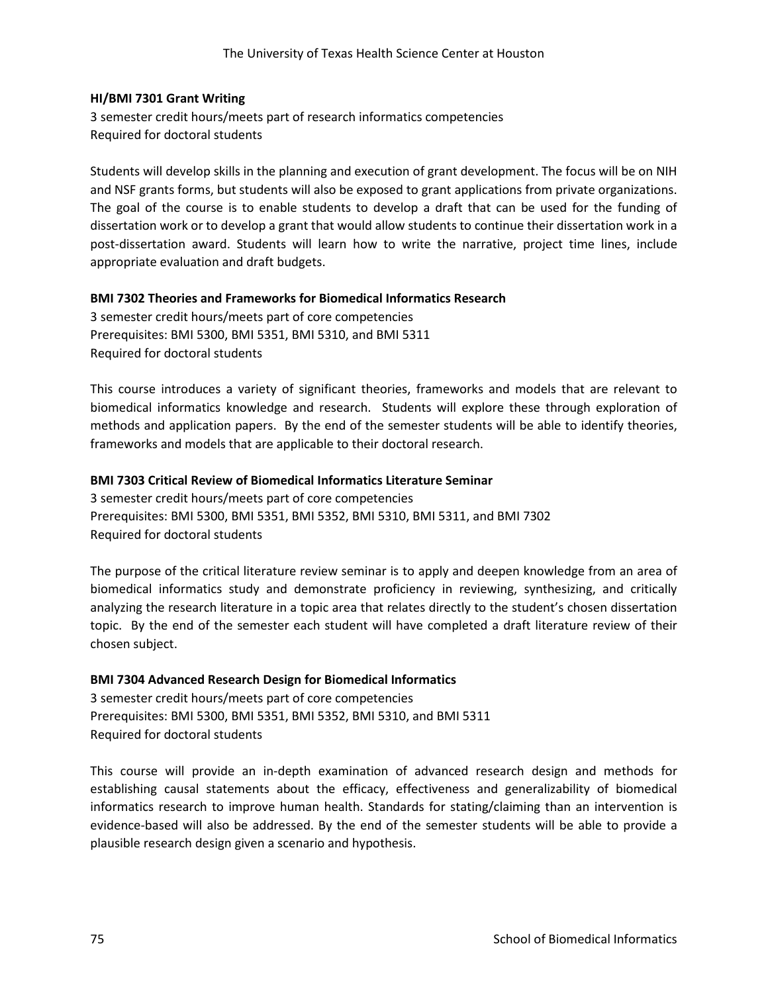#### **HI/BMI 7301 Grant Writing**

3 semester credit hours/meets part of research informatics competencies Required for doctoral students

Students will develop skills in the planning and execution of grant development. The focus will be on NIH and NSF grants forms, but students will also be exposed to grant applications from private organizations. The goal of the course is to enable students to develop a draft that can be used for the funding of dissertation work or to develop a grant that would allow students to continue their dissertation work in a post-dissertation award. Students will learn how to write the narrative, project time lines, include appropriate evaluation and draft budgets.

### **BMI 7302 Theories and Frameworks for Biomedical Informatics Research**

3 semester credit hours/meets part of core competencies Prerequisites: BMI 5300, BMI 5351, BMI 5310, and BMI 5311 Required for doctoral students

This course introduces a variety of significant theories, frameworks and models that are relevant to biomedical informatics knowledge and research. Students will explore these through exploration of methods and application papers. By the end of the semester students will be able to identify theories, frameworks and models that are applicable to their doctoral research.

### **BMI 7303 Critical Review of Biomedical Informatics Literature Seminar**

3 semester credit hours/meets part of core competencies Prerequisites: BMI 5300, BMI 5351, BMI 5352, BMI 5310, BMI 5311, and BMI 7302 Required for doctoral students

The purpose of the critical literature review seminar is to apply and deepen knowledge from an area of biomedical informatics study and demonstrate proficiency in reviewing, synthesizing, and critically analyzing the research literature in a topic area that relates directly to the student's chosen dissertation topic. By the end of the semester each student will have completed a draft literature review of their chosen subject.

### **BMI 7304 Advanced Research Design for Biomedical Informatics**

3 semester credit hours/meets part of core competencies Prerequisites: BMI 5300, BMI 5351, BMI 5352, BMI 5310, and BMI 5311 Required for doctoral students

This course will provide an in-depth examination of advanced research design and methods for establishing causal statements about the efficacy, effectiveness and generalizability of biomedical informatics research to improve human health. Standards for stating/claiming than an intervention is evidence-based will also be addressed. By the end of the semester students will be able to provide a plausible research design given a scenario and hypothesis.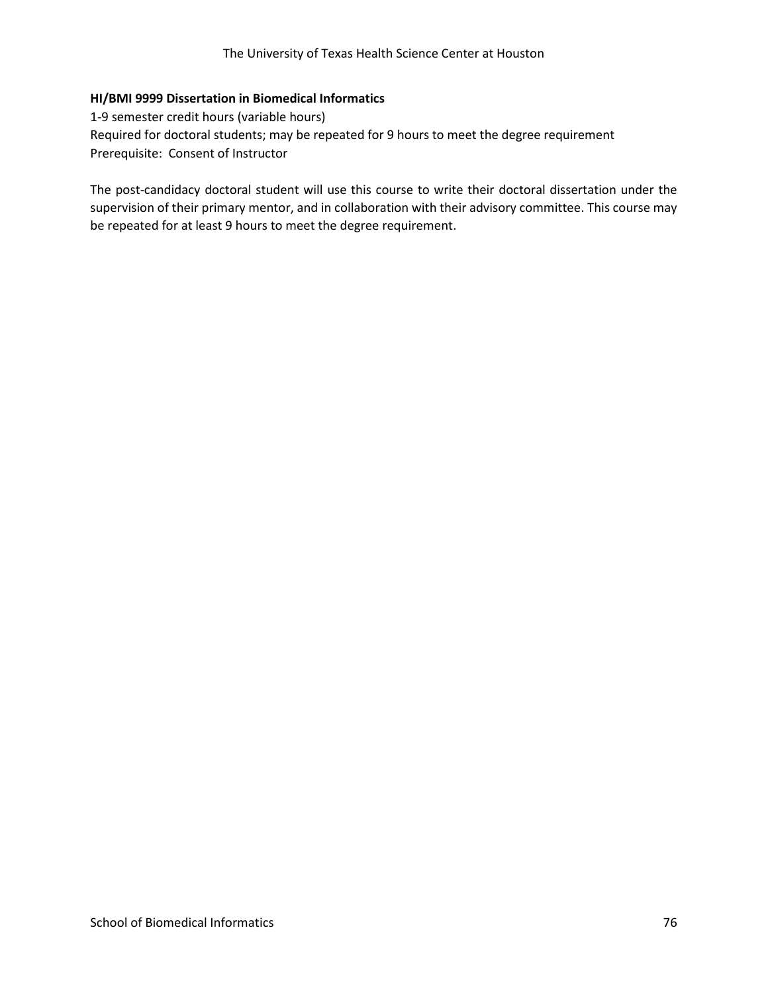### **HI/BMI 9999 Dissertation in Biomedical Informatics**

1-9 semester credit hours (variable hours) Required for doctoral students; may be repeated for 9 hours to meet the degree requirement Prerequisite: Consent of Instructor

The post-candidacy doctoral student will use this course to write their doctoral dissertation under the supervision of their primary mentor, and in collaboration with their advisory committee. This course may be repeated for at least 9 hours to meet the degree requirement.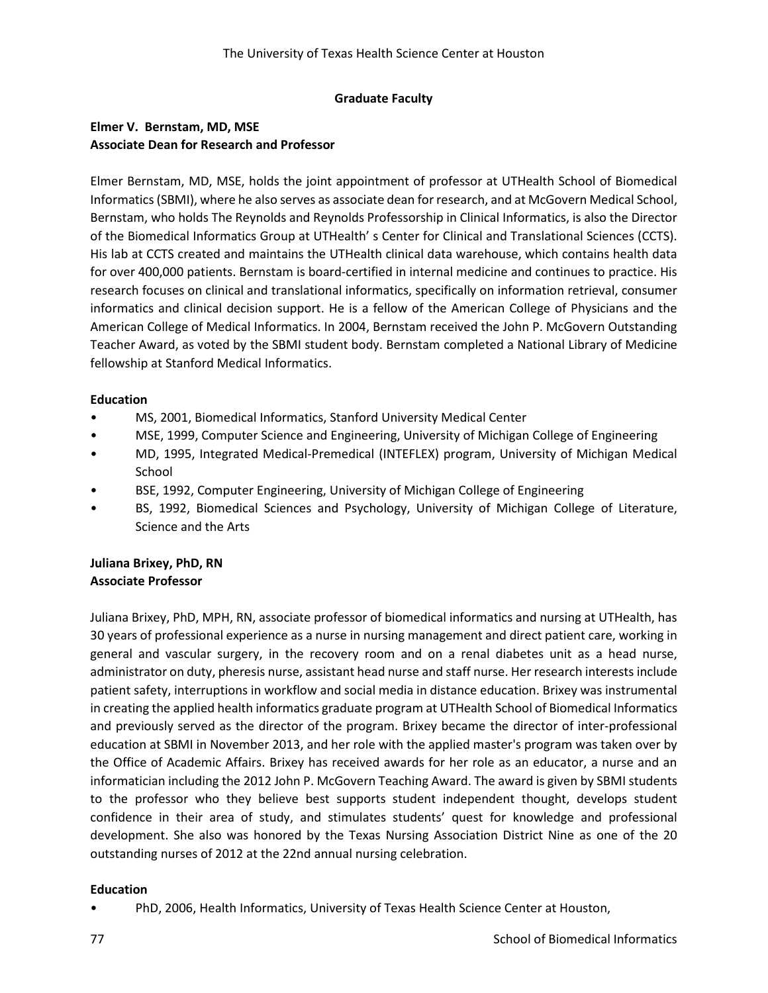### **Graduate Faculty**

# **Elmer V. Bernstam, MD, MSE Associate Dean for Research and Professor**

Elmer Bernstam, MD, MSE, holds the joint appointment of professor at UTHealth School of Biomedical Informatics (SBMI), where he also serves as associate dean for research, and at McGovern Medical School, Bernstam, who holds The Reynolds and Reynolds Professorship in Clinical Informatics, is also the Director of the Biomedical Informatics Group at UTHealth' s Center for Clinical and Translational Sciences (CCTS). His lab at CCTS created and maintains the UTHealth clinical data warehouse, which contains health data for over 400,000 patients. Bernstam is board-certified in internal medicine and continues to practice. His research focuses on clinical and translational informatics, specifically on information retrieval, consumer informatics and clinical decision support. He is a fellow of the American College of Physicians and the American College of Medical Informatics. In 2004, Bernstam received the John P. McGovern Outstanding Teacher Award, as voted by the SBMI student body. Bernstam completed a National Library of Medicine fellowship at Stanford Medical Informatics.

### **Education**

- MS, 2001, Biomedical Informatics, Stanford University Medical Center
- MSE, 1999, Computer Science and Engineering, University of Michigan College of Engineering
- MD, 1995, Integrated Medical-Premedical (INTEFLEX) program, University of Michigan Medical School
- BSE, 1992, Computer Engineering, University of Michigan College of Engineering
- BS, 1992, Biomedical Sciences and Psychology, University of Michigan College of Literature, Science and the Arts

### **Juliana Brixey, PhD, RN Associate Professor**

Juliana Brixey, PhD, MPH, RN, associate professor of biomedical informatics and nursing at UTHealth, has 30 years of professional experience as a nurse in nursing management and direct patient care, working in general and vascular surgery, in the recovery room and on a renal diabetes unit as a head nurse, administrator on duty, pheresis nurse, assistant head nurse and staff nurse. Her research interests include patient safety, interruptions in workflow and social media in distance education. Brixey was instrumental in creating the applied health informatics graduate program at UTHealth School of Biomedical Informatics and previously served as the director of the program. Brixey became the director of inter-professional education at SBMI in November 2013, and her role with the applied master's program was taken over by the Office of Academic Affairs. Brixey has received awards for her role as an educator, a nurse and an informatician including the 2012 John P. McGovern Teaching Award. The award is given by SBMI students to the professor who they believe best supports student independent thought, develops student confidence in their area of study, and stimulates students' quest for knowledge and professional development. She also was honored by the Texas Nursing Association District Nine as one of the 20 outstanding nurses of 2012 at the 22nd annual nursing celebration.

### **Education**

• PhD, 2006, Health Informatics, University of Texas Health Science Center at Houston,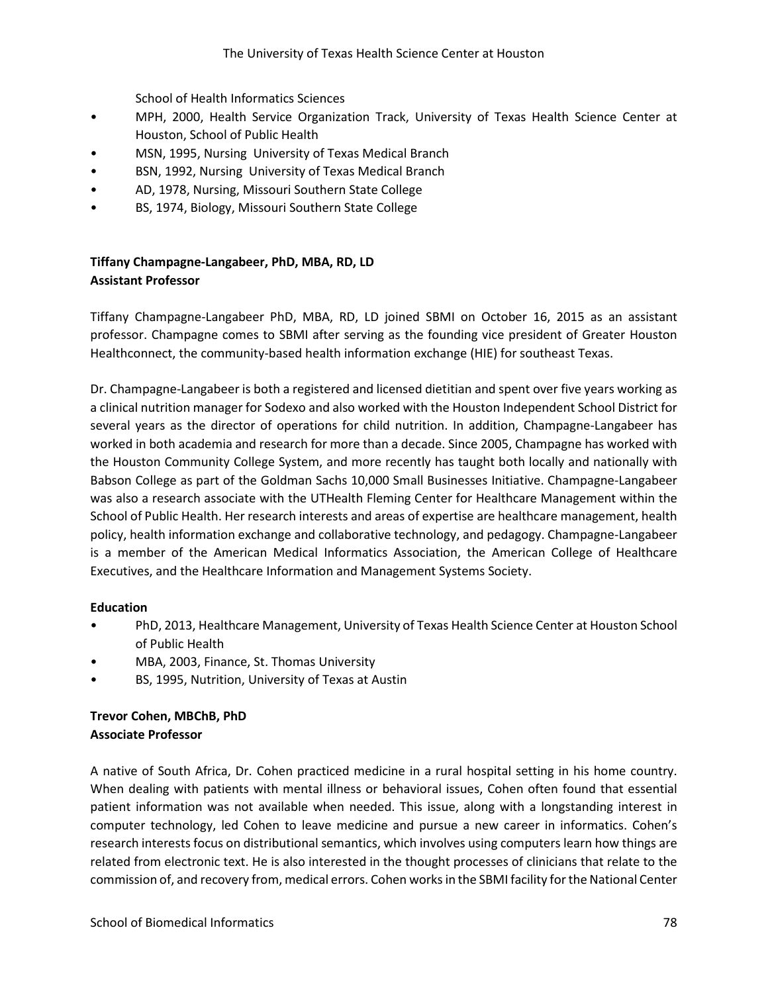School of Health Informatics Sciences

- MPH, 2000, Health Service Organization Track, University of Texas Health Science Center at Houston, School of Public Health
- MSN, 1995, Nursing University of Texas Medical Branch
- BSN, 1992, Nursing University of Texas Medical Branch
- AD, 1978, Nursing, Missouri Southern State College
- BS, 1974, Biology, Missouri Southern State College

# **Tiffany Champagne-Langabeer, PhD, MBA, RD, LD Assistant Professor**

Tiffany Champagne-Langabeer PhD, MBA, RD, LD joined SBMI on October 16, 2015 as an assistant professor. Champagne comes to SBMI after serving as the founding vice president of Greater Houston Healthconnect, the community-based health information exchange (HIE) for southeast Texas.

Dr. Champagne-Langabeer is both a registered and licensed dietitian and spent over five years working as a clinical nutrition manager for Sodexo and also worked with the Houston Independent School District for several years as the director of operations for child nutrition. In addition, Champagne-Langabeer has worked in both academia and research for more than a decade. Since 2005, Champagne has worked with the Houston Community College System, and more recently has taught both locally and nationally with Babson College as part of the Goldman Sachs 10,000 Small Businesses Initiative. Champagne-Langabeer was also a research associate with the UTHealth Fleming Center for Healthcare Management within the School of Public Health. Her research interests and areas of expertise are healthcare management, health policy, health information exchange and collaborative technology, and pedagogy. Champagne-Langabeer is a member of the American Medical Informatics Association, the American College of Healthcare Executives, and the Healthcare Information and Management Systems Society.

### **Education**

- PhD, 2013, Healthcare Management, University of Texas Health Science Center at Houston School of Public Health
- MBA, 2003, Finance, St. Thomas University
- BS, 1995, Nutrition, University of Texas at Austin

## **Trevor Cohen, MBChB, PhD Associate Professor**

A native of South Africa, Dr. Cohen practiced medicine in a rural hospital setting in his home country. When dealing with patients with mental illness or behavioral issues, Cohen often found that essential patient information was not available when needed. This issue, along with a longstanding interest in computer technology, led Cohen to leave medicine and pursue a new career in informatics. Cohen's research interests focus on distributional semantics, which involves using computers learn how things are related from electronic text. He is also interested in the thought processes of clinicians that relate to the commission of, and recovery from, medical errors. Cohen works in the SBMI facility for the National Center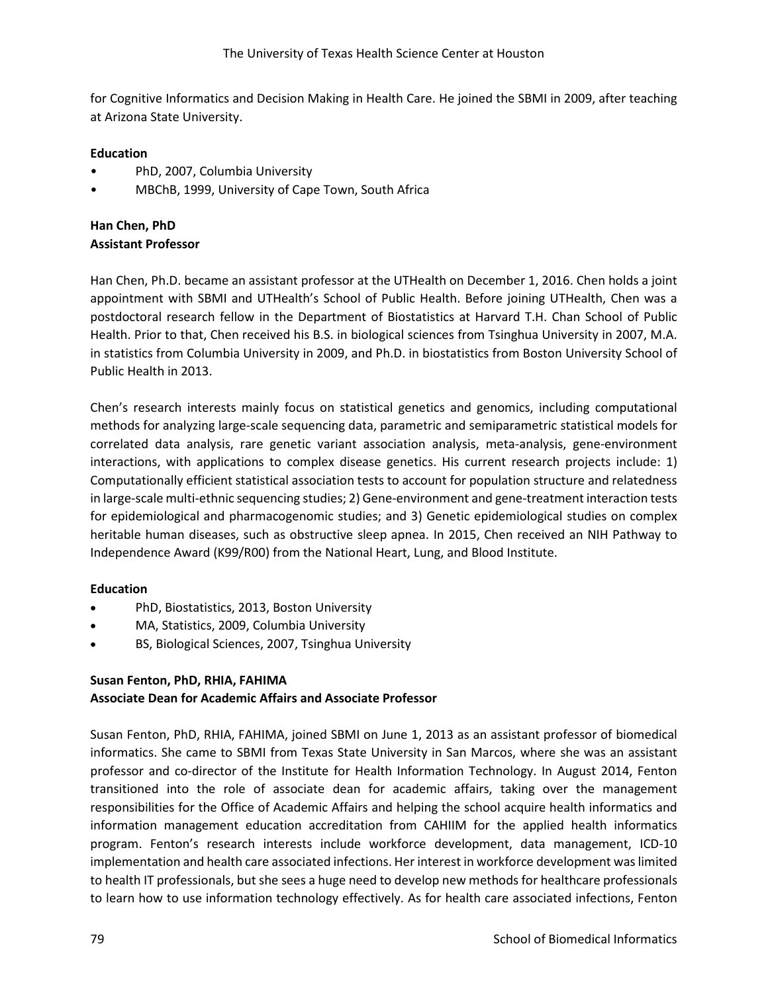for Cognitive Informatics and Decision Making in Health Care. He joined the SBMI in 2009, after teaching at Arizona State University.

### **Education**

- PhD, 2007, Columbia University
- MBChB, 1999, University of Cape Town, South Africa

## **Han Chen, PhD Assistant Professor**

Han Chen, Ph.D. became an assistant professor at the UTHealth on December 1, 2016. Chen holds a joint appointment with SBMI and UTHealth's School of Public Health. Before joining UTHealth, Chen was a postdoctoral research fellow in the Department of Biostatistics at Harvard T.H. Chan School of Public Health. Prior to that, Chen received his B.S. in biological sciences from Tsinghua University in 2007, M.A. in statistics from Columbia University in 2009, and Ph.D. in biostatistics from Boston University School of Public Health in 2013.

Chen's research interests mainly focus on statistical genetics and genomics, including computational methods for analyzing large-scale sequencing data, parametric and semiparametric statistical models for correlated data analysis, rare genetic variant association analysis, meta-analysis, gene-environment interactions, with applications to complex disease genetics. His current research projects include: 1) Computationally efficient statistical association tests to account for population structure and relatedness in large-scale multi-ethnic sequencing studies; 2) Gene-environment and gene-treatment interaction tests for epidemiological and pharmacogenomic studies; and 3) Genetic epidemiological studies on complex heritable human diseases, such as obstructive sleep apnea. In 2015, Chen received an NIH Pathway to Independence Award (K99/R00) from the National Heart, Lung, and Blood Institute.

## **Education**

- PhD, Biostatistics, 2013, Boston University
- MA, Statistics, 2009, Columbia University
- BS, Biological Sciences, 2007, Tsinghua University

### **Susan Fenton, PhD, RHIA, FAHIMA Associate Dean for Academic Affairs and Associate Professor**

Susan Fenton, PhD, RHIA, FAHIMA, joined SBMI on June 1, 2013 as an assistant professor of biomedical informatics. She came to SBMI from Texas State University in San Marcos, where she was an assistant professor and co-director of the Institute for Health Information Technology. In August 2014, Fenton transitioned into the role of associate dean for academic affairs, taking over the management responsibilities for the Office of Academic Affairs and helping the school acquire health informatics and information management education accreditation from CAHIIM for the applied health informatics program. Fenton's research interests include workforce development, data management, ICD-10 implementation and health care associated infections. Her interest in workforce development was limited to health IT professionals, but she sees a huge need to develop new methods for healthcare professionals to learn how to use information technology effectively. As for health care associated infections, Fenton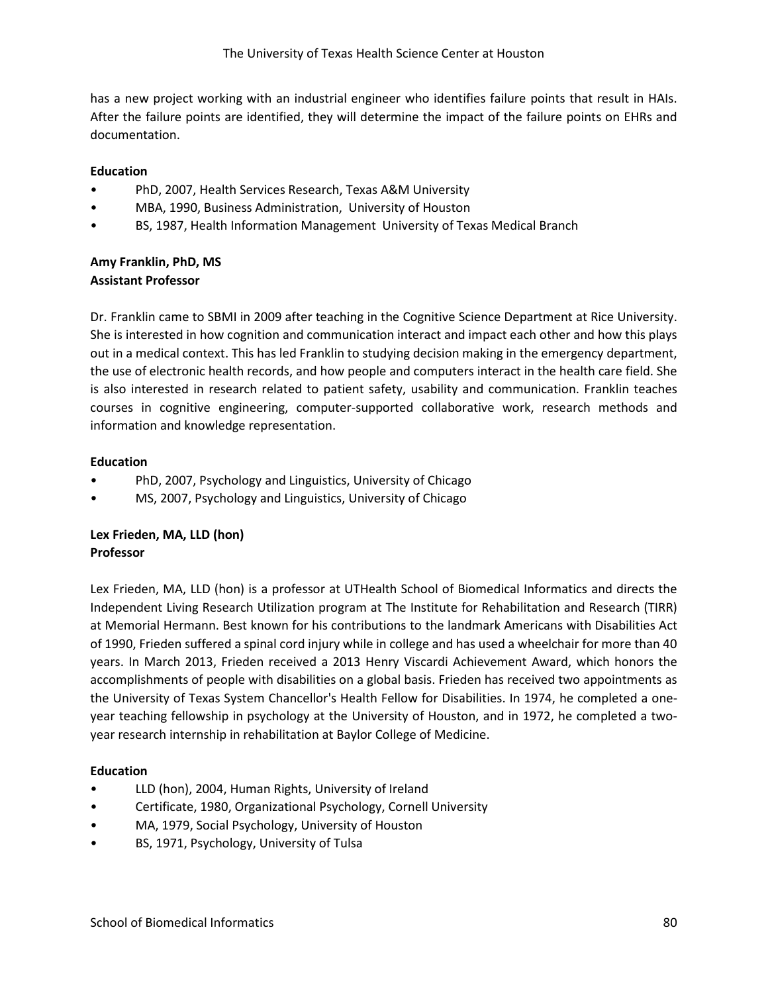has a new project working with an industrial engineer who identifies failure points that result in HAIs. After the failure points are identified, they will determine the impact of the failure points on EHRs and documentation.

## **Education**

- PhD, 2007, Health Services Research, Texas A&M University
- MBA, 1990, Business Administration, University of Houston
- BS, 1987, Health Information Management University of Texas Medical Branch

## **Amy Franklin, PhD, MS Assistant Professor**

Dr. Franklin came to SBMI in 2009 after teaching in the Cognitive Science Department at Rice University. She is interested in how cognition and communication interact and impact each other and how this plays out in a medical context. This has led Franklin to studying decision making in the emergency department, the use of electronic health records, and how people and computers interact in the health care field. She is also interested in research related to patient safety, usability and communication. Franklin teaches courses in cognitive engineering, computer-supported collaborative work, research methods and information and knowledge representation.

### **Education**

- PhD, 2007, Psychology and Linguistics, University of Chicago
- MS, 2007, Psychology and Linguistics, University of Chicago

# **Lex Frieden, MA, LLD (hon) Professor**

Lex Frieden, MA, LLD (hon) is a professor at UTHealth School of Biomedical Informatics and directs the Independent Living Research Utilization program at The Institute for Rehabilitation and Research (TIRR) at Memorial Hermann. Best known for his contributions to the landmark Americans with Disabilities Act of 1990, Frieden suffered a spinal cord injury while in college and has used a wheelchair for more than 40 years. In March 2013, Frieden received a 2013 Henry Viscardi Achievement Award, which honors the accomplishments of people with disabilities on a global basis. Frieden has received two appointments as the University of Texas System Chancellor's Health Fellow for Disabilities. In 1974, he completed a oneyear teaching fellowship in psychology at the University of Houston, and in 1972, he completed a twoyear research internship in rehabilitation at Baylor College of Medicine.

- LLD (hon), 2004, Human Rights, University of Ireland
- Certificate, 1980, Organizational Psychology, Cornell University
- MA, 1979, Social Psychology, University of Houston
- BS, 1971, Psychology, University of Tulsa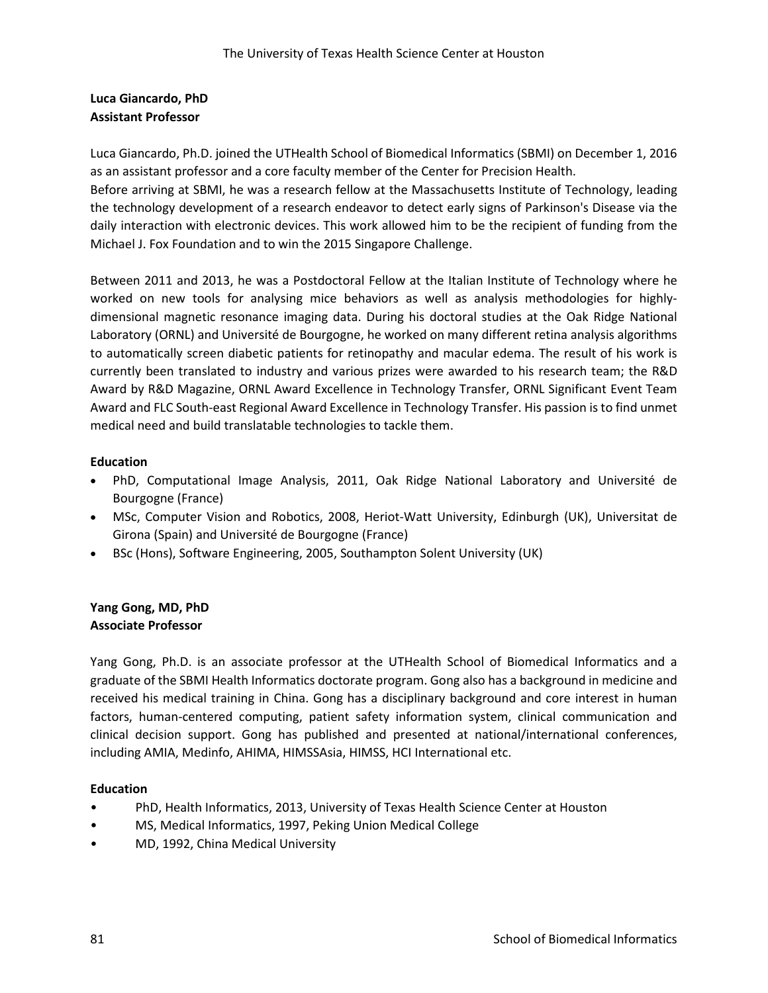# **Luca Giancardo, PhD Assistant Professor**

Luca Giancardo, Ph.D. joined the UTHealth School of Biomedical Informatics (SBMI) on December 1, 2016 as an assistant professor and a core faculty member of the Center for Precision Health.

Before arriving at SBMI, he was a research fellow at the Massachusetts Institute of Technology, leading the technology development of a research endeavor to detect early signs of Parkinson's Disease via the daily interaction with electronic devices. This work allowed him to be the recipient of funding from the Michael J. Fox Foundation and to win the 2015 Singapore Challenge.

Between 2011 and 2013, he was a Postdoctoral Fellow at the Italian Institute of Technology where he worked on new tools for analysing mice behaviors as well as analysis methodologies for highlydimensional magnetic resonance imaging data. During his doctoral studies at the Oak Ridge National Laboratory (ORNL) and Université de Bourgogne, he worked on many different retina analysis algorithms to automatically screen diabetic patients for retinopathy and macular edema. The result of his work is currently been translated to industry and various prizes were awarded to his research team; the R&D Award by R&D Magazine, ORNL Award Excellence in Technology Transfer, ORNL Significant Event Team Award and FLC South-east Regional Award Excellence in Technology Transfer. His passion is to find unmet medical need and build translatable technologies to tackle them.

### **Education**

- PhD, Computational Image Analysis, 2011, Oak Ridge National Laboratory and Université de Bourgogne (France)
- MSc, Computer Vision and Robotics, 2008, Heriot-Watt University, Edinburgh (UK), Universitat de Girona (Spain) and Université de Bourgogne (France)
- BSc (Hons), Software Engineering, 2005, Southampton Solent University (UK)

### **Yang Gong, MD, PhD Associate Professor**

Yang Gong, Ph.D. is an associate professor at the UTHealth School of Biomedical Informatics and a graduate of the SBMI Health Informatics doctorate program. Gong also has a background in medicine and received his medical training in China. Gong has a disciplinary background and core interest in human factors, human-centered computing, patient safety information system, clinical communication and clinical decision support. Gong has published and presented at national/international conferences, including AMIA, Medinfo, AHIMA, HIMSSAsia, HIMSS, HCI International etc.

- PhD, Health Informatics, 2013, University of Texas Health Science Center at Houston
- MS, Medical Informatics, 1997, Peking Union Medical College
- MD, 1992, China Medical University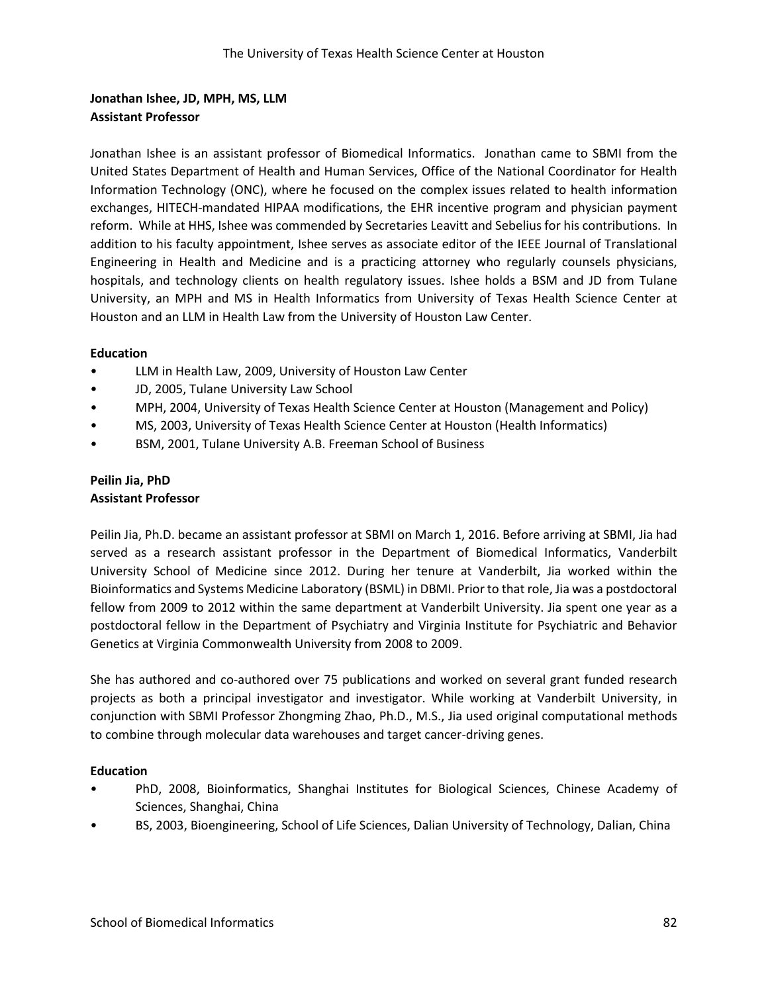# **Jonathan Ishee, JD, MPH, MS, LLM Assistant Professor**

Jonathan Ishee is an assistant professor of Biomedical Informatics. Jonathan came to SBMI from the United States Department of Health and Human Services, Office of the National Coordinator for Health Information Technology (ONC), where he focused on the complex issues related to health information exchanges, HITECH-mandated HIPAA modifications, the EHR incentive program and physician payment reform. While at HHS, Ishee was commended by Secretaries Leavitt and Sebelius for his contributions. In addition to his faculty appointment, Ishee serves as associate editor of the IEEE Journal of Translational Engineering in Health and Medicine and is a practicing attorney who regularly counsels physicians, hospitals, and technology clients on health regulatory issues. Ishee holds a BSM and JD from Tulane University, an MPH and MS in Health Informatics from University of Texas Health Science Center at Houston and an LLM in Health Law from the University of Houston Law Center.

### **Education**

- LLM in Health Law, 2009, University of Houston Law Center
- JD, 2005, Tulane University Law School
- MPH, 2004, University of Texas Health Science Center at Houston (Management and Policy)
- MS, 2003, University of Texas Health Science Center at Houston (Health Informatics)
- BSM, 2001, Tulane University A.B. Freeman School of Business

### **Peilin Jia, PhD Assistant Professor**

Peilin Jia, Ph.D. became an assistant professor at SBMI on March 1, 2016. Before arriving at SBMI, Jia had served as a research assistant professor in the Department of Biomedical Informatics, Vanderbilt University School of Medicine since 2012. During her tenure at Vanderbilt, Jia worked within the Bioinformatics and Systems Medicine Laboratory (BSML) in DBMI. Prior to that role, Jia was a postdoctoral fellow from 2009 to 2012 within the same department at Vanderbilt University. Jia spent one year as a postdoctoral fellow in the Department of Psychiatry and Virginia Institute for Psychiatric and Behavior Genetics at Virginia Commonwealth University from 2008 to 2009.

She has authored and co-authored over 75 publications and worked on several grant funded research projects as both a principal investigator and investigator. While working at Vanderbilt University, in conjunction with SBMI Professor Zhongming Zhao, Ph.D., M.S., Jia used original computational methods to combine through molecular data warehouses and target cancer-driving genes.

- PhD, 2008, Bioinformatics, Shanghai Institutes for Biological Sciences, Chinese Academy of Sciences, Shanghai, China
- BS, 2003, Bioengineering, School of Life Sciences, Dalian University of Technology, Dalian, China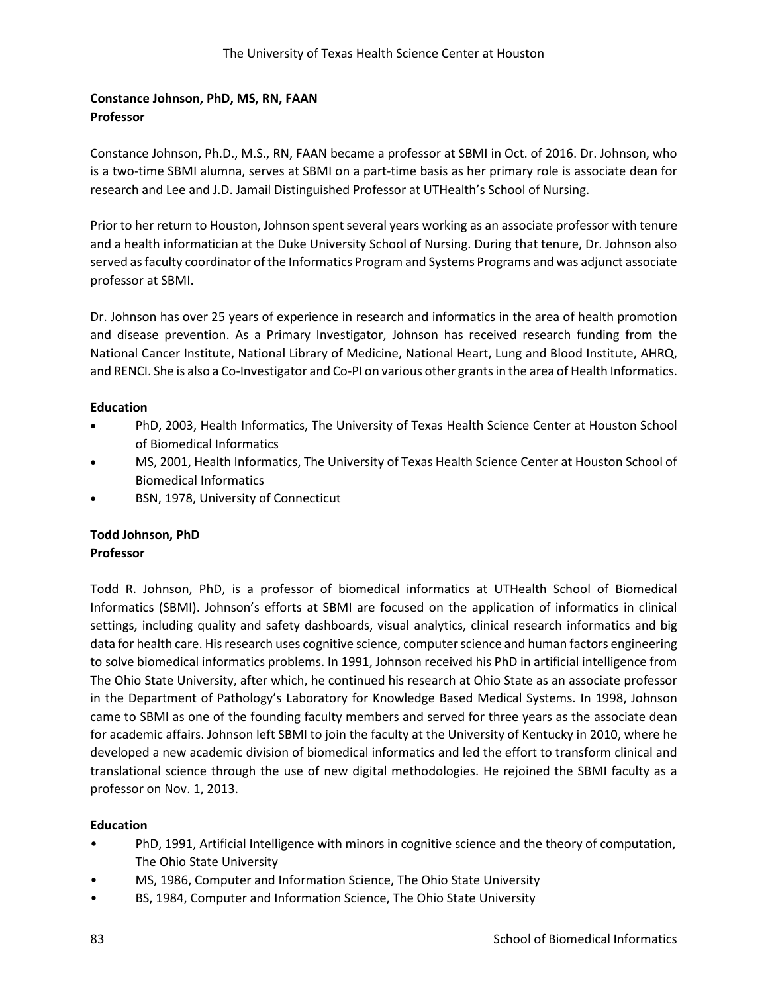# **Constance Johnson, PhD, MS, RN, FAAN Professor**

Constance Johnson, Ph.D., M.S., RN, FAAN became a professor at SBMI in Oct. of 2016. Dr. Johnson, who is a two-time SBMI alumna, serves at SBMI on a part-time basis as her primary role is associate dean for research and Lee and J.D. Jamail Distinguished Professor at UTHealth's School of Nursing.

Prior to her return to Houston, Johnson spent several years working as an associate professor with tenure and a health informatician at the Duke University School of Nursing. During that tenure, Dr. Johnson also served as faculty coordinator of the Informatics Program and Systems Programs and was adjunct associate professor at SBMI.

Dr. Johnson has over 25 years of experience in research and informatics in the area of health promotion and disease prevention. As a Primary Investigator, Johnson has received research funding from the National Cancer Institute, National Library of Medicine, National Heart, Lung and Blood Institute, AHRQ, and RENCI. She is also a Co-Investigator and Co-PI on various other grants in the area of Health Informatics.

### **Education**

- PhD, 2003, Health Informatics, The University of Texas Health Science Center at Houston School of Biomedical Informatics
- MS, 2001, Health Informatics, The University of Texas Health Science Center at Houston School of Biomedical Informatics
- BSN, 1978, University of Connecticut

## **Todd Johnson, PhD Professor**

Todd R. Johnson, PhD, is a professor of biomedical informatics at UTHealth School of Biomedical Informatics (SBMI). Johnson's efforts at SBMI are focused on the application of informatics in clinical settings, including quality and safety dashboards, visual analytics, clinical research informatics and big data for health care. His research uses cognitive science, computer science and human factors engineering to solve biomedical informatics problems. In 1991, Johnson received his PhD in artificial intelligence from The Ohio State University, after which, he continued his research at Ohio State as an associate professor in the Department of Pathology's Laboratory for Knowledge Based Medical Systems. In 1998, Johnson came to SBMI as one of the founding faculty members and served for three years as the associate dean for academic affairs. Johnson left SBMI to join the faculty at the University of Kentucky in 2010, where he developed a new academic division of biomedical informatics and led the effort to transform clinical and translational science through the use of new digital methodologies. He rejoined the SBMI faculty as a professor on Nov. 1, 2013.

- PhD, 1991, Artificial Intelligence with minors in cognitive science and the theory of computation, The Ohio State University
- MS, 1986, Computer and Information Science, The Ohio State University
- BS, 1984, Computer and Information Science, The Ohio State University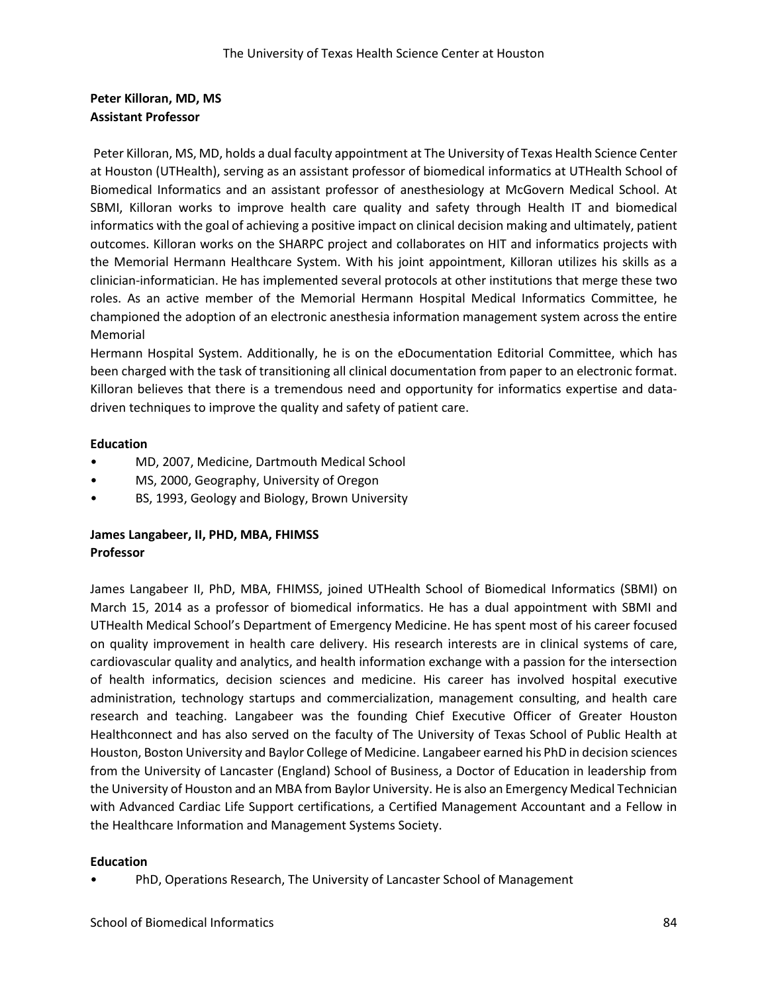# **Peter Killoran, MD, MS Assistant Professor**

Peter Killoran, MS, MD, holds a dual faculty appointment at The University of Texas Health Science Center at Houston (UTHealth), serving as an assistant professor of biomedical informatics at UTHealth School of Biomedical Informatics and an assistant professor of anesthesiology at McGovern Medical School. At SBMI, Killoran works to improve health care quality and safety through Health IT and biomedical informatics with the goal of achieving a positive impact on clinical decision making and ultimately, patient outcomes. Killoran works on the SHARPC project and collaborates on HIT and informatics projects with the Memorial Hermann Healthcare System. With his joint appointment, Killoran utilizes his skills as a clinician-informatician. He has implemented several protocols at other institutions that merge these two roles. As an active member of the Memorial Hermann Hospital Medical Informatics Committee, he championed the adoption of an electronic anesthesia information management system across the entire Memorial

Hermann Hospital System. Additionally, he is on the eDocumentation Editorial Committee, which has been charged with the task of transitioning all clinical documentation from paper to an electronic format. Killoran believes that there is a tremendous need and opportunity for informatics expertise and datadriven techniques to improve the quality and safety of patient care.

## **Education**

- MD, 2007, Medicine, Dartmouth Medical School
- MS, 2000, Geography, University of Oregon
- BS, 1993, Geology and Biology, Brown University

# **James Langabeer, II, PHD, MBA, FHIMSS Professor**

James Langabeer II, PhD, MBA, FHIMSS, joined UTHealth School of Biomedical Informatics (SBMI) on March 15, 2014 as a professor of biomedical informatics. He has a dual appointment with SBMI and UTHealth Medical School's Department of Emergency Medicine. He has spent most of his career focused on quality improvement in health care delivery. His research interests are in clinical systems of care, cardiovascular quality and analytics, and health information exchange with a passion for the intersection of health informatics, decision sciences and medicine. His career has involved hospital executive administration, technology startups and commercialization, management consulting, and health care research and teaching. Langabeer was the founding Chief Executive Officer of Greater Houston Healthconnect and has also served on the faculty of The University of Texas School of Public Health at Houston, Boston University and Baylor College of Medicine. Langabeer earned his PhD in decision sciences from the University of Lancaster (England) School of Business, a Doctor of Education in leadership from the University of Houston and an MBA from Baylor University. He is also an Emergency Medical Technician with Advanced Cardiac Life Support certifications, a Certified Management Accountant and a Fellow in the Healthcare Information and Management Systems Society.

## **Education**

• PhD, Operations Research, The University of Lancaster School of Management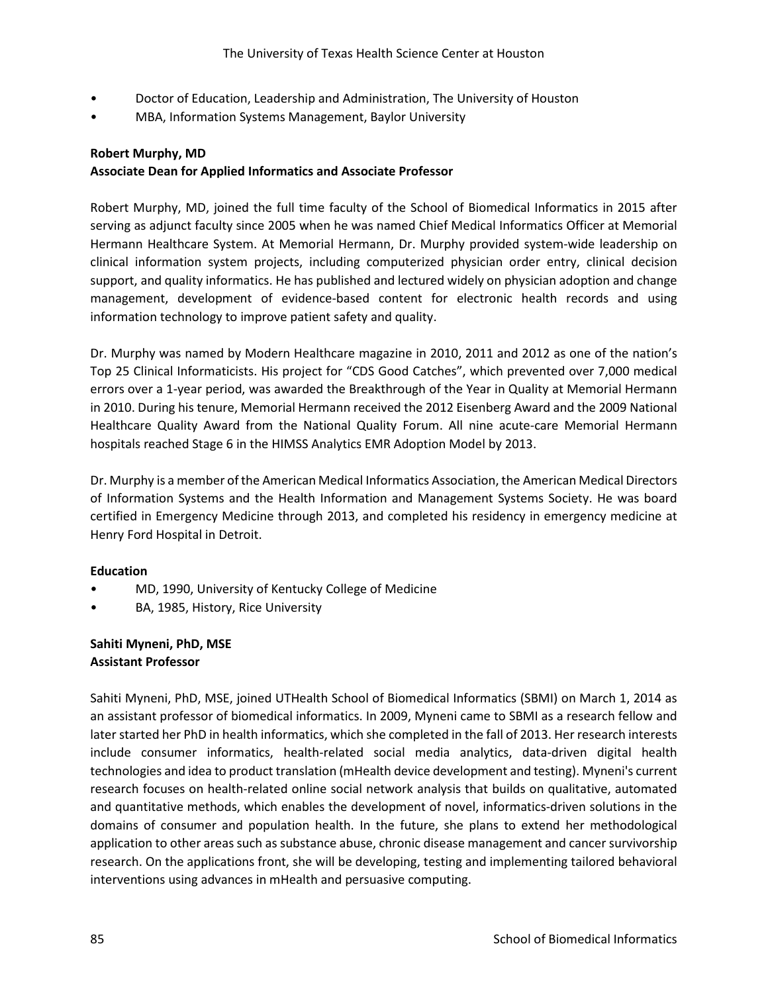- Doctor of Education, Leadership and Administration, The University of Houston
- MBA, Information Systems Management, Baylor University

### **Robert Murphy, MD**

### **Associate Dean for Applied Informatics and Associate Professor**

Robert Murphy, MD, joined the full time faculty of the School of Biomedical Informatics in 2015 after serving as adjunct faculty since 2005 when he was named Chief Medical Informatics Officer at Memorial Hermann Healthcare System. At Memorial Hermann, Dr. Murphy provided system-wide leadership on clinical information system projects, including computerized physician order entry, clinical decision support, and quality informatics. He has published and lectured widely on physician adoption and change management, development of evidence-based content for electronic health records and using information technology to improve patient safety and quality.

Dr. Murphy was named by Modern Healthcare magazine in 2010, 2011 and 2012 as one of the nation's Top 25 Clinical Informaticists. His project for "CDS Good Catches", which prevented over 7,000 medical errors over a 1-year period, was awarded the Breakthrough of the Year in Quality at Memorial Hermann in 2010. During his tenure, Memorial Hermann received the 2012 Eisenberg Award and the 2009 National Healthcare Quality Award from the National Quality Forum. All nine acute-care Memorial Hermann hospitals reached Stage 6 in the HIMSS Analytics EMR Adoption Model by 2013.

Dr. Murphy is a member of the American Medical Informatics Association, the American Medical Directors of Information Systems and the Health Information and Management Systems Society. He was board certified in Emergency Medicine through 2013, and completed his residency in emergency medicine at Henry Ford Hospital in Detroit.

### **Education**

- MD, 1990, University of Kentucky College of Medicine
- BA, 1985, History, Rice University

# **Sahiti Myneni, PhD, MSE Assistant Professor**

Sahiti Myneni, PhD, MSE, joined UTHealth School of Biomedical Informatics (SBMI) on March 1, 2014 as an assistant professor of biomedical informatics. In 2009, Myneni came to SBMI as a research fellow and later started her PhD in health informatics, which she completed in the fall of 2013. Her research interests include consumer informatics, health-related social media analytics, data-driven digital health technologies and idea to product translation (mHealth device development and testing). Myneni's current research focuses on health-related online social network analysis that builds on qualitative, automated and quantitative methods, which enables the development of novel, informatics-driven solutions in the domains of consumer and population health. In the future, she plans to extend her methodological application to other areas such as substance abuse, chronic disease management and cancer survivorship research. On the applications front, she will be developing, testing and implementing tailored behavioral interventions using advances in mHealth and persuasive computing.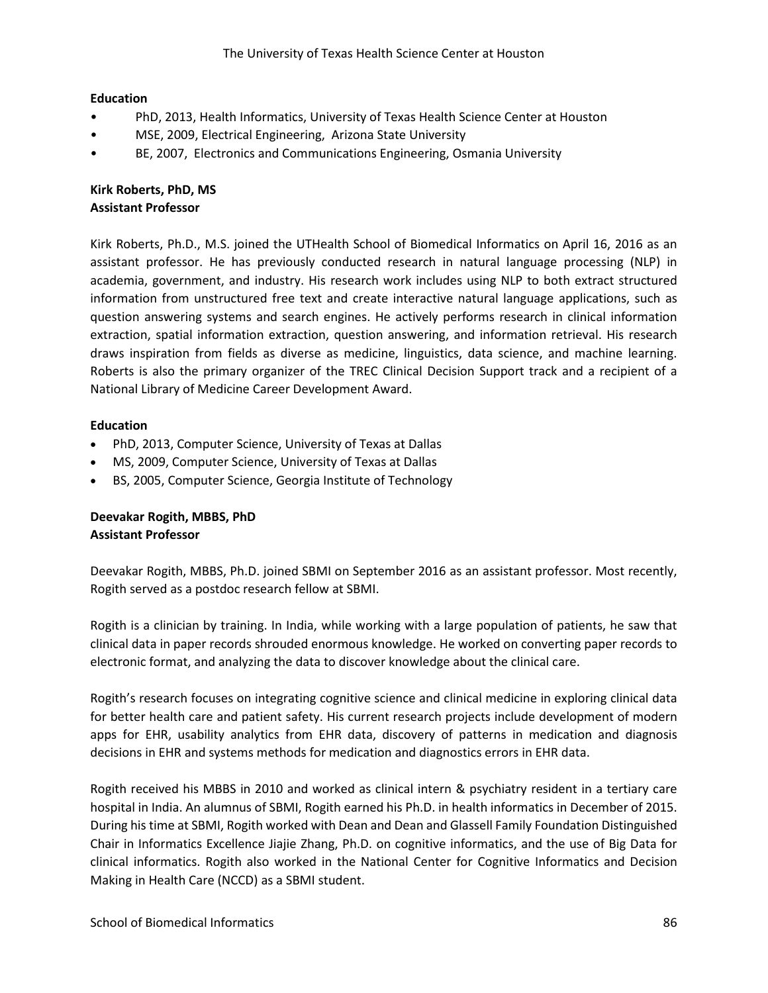### **Education**

- PhD, 2013, Health Informatics, University of Texas Health Science Center at Houston
- MSE, 2009, Electrical Engineering, Arizona State University
- BE, 2007, Electronics and Communications Engineering, Osmania University

# **Kirk Roberts, PhD, MS Assistant Professor**

Kirk Roberts, Ph.D., M.S. joined the UTHealth School of Biomedical Informatics on April 16, 2016 as an assistant professor. He has previously conducted research in natural language processing (NLP) in academia, government, and industry. His research work includes using NLP to both extract structured information from unstructured free text and create interactive natural language applications, such as question answering systems and search engines. He actively performs research in clinical information extraction, spatial information extraction, question answering, and information retrieval. His research draws inspiration from fields as diverse as medicine, linguistics, data science, and machine learning. Roberts is also the primary organizer of the TREC Clinical Decision Support track and a recipient of a National Library of Medicine Career Development Award.

### **Education**

- PhD, 2013, Computer Science, University of Texas at Dallas
- MS, 2009, Computer Science, University of Texas at Dallas
- BS, 2005, Computer Science, Georgia Institute of Technology

# **Deevakar Rogith, MBBS, PhD Assistant Professor**

Deevakar Rogith, MBBS, Ph.D. joined SBMI on September 2016 as an assistant professor. Most recently, Rogith served as a postdoc research fellow at SBMI.

Rogith is a clinician by training. In India, while working with a large population of patients, he saw that clinical data in paper records shrouded enormous knowledge. He worked on converting paper records to electronic format, and analyzing the data to discover knowledge about the clinical care.

Rogith's research focuses on integrating cognitive science and clinical medicine in exploring clinical data for better health care and patient safety. His current research projects include development of modern apps for EHR, usability analytics from EHR data, discovery of patterns in medication and diagnosis decisions in EHR and systems methods for medication and diagnostics errors in EHR data.

Rogith received his MBBS in 2010 and worked as clinical intern & psychiatry resident in a tertiary care hospital in India. An alumnus of SBMI, Rogith earned his Ph.D. in health informatics in December of 2015. During his time at SBMI, Rogith worked with Dean and Dean and Glassell Family Foundation Distinguished Chair in Informatics Excellence Jiajie Zhang, Ph.D. on cognitive informatics, and the use of Big Data for clinical informatics. Rogith also worked in the National Center for Cognitive Informatics and Decision Making in Health Care (NCCD) as a SBMI student.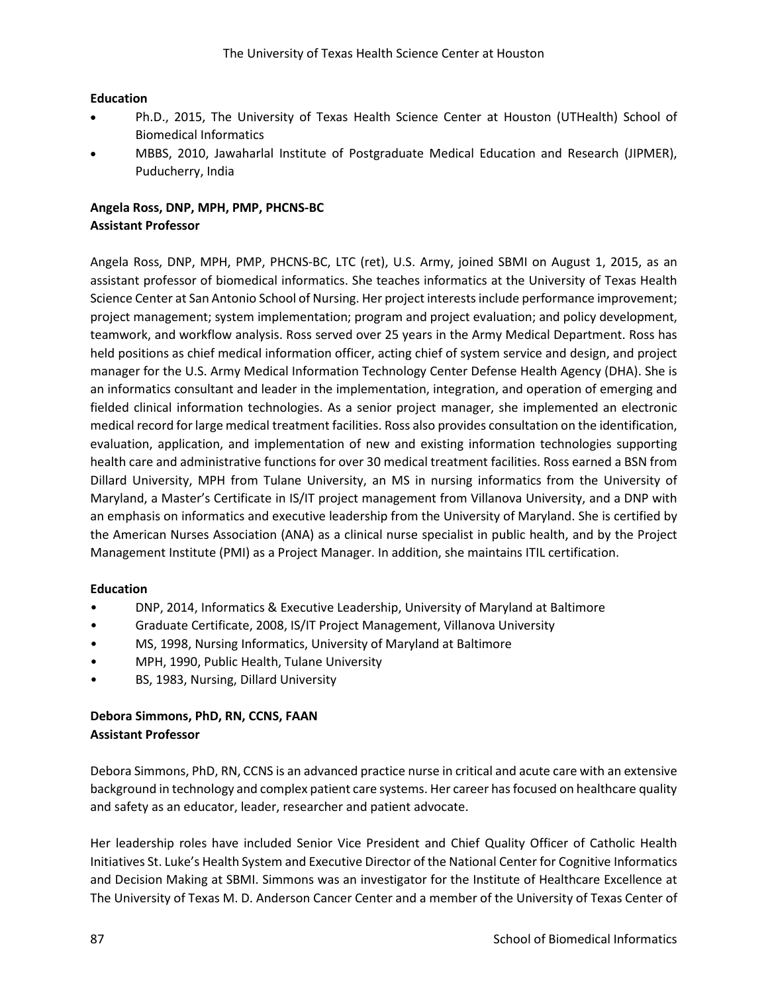### **Education**

- Ph.D., 2015, The University of Texas Health Science Center at Houston (UTHealth) School of Biomedical Informatics
- MBBS, 2010, Jawaharlal Institute of Postgraduate Medical Education and Research (JIPMER), Puducherry, India

# **Angela Ross, DNP, MPH, PMP, PHCNS-BC Assistant Professor**

Angela Ross, DNP, MPH, PMP, PHCNS-BC, LTC (ret), U.S. Army, joined SBMI on August 1, 2015, as an assistant professor of biomedical informatics. She teaches informatics at the University of Texas Health Science Center at San Antonio School of Nursing. Her project interests include performance improvement; project management; system implementation; program and project evaluation; and policy development, teamwork, and workflow analysis. Ross served over 25 years in the Army Medical Department. Ross has held positions as chief medical information officer, acting chief of system service and design, and project manager for the U.S. Army Medical Information Technology Center Defense Health Agency (DHA). She is an informatics consultant and leader in the implementation, integration, and operation of emerging and fielded clinical information technologies. As a senior project manager, she implemented an electronic medical record for large medical treatment facilities. Ross also provides consultation on the identification, evaluation, application, and implementation of new and existing information technologies supporting health care and administrative functions for over 30 medical treatment facilities. Ross earned a BSN from Dillard University, MPH from Tulane University, an MS in nursing informatics from the University of Maryland, a Master's Certificate in IS/IT project management from Villanova University, and a DNP with an emphasis on informatics and executive leadership from the University of Maryland. She is certified by the American Nurses Association (ANA) as a clinical nurse specialist in public health, and by the Project Management Institute (PMI) as a Project Manager. In addition, she maintains ITIL certification.

## **Education**

- DNP, 2014, Informatics & Executive Leadership, University of Maryland at Baltimore
- Graduate Certificate, 2008, IS/IT Project Management, Villanova University
- MS, 1998, Nursing Informatics, University of Maryland at Baltimore
- MPH, 1990, Public Health, Tulane University
- BS, 1983, Nursing, Dillard University

# **Debora Simmons, PhD, RN, CCNS, FAAN Assistant Professor**

Debora Simmons, PhD, RN, CCNS is an advanced practice nurse in critical and acute care with an extensive background in technology and complex patient care systems. Her career has focused on healthcare quality and safety as an educator, leader, researcher and patient advocate.

Her leadership roles have included Senior Vice President and Chief Quality Officer of Catholic Health Initiatives St. Luke's Health System and Executive Director of the National Center for Cognitive Informatics and Decision Making at SBMI. Simmons was an investigator for the Institute of Healthcare Excellence at The University of Texas M. D. Anderson Cancer Center and a member of the University of Texas Center of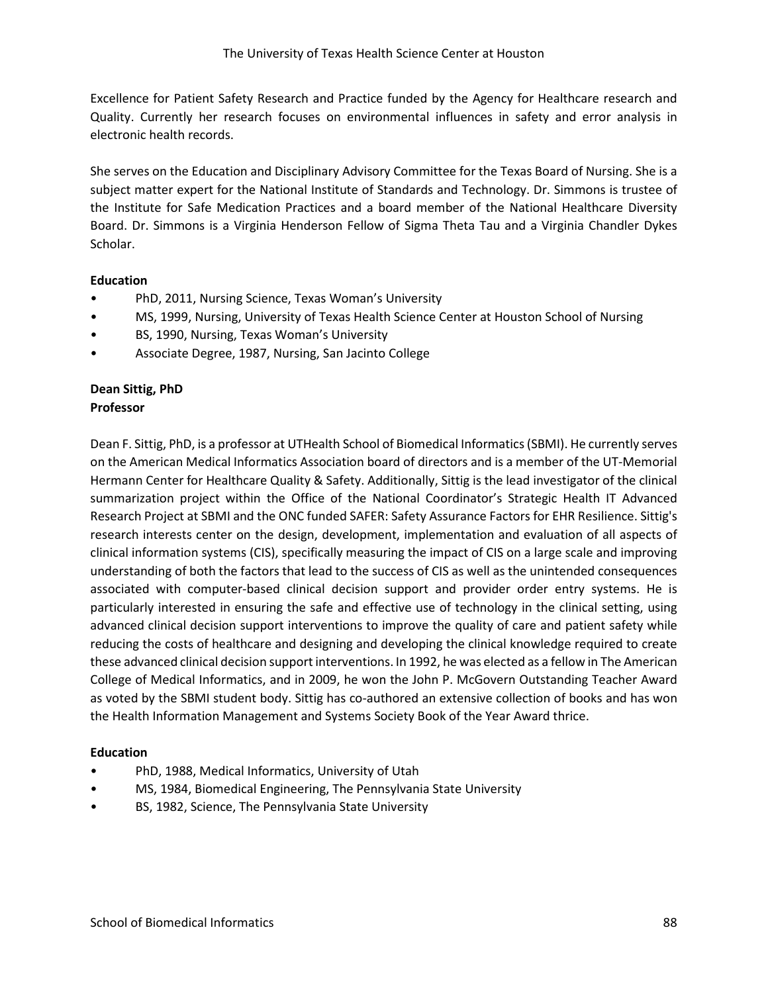Excellence for Patient Safety Research and Practice funded by the Agency for Healthcare research and Quality. Currently her research focuses on environmental influences in safety and error analysis in electronic health records.

She serves on the Education and Disciplinary Advisory Committee for the Texas Board of Nursing. She is a subject matter expert for the National Institute of Standards and Technology. Dr. Simmons is trustee of the Institute for Safe Medication Practices and a board member of the National Healthcare Diversity Board. Dr. Simmons is a Virginia Henderson Fellow of Sigma Theta Tau and a Virginia Chandler Dykes Scholar.

### **Education**

- PhD, 2011, Nursing Science, Texas Woman's University
- MS, 1999, Nursing, University of Texas Health Science Center at Houston School of Nursing
- BS, 1990, Nursing, Texas Woman's University
- Associate Degree, 1987, Nursing, San Jacinto College

### **Dean Sittig, PhD Professor**

Dean F. Sittig, PhD, is a professor at UTHealth School of Biomedical Informatics (SBMI). He currently serves on the American Medical Informatics Association board of directors and is a member of the UT-Memorial Hermann Center for Healthcare Quality & Safety. Additionally, Sittig is the lead investigator of the clinical summarization project within the Office of the National Coordinator's Strategic Health IT Advanced Research Project at SBMI and the ONC funded SAFER: Safety Assurance Factors for EHR Resilience. Sittig's research interests center on the design, development, implementation and evaluation of all aspects of clinical information systems (CIS), specifically measuring the impact of CIS on a large scale and improving understanding of both the factors that lead to the success of CIS as well as the unintended consequences associated with computer-based clinical decision support and provider order entry systems. He is particularly interested in ensuring the safe and effective use of technology in the clinical setting, using advanced clinical decision support interventions to improve the quality of care and patient safety while reducing the costs of healthcare and designing and developing the clinical knowledge required to create these advanced clinical decision support interventions. In 1992, he was elected as a fellow in The American College of Medical Informatics, and in 2009, he won the John P. McGovern Outstanding Teacher Award as voted by the SBMI student body. Sittig has co-authored an extensive collection of books and has won the Health Information Management and Systems Society Book of the Year Award thrice.

- PhD, 1988, Medical Informatics, University of Utah
- MS, 1984, Biomedical Engineering, The Pennsylvania State University
- BS, 1982, Science, The Pennsylvania State University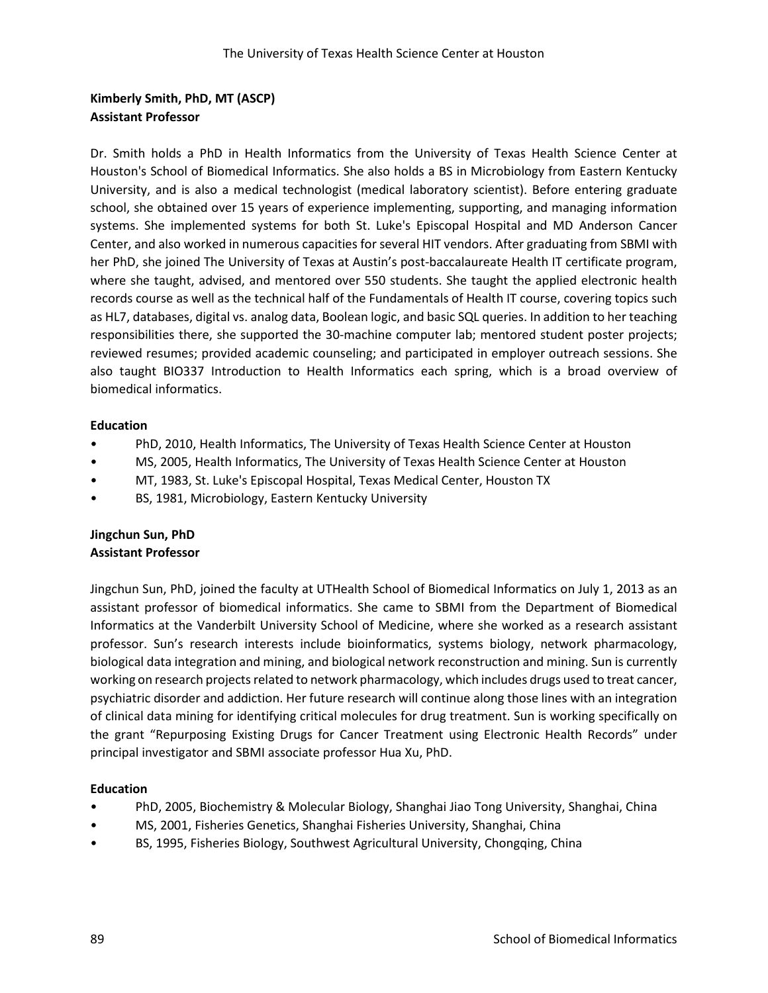# **Kimberly Smith, PhD, MT (ASCP) Assistant Professor**

Dr. Smith holds a PhD in Health Informatics from the University of Texas Health Science Center at Houston's School of Biomedical Informatics. She also holds a BS in Microbiology from Eastern Kentucky University, and is also a medical technologist (medical laboratory scientist). Before entering graduate school, she obtained over 15 years of experience implementing, supporting, and managing information systems. She implemented systems for both St. Luke's Episcopal Hospital and MD Anderson Cancer Center, and also worked in numerous capacities for several HIT vendors. After graduating from SBMI with her PhD, she joined The University of Texas at Austin's post-baccalaureate Health IT certificate program, where she taught, advised, and mentored over 550 students. She taught the applied electronic health records course as well as the technical half of the Fundamentals of Health IT course, covering topics such as HL7, databases, digital vs. analog data, Boolean logic, and basic SQL queries. In addition to her teaching responsibilities there, she supported the 30-machine computer lab; mentored student poster projects; reviewed resumes; provided academic counseling; and participated in employer outreach sessions. She also taught BIO337 Introduction to Health Informatics each spring, which is a broad overview of biomedical informatics.

### **Education**

- PhD, 2010, Health Informatics, The University of Texas Health Science Center at Houston
- MS, 2005, Health Informatics, The University of Texas Health Science Center at Houston
- MT, 1983, St. Luke's Episcopal Hospital, Texas Medical Center, Houston TX
- BS, 1981, Microbiology, Eastern Kentucky University

## **Jingchun Sun, PhD Assistant Professor**

Jingchun Sun, PhD, joined the faculty at UTHealth School of Biomedical Informatics on July 1, 2013 as an assistant professor of biomedical informatics. She came to SBMI from the Department of Biomedical Informatics at the Vanderbilt University School of Medicine, where she worked as a research assistant professor. Sun's research interests include bioinformatics, systems biology, network pharmacology, biological data integration and mining, and biological network reconstruction and mining. Sun is currently working on research projects related to network pharmacology, which includes drugs used to treat cancer, psychiatric disorder and addiction. Her future research will continue along those lines with an integration of clinical data mining for identifying critical molecules for drug treatment. Sun is working specifically on the grant "Repurposing Existing Drugs for Cancer Treatment using Electronic Health Records" under principal investigator and SBMI associate professor Hua Xu, PhD.

- PhD, 2005, Biochemistry & Molecular Biology, Shanghai Jiao Tong University, Shanghai, China
- MS, 2001, Fisheries Genetics, Shanghai Fisheries University, Shanghai, China
- BS, 1995, Fisheries Biology, Southwest Agricultural University, Chongqing, China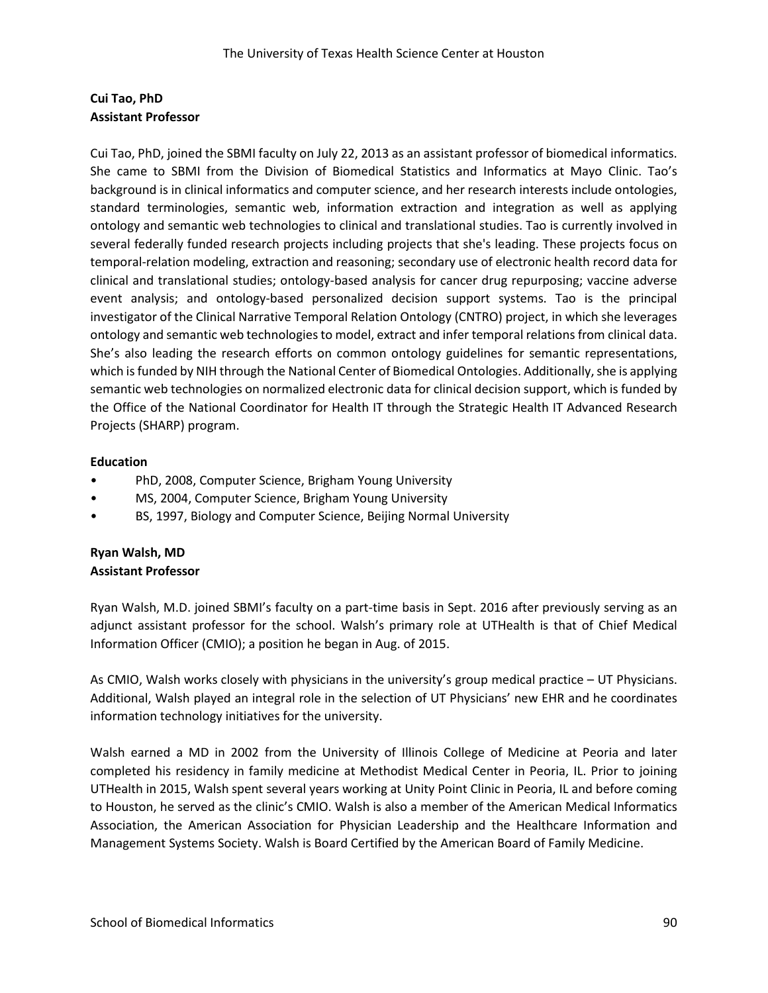# **Cui Tao, PhD Assistant Professor**

Cui Tao, PhD, joined the SBMI faculty on July 22, 2013 as an assistant professor of biomedical informatics. She came to SBMI from the Division of Biomedical Statistics and Informatics at Mayo Clinic. Tao's background is in clinical informatics and computer science, and her research interests include ontologies, standard terminologies, semantic web, information extraction and integration as well as applying ontology and semantic web technologies to clinical and translational studies. Tao is currently involved in several federally funded research projects including projects that she's leading. These projects focus on temporal-relation modeling, extraction and reasoning; secondary use of electronic health record data for clinical and translational studies; ontology-based analysis for cancer drug repurposing; vaccine adverse event analysis; and ontology-based personalized decision support systems. Tao is the principal investigator of the Clinical Narrative Temporal Relation Ontology (CNTRO) project, in which she leverages ontology and semantic web technologies to model, extract and infer temporal relations from clinical data. She's also leading the research efforts on common ontology guidelines for semantic representations, which is funded by NIH through the National Center of Biomedical Ontologies. Additionally, she is applying semantic web technologies on normalized electronic data for clinical decision support, which is funded by the Office of the National Coordinator for Health IT through the Strategic Health IT Advanced Research Projects (SHARP) program.

## **Education**

- PhD, 2008, Computer Science, Brigham Young University
- MS, 2004, Computer Science, Brigham Young University
- BS, 1997, Biology and Computer Science, Beijing Normal University

# **Ryan Walsh, MD Assistant Professor**

Ryan Walsh, M.D. joined SBMI's faculty on a part-time basis in Sept. 2016 after previously serving as an adjunct assistant professor for the school. Walsh's primary role at UTHealth is that of Chief Medical Information Officer (CMIO); a position he began in Aug. of 2015.

As CMIO, Walsh works closely with physicians in the university's group medical practice – UT Physicians. Additional, Walsh played an integral role in the selection of UT Physicians' new EHR and he coordinates information technology initiatives for the university.

Walsh earned a MD in 2002 from the University of Illinois College of Medicine at Peoria and later completed his residency in family medicine at Methodist Medical Center in Peoria, IL. Prior to joining UTHealth in 2015, Walsh spent several years working at Unity Point Clinic in Peoria, IL and before coming to Houston, he served as the clinic's CMIO. Walsh is also a member of the American Medical Informatics Association, the American Association for Physician Leadership and the Healthcare Information and Management Systems Society. Walsh is Board Certified by the American Board of Family Medicine.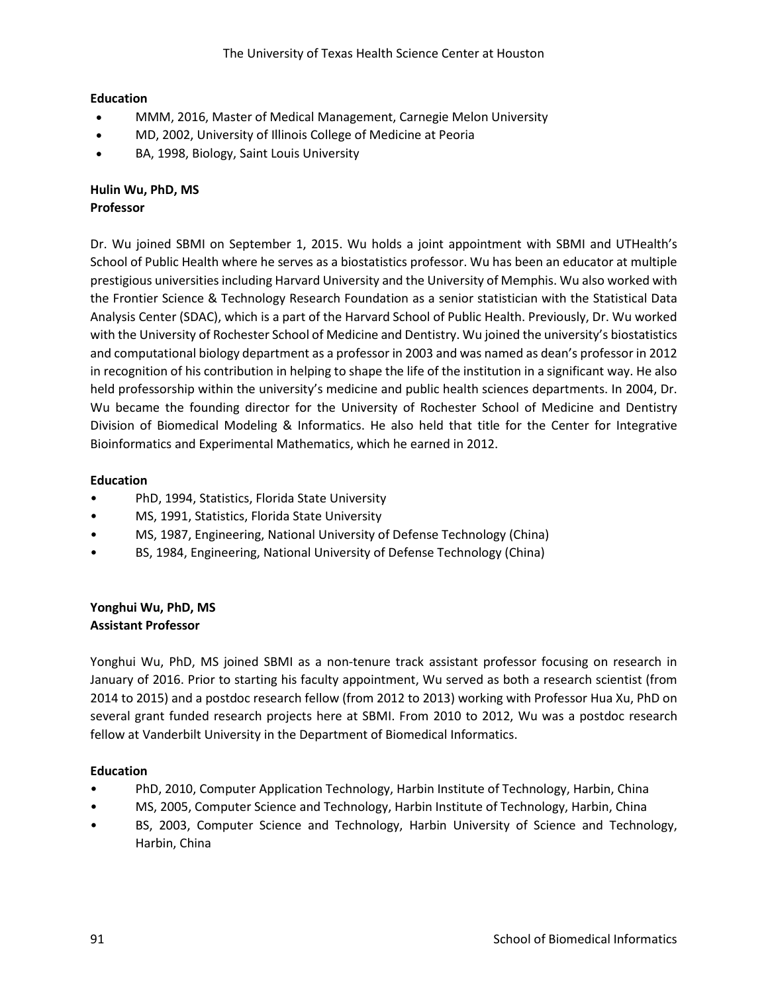## **Education**

- MMM, 2016, Master of Medical Management, Carnegie Melon University
- MD, 2002, University of Illinois College of Medicine at Peoria
- BA, 1998, Biology, Saint Louis University

## **Hulin Wu, PhD, MS Professor**

Dr. Wu joined SBMI on September 1, 2015. Wu holds a joint appointment with SBMI and UTHealth's School of Public Health where he serves as a biostatistics professor. Wu has been an educator at multiple prestigious universities including Harvard University and the University of Memphis. Wu also worked with the Frontier Science & Technology Research Foundation as a senior statistician with the Statistical Data Analysis Center (SDAC), which is a part of the Harvard School of Public Health. Previously, Dr. Wu worked with the University of Rochester School of Medicine and Dentistry. Wu joined the university's biostatistics and computational biology department as a professor in 2003 and was named as dean's professor in 2012 in recognition of his contribution in helping to shape the life of the institution in a significant way. He also held professorship within the university's medicine and public health sciences departments. In 2004, Dr. Wu became the founding director for the University of Rochester School of Medicine and Dentistry Division of Biomedical Modeling & Informatics. He also held that title for the Center for Integrative Bioinformatics and Experimental Mathematics, which he earned in 2012.

### **Education**

- PhD, 1994, Statistics, Florida State University
- MS, 1991, Statistics, Florida State University
- MS, 1987, Engineering, National University of Defense Technology (China)
- BS, 1984, Engineering, National University of Defense Technology (China)

### **Yonghui Wu, PhD, MS Assistant Professor**

Yonghui Wu, PhD, MS joined SBMI as a non-tenure track assistant professor focusing on research in January of 2016. Prior to starting his faculty appointment, Wu served as both a research scientist (from 2014 to 2015) and a postdoc research fellow (from 2012 to 2013) working with Professor Hua Xu, PhD on several grant funded research projects here at SBMI. From 2010 to 2012, Wu was a postdoc research fellow at Vanderbilt University in the Department of Biomedical Informatics.

- PhD, 2010, Computer Application Technology, Harbin Institute of Technology, Harbin, China
- MS, 2005, Computer Science and Technology, Harbin Institute of Technology, Harbin, China
- BS, 2003, Computer Science and Technology, Harbin University of Science and Technology, Harbin, China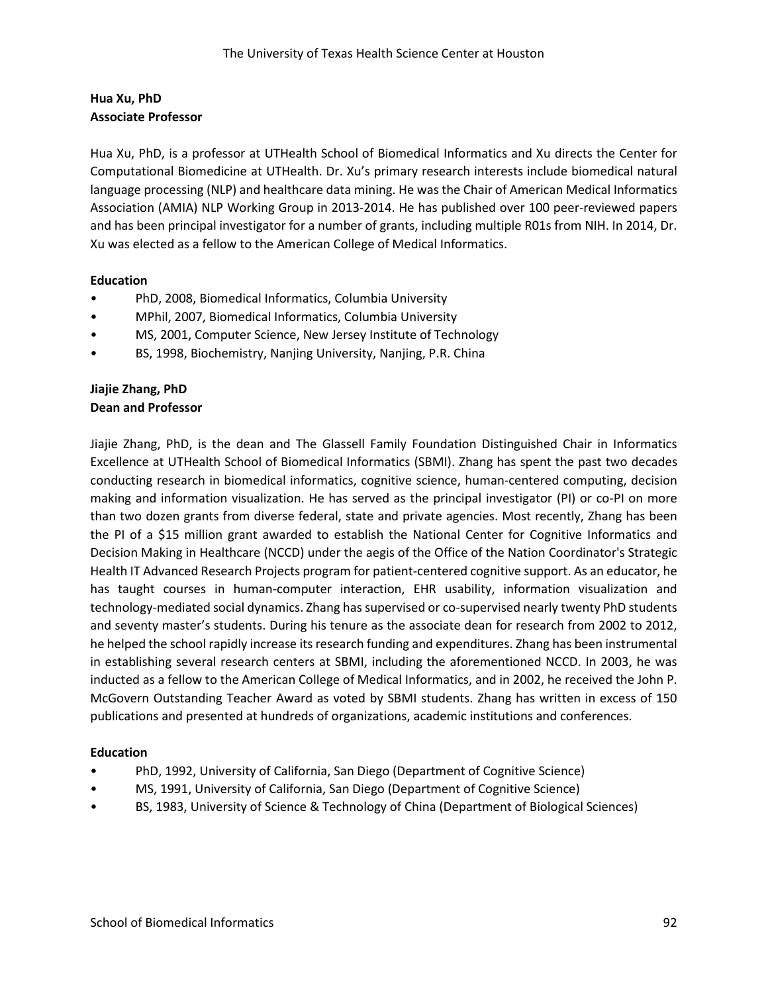## **Hua Xu, PhD Associate Professor**

Hua Xu, PhD, is a professor at UTHealth School of Biomedical Informatics and Xu directs the Center for Computational Biomedicine at UTHealth. Dr. Xu's primary research interests include biomedical natural language processing (NLP) and healthcare data mining. He was the Chair of American Medical Informatics Association (AMIA) NLP Working Group in 2013-2014. He has published over 100 peer-reviewed papers and has been principal investigator for a number of grants, including multiple R01s from NIH. In 2014, Dr. Xu was elected as a fellow to the American College of Medical Informatics.

## **Education**

- PhD, 2008, Biomedical Informatics, Columbia University
- MPhil, 2007, Biomedical Informatics, Columbia University
- MS, 2001, Computer Science, New Jersey Institute of Technology
- BS, 1998, Biochemistry, Nanjing University, Nanjing, P.R. China

## **Jiajie Zhang, PhD Dean and Professor**

Jiajie Zhang, PhD, is the dean and The Glassell Family Foundation Distinguished Chair in Informatics Excellence at UTHealth School of Biomedical Informatics (SBMI). Zhang has spent the past two decades conducting research in biomedical informatics, cognitive science, human-centered computing, decision making and information visualization. He has served as the principal investigator (PI) or co-PI on more than two dozen grants from diverse federal, state and private agencies. Most recently, Zhang has been the PI of a \$15 million grant awarded to establish the National Center for Cognitive Informatics and Decision Making in Healthcare (NCCD) under the aegis of the Office of the Nation Coordinator's Strategic Health IT Advanced Research Projects program for patient-centered cognitive support. As an educator, he has taught courses in human-computer interaction, EHR usability, information visualization and technology-mediated social dynamics. Zhang has supervised or co-supervised nearly twenty PhD students and seventy master's students. During his tenure as the associate dean for research from 2002 to 2012, he helped the school rapidly increase its research funding and expenditures. Zhang has been instrumental in establishing several research centers at SBMI, including the aforementioned NCCD. In 2003, he was inducted as a fellow to the American College of Medical Informatics, and in 2002, he received the John P. McGovern Outstanding Teacher Award as voted by SBMI students. Zhang has written in excess of 150 publications and presented at hundreds of organizations, academic institutions and conferences.

- PhD, 1992, University of California, San Diego (Department of Cognitive Science)
- MS, 1991, University of California, San Diego (Department of Cognitive Science)
- BS, 1983, University of Science & Technology of China (Department of Biological Sciences)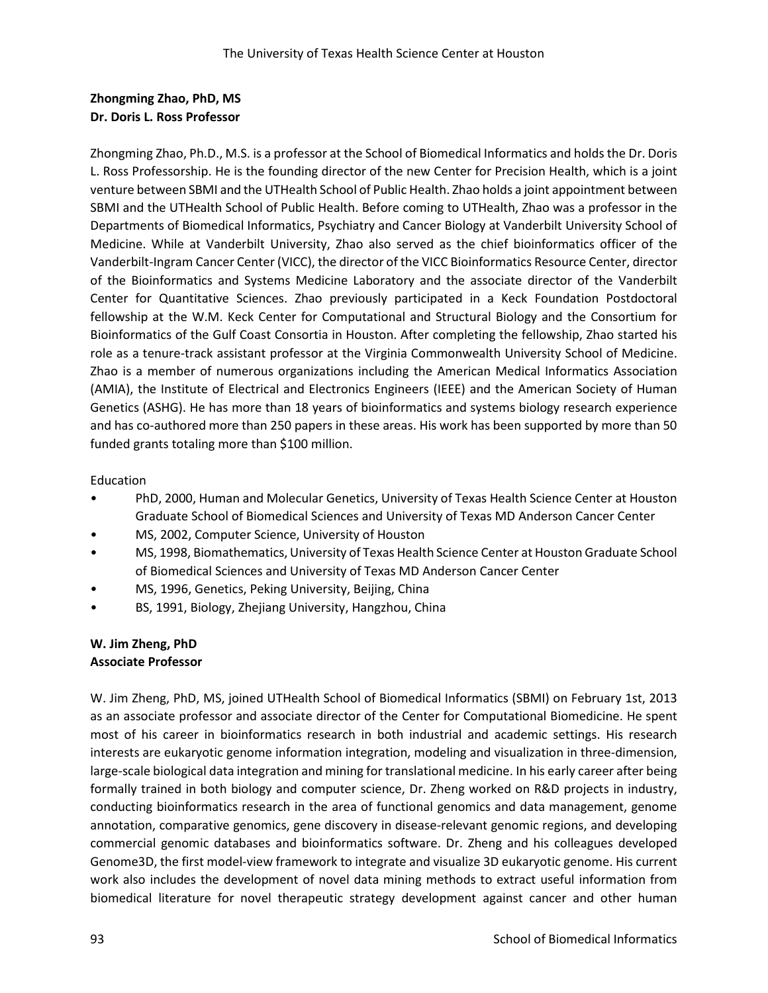# **Zhongming Zhao, PhD, MS Dr. Doris L. Ross Professor**

Zhongming Zhao, Ph.D., M.S. is a professor at the School of Biomedical Informatics and holds the Dr. Doris L. Ross Professorship. He is the founding director of the new Center for Precision Health, which is a joint venture between SBMI and the UTHealth School of Public Health. Zhao holds a joint appointment between SBMI and the UTHealth School of Public Health. Before coming to UTHealth, Zhao was a professor in the Departments of Biomedical Informatics, Psychiatry and Cancer Biology at Vanderbilt University School of Medicine. While at Vanderbilt University, Zhao also served as the chief bioinformatics officer of the Vanderbilt-Ingram Cancer Center (VICC), the director of the VICC Bioinformatics Resource Center, director of the Bioinformatics and Systems Medicine Laboratory and the associate director of the Vanderbilt Center for Quantitative Sciences. Zhao previously participated in a Keck Foundation Postdoctoral fellowship at the W.M. Keck Center for Computational and Structural Biology and the Consortium for Bioinformatics of the Gulf Coast Consortia in Houston. After completing the fellowship, Zhao started his role as a tenure-track assistant professor at the Virginia Commonwealth University School of Medicine. Zhao is a member of numerous organizations including the American Medical Informatics Association (AMIA), the Institute of Electrical and Electronics Engineers (IEEE) and the American Society of Human Genetics (ASHG). He has more than 18 years of bioinformatics and systems biology research experience and has co-authored more than 250 papers in these areas. His work has been supported by more than 50 funded grants totaling more than \$100 million.

## Education

- PhD, 2000, Human and Molecular Genetics, University of Texas Health Science Center at Houston Graduate School of Biomedical Sciences and University of Texas MD Anderson Cancer Center
- MS, 2002, Computer Science, University of Houston
- MS, 1998, Biomathematics, University of Texas Health Science Center at Houston Graduate School of Biomedical Sciences and University of Texas MD Anderson Cancer Center
- MS, 1996, Genetics, Peking University, Beijing, China
- BS, 1991, Biology, Zhejiang University, Hangzhou, China

## **W. Jim Zheng, PhD Associate Professor**

W. Jim Zheng, PhD, MS, joined UTHealth School of Biomedical Informatics (SBMI) on February 1st, 2013 as an associate professor and associate director of the Center for Computational Biomedicine. He spent most of his career in bioinformatics research in both industrial and academic settings. His research interests are eukaryotic genome information integration, modeling and visualization in three-dimension, large-scale biological data integration and mining for translational medicine. In his early career after being formally trained in both biology and computer science, Dr. Zheng worked on R&D projects in industry, conducting bioinformatics research in the area of functional genomics and data management, genome annotation, comparative genomics, gene discovery in disease-relevant genomic regions, and developing commercial genomic databases and bioinformatics software. Dr. Zheng and his colleagues developed Genome3D, the first model-view framework to integrate and visualize 3D eukaryotic genome. His current work also includes the development of novel data mining methods to extract useful information from biomedical literature for novel therapeutic strategy development against cancer and other human